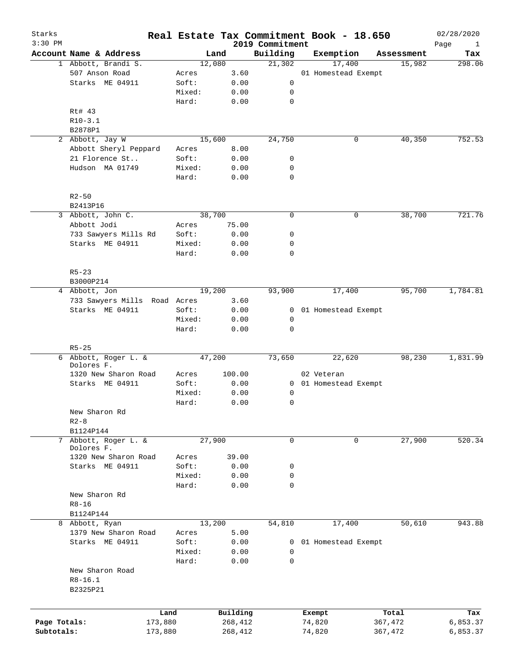| Starks<br>$3:30$ PM |                              |         |        |          | 2019 Commitment | Real Estate Tax Commitment Book - 18.650 |   |            | 02/28/2020<br>Page<br>$\mathbf{1}$ |
|---------------------|------------------------------|---------|--------|----------|-----------------|------------------------------------------|---|------------|------------------------------------|
|                     | Account Name & Address       |         | Land   |          | Building        | Exemption                                |   | Assessment | Tax                                |
|                     | 1 Abbott, Brandi S.          |         | 12,080 |          | 21,302          | 17,400                                   |   | 15,982     | 298.06                             |
|                     | 507 Anson Road               | Acres   |        | 3.60     |                 | 01 Homestead Exempt                      |   |            |                                    |
|                     | Starks ME 04911              | Soft:   |        | 0.00     | 0               |                                          |   |            |                                    |
|                     |                              | Mixed:  |        | 0.00     | 0               |                                          |   |            |                                    |
|                     |                              | Hard:   |        | 0.00     | 0               |                                          |   |            |                                    |
|                     | Rt# 43                       |         |        |          |                 |                                          |   |            |                                    |
|                     | $R10-3.1$                    |         |        |          |                 |                                          |   |            |                                    |
|                     | B2878P1                      |         |        |          |                 |                                          |   |            |                                    |
|                     | 2 Abbott, Jay W              |         | 15,600 |          | 24,750          |                                          | 0 | 40,350     | 752.53                             |
|                     |                              |         |        |          |                 |                                          |   |            |                                    |
|                     | Abbott Sheryl Peppard        | Acres   |        | 8.00     |                 |                                          |   |            |                                    |
|                     | 21 Florence St               | Soft:   |        | 0.00     | 0               |                                          |   |            |                                    |
|                     | Hudson MA 01749              | Mixed:  |        | 0.00     | 0               |                                          |   |            |                                    |
|                     |                              | Hard:   |        | 0.00     | $\mathbf 0$     |                                          |   |            |                                    |
|                     |                              |         |        |          |                 |                                          |   |            |                                    |
|                     | $R2 - 50$                    |         |        |          |                 |                                          |   |            |                                    |
|                     | B2413P16                     |         |        |          |                 |                                          |   |            |                                    |
| 3                   | Abbott, John C.              |         | 38,700 |          | 0               |                                          | 0 | 38,700     | 721.76                             |
|                     | Abbott Jodi                  | Acres   |        | 75.00    |                 |                                          |   |            |                                    |
|                     | 733 Sawyers Mills Rd         | Soft:   |        | 0.00     | 0               |                                          |   |            |                                    |
|                     | Starks ME 04911              | Mixed:  |        | 0.00     | 0               |                                          |   |            |                                    |
|                     |                              | Hard:   |        | 0.00     | 0               |                                          |   |            |                                    |
|                     |                              |         |        |          |                 |                                          |   |            |                                    |
|                     | $R5 - 23$                    |         |        |          |                 |                                          |   |            |                                    |
|                     | B3000P214                    |         |        |          |                 |                                          |   |            |                                    |
|                     | 4 Abbott, Jon                |         | 19,200 |          | 93,900          | 17,400                                   |   | 95,700     | 1,784.81                           |
|                     | 733 Sawyers Mills Road Acres |         |        | 3.60     |                 |                                          |   |            |                                    |
|                     | Starks ME 04911              | Soft:   |        | 0.00     | 0               | 01 Homestead Exempt                      |   |            |                                    |
|                     |                              | Mixed:  |        | 0.00     | 0               |                                          |   |            |                                    |
|                     |                              | Hard:   |        | 0.00     | $\mathbf 0$     |                                          |   |            |                                    |
|                     |                              |         |        |          |                 |                                          |   |            |                                    |
|                     | $R5 - 25$                    |         |        |          |                 |                                          |   |            |                                    |
|                     | 6 Abbott, Roger L. &         |         | 47,200 |          | 73,650          | 22,620                                   |   | 98,230     | 1,831.99                           |
|                     | Dolores F.                   |         |        |          |                 |                                          |   |            |                                    |
|                     | 1320 New Sharon Road         | Acres   |        | 100.00   |                 | 02 Veteran                               |   |            |                                    |
|                     | Starks ME 04911              | Soft:   |        | 0.00     |                 | 0 01 Homestead Exempt                    |   |            |                                    |
|                     |                              | Mixed:  |        | 0.00     | 0               |                                          |   |            |                                    |
|                     |                              | Hard:   |        | 0.00     | 0               |                                          |   |            |                                    |
|                     | New Sharon Rd                |         |        |          |                 |                                          |   |            |                                    |
|                     | $R2 - 8$                     |         |        |          |                 |                                          |   |            |                                    |
|                     | B1124P144                    |         |        |          |                 |                                          |   |            |                                    |
| 7                   | Abbott, Roger L. &           |         | 27,900 |          | 0               |                                          | 0 | 27,900     | 520.34                             |
|                     | Dolores F.                   |         |        |          |                 |                                          |   |            |                                    |
|                     | 1320 New Sharon Road         | Acres   |        | 39.00    |                 |                                          |   |            |                                    |
|                     | Starks ME 04911              | Soft:   |        | 0.00     | 0               |                                          |   |            |                                    |
|                     |                              | Mixed:  |        | 0.00     | 0               |                                          |   |            |                                    |
|                     |                              | Hard:   |        | 0.00     | $\mathbf 0$     |                                          |   |            |                                    |
|                     | New Sharon Rd                |         |        |          |                 |                                          |   |            |                                    |
|                     | $R8 - 16$                    |         |        |          |                 |                                          |   |            |                                    |
|                     | B1124P144                    |         |        |          |                 |                                          |   |            |                                    |
|                     | 8 Abbott, Ryan               |         | 13,200 |          | 54,810          | 17,400                                   |   | 50,610     | 943.88                             |
|                     | 1379 New Sharon Road         | Acres   |        | 5.00     |                 |                                          |   |            |                                    |
|                     | Starks ME 04911              | Soft:   |        | 0.00     | 0               | 01 Homestead Exempt                      |   |            |                                    |
|                     |                              | Mixed:  |        | 0.00     | 0               |                                          |   |            |                                    |
|                     |                              | Hard:   |        | 0.00     | $\mathbf 0$     |                                          |   |            |                                    |
|                     | New Sharon Road              |         |        |          |                 |                                          |   |            |                                    |
|                     | $R8 - 16.1$                  |         |        |          |                 |                                          |   |            |                                    |
|                     | B2325P21                     |         |        |          |                 |                                          |   |            |                                    |
|                     |                              |         |        |          |                 |                                          |   |            |                                    |
|                     |                              |         |        |          |                 |                                          |   |            |                                    |
|                     |                              | Land    |        | Building |                 | Exempt                                   |   | Total      | Tax                                |
| Page Totals:        |                              | 173,880 |        | 268,412  |                 | 74,820                                   |   | 367,472    | 6,853.37                           |
| Subtotals:          |                              | 173,880 |        | 268,412  |                 | 74,820                                   |   | 367,472    | 6,853.37                           |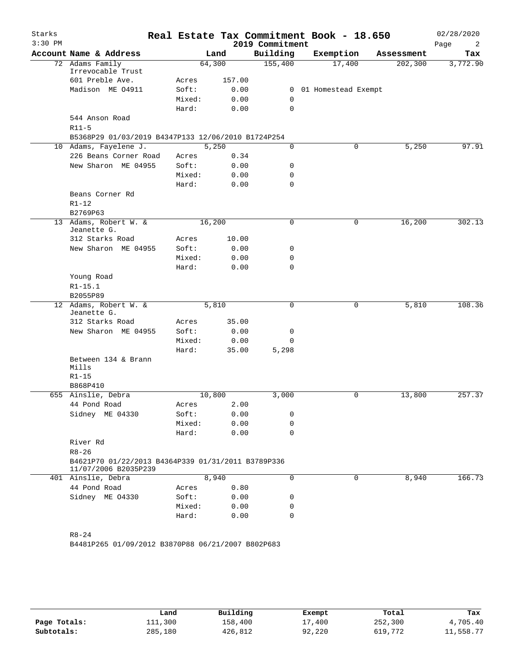| Starks<br>$3:30$ PM |                                                                             |        |        | 2019 Commitment | Real Estate Tax Commitment Book - 18.650 |            | 02/28/2020<br>Page<br>2 |
|---------------------|-----------------------------------------------------------------------------|--------|--------|-----------------|------------------------------------------|------------|-------------------------|
|                     | Account Name & Address                                                      |        | Land   | Building        | Exemption                                | Assessment | Tax                     |
|                     | 72 Adams Family                                                             | 64,300 |        | 155,400         | 17,400                                   | 202, 300   | 3,772.90                |
|                     | Irrevocable Trust                                                           |        |        |                 |                                          |            |                         |
|                     | 601 Preble Ave.                                                             | Acres  | 157.00 |                 |                                          |            |                         |
|                     | Madison ME 04911                                                            | Soft:  | 0.00   | 0               | 01 Homestead Exempt                      |            |                         |
|                     |                                                                             | Mixed: | 0.00   | 0               |                                          |            |                         |
|                     |                                                                             | Hard:  | 0.00   | 0               |                                          |            |                         |
|                     | 544 Anson Road                                                              |        |        |                 |                                          |            |                         |
|                     | $R11-5$                                                                     |        |        |                 |                                          |            |                         |
|                     | B5368P29 01/03/2019 B4347P133 12/06/2010 B1724P254<br>10 Adams, Fayelene J. | 5,250  |        | 0               | 0                                        | 5,250      | 97.91                   |
|                     | 226 Beans Corner Road                                                       | Acres  | 0.34   |                 |                                          |            |                         |
|                     | New Sharon ME 04955                                                         | Soft:  | 0.00   | 0               |                                          |            |                         |
|                     |                                                                             | Mixed: | 0.00   | 0               |                                          |            |                         |
|                     |                                                                             | Hard:  | 0.00   | 0               |                                          |            |                         |
|                     | Beans Corner Rd                                                             |        |        |                 |                                          |            |                         |
|                     | $R1 - 12$                                                                   |        |        |                 |                                          |            |                         |
|                     | B2769P63                                                                    |        |        |                 |                                          |            |                         |
|                     | 13 Adams, Robert W. &                                                       | 16,200 |        | 0               | 0                                        | 16,200     | 302.13                  |
|                     | Jeanette G.                                                                 |        |        |                 |                                          |            |                         |
|                     | 312 Starks Road                                                             | Acres  | 10.00  |                 |                                          |            |                         |
|                     | New Sharon ME 04955                                                         | Soft:  | 0.00   | 0               |                                          |            |                         |
|                     |                                                                             | Mixed: | 0.00   | 0               |                                          |            |                         |
|                     |                                                                             | Hard:  | 0.00   | 0               |                                          |            |                         |
|                     | Young Road                                                                  |        |        |                 |                                          |            |                         |
|                     | $R1 - 15.1$                                                                 |        |        |                 |                                          |            |                         |
|                     | B2055P89                                                                    |        |        |                 |                                          |            |                         |
|                     | 12 Adams, Robert W. &<br>Jeanette G.                                        | 5,810  |        | 0               | $\mathbf 0$                              | 5,810      | 108.36                  |
|                     | 312 Starks Road                                                             | Acres  | 35.00  |                 |                                          |            |                         |
|                     | New Sharon ME 04955                                                         | Soft:  | 0.00   | 0               |                                          |            |                         |
|                     |                                                                             | Mixed: | 0.00   | 0               |                                          |            |                         |
|                     |                                                                             | Hard:  | 35.00  | 5,298           |                                          |            |                         |
|                     | Between 134 & Brann<br>Mills                                                |        |        |                 |                                          |            |                         |
|                     | $R1 - 15$                                                                   |        |        |                 |                                          |            |                         |
|                     | B868P410                                                                    |        |        |                 |                                          |            |                         |
|                     | 655 Ainslie, Debra                                                          | 10,800 |        | 3,000           | 0                                        | 13,800     | 257.37                  |
|                     | 44 Pond Road                                                                | Acres  | 2.00   |                 |                                          |            |                         |
|                     | Sidney ME 04330                                                             | Soft:  | 0.00   | 0               |                                          |            |                         |
|                     |                                                                             | Mixed: | 0.00   | 0               |                                          |            |                         |
|                     |                                                                             | Hard:  | 0.00   | 0               |                                          |            |                         |
|                     | River Rd                                                                    |        |        |                 |                                          |            |                         |
|                     | $R8 - 26$                                                                   |        |        |                 |                                          |            |                         |
|                     | B4621P70 01/22/2013 B4364P339 01/31/2011 B3789P336<br>11/07/2006 B2035P239  |        |        |                 |                                          |            |                         |
|                     | 401 Ainslie, Debra                                                          | 8,940  |        | 0               | 0                                        | 8,940      | 166.73                  |
|                     | 44 Pond Road                                                                | Acres  | 0.80   |                 |                                          |            |                         |
|                     | Sidney ME 04330                                                             | Soft:  | 0.00   | 0               |                                          |            |                         |
|                     |                                                                             | Mixed: | 0.00   | 0               |                                          |            |                         |
|                     |                                                                             |        | 0.00   | 0               |                                          |            |                         |

|              | Land    | Building | Exempt | Total   | Tax       |
|--------------|---------|----------|--------|---------|-----------|
| Page Totals: | 111,300 | 158,400  | 17,400 | 252,300 | 4,705.40  |
| Subtotals:   | 285,180 | 426,812  | 92,220 | 619,772 | 11,558.77 |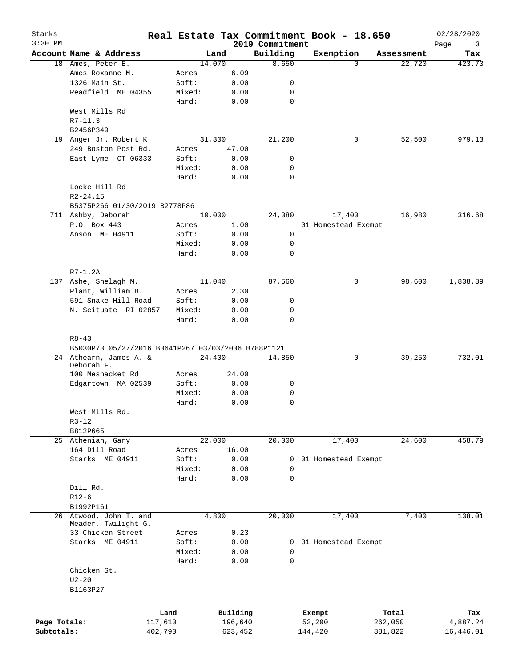| Starks<br>$3:30$ PM |                                                    |         |        |          | 2019 Commitment | Real Estate Tax Commitment Book - 18.650 |            | 02/28/2020<br>Page<br>3 |
|---------------------|----------------------------------------------------|---------|--------|----------|-----------------|------------------------------------------|------------|-------------------------|
|                     | Account Name & Address                             |         | Land   |          | Building        | Exemption                                | Assessment | Tax                     |
|                     | 18 Ames, Peter E.                                  |         | 14,070 |          | 8,650           | 0                                        | 22,720     | 423.73                  |
|                     | Ames Roxanne M.                                    | Acres   |        | 6.09     |                 |                                          |            |                         |
|                     | 1326 Main St.                                      | Soft:   |        | 0.00     | 0               |                                          |            |                         |
|                     | Readfield ME 04355                                 | Mixed:  |        | 0.00     | 0               |                                          |            |                         |
|                     |                                                    | Hard:   |        | 0.00     | 0               |                                          |            |                         |
|                     | West Mills Rd                                      |         |        |          |                 |                                          |            |                         |
|                     | $R7 - 11.3$                                        |         |        |          |                 |                                          |            |                         |
|                     | B2456P349                                          |         |        |          |                 |                                          |            |                         |
|                     | 19 Anger Jr. Robert K                              |         | 31,300 |          | 21,200          | 0                                        | 52,500     | 979.13                  |
|                     |                                                    |         |        |          |                 |                                          |            |                         |
|                     | 249 Boston Post Rd.                                | Acres   |        | 47.00    |                 |                                          |            |                         |
|                     | East Lyme CT 06333                                 | Soft:   |        | 0.00     | 0               |                                          |            |                         |
|                     |                                                    | Mixed:  |        | 0.00     | 0               |                                          |            |                         |
|                     |                                                    | Hard:   |        | 0.00     | 0               |                                          |            |                         |
|                     | Locke Hill Rd                                      |         |        |          |                 |                                          |            |                         |
|                     | $R2 - 24.15$                                       |         |        |          |                 |                                          |            |                         |
|                     | B5375P266 01/30/2019 B2778P86                      |         |        |          |                 |                                          |            |                         |
|                     | 711 Ashby, Deborah                                 |         | 10,000 |          | 24,380          | 17,400                                   | 16,980     | 316.68                  |
|                     | P.O. Box 443                                       | Acres   |        | 1.00     |                 | 01 Homestead Exempt                      |            |                         |
|                     | Anson ME 04911                                     | Soft:   |        | 0.00     | 0               |                                          |            |                         |
|                     |                                                    | Mixed:  |        | 0.00     | 0               |                                          |            |                         |
|                     |                                                    | Hard:   |        | 0.00     | 0               |                                          |            |                         |
|                     |                                                    |         |        |          |                 |                                          |            |                         |
|                     | $R7-1.2A$                                          |         |        |          |                 |                                          |            |                         |
|                     | 137 Ashe, Shelagh M.                               |         | 11,040 |          | 87,560          | 0                                        | 98,600     | 1,838.89                |
|                     | Plant, William B.                                  | Acres   |        | 2.30     |                 |                                          |            |                         |
|                     | 591 Snake Hill Road                                | Soft:   |        | 0.00     | 0               |                                          |            |                         |
|                     | N. Scituate RI 02857                               | Mixed:  |        | 0.00     | 0               |                                          |            |                         |
|                     |                                                    |         |        |          | 0               |                                          |            |                         |
|                     |                                                    | Hard:   |        | 0.00     |                 |                                          |            |                         |
|                     | $R8 - 43$                                          |         |        |          |                 |                                          |            |                         |
|                     | B5030P73 05/27/2016 B3641P267 03/03/2006 B788P1121 |         |        |          |                 |                                          |            | 732.01                  |
|                     | 24 Athearn, James A. &<br>Deborah F.               |         | 24,400 |          | 14,850          | 0                                        | 39,250     |                         |
|                     | 100 Meshacket Rd                                   | Acres   |        | 24.00    |                 |                                          |            |                         |
|                     | Edgartown MA 02539                                 | Soft:   |        | 0.00     | 0               |                                          |            |                         |
|                     |                                                    | Mixed:  |        | 0.00     | 0               |                                          |            |                         |
|                     |                                                    |         |        |          |                 |                                          |            |                         |
|                     |                                                    | Hard:   |        | 0.00     | 0               |                                          |            |                         |
|                     | West Mills Rd.                                     |         |        |          |                 |                                          |            |                         |
|                     | $R3 - 12$                                          |         |        |          |                 |                                          |            |                         |
|                     | B812P665                                           |         |        |          |                 |                                          |            |                         |
|                     | 25 Athenian, Gary                                  |         | 22,000 |          | 20,000          | 17,400                                   | 24,600     | 458.79                  |
|                     | 164 Dill Road                                      | Acres   |        | 16.00    |                 |                                          |            |                         |
|                     | Starks ME 04911                                    | Soft:   |        | 0.00     | 0               | 01 Homestead Exempt                      |            |                         |
|                     |                                                    | Mixed:  |        | 0.00     | $\mathbf 0$     |                                          |            |                         |
|                     |                                                    | Hard:   |        | 0.00     | $\mathbf 0$     |                                          |            |                         |
|                     | Dill Rd.                                           |         |        |          |                 |                                          |            |                         |
|                     | $R12-6$                                            |         |        |          |                 |                                          |            |                         |
|                     | B1992P161                                          |         |        |          |                 |                                          |            |                         |
|                     | 26 Atwood, John T. and                             |         | 4,800  |          | 20,000          | 17,400                                   | 7,400      | 138.01                  |
|                     | Meader, Twilight G.                                |         |        |          |                 |                                          |            |                         |
|                     | 33 Chicken Street                                  | Acres   |        | 0.23     |                 |                                          |            |                         |
|                     | Starks ME 04911                                    | Soft:   |        | 0.00     | 0               | 01 Homestead Exempt                      |            |                         |
|                     |                                                    | Mixed:  |        | 0.00     | 0               |                                          |            |                         |
|                     |                                                    | Hard:   |        | 0.00     | $\mathbf 0$     |                                          |            |                         |
|                     | Chicken St.                                        |         |        |          |                 |                                          |            |                         |
|                     | $U2-20$                                            |         |        |          |                 |                                          |            |                         |
|                     | B1163P27                                           |         |        |          |                 |                                          |            |                         |
|                     |                                                    |         |        |          |                 |                                          |            |                         |
|                     |                                                    |         |        |          |                 |                                          |            |                         |
|                     |                                                    | Land    |        | Building |                 | Exempt                                   | Total      | Tax                     |
| Page Totals:        |                                                    | 117,610 |        | 196,640  |                 | 52,200                                   | 262,050    | 4,887.24                |
| Subtotals:          |                                                    | 402,790 |        | 623,452  |                 | 144,420                                  | 881,822    | 16,446.01               |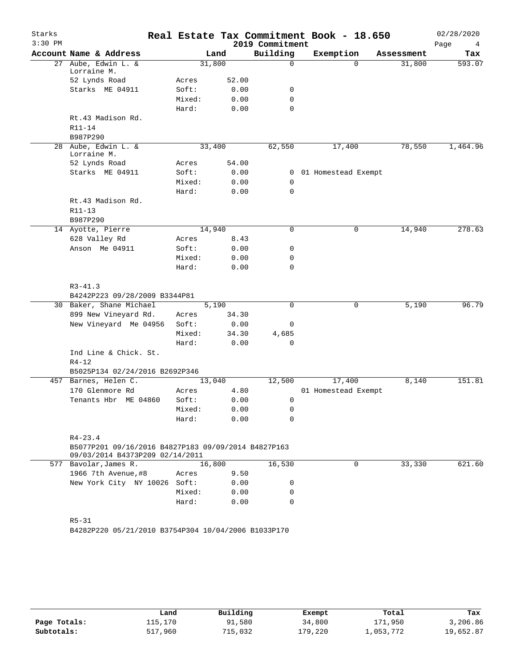| Starks<br>$3:30$ PM |                                                                                        |        |        | 2019 Commitment | Real Estate Tax Commitment Book - 18.650 |            | 02/28/2020<br>Page<br>4 |
|---------------------|----------------------------------------------------------------------------------------|--------|--------|-----------------|------------------------------------------|------------|-------------------------|
|                     | Account Name & Address                                                                 |        | Land   | Building        | Exemption                                | Assessment | Tax                     |
|                     | 27 Aube, Edwin L. &                                                                    |        | 31,800 | 0               | $\Omega$                                 | 31,800     | 593.07                  |
|                     | Lorraine M.<br>52 Lynds Road                                                           | Acres  | 52.00  |                 |                                          |            |                         |
|                     | Starks ME 04911                                                                        | Soft:  | 0.00   | 0               |                                          |            |                         |
|                     |                                                                                        | Mixed: | 0.00   | 0               |                                          |            |                         |
|                     |                                                                                        | Hard:  | 0.00   | 0               |                                          |            |                         |
|                     | Rt.43 Madison Rd.                                                                      |        |        |                 |                                          |            |                         |
|                     | $R11 - 14$                                                                             |        |        |                 |                                          |            |                         |
|                     | B987P290                                                                               |        |        |                 |                                          |            |                         |
|                     | 28 Aube, Edwin L. &                                                                    |        | 33,400 | 62,550          | 17,400                                   | 78,550     | 1,464.96                |
|                     | Lorraine M.                                                                            |        |        |                 |                                          |            |                         |
|                     | 52 Lynds Road                                                                          | Acres  | 54.00  |                 |                                          |            |                         |
|                     | Starks ME 04911                                                                        | Soft:  | 0.00   | 0               | 01 Homestead Exempt                      |            |                         |
|                     |                                                                                        | Mixed: | 0.00   | 0               |                                          |            |                         |
|                     |                                                                                        | Hard:  | 0.00   | 0               |                                          |            |                         |
|                     | Rt.43 Madison Rd.                                                                      |        |        |                 |                                          |            |                         |
|                     | R11-13                                                                                 |        |        |                 |                                          |            |                         |
|                     | B987P290                                                                               |        |        |                 |                                          |            |                         |
|                     | 14 Ayotte, Pierre                                                                      |        | 14,940 | 0               | 0                                        | 14,940     | 278.63                  |
|                     | 628 Valley Rd                                                                          | Acres  | 8.43   |                 |                                          |            |                         |
|                     | Anson Me 04911                                                                         | Soft:  | 0.00   | 0               |                                          |            |                         |
|                     |                                                                                        | Mixed: | 0.00   | 0               |                                          |            |                         |
|                     |                                                                                        | Hard:  | 0.00   | 0               |                                          |            |                         |
|                     |                                                                                        |        |        |                 |                                          |            |                         |
|                     | $R3 - 41.3$                                                                            |        |        |                 |                                          |            |                         |
|                     | B4242P223 09/28/2009 B3344P81<br>30 Baker, Shane Michael                               |        | 5,190  | 0               | 0                                        | 5,190      | 96.79                   |
|                     | 899 New Vineyard Rd.                                                                   | Acres  | 34.30  |                 |                                          |            |                         |
|                     | New Vineyard Me 04956                                                                  | Soft:  | 0.00   | 0               |                                          |            |                         |
|                     |                                                                                        | Mixed: | 34.30  | 4,685           |                                          |            |                         |
|                     |                                                                                        | Hard:  | 0.00   | 0               |                                          |            |                         |
|                     | Ind Line & Chick. St.                                                                  |        |        |                 |                                          |            |                         |
|                     | $R4 - 12$                                                                              |        |        |                 |                                          |            |                         |
|                     | B5025P134 02/24/2016 B2692P346                                                         |        |        |                 |                                          |            |                         |
|                     | 457 Barnes, Helen C.                                                                   |        | 13,040 | 12,500          | 17,400                                   | 8,140      | 151.81                  |
|                     | 170 Glenmore Rd                                                                        | Acres  | 4.80   |                 | 01 Homestead Exempt                      |            |                         |
|                     | Tenants Hbr ME 04860                                                                   | Soft:  | 0.00   | 0               |                                          |            |                         |
|                     |                                                                                        | Mixed: | 0.00   | 0               |                                          |            |                         |
|                     |                                                                                        | Hard:  | 0.00   | 0               |                                          |            |                         |
|                     |                                                                                        |        |        |                 |                                          |            |                         |
|                     | $R4 - 23.4$                                                                            |        |        |                 |                                          |            |                         |
|                     | B5077P201 09/16/2016 B4827P183 09/09/2014 B4827P163<br>09/03/2014 B4373P209 02/14/2011 |        |        |                 |                                          |            |                         |
|                     | 577 Bavolar, James R.                                                                  |        | 16,800 | 16,530          | 0                                        | 33,330     | 621.60                  |
|                     | 1966 7th Avenue, #8                                                                    | Acres  | 9.50   |                 |                                          |            |                         |
|                     | New York City NY 10026 Soft:                                                           |        | 0.00   | 0               |                                          |            |                         |
|                     |                                                                                        | Mixed: | 0.00   | 0               |                                          |            |                         |
|                     |                                                                                        | Hard:  | 0.00   | 0               |                                          |            |                         |
|                     |                                                                                        |        |        |                 |                                          |            |                         |
|                     | $R5 - 31$                                                                              |        |        |                 |                                          |            |                         |
|                     | B4282P220 05/21/2010 B3754P304 10/04/2006 B1033P170                                    |        |        |                 |                                          |            |                         |
|                     |                                                                                        |        |        |                 |                                          |            |                         |
|                     |                                                                                        |        |        |                 |                                          |            |                         |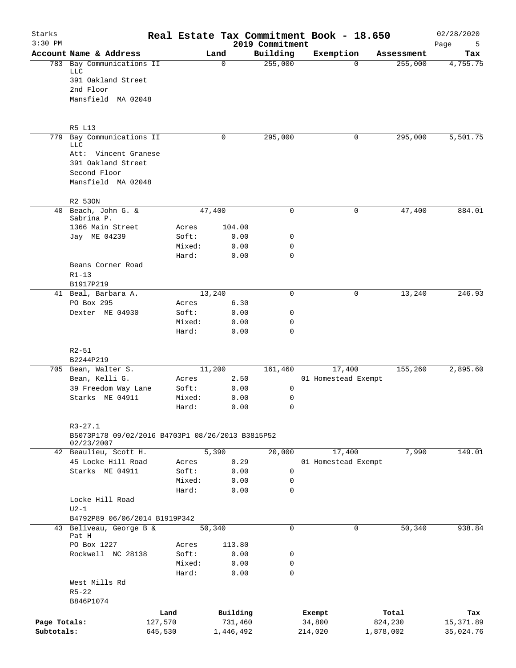| Starks<br>$3:30$ PM |                                                  |         |                 |          |              | Real Estate Tax Commitment Book - 18.650<br>2019 Commitment |           |                     |            | 02/28/2020<br>Page<br>- 5 |
|---------------------|--------------------------------------------------|---------|-----------------|----------|--------------|-------------------------------------------------------------|-----------|---------------------|------------|---------------------------|
|                     | Account Name & Address                           |         |                 | Land     |              | Building                                                    | Exemption |                     | Assessment | Tax                       |
|                     | 783 Bay Communications II                        |         |                 | $\Omega$ |              | 255,000                                                     |           | $\Omega$            | 255,000    | 4,755.75                  |
|                     | LLC<br>391 Oakland Street                        |         |                 |          |              |                                                             |           |                     |            |                           |
|                     | 2nd Floor                                        |         |                 |          |              |                                                             |           |                     |            |                           |
|                     | Mansfield MA 02048                               |         |                 |          |              |                                                             |           |                     |            |                           |
|                     | R5 L13                                           |         |                 |          |              |                                                             |           |                     |            |                           |
|                     | 779 Bay Communications II                        |         |                 | 0        |              | 295,000                                                     |           | 0                   | 295,000    | 5,501.75                  |
|                     | LLC                                              |         |                 |          |              |                                                             |           |                     |            |                           |
|                     | Att: Vincent Granese<br>391 Oakland Street       |         |                 |          |              |                                                             |           |                     |            |                           |
|                     | Second Floor                                     |         |                 |          |              |                                                             |           |                     |            |                           |
|                     | Mansfield MA 02048                               |         |                 |          |              |                                                             |           |                     |            |                           |
|                     | R2 530N                                          |         |                 |          |              |                                                             |           |                     |            |                           |
|                     | 40 Beach, John G. &                              |         |                 | 47,400   |              | $\mathbf 0$                                                 |           | 0                   | 47,400     | 884.01                    |
|                     | Sabrina P.                                       |         |                 |          |              |                                                             |           |                     |            |                           |
|                     | 1366 Main Street                                 |         | Acres           |          | 104.00       |                                                             |           |                     |            |                           |
|                     | Jay ME 04239                                     |         | Soft:           |          | 0.00         | 0                                                           |           |                     |            |                           |
|                     |                                                  |         | Mixed:          |          | 0.00         | 0                                                           |           |                     |            |                           |
|                     |                                                  |         | Hard:           |          | 0.00         | $\Omega$                                                    |           |                     |            |                           |
|                     | Beans Corner Road                                |         |                 |          |              |                                                             |           |                     |            |                           |
|                     | $R1 - 13$                                        |         |                 |          |              |                                                             |           |                     |            |                           |
|                     | B1917P219                                        |         |                 |          |              |                                                             |           |                     |            |                           |
|                     | 41 Beal, Barbara A.                              |         |                 | 13,240   |              | $\mathbf 0$                                                 |           | 0                   | 13,240     | 246.93                    |
|                     | PO Box 295                                       |         | Acres           |          | 6.30         |                                                             |           |                     |            |                           |
|                     | Dexter ME 04930                                  |         | Soft:           |          | 0.00         | 0                                                           |           |                     |            |                           |
|                     |                                                  |         | Mixed:<br>Hard: |          | 0.00<br>0.00 | 0<br>$\mathbf 0$                                            |           |                     |            |                           |
|                     |                                                  |         |                 |          |              |                                                             |           |                     |            |                           |
|                     | $R2 - 51$                                        |         |                 |          |              |                                                             |           |                     |            |                           |
|                     | B2244P219                                        |         |                 | 11,200   |              | 161,460                                                     |           | 17,400              | 155,260    | 2,895.60                  |
|                     | 705 Bean, Walter S.<br>Bean, Kelli G.            |         | Acres           |          | 2.50         |                                                             |           | 01 Homestead Exempt |            |                           |
|                     | 39 Freedom Way Lane                              |         | Soft:           |          | 0.00         | 0                                                           |           |                     |            |                           |
|                     | Starks ME 04911                                  |         | Mixed:          |          | 0.00         | 0                                                           |           |                     |            |                           |
|                     |                                                  |         | Hard:           |          | 0.00         | $\Omega$                                                    |           |                     |            |                           |
|                     | $R3 - 27.1$                                      |         |                 |          |              |                                                             |           |                     |            |                           |
|                     | B5073P178 09/02/2016 B4703P1 08/26/2013 B3815P52 |         |                 |          |              |                                                             |           |                     |            |                           |
|                     | 02/23/2007                                       |         |                 |          |              |                                                             |           |                     |            |                           |
|                     | 42 Beaulieu, Scott H.                            |         |                 | 5,390    |              | 20,000                                                      |           | 17,400              | 7,990      | 149.01                    |
|                     | 45 Locke Hill Road                               |         | Acres           |          | 0.29         |                                                             |           | 01 Homestead Exempt |            |                           |
|                     | Starks ME 04911                                  |         | Soft:           |          | 0.00         | 0                                                           |           |                     |            |                           |
|                     |                                                  |         | Mixed:          |          | 0.00         | 0                                                           |           |                     |            |                           |
|                     |                                                  |         | Hard:           |          | 0.00         | 0                                                           |           |                     |            |                           |
|                     | Locke Hill Road                                  |         |                 |          |              |                                                             |           |                     |            |                           |
|                     | $U2-1$<br>B4792P89 06/06/2014 B1919P342          |         |                 |          |              |                                                             |           |                     |            |                           |
| 43                  | Beliveau, George B &                             |         |                 | 50,340   |              | $\mathbf 0$                                                 |           | 0                   | 50,340     | 938.84                    |
|                     | Pat H                                            |         |                 |          |              |                                                             |           |                     |            |                           |
|                     | PO Box 1227                                      |         | Acres           |          | 113.80       |                                                             |           |                     |            |                           |
|                     | Rockwell NC 28138                                |         | Soft:           |          | 0.00         | 0                                                           |           |                     |            |                           |
|                     |                                                  |         | Mixed:          |          | 0.00         | 0                                                           |           |                     |            |                           |
|                     |                                                  |         | Hard:           |          | 0.00         | 0                                                           |           |                     |            |                           |
|                     | West Mills Rd                                    |         |                 |          |              |                                                             |           |                     |            |                           |
|                     | $R5 - 22$                                        |         |                 |          |              |                                                             |           |                     |            |                           |
|                     | B846P1074                                        |         |                 |          |              |                                                             |           |                     |            |                           |
|                     |                                                  | Land    |                 |          | Building     |                                                             | Exempt    |                     | Total      | Tax                       |
| Page Totals:        |                                                  | 127,570 |                 |          | 731,460      |                                                             | 34,800    |                     | 824,230    | 15,371.89                 |
| Subtotals:          |                                                  | 645,530 |                 |          | 1,446,492    |                                                             | 214,020   |                     | 1,878,002  | 35,024.76                 |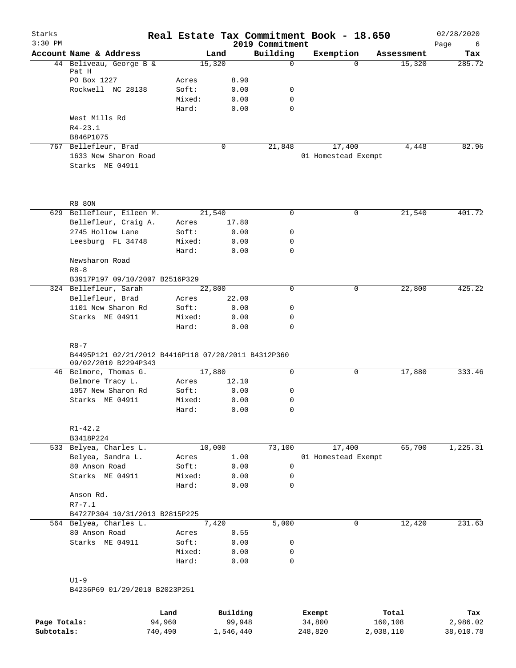| Starks<br>$3:30$ PM |                                                         |        |       | Real Estate Tax Commitment Book - 18.650<br>2019 Commitment |                     |            | 02/28/2020<br>Page<br>6 |
|---------------------|---------------------------------------------------------|--------|-------|-------------------------------------------------------------|---------------------|------------|-------------------------|
|                     | Account Name & Address                                  |        | Land  | Building                                                    | Exemption           | Assessment | Tax                     |
|                     | 44 Beliveau, George B &                                 | 15,320 |       | $\mathbf 0$                                                 | 0                   | 15,320     | 285.72                  |
|                     | Pat H                                                   |        |       |                                                             |                     |            |                         |
|                     | PO Box 1227                                             | Acres  | 8.90  |                                                             |                     |            |                         |
|                     | Rockwell NC 28138                                       | Soft:  | 0.00  | 0                                                           |                     |            |                         |
|                     |                                                         | Mixed: | 0.00  | $\mathbf 0$                                                 |                     |            |                         |
|                     |                                                         | Hard:  | 0.00  | $\mathbf 0$                                                 |                     |            |                         |
|                     | West Mills Rd<br>$R4 - 23.1$                            |        |       |                                                             |                     |            |                         |
|                     | B846P1075                                               |        |       |                                                             |                     |            |                         |
|                     | 767 Bellefleur, Brad                                    |        | 0     | 21,848                                                      | 17,400              | 4,448      | 82.96                   |
|                     | 1633 New Sharon Road                                    |        |       |                                                             | 01 Homestead Exempt |            |                         |
|                     | Starks ME 04911                                         |        |       |                                                             |                     |            |                         |
|                     |                                                         |        |       |                                                             |                     |            |                         |
|                     | <b>R8 80N</b>                                           |        |       |                                                             |                     |            |                         |
|                     | 629 Bellefleur, Eileen M.                               | 21,540 |       | 0                                                           | 0                   | 21,540     | 401.72                  |
|                     | Bellefleur, Craig A.                                    | Acres  | 17.80 |                                                             |                     |            |                         |
|                     | 2745 Hollow Lane                                        | Soft:  | 0.00  | 0                                                           |                     |            |                         |
|                     | Leesburg FL 34748                                       | Mixed: | 0.00  | 0                                                           |                     |            |                         |
|                     |                                                         | Hard:  | 0.00  | $\mathbf 0$                                                 |                     |            |                         |
|                     | Newsharon Road                                          |        |       |                                                             |                     |            |                         |
|                     | $R8 - 8$                                                |        |       |                                                             |                     |            |                         |
|                     | B3917P197 09/10/2007 B2516P329<br>324 Bellefleur, Sarah | 22,800 |       | 0                                                           | 0                   | 22,800     | 425.22                  |
|                     | Bellefleur, Brad                                        | Acres  | 22.00 |                                                             |                     |            |                         |
|                     | 1101 New Sharon Rd                                      | Soft:  | 0.00  | 0                                                           |                     |            |                         |
|                     | Starks ME 04911                                         | Mixed: | 0.00  | 0                                                           |                     |            |                         |
|                     |                                                         | Hard:  | 0.00  | $\mathbf 0$                                                 |                     |            |                         |
|                     |                                                         |        |       |                                                             |                     |            |                         |
|                     | $R8 - 7$                                                |        |       |                                                             |                     |            |                         |
|                     | B4495P121 02/21/2012 B4416P118 07/20/2011 B4312P360     |        |       |                                                             |                     |            |                         |
|                     | 09/02/2010 B2294P343<br>46 Belmore, Thomas G.           | 17,880 |       | $\mathbf 0$                                                 | 0                   | 17,880     | 333.46                  |
|                     | Belmore Tracy L.                                        | Acres  | 12.10 |                                                             |                     |            |                         |
|                     | 1057 New Sharon Rd                                      | Soft:  | 0.00  | 0                                                           |                     |            |                         |
|                     | Starks ME 04911                                         | Mixed: | 0.00  | 0                                                           |                     |            |                         |
|                     |                                                         | Hard:  | 0.00  | 0                                                           |                     |            |                         |
|                     |                                                         |        |       |                                                             |                     |            |                         |
|                     | $R1 - 42.2$                                             |        |       |                                                             |                     |            |                         |
|                     | B3418P224                                               |        |       |                                                             |                     |            |                         |
|                     | 533 Belyea, Charles L.                                  | 10,000 |       | 73,100                                                      | 17,400              | 65,700     | 1,225.31                |
|                     | Belyea, Sandra L.                                       | Acres  | 1.00  |                                                             | 01 Homestead Exempt |            |                         |
|                     | 80 Anson Road                                           | Soft:  | 0.00  | 0                                                           |                     |            |                         |
|                     | Starks ME 04911                                         | Mixed: | 0.00  | 0                                                           |                     |            |                         |
|                     |                                                         | Hard:  | 0.00  | $\mathbf 0$                                                 |                     |            |                         |
|                     | Anson Rd.                                               |        |       |                                                             |                     |            |                         |
|                     | $R7 - 7.1$                                              |        |       |                                                             |                     |            |                         |
|                     | B4727P304 10/31/2013 B2815P225                          |        |       |                                                             |                     |            |                         |
|                     | 564 Belyea, Charles L.                                  |        | 7,420 | 5,000                                                       | 0                   | 12,420     | 231.63                  |
|                     | 80 Anson Road                                           | Acres  | 0.55  |                                                             |                     |            |                         |
|                     | Starks ME 04911                                         | Soft:  | 0.00  | 0                                                           |                     |            |                         |
|                     |                                                         | Mixed: | 0.00  | 0<br>0                                                      |                     |            |                         |
|                     |                                                         | Hard:  | 0.00  |                                                             |                     |            |                         |
|                     | $U1-9$                                                  |        |       |                                                             |                     |            |                         |
|                     | B4236P69 01/29/2010 B2023P251                           |        |       |                                                             |                     |            |                         |
|                     |                                                         |        |       |                                                             |                     |            |                         |

|              | Land    | Building  | Exempt  | Total     | Tax       |
|--------------|---------|-----------|---------|-----------|-----------|
| Page Totals: | 94,960  | 99,948    | 34,800  | 160,108   | 2,986.02  |
| Subtotals:   | 740,490 | 1,546,440 | 248,820 | 2,038,110 | 38,010.78 |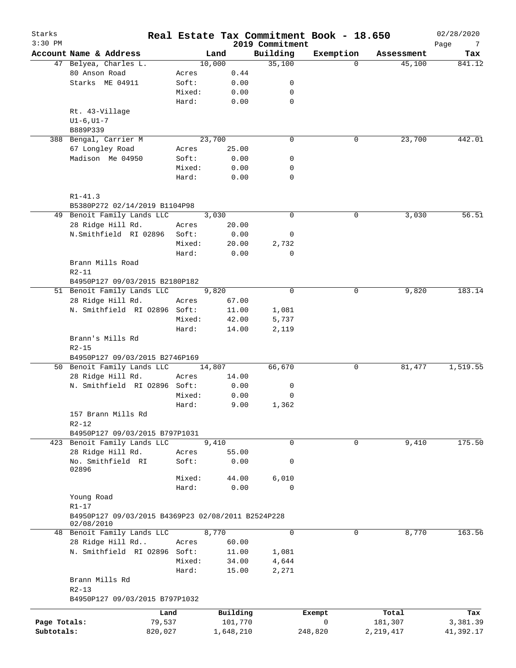| Starks<br>$3:30$ PM |                                                    |        |           | 2019 Commitment | Real Estate Tax Commitment Book - 18.650 |             | 02/28/2020<br>Page<br>7 |
|---------------------|----------------------------------------------------|--------|-----------|-----------------|------------------------------------------|-------------|-------------------------|
|                     | Account Name & Address                             |        | Land      | Building        | Exemption                                | Assessment  | Tax                     |
|                     | 47 Belyea, Charles L.                              |        | 10,000    | 35,100          | $\Omega$                                 | 45,100      | 841.12                  |
|                     | 80 Anson Road                                      | Acres  | 0.44      |                 |                                          |             |                         |
|                     | Starks ME 04911                                    | Soft:  | 0.00      | 0               |                                          |             |                         |
|                     |                                                    | Mixed: | 0.00      | 0               |                                          |             |                         |
|                     |                                                    | Hard:  | 0.00      | 0               |                                          |             |                         |
|                     | Rt. 43-Village                                     |        |           |                 |                                          |             |                         |
|                     | $UI-6$ , $UI-7$                                    |        |           |                 |                                          |             |                         |
|                     | B889P339                                           |        |           |                 |                                          |             |                         |
|                     | 388 Bengal, Carrier M                              |        | 23,700    | $\mathbf 0$     | 0                                        | 23,700      | 442.01                  |
|                     | 67 Longley Road                                    | Acres  | 25.00     |                 |                                          |             |                         |
|                     | Madison Me 04950                                   | Soft:  | 0.00      | 0               |                                          |             |                         |
|                     |                                                    | Mixed: | 0.00      | 0               |                                          |             |                         |
|                     |                                                    |        |           | $\mathbf 0$     |                                          |             |                         |
|                     |                                                    | Hard:  | 0.00      |                 |                                          |             |                         |
|                     |                                                    |        |           |                 |                                          |             |                         |
|                     | $R1 - 41.3$                                        |        |           |                 |                                          |             |                         |
|                     | B5380P272 02/14/2019 B1104P98                      |        |           |                 |                                          |             |                         |
|                     | 49 Benoit Family Lands LLC                         |        | 3,030     | $\mathbf 0$     | 0                                        | 3,030       | 56.51                   |
|                     | 28 Ridge Hill Rd.                                  | Acres  | 20.00     |                 |                                          |             |                         |
|                     | N.Smithfield RI 02896                              | Soft:  | 0.00      | 0               |                                          |             |                         |
|                     |                                                    | Mixed: | 20.00     | 2,732           |                                          |             |                         |
|                     |                                                    | Hard:  | 0.00      | 0               |                                          |             |                         |
|                     | Brann Mills Road                                   |        |           |                 |                                          |             |                         |
|                     | $R2 - 11$                                          |        |           |                 |                                          |             |                         |
|                     | B4950P127 09/03/2015 B2180P182                     |        |           |                 |                                          |             |                         |
|                     | 51 Benoit Family Lands LLC                         |        | 9,820     | $\mathbf 0$     | 0                                        | 9,820       | 183.14                  |
|                     | 28 Ridge Hill Rd.                                  | Acres  | 67.00     |                 |                                          |             |                         |
|                     | N. Smithfield RI 02896 Soft:                       |        | 11.00     | 1,081           |                                          |             |                         |
|                     |                                                    | Mixed: | 42.00     | 5,737           |                                          |             |                         |
|                     |                                                    | Hard:  | 14.00     | 2,119           |                                          |             |                         |
|                     | Brann's Mills Rd                                   |        |           |                 |                                          |             |                         |
|                     | $R2 - 15$                                          |        |           |                 |                                          |             |                         |
|                     | B4950P127 09/03/2015 B2746P169                     |        |           |                 |                                          |             |                         |
|                     | 50 Benoit Family Lands LLC                         |        | 14,807    | 66,670          | 0                                        | 81,477      | 1,519.55                |
|                     | 28 Ridge Hill Rd.                                  | Acres  | 14.00     |                 |                                          |             |                         |
|                     | N. Smithfield RI 02896 Soft:                       |        | 0.00      | 0               |                                          |             |                         |
|                     |                                                    | Mixed: | 0.00      | 0               |                                          |             |                         |
|                     |                                                    | Hard:  |           |                 |                                          |             |                         |
|                     |                                                    |        | 9.00      | 1,362           |                                          |             |                         |
|                     | 157 Brann Mills Rd                                 |        |           |                 |                                          |             |                         |
|                     | $R2 - 12$                                          |        |           |                 |                                          |             |                         |
|                     | B4950P127 09/03/2015 B797P1031                     |        |           |                 |                                          |             |                         |
|                     | 423 Benoit Family Lands LLC                        |        | 9,410     | $\mathbf 0$     | 0                                        | 9,410       | 175.50                  |
|                     | 28 Ridge Hill Rd.                                  | Acres  | 55.00     |                 |                                          |             |                         |
|                     | No. Smithfield RI                                  | Soft:  | 0.00      | 0               |                                          |             |                         |
|                     | 02896                                              |        |           |                 |                                          |             |                         |
|                     |                                                    | Mixed: | 44.00     | 6,010           |                                          |             |                         |
|                     |                                                    | Hard:  | 0.00      | $\Omega$        |                                          |             |                         |
|                     | Young Road                                         |        |           |                 |                                          |             |                         |
|                     | $R1 - 17$                                          |        |           |                 |                                          |             |                         |
|                     | B4950P127 09/03/2015 B4369P23 02/08/2011 B2524P228 |        |           |                 |                                          |             |                         |
|                     | 02/08/2010                                         |        |           |                 |                                          |             |                         |
|                     | 48 Benoit Family Lands LLC                         |        | 8,770     | $\mathbf 0$     | 0                                        | 8,770       | 163.56                  |
|                     | 28 Ridge Hill Rd                                   | Acres  | 60.00     |                 |                                          |             |                         |
|                     | N. Smithfield RI 02896 Soft:                       |        | 11.00     | 1,081           |                                          |             |                         |
|                     |                                                    | Mixed: | 34.00     | 4,644           |                                          |             |                         |
|                     |                                                    | Hard:  | 15.00     | 2,271           |                                          |             |                         |
|                     | Brann Mills Rd                                     |        |           |                 |                                          |             |                         |
|                     | $R2 - 13$                                          |        |           |                 |                                          |             |                         |
|                     | B4950P127 09/03/2015 B797P1032                     |        |           |                 |                                          |             |                         |
|                     | Land                                               |        | Building  |                 | Exempt                                   | Total       | Tax                     |
| Page Totals:        | 79,537                                             |        | 101,770   |                 | 0                                        | 181,307     | 3,381.39                |
| Subtotals:          | 820,027                                            |        | 1,648,210 |                 | 248,820                                  | 2, 219, 417 | 41,392.17               |
|                     |                                                    |        |           |                 |                                          |             |                         |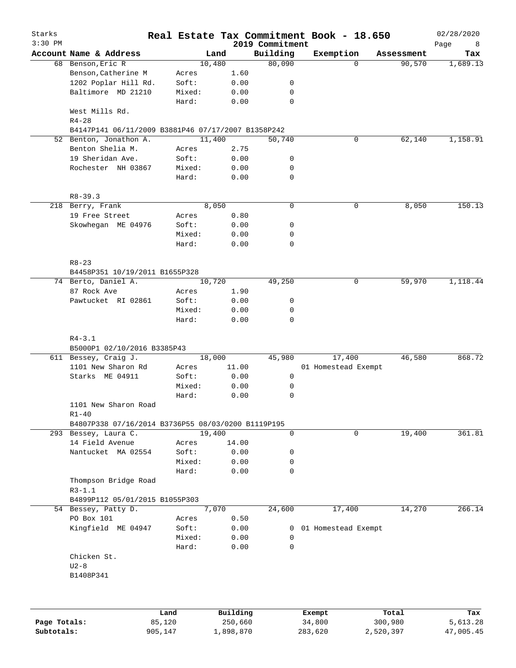| Starks<br>$3:30$ PM |                                                    |        |          | 2019 Commitment | Real Estate Tax Commitment Book - 18.650 |            | 02/28/2020<br>Page<br>8 |
|---------------------|----------------------------------------------------|--------|----------|-----------------|------------------------------------------|------------|-------------------------|
|                     | Account Name & Address                             | Land   |          | Building        | Exemption                                | Assessment | Tax                     |
|                     | 68 Benson, Eric R                                  | 10,480 |          | 80,090          | 0                                        | 90,570     | 1,689.13                |
|                     | Benson, Catherine M                                | Acres  | 1.60     |                 |                                          |            |                         |
|                     | 1202 Poplar Hill Rd.                               | Soft:  | 0.00     | 0               |                                          |            |                         |
|                     | Baltimore MD 21210                                 | Mixed: | 0.00     | 0               |                                          |            |                         |
|                     |                                                    | Hard:  | 0.00     | 0               |                                          |            |                         |
|                     | West Mills Rd.<br>$R4 - 28$                        |        |          |                 |                                          |            |                         |
|                     | B4147P141 06/11/2009 B3881P46 07/17/2007 B1358P242 |        |          |                 |                                          |            |                         |
|                     | 52 Benton, Jonathon A.                             | 11,400 |          | 50,740          | 0                                        | 62,140     | 1,158.91                |
|                     | Benton Shelia M.                                   | Acres  | 2.75     |                 |                                          |            |                         |
|                     | 19 Sheridan Ave.                                   | Soft:  | 0.00     | 0               |                                          |            |                         |
|                     | Rochester NH 03867                                 | Mixed: | 0.00     | 0               |                                          |            |                         |
|                     |                                                    | Hard:  | 0.00     | 0               |                                          |            |                         |
|                     | $R8 - 39.3$                                        |        |          |                 |                                          |            |                         |
|                     | 218 Berry, Frank                                   | 8,050  |          | $\mathbf 0$     | 0                                        | 8,050      | 150.13                  |
|                     | 19 Free Street                                     | Acres  | 0.80     |                 |                                          |            |                         |
|                     | Skowhegan ME 04976                                 | Soft:  | 0.00     | 0               |                                          |            |                         |
|                     |                                                    | Mixed: |          | 0               |                                          |            |                         |
|                     |                                                    |        | 0.00     | $\mathbf 0$     |                                          |            |                         |
|                     |                                                    | Hard:  | 0.00     |                 |                                          |            |                         |
|                     | $R8 - 23$                                          |        |          |                 |                                          |            |                         |
|                     | B4458P351 10/19/2011 B1655P328                     |        |          |                 |                                          |            |                         |
|                     | 74 Berto, Daniel A.                                | 10,720 |          | 49,250          | 0                                        | 59,970     | 1,118.44                |
|                     | 87 Rock Ave                                        | Acres  | 1.90     |                 |                                          |            |                         |
|                     | Pawtucket RI 02861                                 | Soft:  | 0.00     | 0               |                                          |            |                         |
|                     |                                                    | Mixed: | 0.00     | 0               |                                          |            |                         |
|                     |                                                    | Hard:  | 0.00     | 0               |                                          |            |                         |
|                     | $R4 - 3.1$<br>B5000P1 02/10/2016 B3385P43          |        |          |                 |                                          |            |                         |
|                     | 611 Bessey, Craig J.                               | 18,000 |          | 45,980          | 17,400                                   | 46,580     | 868.72                  |
|                     | 1101 New Sharon Rd                                 | Acres  | 11.00    |                 | 01 Homestead Exempt                      |            |                         |
|                     | Starks ME 04911                                    | Soft:  | 0.00     | 0               |                                          |            |                         |
|                     |                                                    | Mixed: | 0.00     | 0               |                                          |            |                         |
|                     |                                                    | Hard:  | 0.00     | 0               |                                          |            |                         |
|                     | 1101 New Sharon Road                               |        |          |                 |                                          |            |                         |
|                     | $R1 - 40$                                          |        |          |                 |                                          |            |                         |
|                     | B4807P338 07/16/2014 B3736P55 08/03/0200 B1119P195 |        |          |                 |                                          |            |                         |
|                     | 293 Bessey, Laura C.                               | 19,400 |          | 0               | $\mathbf 0$                              | 19,400     | 361.81                  |
|                     | 14 Field Avenue                                    | Acres  | 14.00    |                 |                                          |            |                         |
|                     | Nantucket MA 02554                                 | Soft:  | 0.00     | 0               |                                          |            |                         |
|                     |                                                    | Mixed: | 0.00     | 0               |                                          |            |                         |
|                     |                                                    | Hard:  | 0.00     | $\mathbf 0$     |                                          |            |                         |
|                     | Thompson Bridge Road                               |        |          |                 |                                          |            |                         |
|                     | $R3-1.1$                                           |        |          |                 |                                          |            |                         |
|                     | B4899P112 05/01/2015 B1055P303                     | 7,070  |          |                 |                                          |            |                         |
|                     | 54 Bessey, Patty D.                                |        |          | 24,600          | 17,400                                   | 14,270     | 266.14                  |
|                     | PO Box 101                                         | Acres  | 0.50     |                 |                                          |            |                         |
|                     | Kingfield ME 04947                                 | Soft:  | 0.00     | 0               | 01 Homestead Exempt                      |            |                         |
|                     |                                                    | Mixed: | 0.00     | 0               |                                          |            |                         |
|                     |                                                    | Hard:  | 0.00     | 0               |                                          |            |                         |
|                     | Chicken St.                                        |        |          |                 |                                          |            |                         |
|                     | $U2-8$                                             |        |          |                 |                                          |            |                         |
|                     | B1408P341                                          |        |          |                 |                                          |            |                         |
|                     |                                                    |        |          |                 |                                          |            |                         |
|                     |                                                    | Land   | Building |                 | Exempt                                   | Total      | Tax                     |
| Page Totals:        |                                                    | 85,120 | 250,660  |                 | 34,800                                   | 300,980    | 5,613.28                |

**Subtotals:** 905,147 1,898,870 283,620 2,520,397 47,005.45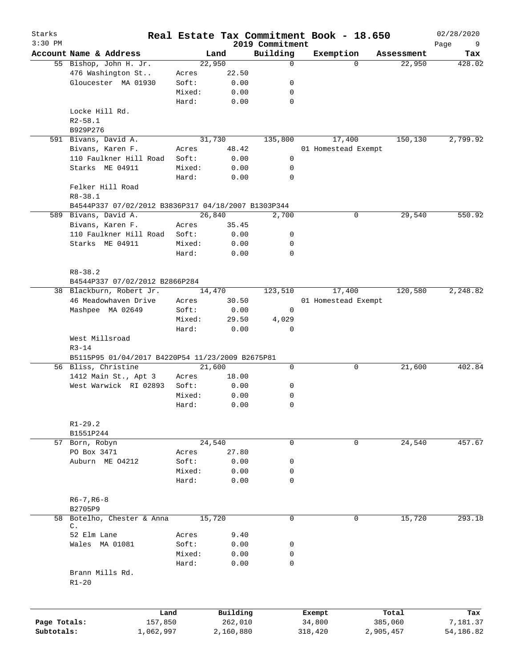| Starks<br>$3:30$ PM |                                                     |        |           | 2019 Commitment | Real Estate Tax Commitment Book - 18.650 |                    | 02/28/2020<br>Page<br>9 |
|---------------------|-----------------------------------------------------|--------|-----------|-----------------|------------------------------------------|--------------------|-------------------------|
|                     | Account Name & Address                              |        | Land      | Building        | Exemption                                | Assessment         | Tax                     |
|                     | 55 Bishop, John H. Jr.                              |        | 22,950    | $\mathbf 0$     |                                          | 22,950<br>$\Omega$ | 428.02                  |
|                     | 476 Washington St                                   | Acres  | 22.50     |                 |                                          |                    |                         |
|                     | Gloucester MA 01930                                 | Soft:  | 0.00      | 0               |                                          |                    |                         |
|                     |                                                     | Mixed: | 0.00      | 0               |                                          |                    |                         |
|                     |                                                     | Hard:  | 0.00      | 0               |                                          |                    |                         |
|                     | Locke Hill Rd.                                      |        |           |                 |                                          |                    |                         |
|                     | $R2 - 58.1$                                         |        |           |                 |                                          |                    |                         |
|                     | B929P276                                            |        |           |                 |                                          |                    |                         |
|                     | 591 Bivans, David A.                                |        | 31,730    | 135,800         | 17,400                                   | 150,130            | 2,799.92                |
|                     | Bivans, Karen F.                                    | Acres  | 48.42     |                 | 01 Homestead Exempt                      |                    |                         |
|                     | 110 Faulkner Hill Road                              | Soft:  | 0.00      | 0               |                                          |                    |                         |
|                     | Starks ME 04911                                     | Mixed: | 0.00      | 0               |                                          |                    |                         |
|                     |                                                     | Hard:  | 0.00      | 0               |                                          |                    |                         |
|                     | Felker Hill Road                                    |        |           |                 |                                          |                    |                         |
|                     | $R8 - 38.1$                                         |        |           |                 |                                          |                    |                         |
|                     | B4544P337 07/02/2012 B3836P317 04/18/2007 B1303P344 |        |           |                 |                                          |                    |                         |
|                     | 589 Bivans, David A.                                |        | 26,840    | 2,700           |                                          | 29,540<br>0        | 550.92                  |
|                     | Bivans, Karen F.                                    | Acres  | 35.45     |                 |                                          |                    |                         |
|                     | 110 Faulkner Hill Road                              | Soft:  | 0.00      | 0               |                                          |                    |                         |
|                     | Starks ME 04911                                     | Mixed: | 0.00      | 0               |                                          |                    |                         |
|                     |                                                     | Hard:  | 0.00      | 0               |                                          |                    |                         |
|                     |                                                     |        |           |                 |                                          |                    |                         |
|                     | $R8 - 38.2$                                         |        |           |                 |                                          |                    |                         |
|                     | B4544P337 07/02/2012 B2866P284                      |        |           |                 |                                          |                    |                         |
|                     | 38 Blackburn, Robert Jr.                            |        | 14,470    | 123,510         | 17,400                                   | 120,580            | 2,248.82                |
|                     | 46 Meadowhaven Drive                                | Acres  | 30.50     |                 | 01 Homestead Exempt                      |                    |                         |
|                     | Mashpee MA 02649                                    | Soft:  | 0.00      | 0               |                                          |                    |                         |
|                     |                                                     | Mixed: | 29.50     | 4,029           |                                          |                    |                         |
|                     |                                                     | Hard:  | 0.00      | $\mathbf 0$     |                                          |                    |                         |
|                     | West Millsroad                                      |        |           |                 |                                          |                    |                         |
|                     | $R3 - 14$                                           |        |           |                 |                                          |                    |                         |
|                     | B5115P95 01/04/2017 B4220P54 11/23/2009 B2675P81    |        |           |                 |                                          |                    |                         |
|                     | 56 Bliss, Christine                                 |        | 21,600    | 0               |                                          | 0<br>21,600        | 402.84                  |
|                     | 1412 Main St., Apt 3                                | Acres  | 18.00     |                 |                                          |                    |                         |
|                     | West Warwick RI 02893                               | Soft:  | 0.00      | 0               |                                          |                    |                         |
|                     |                                                     | Mixed: | 0.00      | 0               |                                          |                    |                         |
|                     |                                                     | Hard:  | 0.00      | 0               |                                          |                    |                         |
|                     |                                                     |        |           |                 |                                          |                    |                         |
|                     | $R1 - 29.2$                                         |        |           |                 |                                          |                    |                         |
|                     | B1551P244                                           |        |           |                 |                                          |                    |                         |
| 57                  | Born, Robyn                                         |        | 24,540    | 0               |                                          | 24,540<br>0        | 457.67                  |
|                     | PO Box 3471                                         | Acres  | 27.80     |                 |                                          |                    |                         |
|                     | Auburn ME 04212                                     | Soft:  | 0.00      | 0               |                                          |                    |                         |
|                     |                                                     | Mixed: | 0.00      | 0               |                                          |                    |                         |
|                     |                                                     | Hard:  | 0.00      | 0               |                                          |                    |                         |
|                     |                                                     |        |           |                 |                                          |                    |                         |
|                     | $R6 - 7, R6 - 8$                                    |        |           |                 |                                          |                    |                         |
|                     | B2705P9                                             |        |           |                 |                                          |                    |                         |
| 58                  | Botelho, Chester & Anna                             |        | 15,720    | $\mathbf 0$     |                                          | 15,720<br>0        | 293.18                  |
|                     | С.                                                  |        |           |                 |                                          |                    |                         |
|                     | 52 Elm Lane                                         | Acres  | 9.40      |                 |                                          |                    |                         |
|                     | Wales MA 01081                                      | Soft:  | 0.00      | 0               |                                          |                    |                         |
|                     |                                                     | Mixed: | 0.00      | 0               |                                          |                    |                         |
|                     |                                                     | Hard:  | 0.00      | 0               |                                          |                    |                         |
|                     | Brann Mills Rd.                                     |        |           |                 |                                          |                    |                         |
|                     | $R1 - 20$                                           |        |           |                 |                                          |                    |                         |
|                     |                                                     |        |           |                 |                                          |                    |                         |
|                     |                                                     |        |           |                 |                                          |                    |                         |
|                     | Land                                                |        | Building  |                 | Exempt                                   | Total              | Tax                     |
| Page Totals:        | 157,850                                             |        | 262,010   |                 | 34,800                                   | 385,060            | 7,181.37                |
| Subtotals:          | 1,062,997                                           |        | 2,160,880 |                 | 318,420                                  | 2,905,457          | 54,186.82               |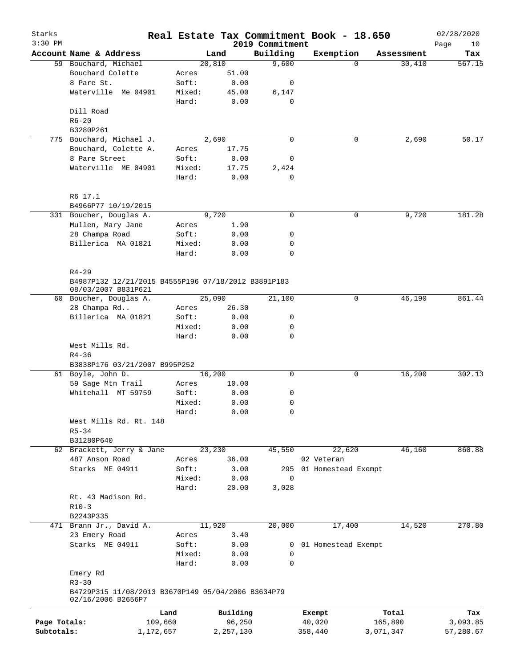| Starks<br>$3:30$ PM |                                                     |         |             | 2019 Commitment | Real Estate Tax Commitment Book - 18.650 |            | 02/28/2020<br>Page<br>10 |
|---------------------|-----------------------------------------------------|---------|-------------|-----------------|------------------------------------------|------------|--------------------------|
|                     | Account Name & Address                              |         | Land        | Building        | Exemption                                | Assessment | Tax                      |
|                     | 59 Bouchard, Michael                                |         | 20,810      | 9,600           | $\Omega$                                 | 30,410     | 567.15                   |
|                     | Bouchard Colette                                    | Acres   | 51.00       |                 |                                          |            |                          |
|                     | 8 Pare St.                                          | Soft:   | 0.00        | 0               |                                          |            |                          |
|                     | Waterville Me 04901                                 | Mixed:  | 45.00       | 6,147           |                                          |            |                          |
|                     |                                                     | Hard:   | 0.00        | $\mathbf 0$     |                                          |            |                          |
|                     | Dill Road                                           |         |             |                 |                                          |            |                          |
|                     | $R6 - 20$                                           |         |             |                 |                                          |            |                          |
|                     | B3280P261                                           |         |             |                 |                                          |            |                          |
|                     | 775 Bouchard, Michael J.                            |         | 2,690       | 0               | 0                                        | 2,690      | 50.17                    |
|                     | Bouchard, Colette A.                                | Acres   | 17.75       |                 |                                          |            |                          |
|                     | 8 Pare Street                                       | Soft:   | 0.00        | 0               |                                          |            |                          |
|                     | Waterville ME 04901                                 | Mixed:  | 17.75       | 2,424           |                                          |            |                          |
|                     |                                                     | Hard:   | 0.00        | $\mathbf 0$     |                                          |            |                          |
|                     |                                                     |         |             |                 |                                          |            |                          |
|                     | R6 17.1                                             |         |             |                 |                                          |            |                          |
|                     | B4966P77 10/19/2015                                 |         |             |                 |                                          |            |                          |
|                     | 331 Boucher, Douglas A.                             |         | 9,720       | 0               | 0                                        | 9,720      | 181.28                   |
|                     | Mullen, Mary Jane                                   | Acres   | 1.90        |                 |                                          |            |                          |
|                     | 28 Champa Road                                      | Soft:   | 0.00        | 0               |                                          |            |                          |
|                     | Billerica MA 01821                                  | Mixed:  | 0.00        | 0               |                                          |            |                          |
|                     |                                                     | Hard:   | 0.00        | $\mathbf 0$     |                                          |            |                          |
|                     |                                                     |         |             |                 |                                          |            |                          |
|                     | $R4 - 29$                                           |         |             |                 |                                          |            |                          |
|                     | B4987P132 12/21/2015 B4555P196 07/18/2012 B3891P183 |         |             |                 |                                          |            |                          |
|                     | 08/03/2007 B831P621<br>60 Boucher, Douglas A.       |         | 25,090      | 21,100          | 0                                        | 46,190     | 861.44                   |
|                     | 28 Champa Rd                                        | Acres   | 26.30       |                 |                                          |            |                          |
|                     | Billerica MA 01821                                  | Soft:   | 0.00        | 0               |                                          |            |                          |
|                     |                                                     | Mixed:  | 0.00        | 0               |                                          |            |                          |
|                     |                                                     | Hard:   | 0.00        | 0               |                                          |            |                          |
|                     | West Mills Rd.                                      |         |             |                 |                                          |            |                          |
|                     | $R4 - 36$                                           |         |             |                 |                                          |            |                          |
|                     | B3838P176 03/21/2007 B995P252                       |         |             |                 |                                          |            |                          |
|                     | 61 Boyle, John D.                                   |         | 16,200      | $\mathbf 0$     | 0                                        | 16,200     | 302.13                   |
|                     | 59 Sage Mtn Trail                                   | Acres   | 10.00       |                 |                                          |            |                          |
|                     | Whitehall MT 59759                                  | Soft:   | 0.00        | 0               |                                          |            |                          |
|                     |                                                     | Mixed:  | 0.00        | 0               |                                          |            |                          |
|                     |                                                     | Hard:   | 0.00        | 0               |                                          |            |                          |
|                     | West Mills Rd. Rt. 148                              |         |             |                 |                                          |            |                          |
|                     | $R5 - 34$                                           |         |             |                 |                                          |            |                          |
|                     | B31280P640                                          |         |             |                 |                                          |            |                          |
|                     | 62 Brackett, Jerry & Jane                           |         | 23,230      | 45,550          | 22,620                                   | 46,160     | 860.88                   |
|                     | 487 Anson Road                                      | Acres   | 36.00       |                 | 02 Veteran                               |            |                          |
|                     | Starks ME 04911                                     | Soft:   | 3.00        |                 | 295 01 Homestead Exempt                  |            |                          |
|                     |                                                     | Mixed:  | 0.00        | 0               |                                          |            |                          |
|                     |                                                     | Hard:   | 20.00       | 3,028           |                                          |            |                          |
|                     | Rt. 43 Madison Rd.                                  |         |             |                 |                                          |            |                          |
|                     | $R10-3$                                             |         |             |                 |                                          |            |                          |
|                     | B2243P335                                           |         |             |                 |                                          |            |                          |
|                     | 471 Brann Jr., David A.                             |         | 11,920      | 20,000          | 17,400                                   | 14,520     | 270.80                   |
|                     | 23 Emery Road                                       | Acres   | 3.40        |                 |                                          |            |                          |
|                     | Starks ME 04911                                     | Soft:   | 0.00        | 0               | 01 Homestead Exempt                      |            |                          |
|                     |                                                     | Mixed:  | 0.00        | 0               |                                          |            |                          |
|                     |                                                     | Hard:   | 0.00        | 0               |                                          |            |                          |
|                     | Emery Rd                                            |         |             |                 |                                          |            |                          |
|                     | $R3 - 30$                                           |         |             |                 |                                          |            |                          |
|                     | B4729P315 11/08/2013 B3670P149 05/04/2006 B3634P79  |         |             |                 |                                          |            |                          |
|                     | 02/16/2006 B2656P7                                  |         |             |                 |                                          |            |                          |
|                     |                                                     | Land    | Building    |                 | Exempt                                   | Total      | Tax                      |
| Page Totals:        |                                                     | 109,660 | 96,250      |                 | 40,020                                   | 165,890    | 3,093.85                 |
| Subtotals:          | 1,172,657                                           |         | 2, 257, 130 |                 | 358,440                                  | 3,071,347  | 57,280.67                |
|                     |                                                     |         |             |                 |                                          |            |                          |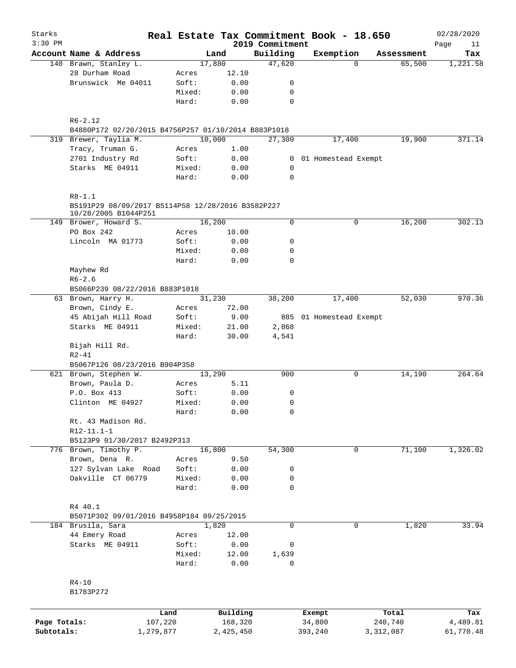| Starks       |                                                                                         |        |           |                             | Real Estate Tax Commitment Book - 18.650 |          |            | 02/28/2020        |
|--------------|-----------------------------------------------------------------------------------------|--------|-----------|-----------------------------|------------------------------------------|----------|------------|-------------------|
| $3:30$ PM    | Account Name & Address                                                                  |        | Land      | 2019 Commitment<br>Building | Exemption                                |          | Assessment | Page<br>11<br>Tax |
|              | 140 Brawn, Stanley L.                                                                   |        | 17,880    | 47,620                      |                                          | $\Omega$ | 65,500     | 1,221.58          |
|              | 28 Durham Road                                                                          | Acres  | 12.10     |                             |                                          |          |            |                   |
|              | Brunswick Me 04011                                                                      | Soft:  | 0.00      | 0                           |                                          |          |            |                   |
|              |                                                                                         | Mixed: | 0.00      | 0                           |                                          |          |            |                   |
|              |                                                                                         | Hard:  | 0.00      | $\mathbf 0$                 |                                          |          |            |                   |
|              | $R6 - 2.12$                                                                             |        |           |                             |                                          |          |            |                   |
|              | B4880P172 02/20/2015 B4756P257 01/10/2014 B883P1018                                     |        |           |                             |                                          |          |            |                   |
|              | 319 Brewer, Taylia M.                                                                   |        | 10,000    | 27,300                      | 17,400                                   |          | 19,900     | 371.14            |
|              | Tracy, Truman G.                                                                        | Acres  | 1.00      |                             |                                          |          |            |                   |
|              | 2701 Industry Rd                                                                        | Soft:  | 0.00      | 0                           | 01 Homestead Exempt                      |          |            |                   |
|              | Starks ME 04911                                                                         | Mixed: | 0.00      | 0                           |                                          |          |            |                   |
|              |                                                                                         | Hard:  | 0.00      | $\mathbf 0$                 |                                          |          |            |                   |
|              | $R8 - 1.1$<br>B5191P29 08/09/2017 B5114P58 12/28/2016 B3582P227<br>10/28/2005 B1044P251 |        |           |                             |                                          |          |            |                   |
|              | 149 Brower, Howard S.                                                                   |        | 16,200    | $\mathbf 0$                 |                                          | 0        | 16,200     | 302.13            |
|              | PO Box 242                                                                              | Acres  | 10.00     |                             |                                          |          |            |                   |
|              | Lincoln MA 01773                                                                        | Soft:  | 0.00      | 0                           |                                          |          |            |                   |
|              |                                                                                         | Mixed: | 0.00      | $\mathbf 0$                 |                                          |          |            |                   |
|              |                                                                                         | Hard:  | 0.00      | $\mathbf 0$                 |                                          |          |            |                   |
|              | Mayhew Rd                                                                               |        |           |                             |                                          |          |            |                   |
|              | $R6 - 2.6$                                                                              |        |           |                             |                                          |          |            |                   |
|              | B5066P239 08/22/2016 B883P1018                                                          |        |           |                             |                                          |          |            |                   |
|              | 63 Brown, Harry H.                                                                      |        | 31,230    | 38,200                      | 17,400                                   |          | 52,030     | 970.36            |
|              | Brown, Cindy E.                                                                         | Acres  | 72.00     |                             |                                          |          |            |                   |
|              | 45 Abijah Hill Road                                                                     | Soft:  | 9.00      |                             | 885 01 Homestead Exempt                  |          |            |                   |
|              | Starks ME 04911                                                                         | Mixed: | 21.00     | 2,868                       |                                          |          |            |                   |
|              |                                                                                         | Hard:  | 30.00     | 4,541                       |                                          |          |            |                   |
|              | Bijah Hill Rd.                                                                          |        |           |                             |                                          |          |            |                   |
|              | $R2 - 41$                                                                               |        |           |                             |                                          |          |            |                   |
|              | B5067P126 08/23/2016 B904P358                                                           |        |           |                             |                                          |          |            |                   |
|              | 621 Brown, Stephen W.                                                                   |        | 13,290    | 900                         |                                          | 0        | 14,190     | 264.64            |
|              | Brown, Paula D.                                                                         | Acres  | 5.11      |                             |                                          |          |            |                   |
|              | P.O. Box 413                                                                            | Soft:  | 0.00      | 0                           |                                          |          |            |                   |
|              | Clinton ME 04927                                                                        | Mixed: | 0.00      | $\mathbf 0$                 |                                          |          |            |                   |
|              |                                                                                         | Hard:  | 0.00      | 0                           |                                          |          |            |                   |
|              | Rt. 43 Madison Rd.                                                                      |        |           |                             |                                          |          |            |                   |
|              | $R12-11.1-1$                                                                            |        |           |                             |                                          |          |            |                   |
|              | B5123P9 01/30/2017 B2492P313                                                            |        |           |                             |                                          |          |            |                   |
|              | 776 Brown, Timothy P.                                                                   |        | 16,800    | 54,300                      |                                          | 0        | 71,100     | 1,326.02          |
|              | Brown, Dena R.                                                                          | Acres  | 9.50      |                             |                                          |          |            |                   |
|              | 127 Sylvan Lake Road                                                                    | Soft:  | 0.00      | 0                           |                                          |          |            |                   |
|              | Oakville CT 06779                                                                       | Mixed: | 0.00      | 0                           |                                          |          |            |                   |
|              |                                                                                         | Hard:  | 0.00      | $\mathbf 0$                 |                                          |          |            |                   |
|              | R4 40.1                                                                                 |        |           |                             |                                          |          |            |                   |
|              | B5071P302 09/01/2016 B4958P184 09/25/2015                                               |        |           |                             |                                          |          |            |                   |
|              | 184 Brusila, Sara                                                                       |        | 1,820     | $\mathbf 0$                 |                                          | 0        | 1,820      | 33.94             |
|              | 44 Emery Road                                                                           | Acres  | 12.00     |                             |                                          |          |            |                   |
|              | Starks ME 04911                                                                         | Soft:  | 0.00      | 0                           |                                          |          |            |                   |
|              |                                                                                         | Mixed: | 12.00     | 1,639                       |                                          |          |            |                   |
|              |                                                                                         | Hard:  | 0.00      | 0                           |                                          |          |            |                   |
|              | $R4 - 10$                                                                               |        |           |                             |                                          |          |            |                   |
|              | B1783P272                                                                               |        |           |                             |                                          |          |            |                   |
|              |                                                                                         |        |           |                             |                                          |          |            |                   |
|              |                                                                                         | Land   | Building  |                             | Exempt                                   |          | Total      | Tax               |
| Page Totals: | 107,220                                                                                 |        | 168,320   |                             | 34,800                                   |          | 240,740    | 4,489.81          |
| Subtotals:   | 1,279,877                                                                               |        | 2,425,450 |                             | 393,240                                  |          | 3,312,087  | 61,770.48         |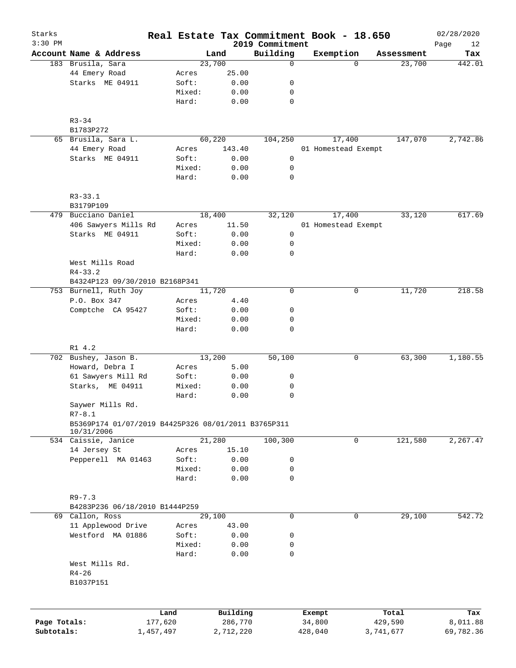| Starks<br>$3:30$ PM |                                                                   |           |        |        |           | 2019 Commitment |  | Real Estate Tax Commitment Book - 18.650 |            | 02/28/2020<br>Page<br>12 |
|---------------------|-------------------------------------------------------------------|-----------|--------|--------|-----------|-----------------|--|------------------------------------------|------------|--------------------------|
|                     | Account Name & Address                                            |           |        | Land   |           | Building        |  | Exemption                                | Assessment | Tax                      |
|                     | 183 Brusila, Sara                                                 |           |        | 23,700 |           | $\mathbf 0$     |  | $\Omega$                                 | 23,700     | 442.01                   |
|                     | 44 Emery Road                                                     |           | Acres  |        | 25.00     |                 |  |                                          |            |                          |
|                     | Starks ME 04911                                                   |           | Soft:  |        | 0.00      | 0               |  |                                          |            |                          |
|                     |                                                                   |           | Mixed: |        | 0.00      | 0               |  |                                          |            |                          |
|                     |                                                                   |           | Hard:  |        | 0.00      | $\mathbf 0$     |  |                                          |            |                          |
|                     | $R3 - 34$                                                         |           |        |        |           |                 |  |                                          |            |                          |
|                     | B1783P272                                                         |           |        |        |           |                 |  |                                          |            |                          |
|                     | 65 Brusila, Sara L.                                               |           |        | 60,220 |           | 104,250         |  | 17,400                                   | 147,070    | 2,742.86                 |
|                     | 44 Emery Road                                                     |           | Acres  |        | 143.40    |                 |  | 01 Homestead Exempt                      |            |                          |
|                     | Starks ME 04911                                                   |           | Soft:  |        | 0.00      | 0               |  |                                          |            |                          |
|                     |                                                                   |           | Mixed: |        | 0.00      | 0               |  |                                          |            |                          |
|                     |                                                                   |           | Hard:  |        | 0.00      | 0               |  |                                          |            |                          |
|                     | $R3 - 33.1$                                                       |           |        |        |           |                 |  |                                          |            |                          |
|                     | B3179P109                                                         |           |        |        |           |                 |  |                                          |            |                          |
|                     | 479 Bucciano Daniel                                               |           |        | 18,400 |           | 32,120          |  | 17,400                                   | 33,120     | 617.69                   |
|                     | 406 Sawyers Mills Rd                                              |           | Acres  |        | 11.50     |                 |  | 01 Homestead Exempt                      |            |                          |
|                     | Starks ME 04911                                                   |           | Soft:  |        | 0.00      | 0               |  |                                          |            |                          |
|                     |                                                                   |           | Mixed: |        | 0.00      | 0               |  |                                          |            |                          |
|                     |                                                                   |           | Hard:  |        | 0.00      | $\mathbf 0$     |  |                                          |            |                          |
|                     | West Mills Road                                                   |           |        |        |           |                 |  |                                          |            |                          |
|                     | $R4 - 33.2$                                                       |           |        |        |           |                 |  |                                          |            |                          |
|                     | B4324P123 09/30/2010 B2168P341                                    |           |        |        |           |                 |  |                                          |            |                          |
|                     | 753 Burnell, Ruth Joy                                             |           |        | 11,720 |           | $\mathbf 0$     |  | 0                                        | 11,720     | 218.58                   |
|                     | P.O. Box 347                                                      |           | Acres  |        | 4.40      |                 |  |                                          |            |                          |
|                     | Comptche CA 95427                                                 |           | Soft:  |        | 0.00      | 0               |  |                                          |            |                          |
|                     |                                                                   |           | Mixed: |        | 0.00      | 0               |  |                                          |            |                          |
|                     |                                                                   |           | Hard:  |        | 0.00      | $\mathbf 0$     |  |                                          |            |                          |
|                     | R1 4.2                                                            |           |        |        |           |                 |  |                                          |            |                          |
|                     | 702 Bushey, Jason B.                                              |           |        | 13,200 |           | 50,100          |  | 0                                        | 63,300     | 1,180.55                 |
|                     | Howard, Debra I                                                   |           | Acres  |        | 5.00      |                 |  |                                          |            |                          |
|                     | 61 Sawyers Mill Rd                                                |           | Soft:  |        | 0.00      | 0               |  |                                          |            |                          |
|                     | Starks, ME 04911                                                  |           | Mixed: |        | 0.00      | 0               |  |                                          |            |                          |
|                     |                                                                   |           | Hard:  |        | 0.00      | 0               |  |                                          |            |                          |
|                     | Saywer Mills Rd.                                                  |           |        |        |           |                 |  |                                          |            |                          |
|                     | $R7 - 8.1$<br>B5369P174 01/07/2019 B4425P326 08/01/2011 B3765P311 |           |        |        |           |                 |  |                                          |            |                          |
|                     | 10/31/2006<br>534 Caissie, Janice                                 |           |        | 21,280 |           | 100,300         |  | 0                                        | 121,580    | 2,267.47                 |
|                     | 14 Jersey St                                                      |           | Acres  |        | 15.10     |                 |  |                                          |            |                          |
|                     | Pepperell MA 01463                                                |           | Soft:  |        | 0.00      | 0               |  |                                          |            |                          |
|                     |                                                                   |           | Mixed: |        | 0.00      | 0               |  |                                          |            |                          |
|                     |                                                                   |           | Hard:  |        | 0.00      | $\mathbf 0$     |  |                                          |            |                          |
|                     | $R9 - 7.3$                                                        |           |        |        |           |                 |  |                                          |            |                          |
|                     | B4283P236 06/18/2010 B1444P259                                    |           |        |        |           |                 |  |                                          |            |                          |
|                     | 69 Callon, Ross                                                   |           |        | 29,100 |           | $\mathbf 0$     |  | $\mathbf 0$                              | 29,100     | 542.72                   |
|                     | 11 Applewood Drive                                                |           | Acres  |        | 43.00     |                 |  |                                          |            |                          |
|                     | Westford MA 01886                                                 |           | Soft:  |        | 0.00      | 0               |  |                                          |            |                          |
|                     |                                                                   |           | Mixed: |        | 0.00      | 0               |  |                                          |            |                          |
|                     |                                                                   |           | Hard:  |        | 0.00      | 0               |  |                                          |            |                          |
|                     | West Mills Rd.                                                    |           |        |        |           |                 |  |                                          |            |                          |
|                     | $R4 - 26$                                                         |           |        |        |           |                 |  |                                          |            |                          |
|                     | B1037P151                                                         |           |        |        |           |                 |  |                                          |            |                          |
|                     |                                                                   |           |        |        |           |                 |  |                                          |            |                          |
|                     |                                                                   | Land      |        |        | Building  |                 |  | Exempt                                   | Total      | Tax                      |
| Page Totals:        |                                                                   | 177,620   |        |        | 286,770   |                 |  | 34,800                                   | 429,590    | 8,011.88                 |
| Subtotals:          |                                                                   | 1,457,497 |        |        | 2,712,220 |                 |  | 428,040                                  | 3,741,677  | 69,782.36                |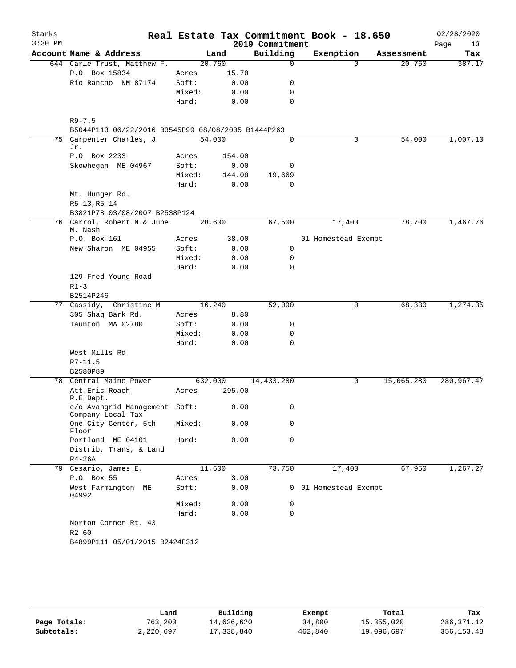| Starks    |                                                    |                 |        |                 | Real Estate Tax Commitment Book - 18.650 |            | 02/28/2020 |
|-----------|----------------------------------------------------|-----------------|--------|-----------------|------------------------------------------|------------|------------|
| $3:30$ PM |                                                    |                 |        | 2019 Commitment |                                          |            | Page<br>13 |
|           | Account Name & Address                             |                 | Land   | Building        | Exemption                                | Assessment | Tax        |
|           | 644 Carle Trust, Matthew F.                        | 20,760          |        | $\Omega$        | 0                                        | 20,760     | 387.17     |
|           | P.O. Box 15834                                     | Acres           | 15.70  |                 |                                          |            |            |
|           | Rio Rancho NM 87174                                | Soft:           | 0.00   | 0               |                                          |            |            |
|           |                                                    | Mixed:          | 0.00   | $\mathbf 0$     |                                          |            |            |
|           |                                                    | Hard:           | 0.00   | 0               |                                          |            |            |
|           | $R9 - 7.5$                                         |                 |        |                 |                                          |            |            |
|           | B5044P113 06/22/2016 B3545P99 08/08/2005 B1444P263 |                 |        |                 |                                          |            |            |
|           | 75 Carpenter Charles, J                            | 54,000          |        | 0               | 0                                        | 54,000     | 1,007.10   |
|           | Jr.                                                |                 |        |                 |                                          |            |            |
|           | P.O. Box 2233                                      | Acres           | 154.00 |                 |                                          |            |            |
|           | Skowhegan ME 04967                                 | Soft:           | 0.00   | 0               |                                          |            |            |
|           |                                                    | Mixed:          | 144.00 | 19,669          |                                          |            |            |
|           | Mt. Hunger Rd.                                     | Hard:           | 0.00   | 0               |                                          |            |            |
|           | $R5-13, R5-14$                                     |                 |        |                 |                                          |            |            |
|           | B3821P78 03/08/2007 B2538P124                      |                 |        |                 |                                          |            |            |
|           | 76 Carrol, Robert N.& June                         | 28,600          |        | 67,500          | 17,400                                   | 78,700     | 1,467.76   |
|           | M. Nash                                            |                 |        |                 |                                          |            |            |
|           | P.O. Box 161                                       | Acres           | 38.00  |                 | 01 Homestead Exempt                      |            |            |
|           | New Sharon ME 04955                                | Soft:           | 0.00   | 0               |                                          |            |            |
|           |                                                    | Mixed:          | 0.00   | 0               |                                          |            |            |
|           |                                                    | Hard:           | 0.00   | 0               |                                          |            |            |
|           | 129 Fred Young Road                                |                 |        |                 |                                          |            |            |
|           | $R1 - 3$                                           |                 |        |                 |                                          |            |            |
|           | B2514P246<br>77 Cassidy, Christine M               |                 |        |                 | 0                                        |            | 1,274.35   |
|           | 305 Shag Bark Rd.                                  | 16,240<br>Acres | 8.80   | 52,090          |                                          | 68,330     |            |
|           | Taunton MA 02780                                   | Soft:           | 0.00   | 0               |                                          |            |            |
|           |                                                    | Mixed:          | 0.00   | 0               |                                          |            |            |
|           |                                                    | Hard:           | 0.00   | 0               |                                          |            |            |
|           | West Mills Rd                                      |                 |        |                 |                                          |            |            |
|           | $R7 - 11.5$                                        |                 |        |                 |                                          |            |            |
|           | B2580P89                                           |                 |        |                 |                                          |            |            |
|           | 78 Central Maine Power                             | 632,000         |        | 14,433,280      | 0                                        | 15,065,280 | 280,967.47 |
|           | Att: Eric Roach                                    | Acres           | 295.00 |                 |                                          |            |            |
|           | R.E.Dept.                                          |                 |        |                 |                                          |            |            |
|           | c/o Avangrid Management Soft:<br>Company-Local Tax |                 | 0.00   | $\mathbf{0}$    |                                          |            |            |
|           | One City Center, 5th                               | Mixed:          | 0.00   | 0               |                                          |            |            |
|           | Floor                                              |                 |        |                 |                                          |            |            |
|           | Portland ME 04101                                  | Hard:           | 0.00   | 0               |                                          |            |            |
|           | Distrib, Trans, & Land                             |                 |        |                 |                                          |            |            |
|           | $R4-26A$<br>79 Cesario, James E.                   | 11,600          |        | 73,750          | 17,400                                   | 67,950     | 1,267.27   |
|           | P.O. Box 55                                        | Acres           | 3.00   |                 |                                          |            |            |
|           | West Farmington ME<br>04992                        | Soft:           | 0.00   |                 | 0 01 Homestead Exempt                    |            |            |
|           |                                                    | Mixed:          | 0.00   | 0               |                                          |            |            |
|           |                                                    | Hard:           | 0.00   | $\mathbf 0$     |                                          |            |            |
|           | Norton Corner Rt. 43                               |                 |        |                 |                                          |            |            |
|           | R2 60                                              |                 |        |                 |                                          |            |            |
|           | B4899P111 05/01/2015 B2424P312                     |                 |        |                 |                                          |            |            |
|           |                                                    |                 |        |                 |                                          |            |            |

|              | Land      | Building   | Exempt  | Total      | Tax         |
|--------------|-----------|------------|---------|------------|-------------|
| Page Totals: | 763,200   | 14,626,620 | 34,800  | 15,355,020 | 286, 371.12 |
| Subtotals:   | 2,220,697 | 17,338,840 | 462,840 | 19,096,697 | 356, 153.48 |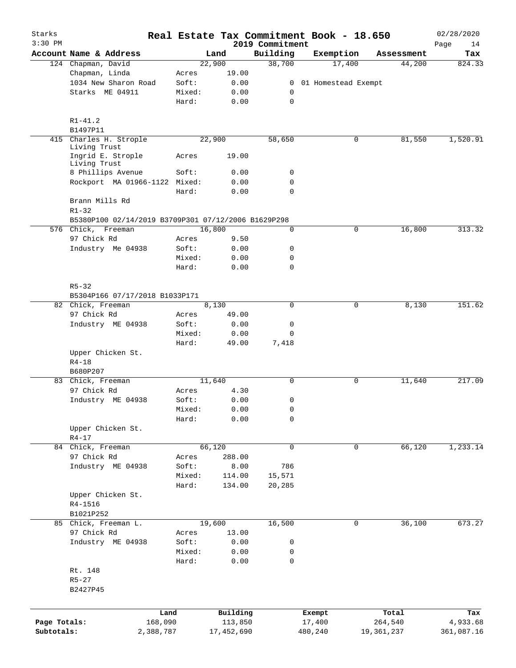| Starks       |                                                     |        |            |                             | Real Estate Tax Commitment Book - 18.650 |            | 02/28/2020        |
|--------------|-----------------------------------------------------|--------|------------|-----------------------------|------------------------------------------|------------|-------------------|
| $3:30$ PM    | Account Name & Address                              |        | Land       | 2019 Commitment<br>Building | Exemption                                | Assessment | Page<br>14<br>Tax |
|              | 124 Chapman, David                                  |        | 22,900     | 38,700                      | 17,400                                   | 44,200     | 824.33            |
|              | Chapman, Linda                                      | Acres  | 19.00      |                             |                                          |            |                   |
|              | 1034 New Sharon Road                                | Soft:  | 0.00       | 0                           | 01 Homestead Exempt                      |            |                   |
|              | Starks ME 04911                                     | Mixed: | 0.00       | 0                           |                                          |            |                   |
|              |                                                     | Hard:  | 0.00       | $\mathbf 0$                 |                                          |            |                   |
|              | $R1 - 41.2$                                         |        |            |                             |                                          |            |                   |
|              | B1497P11                                            |        |            |                             |                                          |            |                   |
| 415          | Charles H. Strople<br>Living Trust                  |        | 22,900     | 58,650                      | 0                                        | 81,550     | 1,520.91          |
|              | Ingrid E. Strople<br>Living Trust                   | Acres  | 19.00      |                             |                                          |            |                   |
|              | 8 Phillips Avenue                                   | Soft:  | 0.00       | 0                           |                                          |            |                   |
|              | Rockport MA 01966-1122 Mixed:                       |        | 0.00       | $\mathbf 0$                 |                                          |            |                   |
|              |                                                     | Hard:  | 0.00       | $\mathbf 0$                 |                                          |            |                   |
|              | Brann Mills Rd<br>$R1 - 32$                         |        |            |                             |                                          |            |                   |
|              | B5380P100 02/14/2019 B3709P301 07/12/2006 B1629P298 |        |            |                             |                                          |            |                   |
|              | 576 Chick, Freeman                                  |        | 16,800     | 0                           | 0                                        | 16,800     | 313.32            |
|              | 97 Chick Rd                                         | Acres  | 9.50       |                             |                                          |            |                   |
|              | Industry Me 04938                                   | Soft:  | 0.00       | 0                           |                                          |            |                   |
|              |                                                     | Mixed: | 0.00       | 0                           |                                          |            |                   |
|              |                                                     | Hard:  | 0.00       | $\Omega$                    |                                          |            |                   |
|              | $R5 - 32$<br>B5304P166 07/17/2018 B1033P171         |        |            |                             |                                          |            |                   |
|              | 82 Chick, Freeman                                   |        | 8,130      | 0                           | 0                                        | 8,130      | 151.62            |
|              | 97 Chick Rd                                         |        |            |                             |                                          |            |                   |
|              |                                                     | Acres  | 49.00      |                             |                                          |            |                   |
|              | Industry ME 04938                                   | Soft:  | 0.00       | 0                           |                                          |            |                   |
|              |                                                     | Mixed: | 0.00       | 0                           |                                          |            |                   |
|              |                                                     | Hard:  | 49.00      | 7,418                       |                                          |            |                   |
|              | Upper Chicken St.<br>$R4 - 18$                      |        |            |                             |                                          |            |                   |
|              | B680P207                                            |        |            |                             |                                          |            |                   |
|              | 83 Chick, Freeman                                   |        | 11,640     | $\mathbf 0$                 | 0                                        | 11,640     | 217.09            |
|              | 97 Chick Rd                                         | Acres  | 4.30       |                             |                                          |            |                   |
|              | Industry ME 04938                                   | Soft:  | 0.00       | 0                           |                                          |            |                   |
|              |                                                     | Mixed: | 0.00       | 0                           |                                          |            |                   |
|              |                                                     | Hard:  | 0.00       | 0                           |                                          |            |                   |
|              | Upper Chicken St.<br>$R4 - 17$                      |        |            |                             |                                          |            |                   |
|              | 84 Chick, Freeman                                   |        | 66,120     | 0                           | 0                                        | 66,120     | 1,233.14          |
|              | 97 Chick Rd                                         | Acres  | 288.00     |                             |                                          |            |                   |
|              | Industry ME 04938                                   | Soft:  | 8.00       | 786                         |                                          |            |                   |
|              |                                                     | Mixed: | 114.00     | 15,571                      |                                          |            |                   |
|              |                                                     | Hard:  | 134.00     | 20,285                      |                                          |            |                   |
|              | Upper Chicken St.                                   |        |            |                             |                                          |            |                   |
|              | R4-1516                                             |        |            |                             |                                          |            |                   |
|              | B1021P252                                           |        |            |                             |                                          |            |                   |
|              | 85 Chick, Freeman L.                                |        | 19,600     | 16,500                      | 0                                        | 36,100     | 673.27            |
|              | 97 Chick Rd                                         | Acres  | 13.00      |                             |                                          |            |                   |
|              | Industry ME 04938                                   | Soft:  | 0.00       | 0                           |                                          |            |                   |
|              |                                                     | Mixed: | 0.00       | 0                           |                                          |            |                   |
|              |                                                     | Hard:  | 0.00       | 0                           |                                          |            |                   |
|              |                                                     |        |            |                             |                                          |            |                   |
|              | Rt. 148                                             |        |            |                             |                                          |            |                   |
|              | $R5 - 27$<br>B2427P45                               |        |            |                             |                                          |            |                   |
|              |                                                     |        |            |                             |                                          |            |                   |
|              | Land                                                |        | Building   |                             | Exempt                                   | Total      | Tax               |
| Page Totals: | 168,090                                             |        | 113,850    |                             | 17,400                                   | 264,540    | 4,933.68          |
| Subtotals:   | 2,388,787                                           |        | 17,452,690 |                             | 480,240                                  | 19,361,237 | 361,087.16        |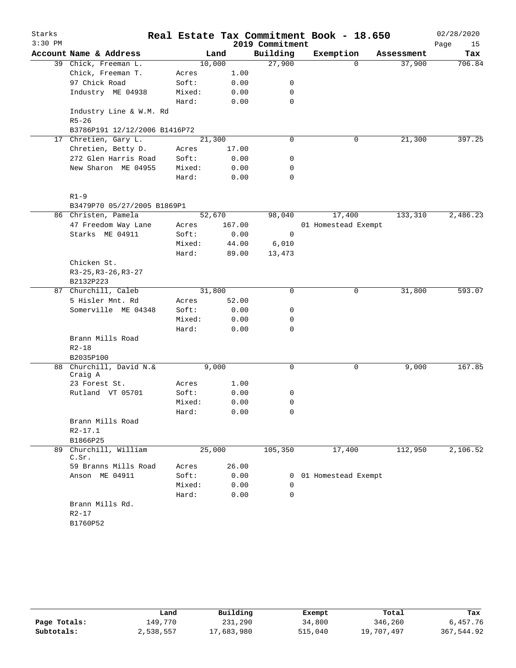| Starks    |                                |        |        |                 | Real Estate Tax Commitment Book - 18.650 |            | 02/28/2020 |
|-----------|--------------------------------|--------|--------|-----------------|------------------------------------------|------------|------------|
| $3:30$ PM |                                |        |        | 2019 Commitment |                                          |            | Page<br>15 |
|           | Account Name & Address         |        | Land   | Building        | Exemption                                | Assessment | Tax        |
|           | 39 Chick, Freeman L.           |        | 10,000 | 27,900          | $\Omega$                                 | 37,900     | 706.84     |
|           | Chick, Freeman T.              | Acres  | 1.00   |                 |                                          |            |            |
|           | 97 Chick Road                  | Soft:  | 0.00   | 0               |                                          |            |            |
|           | Industry ME 04938              | Mixed: | 0.00   | 0               |                                          |            |            |
|           |                                | Hard:  | 0.00   | 0               |                                          |            |            |
|           | Industry Line & W.M. Rd        |        |        |                 |                                          |            |            |
|           | $R5 - 26$                      |        |        |                 |                                          |            |            |
|           | B3786P191 12/12/2006 B1416P72  |        |        |                 |                                          |            |            |
|           | 17 Chretien, Gary L.           |        | 21,300 | 0               | 0                                        | 21,300     | 397.25     |
|           | Chretien, Betty D.             | Acres  | 17.00  |                 |                                          |            |            |
|           | 272 Glen Harris Road           | Soft:  | 0.00   | 0               |                                          |            |            |
|           | New Sharon ME 04955            | Mixed: | 0.00   | 0               |                                          |            |            |
|           |                                | Hard:  | 0.00   | 0               |                                          |            |            |
|           | $R1-9$                         |        |        |                 |                                          |            |            |
|           | B3479P70 05/27/2005 B1869P1    |        |        |                 |                                          |            |            |
|           | 86 Christen, Pamela            |        | 52,670 | 98,040          | 17,400                                   | 133,310    | 2,486.23   |
|           | 47 Freedom Way Lane            | Acres  | 167.00 |                 | 01 Homestead Exempt                      |            |            |
|           | Starks ME 04911                | Soft:  | 0.00   | 0               |                                          |            |            |
|           |                                | Mixed: | 44.00  | 6,010           |                                          |            |            |
|           |                                | Hard:  | 89.00  | 13,473          |                                          |            |            |
|           | Chicken St.                    |        |        |                 |                                          |            |            |
|           | $R3-25, R3-26, R3-27$          |        |        |                 |                                          |            |            |
|           | B2132P223                      |        |        |                 |                                          |            |            |
|           | 87 Churchill, Caleb            |        | 31,800 | 0               | 0                                        | 31,800     | 593.07     |
|           | 5 Hisler Mnt. Rd               | Acres  | 52.00  |                 |                                          |            |            |
|           | Somerville ME 04348            | Soft:  | 0.00   | 0               |                                          |            |            |
|           |                                | Mixed: | 0.00   | 0               |                                          |            |            |
|           |                                | Hard:  | 0.00   | 0               |                                          |            |            |
|           | Brann Mills Road               |        |        |                 |                                          |            |            |
|           | $R2 - 18$                      |        |        |                 |                                          |            |            |
|           | B2035P100                      |        |        |                 |                                          |            |            |
| 88        | Churchill, David N.&           |        | 9,000  | 0               | 0                                        | 9,000      | 167.85     |
|           | Craig A                        |        |        |                 |                                          |            |            |
|           | 23 Forest St.                  | Acres  | 1.00   |                 |                                          |            |            |
|           | Rutland VT 05701               | Soft:  | 0.00   | 0               |                                          |            |            |
|           |                                | Mixed: | 0.00   | 0               |                                          |            |            |
|           |                                | Hard:  | 0.00   | 0               |                                          |            |            |
|           | Brann Mills Road               |        |        |                 |                                          |            |            |
|           | $R2 - 17.1$                    |        |        |                 |                                          |            |            |
|           | B1866P25                       |        |        |                 |                                          |            |            |
|           | 89 Churchill, William<br>C.Sr. |        | 25,000 | 105,350         | 17,400                                   | 112,950    | 2,106.52   |
|           | 59 Branns Mills Road           | Acres  | 26.00  |                 |                                          |            |            |
|           | Anson ME 04911                 | Soft:  | 0.00   | 0               | 01 Homestead Exempt                      |            |            |
|           |                                | Mixed: | 0.00   | $\mathbf 0$     |                                          |            |            |
|           |                                | Hard:  | 0.00   | 0               |                                          |            |            |
|           | Brann Mills Rd.                |        |        |                 |                                          |            |            |
|           | $R2 - 17$                      |        |        |                 |                                          |            |            |
|           | B1760P52                       |        |        |                 |                                          |            |            |
|           |                                |        |        |                 |                                          |            |            |

|              | Land      | Building   | Exempt  | Total      | Tax        |
|--------------|-----------|------------|---------|------------|------------|
| Page Totals: | 149.770   | 231,290    | 34,800  | 346,260    | 6,457.76   |
| Subtotals:   | 2,538,557 | 17,683,980 | 515,040 | 19,707,497 | 367,544.92 |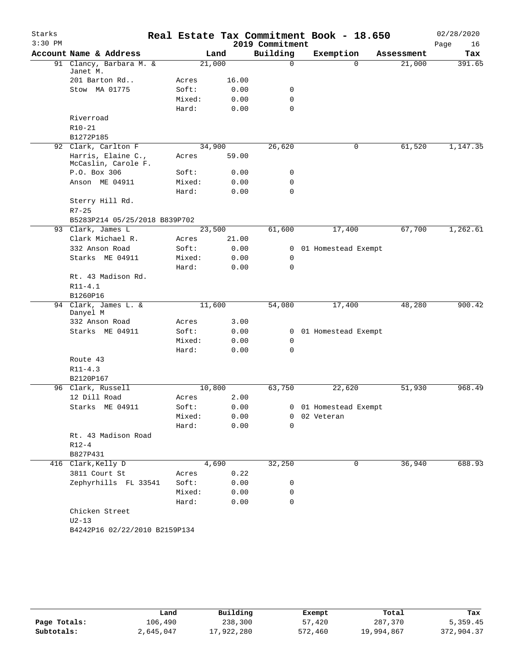| Starks<br>$3:30$ PM |                                           |                 |              | 2019 Commitment | Real Estate Tax Commitment Book - 18.650 |                      | 02/28/2020        |
|---------------------|-------------------------------------------|-----------------|--------------|-----------------|------------------------------------------|----------------------|-------------------|
|                     | Account Name & Address                    |                 | Land         | Building        | Exemption                                |                      | Page<br>16<br>Tax |
|                     | 91 Clancy, Barbara M. &                   | 21,000          |              | 0               | $\Omega$                                 | Assessment<br>21,000 | 391.65            |
|                     | Janet M.                                  |                 |              |                 |                                          |                      |                   |
|                     | 201 Barton Rd                             | Acres           | 16.00        |                 |                                          |                      |                   |
|                     | Stow MA 01775                             | Soft:           | 0.00         | 0               |                                          |                      |                   |
|                     |                                           | Mixed:          | 0.00         | $\mathbf 0$     |                                          |                      |                   |
|                     |                                           | Hard:           | 0.00         | 0               |                                          |                      |                   |
|                     | Riverroad                                 |                 |              |                 |                                          |                      |                   |
|                     | $R10 - 21$                                |                 |              |                 |                                          |                      |                   |
|                     | B1272P185                                 |                 |              |                 |                                          |                      |                   |
|                     | 92 Clark, Carlton F                       | 34,900          |              | 26,620          | 0                                        | 61,520               | 1,147.35          |
|                     | Harris, Elaine C.,<br>McCaslin, Carole F. | Acres           | 59.00        |                 |                                          |                      |                   |
|                     | P.O. Box 306                              | Soft:           | 0.00         | 0               |                                          |                      |                   |
|                     | Anson ME 04911                            | Mixed:          | 0.00         | 0               |                                          |                      |                   |
|                     |                                           | Hard:           | 0.00         | 0               |                                          |                      |                   |
|                     | Sterry Hill Rd.                           |                 |              |                 |                                          |                      |                   |
|                     | $R7 - 25$                                 |                 |              |                 |                                          |                      |                   |
|                     | B5283P214 05/25/2018 B839P702             |                 |              |                 |                                          |                      |                   |
|                     | 93 Clark, James L                         | 23,500          |              | 61,600          | 17,400                                   | 67,700               | 1,262.61          |
|                     | Clark Michael R.                          | Acres           | 21.00        |                 |                                          |                      |                   |
|                     | 332 Anson Road                            | Soft:           | 0.00         | 0               | 01 Homestead Exempt                      |                      |                   |
|                     | Starks ME 04911                           | Mixed:          | 0.00         | 0               |                                          |                      |                   |
|                     |                                           | Hard:           | 0.00         | 0               |                                          |                      |                   |
|                     | Rt. 43 Madison Rd.                        |                 |              |                 |                                          |                      |                   |
|                     | $R11 - 4.1$                               |                 |              |                 |                                          |                      |                   |
|                     | B1260P16<br>94 Clark, James L. &          | 11,600          |              | 54,080          | 17,400                                   | 48,280               | 900.42            |
|                     | Danyel M                                  |                 |              |                 |                                          |                      |                   |
|                     | 332 Anson Road                            | Acres           | 3.00         |                 |                                          |                      |                   |
|                     | Starks ME 04911                           | Soft:           | 0.00         | $\mathbf{0}$    | 01 Homestead Exempt                      |                      |                   |
|                     |                                           | Mixed:          | 0.00         | 0               |                                          |                      |                   |
|                     |                                           | Hard:           | 0.00         | $\Omega$        |                                          |                      |                   |
|                     | Route 43                                  |                 |              |                 |                                          |                      |                   |
|                     | $R11 - 4.3$                               |                 |              |                 |                                          |                      |                   |
|                     | B2120P167                                 |                 |              |                 |                                          |                      |                   |
|                     | 96 Clark, Russell                         | 10,800          |              | 63,750          | 22,620                                   | 51,930               | 968.49            |
|                     | 12 Dill Road                              | Acres           | 2.00         |                 |                                          |                      |                   |
|                     | Starks ME 04911                           | Soft:           | 0.00         |                 | 0 01 Homestead Exempt                    |                      |                   |
|                     |                                           | Mixed:          | 0.00         | 0               | 02 Veteran                               |                      |                   |
|                     |                                           | Hard:           | 0.00         | $\Omega$        |                                          |                      |                   |
|                     | Rt. 43 Madison Road                       |                 |              |                 |                                          |                      |                   |
|                     | $R12-4$                                   |                 |              |                 |                                          |                      |                   |
|                     | B827P431                                  |                 |              |                 |                                          |                      |                   |
|                     | 416 Clark, Kelly D                        |                 | 4,690        | 32,250          | 0                                        | 36,940               | 688.93            |
|                     | 3811 Court St                             | Acres           | 0.22         |                 |                                          |                      |                   |
|                     | Zephyrhills FL 33541                      | Soft:           | 0.00         | 0               |                                          |                      |                   |
|                     |                                           | Mixed:<br>Hard: | 0.00<br>0.00 | 0<br>0          |                                          |                      |                   |
|                     | Chicken Street                            |                 |              |                 |                                          |                      |                   |
|                     | $U2-13$                                   |                 |              |                 |                                          |                      |                   |
|                     | B4242P16 02/22/2010 B2159P134             |                 |              |                 |                                          |                      |                   |
|                     |                                           |                 |              |                 |                                          |                      |                   |

|              | Land      | Building   | Exempt  | Total      | Tax        |
|--------------|-----------|------------|---------|------------|------------|
| Page Totals: | 106,490   | 238,300    | 57,420  | 287,370    | 5,359.45   |
| Subtotals:   | 2,645,047 | 17,922,280 | 572,460 | 19,994,867 | 372,904.37 |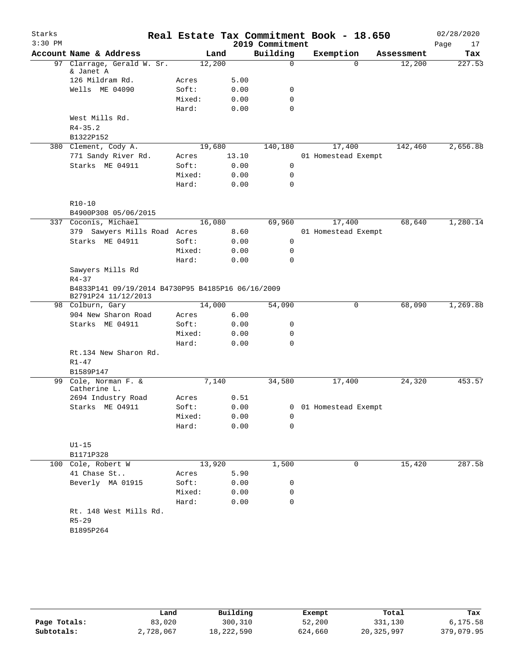| Starks<br>$3:30$ PM |                                                   |        |        | 2019 Commitment | Real Estate Tax Commitment Book - 18.650 |            | 02/28/2020<br>Page<br>17 |
|---------------------|---------------------------------------------------|--------|--------|-----------------|------------------------------------------|------------|--------------------------|
|                     | Account Name & Address                            |        | Land   | Building        | Exemption                                | Assessment | Tax                      |
|                     | 97 Clarrage, Gerald W. Sr.                        |        | 12,200 | 0               | $\Omega$                                 | 12,200     | 227.53                   |
|                     | & Janet A                                         |        |        |                 |                                          |            |                          |
|                     | 126 Mildram Rd.                                   | Acres  | 5.00   |                 |                                          |            |                          |
|                     | Wells ME 04090                                    | Soft:  | 0.00   | 0               |                                          |            |                          |
|                     |                                                   | Mixed: | 0.00   | 0               |                                          |            |                          |
|                     |                                                   | Hard:  | 0.00   | 0               |                                          |            |                          |
|                     | West Mills Rd.                                    |        |        |                 |                                          |            |                          |
|                     | $R4 - 35.2$                                       |        |        |                 |                                          |            |                          |
|                     | B1322P152                                         |        |        |                 |                                          |            |                          |
|                     | 380 Clement, Cody A.                              |        | 19,680 | 140,180         | 17,400                                   | 142,460    | 2,656.88                 |
|                     | 771 Sandy River Rd.                               | Acres  | 13.10  |                 | 01 Homestead Exempt                      |            |                          |
|                     | Starks ME 04911                                   | Soft:  | 0.00   | $\mathbf 0$     |                                          |            |                          |
|                     |                                                   | Mixed: | 0.00   | 0               |                                          |            |                          |
|                     |                                                   | Hard:  | 0.00   | 0               |                                          |            |                          |
|                     |                                                   |        |        |                 |                                          |            |                          |
|                     | $R10 - 10$<br>B4900P308 05/06/2015                |        |        |                 |                                          |            |                          |
|                     | 337 Coconis, Michael                              |        | 16,080 | 69,960          | 17,400                                   | 68,640     | 1,280.14                 |
|                     |                                                   |        |        |                 |                                          |            |                          |
|                     | 379 Sawyers Mills Road Acres<br>Starks ME 04911   | Soft:  | 8.60   | 0               | 01 Homestead Exempt                      |            |                          |
|                     |                                                   | Mixed: | 0.00   | 0               |                                          |            |                          |
|                     |                                                   | Hard:  | 0.00   | 0               |                                          |            |                          |
|                     | Sawyers Mills Rd                                  |        | 0.00   |                 |                                          |            |                          |
|                     | $R4 - 37$                                         |        |        |                 |                                          |            |                          |
|                     | B4833P141 09/19/2014 B4730P95 B4185P16 06/16/2009 |        |        |                 |                                          |            |                          |
|                     | B2791P24 11/12/2013                               |        |        |                 |                                          |            |                          |
|                     | 98 Colburn, Gary                                  |        | 14,000 | 54,090          | 0                                        | 68,090     | 1,269.88                 |
|                     | 904 New Sharon Road                               | Acres  | 6.00   |                 |                                          |            |                          |
|                     | Starks ME 04911                                   | Soft:  | 0.00   | 0               |                                          |            |                          |
|                     |                                                   | Mixed: | 0.00   | 0               |                                          |            |                          |
|                     |                                                   | Hard:  | 0.00   | 0               |                                          |            |                          |
|                     | Rt.134 New Sharon Rd.                             |        |        |                 |                                          |            |                          |
|                     | $R1 - 47$                                         |        |        |                 |                                          |            |                          |
|                     | B1589P147                                         |        |        |                 |                                          |            |                          |
| 99                  | Cole, Norman F. &                                 |        | 7,140  | 34,580          | 17,400                                   | 24,320     | 453.57                   |
|                     | Catherine L.<br>2694 Industry Road                | Acres  | 0.51   |                 |                                          |            |                          |
|                     | Starks ME 04911                                   | Soft:  | 0.00   |                 | 0 01 Homestead Exempt                    |            |                          |
|                     |                                                   | Mixed: | 0.00   | 0               |                                          |            |                          |
|                     |                                                   | Hard:  | 0.00   | $\Omega$        |                                          |            |                          |
|                     |                                                   |        |        |                 |                                          |            |                          |
|                     | $UI-15$                                           |        |        |                 |                                          |            |                          |
|                     | B1171P328                                         |        |        |                 |                                          |            |                          |
|                     | 100 Cole, Robert W                                |        | 13,920 | 1,500           | 0                                        | 15,420     | 287.58                   |
|                     | 41 Chase St                                       | Acres  | 5.90   |                 |                                          |            |                          |
|                     | Beverly MA 01915                                  | Soft:  | 0.00   | 0               |                                          |            |                          |
|                     |                                                   | Mixed: | 0.00   | 0               |                                          |            |                          |
|                     |                                                   | Hard:  | 0.00   | 0               |                                          |            |                          |
|                     | Rt. 148 West Mills Rd.                            |        |        |                 |                                          |            |                          |
|                     | $R5 - 29$                                         |        |        |                 |                                          |            |                          |
|                     | B1895P264                                         |        |        |                 |                                          |            |                          |
|                     |                                                   |        |        |                 |                                          |            |                          |

|              | Land      | Building   | Exempt  | Total      | Tax        |
|--------------|-----------|------------|---------|------------|------------|
| Page Totals: | 83,020    | 300,310    | 52,200  | 331,130    | 6,175.58   |
| Subtotals:   | 2,728,067 | 18,222,590 | 624,660 | 20,325,997 | 379,079.95 |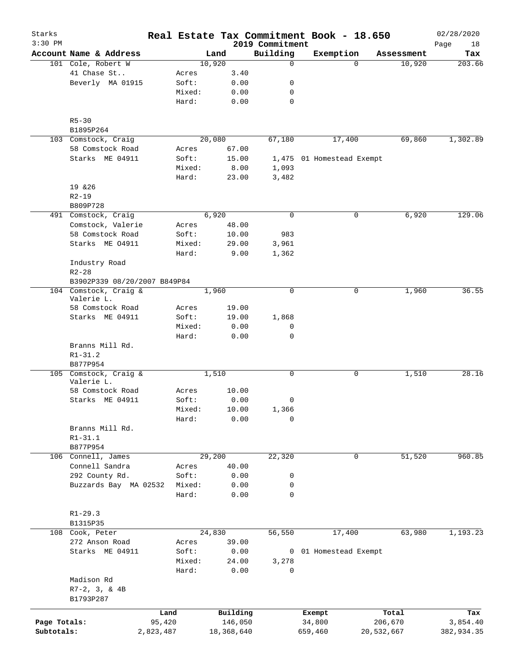| Starks<br>$3:30$ PM |                              |           |        |        |            | 2019 Commitment | Real Estate Tax Commitment Book - 18.650 |            |            | 02/28/2020        |
|---------------------|------------------------------|-----------|--------|--------|------------|-----------------|------------------------------------------|------------|------------|-------------------|
|                     | Account Name & Address       |           |        | Land   |            | Building        | Exemption                                |            | Assessment | Page<br>18<br>Tax |
|                     | 101 Cole, Robert W           |           |        | 10,920 |            | $\mathbf 0$     |                                          | $\Omega$   | 10,920     | 203.66            |
|                     | 41 Chase St                  |           | Acres  |        | 3.40       |                 |                                          |            |            |                   |
|                     | Beverly MA 01915             |           | Soft:  |        | 0.00       | 0               |                                          |            |            |                   |
|                     |                              |           | Mixed: |        | 0.00       | 0               |                                          |            |            |                   |
|                     |                              |           | Hard:  |        | 0.00       | $\mathbf 0$     |                                          |            |            |                   |
|                     | $R5 - 30$                    |           |        |        |            |                 |                                          |            |            |                   |
|                     | B1895P264                    |           |        |        |            |                 |                                          |            |            |                   |
|                     | 103 Comstock, Craig          |           |        | 20,080 |            | 67,180          | 17,400                                   |            | 69,860     | 1,302.89          |
|                     | 58 Comstock Road             |           | Acres  |        | 67.00      |                 |                                          |            |            |                   |
|                     | Starks ME 04911              |           | Soft:  |        | 15.00      |                 | 1,475 01 Homestead Exempt                |            |            |                   |
|                     |                              |           | Mixed: |        | 8.00       | 1,093           |                                          |            |            |                   |
|                     |                              |           | Hard:  |        | 23.00      | 3,482           |                                          |            |            |                   |
|                     | 19 & 26                      |           |        |        |            |                 |                                          |            |            |                   |
|                     | $R2 - 19$                    |           |        |        |            |                 |                                          |            |            |                   |
|                     | B809P728                     |           |        |        |            |                 |                                          |            |            |                   |
|                     | 491 Comstock, Craig          |           |        | 6,920  |            | $\mathbf 0$     |                                          | 0          | 6,920      | 129.06            |
|                     | Comstock, Valerie            |           | Acres  |        | 48.00      |                 |                                          |            |            |                   |
|                     | 58 Comstock Road             |           | Soft:  |        | 10.00      | 983             |                                          |            |            |                   |
|                     | Starks ME 04911              |           | Mixed: |        | 29.00      | 3,961           |                                          |            |            |                   |
|                     |                              |           | Hard:  |        | 9.00       | 1,362           |                                          |            |            |                   |
|                     | Industry Road                |           |        |        |            |                 |                                          |            |            |                   |
|                     | $R2 - 28$                    |           |        |        |            |                 |                                          |            |            |                   |
|                     | B3902P339 08/20/2007 B849P84 |           |        |        |            |                 |                                          |            |            |                   |
|                     | 104 Comstock, Craig &        |           |        | 1,960  |            | $\mathbf 0$     |                                          | 0          | 1,960      | 36.55             |
|                     | Valerie L.                   |           |        |        |            |                 |                                          |            |            |                   |
|                     | 58 Comstock Road             |           | Acres  |        | 19.00      |                 |                                          |            |            |                   |
|                     | Starks ME 04911              |           | Soft:  |        | 19.00      | 1,868           |                                          |            |            |                   |
|                     |                              |           | Mixed: |        | 0.00       | 0               |                                          |            |            |                   |
|                     |                              |           | Hard:  |        | 0.00       | $\mathbf 0$     |                                          |            |            |                   |
|                     | Branns Mill Rd.              |           |        |        |            |                 |                                          |            |            |                   |
|                     | $R1 - 31.2$                  |           |        |        |            |                 |                                          |            |            |                   |
|                     | B877P954                     |           |        |        |            |                 |                                          |            |            |                   |
|                     | 105 Comstock, Craig &        |           |        | 1,510  |            | $\mathbf 0$     |                                          | 0          | 1,510      | 28.16             |
|                     | Valerie L.                   |           |        |        |            |                 |                                          |            |            |                   |
|                     | 58 Comstock Road             |           | Acres  |        | 10.00      |                 |                                          |            |            |                   |
|                     | Starks ME 04911              |           | Soft:  |        | 0.00       | 0               |                                          |            |            |                   |
|                     |                              |           | Mixed: |        | 10.00      | 1,366           |                                          |            |            |                   |
|                     |                              |           | Hard:  |        | 0.00       | 0               |                                          |            |            |                   |
|                     | Branns Mill Rd.              |           |        |        |            |                 |                                          |            |            |                   |
|                     | $R1 - 31.1$                  |           |        |        |            |                 |                                          |            |            |                   |
|                     | B877P954                     |           |        |        |            |                 |                                          |            |            |                   |
|                     | 106 Connell, James           |           |        | 29,200 |            | 22,320          |                                          | 0          | 51,520     | 960.85            |
|                     | Connell Sandra               |           | Acres  |        | 40.00      |                 |                                          |            |            |                   |
|                     | 292 County Rd.               |           | Soft:  |        | 0.00       | 0               |                                          |            |            |                   |
|                     | Buzzards Bay MA 02532        |           | Mixed: |        | 0.00       | 0               |                                          |            |            |                   |
|                     |                              |           | Hard:  |        | 0.00       | $\mathbf 0$     |                                          |            |            |                   |
|                     |                              |           |        |        |            |                 |                                          |            |            |                   |
|                     | $R1 - 29.3$                  |           |        |        |            |                 |                                          |            |            |                   |
|                     | B1315P35                     |           |        |        |            |                 |                                          |            |            |                   |
|                     | 108 Cook, Peter              |           |        | 24,830 |            | 56,550          | 17,400                                   |            | 63,980     | 1,193.23          |
|                     | 272 Anson Road               |           | Acres  |        | 39.00      |                 |                                          |            |            |                   |
|                     | Starks ME 04911              |           | Soft:  |        | 0.00       | $\mathbf{0}$    | 01 Homestead Exempt                      |            |            |                   |
|                     |                              |           | Mixed: |        | 24.00      | 3,278           |                                          |            |            |                   |
|                     |                              |           | Hard:  |        | 0.00       | 0               |                                          |            |            |                   |
|                     | Madison Rd                   |           |        |        |            |                 |                                          |            |            |                   |
|                     | $R7-2$ , 3, & 4B             |           |        |        |            |                 |                                          |            |            |                   |
|                     | B1793P287                    |           |        |        |            |                 |                                          |            |            |                   |
|                     |                              |           |        |        |            |                 |                                          |            |            |                   |
|                     |                              | Land      |        |        | Building   |                 | Exempt                                   |            | Total      | Tax               |
| Page Totals:        |                              | 95,420    |        |        | 146,050    |                 | 34,800                                   |            | 206,670    | 3,854.40          |
| Subtotals:          |                              | 2,823,487 |        |        | 18,368,640 |                 | 659,460                                  | 20,532,667 |            | 382,934.35        |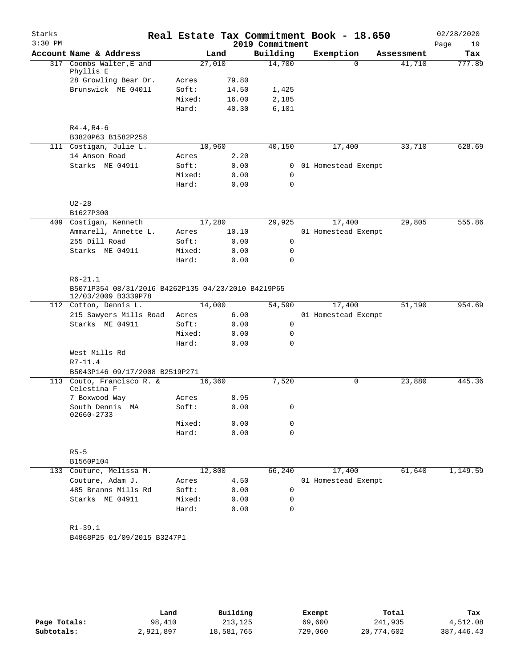| Starks<br>$3:30$ PM |                                                                           |        |       | 2019 Commitment | Real Estate Tax Commitment Book - 18.650 |            | 02/28/2020<br>Page<br>19 |
|---------------------|---------------------------------------------------------------------------|--------|-------|-----------------|------------------------------------------|------------|--------------------------|
|                     | Account Name & Address                                                    |        | Land  | Building        | Exemption                                | Assessment | Tax                      |
|                     | 317 Coombs Walter, E and<br>Phyllis E                                     | 27,010 |       | 14,700          | $\Omega$                                 | 41,710     | 777.89                   |
|                     | 28 Growling Bear Dr.                                                      | Acres  | 79.80 |                 |                                          |            |                          |
|                     | Brunswick ME 04011                                                        | Soft:  | 14.50 | 1,425           |                                          |            |                          |
|                     |                                                                           | Mixed: | 16.00 | 2,185           |                                          |            |                          |
|                     |                                                                           | Hard:  | 40.30 | 6,101           |                                          |            |                          |
|                     | $R4 - 4, R4 - 6$                                                          |        |       |                 |                                          |            |                          |
|                     | B3820P63 B1582P258                                                        |        |       |                 |                                          |            |                          |
|                     | 111 Costigan, Julie L.                                                    | 10,960 |       | 40,150          | 17,400                                   | 33,710     | 628.69                   |
|                     | 14 Anson Road                                                             | Acres  | 2.20  |                 |                                          |            |                          |
|                     | Starks ME 04911                                                           | Soft:  | 0.00  | 0               | 01 Homestead Exempt                      |            |                          |
|                     |                                                                           | Mixed: | 0.00  | $\mathbf 0$     |                                          |            |                          |
|                     |                                                                           | Hard:  | 0.00  | $\mathbf 0$     |                                          |            |                          |
|                     | $U2 - 28$                                                                 |        |       |                 |                                          |            |                          |
|                     | B1627P300                                                                 |        |       |                 |                                          |            |                          |
|                     | 409 Costigan, Kenneth                                                     | 17,280 |       | 29,925          | 17,400                                   | 29,805     | 555.86                   |
|                     | Ammarell, Annette L.                                                      | Acres  | 10.10 |                 | 01 Homestead Exempt                      |            |                          |
|                     | 255 Dill Road                                                             | Soft:  | 0.00  | 0               |                                          |            |                          |
|                     | Starks ME 04911                                                           | Mixed: | 0.00  | 0               |                                          |            |                          |
|                     |                                                                           | Hard:  | 0.00  | $\mathbf 0$     |                                          |            |                          |
|                     | $R6 - 21.1$                                                               |        |       |                 |                                          |            |                          |
|                     | B5071P354 08/31/2016 B4262P135 04/23/2010 B4219P65<br>12/03/2009 B3339P78 |        |       |                 |                                          |            |                          |
|                     | 112 Cotton, Dennis L.                                                     | 14,000 |       | 54,590          | 17,400                                   | 51,190     | 954.69                   |
|                     | 215 Sawyers Mills Road                                                    | Acres  | 6.00  |                 | 01 Homestead Exempt                      |            |                          |
|                     | Starks ME 04911                                                           | Soft:  | 0.00  | 0               |                                          |            |                          |
|                     |                                                                           | Mixed: | 0.00  | 0               |                                          |            |                          |
|                     |                                                                           | Hard:  | 0.00  | $\mathbf 0$     |                                          |            |                          |
|                     | West Mills Rd<br>$R7 - 11.4$                                              |        |       |                 |                                          |            |                          |
|                     |                                                                           |        |       |                 |                                          |            |                          |
|                     | B5043P146 09/17/2008 B2519P271                                            |        |       |                 | 0                                        | 23,880     | 445.36                   |
|                     | 113 Couto, Francisco R. &<br>Celestina F                                  | 16,360 |       | 7,520           |                                          |            |                          |
|                     | 7 Boxwood Way                                                             | Acres  | 8.95  |                 |                                          |            |                          |
|                     | South Dennis MA<br>02660-2733                                             | Soft:  | 0.00  | 0               |                                          |            |                          |
|                     |                                                                           | Mixed: | 0.00  | 0               |                                          |            |                          |
|                     |                                                                           | Hard:  | 0.00  | 0               |                                          |            |                          |
|                     | $R5 - 5$                                                                  |        |       |                 |                                          |            |                          |
|                     | B1560P104                                                                 |        |       |                 |                                          |            |                          |
|                     | 133 Couture, Melissa M.                                                   | 12,800 |       | 66,240          | 17,400                                   | 61,640     | 1,149.59                 |
|                     | Couture, Adam J.                                                          | Acres  | 4.50  |                 | 01 Homestead Exempt                      |            |                          |
|                     | 485 Branns Mills Rd                                                       | Soft:  | 0.00  | 0               |                                          |            |                          |
|                     | Starks ME 04911                                                           | Mixed: | 0.00  | 0               |                                          |            |                          |
|                     |                                                                           | Hard:  | 0.00  | 0               |                                          |            |                          |
|                     | $R1 - 39.1$                                                               |        |       |                 |                                          |            |                          |
|                     | B4868P25 01/09/2015 B3247P1                                               |        |       |                 |                                          |            |                          |
|                     |                                                                           |        |       |                 |                                          |            |                          |
|                     |                                                                           |        |       |                 |                                          |            |                          |

|              | Land      | Building   | Exempt  | Total      | Tax          |
|--------------|-----------|------------|---------|------------|--------------|
| Page Totals: | 98,410    | 213,125    | 69,600  | 241,935    | 4,512.08     |
| Subtotals:   | 2,921,897 | 18,581,765 | 729,060 | 20,774,602 | 387, 446, 43 |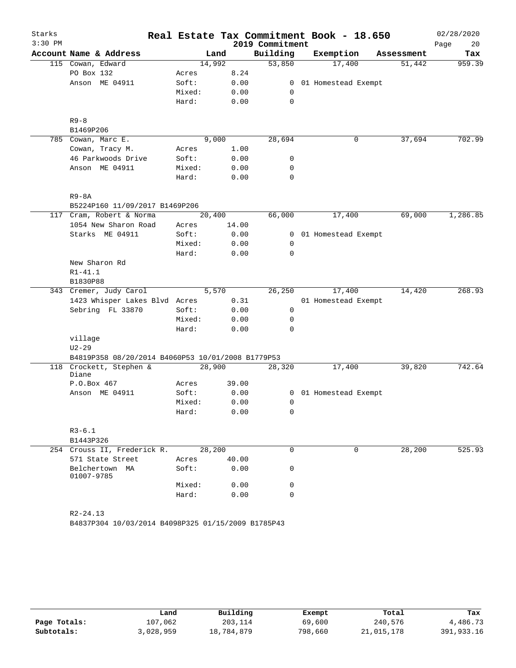| Starks    |                                                   |        |        |                 | Real Estate Tax Commitment Book - 18.650 |            | 02/28/2020 |
|-----------|---------------------------------------------------|--------|--------|-----------------|------------------------------------------|------------|------------|
| $3:30$ PM |                                                   |        |        | 2019 Commitment |                                          |            | 20<br>Page |
|           | Account Name & Address                            |        | Land   | Building        | Exemption                                | Assessment | Tax        |
|           | 115 Cowan, Edward                                 | 14,992 |        | 53,850          | 17,400                                   | 51,442     | 959.39     |
|           | PO Box 132                                        | Acres  | 8.24   |                 |                                          |            |            |
|           | Anson ME 04911                                    | Soft:  | 0.00   | $\overline{0}$  | 01 Homestead Exempt                      |            |            |
|           |                                                   | Mixed: | 0.00   | $\mathbf 0$     |                                          |            |            |
|           |                                                   | Hard:  | 0.00   | 0               |                                          |            |            |
|           | $R9 - 8$                                          |        |        |                 |                                          |            |            |
|           | B1469P206                                         |        |        |                 |                                          |            |            |
|           | 785 Cowan, Marc E.                                |        | 9,000  | 28,694          | 0                                        | 37,694     | 702.99     |
|           | Cowan, Tracy M.                                   | Acres  | 1.00   |                 |                                          |            |            |
|           | 46 Parkwoods Drive                                | Soft:  | 0.00   | 0               |                                          |            |            |
|           | Anson ME 04911                                    | Mixed: | 0.00   | 0               |                                          |            |            |
|           |                                                   | Hard:  | 0.00   | 0               |                                          |            |            |
|           | $R9 - 8A$                                         |        |        |                 |                                          |            |            |
|           | B5224P160 11/09/2017 B1469P206                    |        |        |                 |                                          |            |            |
|           | 117 Cram, Robert & Norma                          |        | 20,400 | 66,000          | 17,400                                   | 69,000     | 1,286.85   |
|           | 1054 New Sharon Road                              | Acres  | 14.00  |                 |                                          |            |            |
|           | Starks ME 04911                                   | Soft:  | 0.00   | $\overline{0}$  | 01 Homestead Exempt                      |            |            |
|           |                                                   | Mixed: | 0.00   | 0               |                                          |            |            |
|           |                                                   | Hard:  | 0.00   | 0               |                                          |            |            |
|           | New Sharon Rd                                     |        |        |                 |                                          |            |            |
|           | $R1 - 41.1$                                       |        |        |                 |                                          |            |            |
|           | B1830P88                                          |        |        |                 |                                          |            |            |
|           | 343 Cremer, Judy Carol                            |        | 5,570  | 26,250          | 17,400                                   | 14,420     | 268.93     |
|           | 1423 Whisper Lakes Blvd Acres                     |        | 0.31   |                 | 01 Homestead Exempt                      |            |            |
|           | Sebring FL 33870                                  | Soft:  | 0.00   | 0               |                                          |            |            |
|           |                                                   | Mixed: | 0.00   | 0               |                                          |            |            |
|           |                                                   | Hard:  | 0.00   | 0               |                                          |            |            |
|           | village                                           |        |        |                 |                                          |            |            |
|           | $U2 - 29$                                         |        |        |                 |                                          |            |            |
|           | B4819P358 08/20/2014 B4060P53 10/01/2008 B1779P53 |        |        |                 |                                          |            |            |
| 118       | Crockett, Stephen &<br>Diane                      |        | 28,900 | 28,320          | 17,400                                   | 39,820     | 742.64     |
|           | P.O.Box 467                                       | Acres  | 39.00  |                 |                                          |            |            |
|           | Anson ME 04911                                    | Soft:  | 0.00   | 0               | 01 Homestead Exempt                      |            |            |
|           |                                                   | Mixed: | 0.00   | 0               |                                          |            |            |
|           |                                                   | Hard:  | 0.00   | 0               |                                          |            |            |
|           | $R3 - 6.1$                                        |        |        |                 |                                          |            |            |
|           | B1443P326                                         |        |        |                 |                                          |            |            |
|           | 254 Crouss II, Frederick R.                       | 28,200 |        | 0               | 0                                        | 28,200     | 525.93     |
|           | 571 State Street                                  | Acres  | 40.00  |                 |                                          |            |            |
|           | Belchertown MA<br>01007-9785                      | Soft:  | 0.00   | 0               |                                          |            |            |
|           |                                                   | Mixed: | 0.00   | 0               |                                          |            |            |
|           |                                                   | Hard:  | 0.00   | 0               |                                          |            |            |
|           | $R2 - 24.13$                                      |        |        |                 |                                          |            |            |

B4837P304 10/03/2014 B4098P325 01/15/2009 B1785P43

|              | Land      | Building   | Exempt  | Total      | Tax        |
|--------------|-----------|------------|---------|------------|------------|
| Page Totals: | 107,062   | 203,114    | 69,600  | 240,576    | 4,486.73   |
| Subtotals:   | 3,028,959 | 18,784,879 | 798,660 | 21,015,178 | 391,933.16 |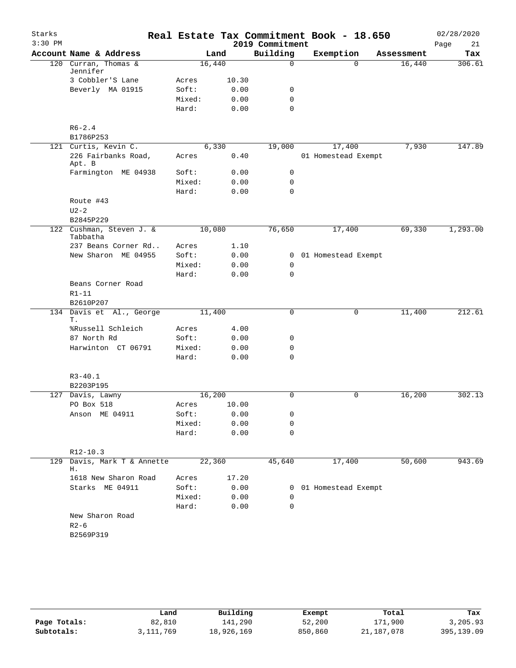| Starks    |                                       |        |       |                 | Real Estate Tax Commitment Book - 18.650 |            | 02/28/2020 |
|-----------|---------------------------------------|--------|-------|-----------------|------------------------------------------|------------|------------|
| $3:30$ PM |                                       |        |       | 2019 Commitment |                                          |            | 21<br>Page |
|           | Account Name & Address                |        | Land  | Building        | Exemption                                | Assessment | Tax        |
|           | 120 Curran, Thomas &<br>Jennifer      | 16,440 |       | $\mathbf 0$     | $\Omega$                                 | 16,440     | 306.61     |
|           | 3 Cobbler'S Lane                      | Acres  | 10.30 |                 |                                          |            |            |
|           | Beverly MA 01915                      | Soft:  | 0.00  | 0               |                                          |            |            |
|           |                                       | Mixed: | 0.00  | $\mathbf 0$     |                                          |            |            |
|           |                                       | Hard:  | 0.00  | $\mathbf 0$     |                                          |            |            |
|           | $R6 - 2.4$                            |        |       |                 |                                          |            |            |
|           | B1786P253                             |        |       |                 |                                          |            |            |
|           | 121 Curtis, Kevin C.                  |        | 6,330 | 19,000          | 17,400                                   | 7,930      | 147.89     |
|           | 226 Fairbanks Road,<br>Apt. B         | Acres  | 0.40  |                 | 01 Homestead Exempt                      |            |            |
|           | Farmington ME 04938                   | Soft:  | 0.00  | 0               |                                          |            |            |
|           |                                       | Mixed: | 0.00  | $\mathbf 0$     |                                          |            |            |
|           |                                       | Hard:  | 0.00  | $\mathbf 0$     |                                          |            |            |
|           | Route #43                             |        |       |                 |                                          |            |            |
|           | $U2-2$                                |        |       |                 |                                          |            |            |
|           | B2845P229                             |        |       |                 |                                          |            |            |
| 122       | Cushman, Steven J. &<br>Tabbatha      | 10,080 |       | 76,650          | 17,400                                   | 69,330     | 1,293.00   |
|           | 237 Beans Corner Rd                   | Acres  | 1.10  |                 |                                          |            |            |
|           | New Sharon ME 04955                   | Soft:  | 0.00  |                 | 0 01 Homestead Exempt                    |            |            |
|           |                                       | Mixed: | 0.00  | $\mathbf 0$     |                                          |            |            |
|           |                                       | Hard:  | 0.00  | 0               |                                          |            |            |
|           | Beans Corner Road                     |        |       |                 |                                          |            |            |
|           | $R1 - 11$                             |        |       |                 |                                          |            |            |
|           | B2610P207<br>134 Davis et Al., George | 11,400 |       | 0               | 0                                        | 11,400     | 212.61     |
|           | Т.                                    |        |       |                 |                                          |            |            |
|           | %Russell Schleich                     | Acres  | 4.00  |                 |                                          |            |            |
|           | 87 North Rd                           | Soft:  | 0.00  | 0               |                                          |            |            |
|           | Harwinton CT 06791                    | Mixed: | 0.00  | 0               |                                          |            |            |
|           |                                       | Hard:  | 0.00  | $\Omega$        |                                          |            |            |
|           | $R3 - 40.1$                           |        |       |                 |                                          |            |            |
|           | B2203P195                             |        |       |                 |                                          |            |            |
|           | 127 Davis, Lawny                      | 16,200 |       | 0               | 0                                        | 16,200     | 302.13     |
|           | PO Box 518                            | Acres  | 10.00 |                 |                                          |            |            |
|           | Anson ME 04911                        | Soft:  | 0.00  | 0               |                                          |            |            |
|           |                                       | Mixed: | 0.00  | 0               |                                          |            |            |
|           |                                       | Hard:  | 0.00  | 0               |                                          |            |            |
|           | $R12-10.3$                            |        |       |                 |                                          |            |            |
| 129       | Davis, Mark T & Annette<br>Η.         | 22,360 |       | 45,640          | 17,400                                   | 50,600     | 943.69     |
|           | 1618 New Sharon Road                  | Acres  | 17.20 |                 |                                          |            |            |
|           | Starks ME 04911                       | Soft:  | 0.00  |                 | 0 01 Homestead Exempt                    |            |            |
|           |                                       | Mixed: | 0.00  | 0               |                                          |            |            |
|           |                                       | Hard:  | 0.00  | 0               |                                          |            |            |
|           | New Sharon Road                       |        |       |                 |                                          |            |            |
|           | $R2 - 6$                              |        |       |                 |                                          |            |            |
|           | B2569P319                             |        |       |                 |                                          |            |            |
|           |                                       |        |       |                 |                                          |            |            |

|              | Land      | Building   | Exempt  | Total      | Tax          |
|--------------|-----------|------------|---------|------------|--------------|
| Page Totals: | 82,810    | 141,290    | 52,200  | 171,900    | 3,205.93     |
| Subtotals:   | 3,111,769 | 18,926,169 | 850,860 | 21,187,078 | 395, 139, 09 |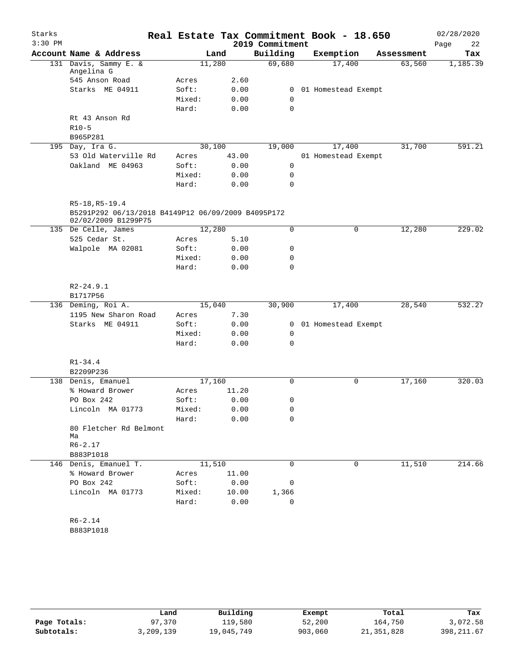| Starks    |                                                    |                |       |                 | Real Estate Tax Commitment Book - 18.650 |            | 02/28/2020 |
|-----------|----------------------------------------------------|----------------|-------|-----------------|------------------------------------------|------------|------------|
| $3:30$ PM |                                                    |                |       | 2019 Commitment |                                          |            | Page<br>22 |
|           | Account Name & Address                             | Land           |       | Building        | Exemption                                | Assessment | Tax        |
|           | 131 Davis, Sammy E. &                              | 11,280         |       | 69,680          | 17,400                                   | 63,560     | 1,185.39   |
|           | Angelina G<br>545 Anson Road                       |                | 2.60  |                 |                                          |            |            |
|           | Starks ME 04911                                    | Acres<br>Soft: | 0.00  | $\overline{0}$  |                                          |            |            |
|           |                                                    | Mixed:         | 0.00  | 0               | 01 Homestead Exempt                      |            |            |
|           |                                                    | Hard:          | 0.00  | 0               |                                          |            |            |
|           | Rt 43 Anson Rd                                     |                |       |                 |                                          |            |            |
|           | $R10-5$                                            |                |       |                 |                                          |            |            |
|           | B965P281                                           |                |       |                 |                                          |            |            |
|           | 195 Day, Ira G.                                    | 30,100         |       | 19,000          | 17,400                                   | 31,700     | 591.21     |
|           | 53 Old Waterville Rd                               | Acres          | 43.00 |                 | 01 Homestead Exempt                      |            |            |
|           | Oakland ME 04963                                   | Soft:          | 0.00  | 0               |                                          |            |            |
|           |                                                    | Mixed:         | 0.00  | 0               |                                          |            |            |
|           |                                                    | Hard:          | 0.00  | 0               |                                          |            |            |
|           |                                                    |                |       |                 |                                          |            |            |
|           | $R5-18, R5-19.4$                                   |                |       |                 |                                          |            |            |
|           | B5291P292 06/13/2018 B4149P12 06/09/2009 B4095P172 |                |       |                 |                                          |            |            |
|           | 02/02/2009 B1299P75                                |                |       |                 |                                          |            |            |
|           | 135 De Celle, James                                | 12,280         |       | $\Omega$        | 0                                        | 12,280     | 229.02     |
|           | 525 Cedar St.                                      | Acres          | 5.10  |                 |                                          |            |            |
|           | Walpole MA 02081                                   | Soft:          | 0.00  | 0               |                                          |            |            |
|           |                                                    | Mixed:         | 0.00  | 0               |                                          |            |            |
|           |                                                    | Hard:          | 0.00  | 0               |                                          |            |            |
|           | $R2 - 24.9.1$                                      |                |       |                 |                                          |            |            |
|           | B1717P56                                           |                |       |                 |                                          |            |            |
|           | 136 Deming, Roi A.                                 | 15,040         |       | 30,900          | 17,400                                   | 28,540     | 532.27     |
|           | 1195 New Sharon Road                               | Acres          | 7.30  |                 |                                          |            |            |
|           | Starks ME 04911                                    | Soft:          | 0.00  | $\mathbf{0}$    | 01 Homestead Exempt                      |            |            |
|           |                                                    | Mixed:         | 0.00  | 0               |                                          |            |            |
|           |                                                    | Hard:          | 0.00  | $\mathbf 0$     |                                          |            |            |
|           |                                                    |                |       |                 |                                          |            |            |
|           | $R1 - 34.4$                                        |                |       |                 |                                          |            |            |
|           | B2209P236                                          |                |       |                 |                                          |            |            |
|           | 138 Denis, Emanuel                                 | 17,160         |       | 0               | 0                                        | 17,160     | 320.03     |
|           | % Howard Brower                                    | Acres          | 11.20 |                 |                                          |            |            |
|           | PO Box 242                                         | Soft:          | 0.00  | 0               |                                          |            |            |
|           | Lincoln MA 01773                                   | Mixed:         | 0.00  | 0               |                                          |            |            |
|           |                                                    | Hard:          | 0.00  | 0               |                                          |            |            |
|           | 80 Fletcher Rd Belmont                             |                |       |                 |                                          |            |            |
|           | Ma                                                 |                |       |                 |                                          |            |            |
|           | $R6 - 2.17$                                        |                |       |                 |                                          |            |            |
|           | B883P1018                                          |                |       |                 |                                          |            |            |
|           | 146 Denis, Emanuel T.                              | 11,510         |       | 0               | $\mathbf 0$                              | 11,510     | 214.66     |
|           | % Howard Brower                                    | Acres          | 11.00 |                 |                                          |            |            |
|           | PO Box 242                                         | Soft:          | 0.00  | 0               |                                          |            |            |
|           | Lincoln MA 01773                                   | Mixed:         | 10.00 | 1,366           |                                          |            |            |
|           |                                                    | Hard:          | 0.00  | 0               |                                          |            |            |
|           |                                                    |                |       |                 |                                          |            |            |
|           | $R6 - 2.14$                                        |                |       |                 |                                          |            |            |
|           | B883P1018                                          |                |       |                 |                                          |            |            |

|              | Land      | Building   | Exempt  | Total        | Tax         |
|--------------|-----------|------------|---------|--------------|-------------|
| Page Totals: | 97,370    | 119,580    | 52,200  | 164,750      | 3,072.58    |
| Subtotals:   | 3,209,139 | 19,045,749 | 903,060 | 21, 351, 828 | 398, 211.67 |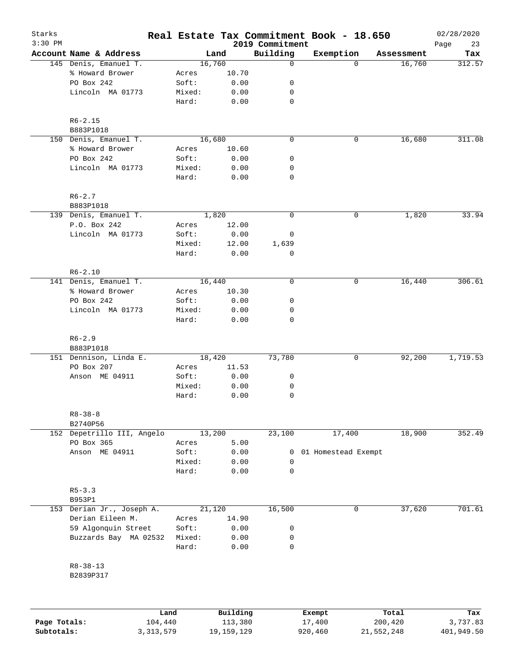| Starks       |                            |         |          |                             | Real Estate Tax Commitment Book - 18.650 |            | 02/28/2020        |
|--------------|----------------------------|---------|----------|-----------------------------|------------------------------------------|------------|-------------------|
| $3:30$ PM    | Account Name & Address     |         | Land     | 2019 Commitment<br>Building | Exemption                                | Assessment | Page<br>23<br>Tax |
|              | 145 Denis, Emanuel T.      |         | 16,760   | 0                           | 0                                        | 16,760     | 312.57            |
|              | % Howard Brower            | Acres   | 10.70    |                             |                                          |            |                   |
|              | PO Box 242                 | Soft:   | 0.00     | 0                           |                                          |            |                   |
|              | Lincoln MA 01773           | Mixed:  | 0.00     | 0                           |                                          |            |                   |
|              |                            | Hard:   | 0.00     | $\mathbf 0$                 |                                          |            |                   |
|              | $R6 - 2.15$                |         |          |                             |                                          |            |                   |
|              | B883P1018                  |         |          |                             |                                          |            |                   |
|              | 150 Denis, Emanuel T.      |         | 16,680   | $\mathbf 0$                 | 0                                        | 16,680     | 311.08            |
|              | % Howard Brower            | Acres   | 10.60    |                             |                                          |            |                   |
|              | PO Box 242                 | Soft:   | 0.00     | 0                           |                                          |            |                   |
|              | Lincoln MA 01773           | Mixed:  | 0.00     | 0                           |                                          |            |                   |
|              |                            | Hard:   | 0.00     | $\mathbf 0$                 |                                          |            |                   |
|              | $R6 - 2.7$                 |         |          |                             |                                          |            |                   |
|              | B883P1018                  |         |          |                             |                                          |            |                   |
|              | 139 Denis, Emanuel T.      |         | 1,820    | $\mathbf 0$                 | 0                                        | 1,820      | 33.94             |
|              | P.O. Box 242               | Acres   | 12.00    |                             |                                          |            |                   |
|              | Lincoln MA 01773           | Soft:   | 0.00     | 0                           |                                          |            |                   |
|              |                            | Mixed:  | 12.00    | 1,639                       |                                          |            |                   |
|              |                            | Hard:   | 0.00     | $\mathbf 0$                 |                                          |            |                   |
|              | $R6 - 2.10$                |         |          |                             |                                          |            |                   |
|              | 141 Denis, Emanuel T.      |         | 16,440   | $\mathbf 0$                 | 0                                        | 16,440     | 306.61            |
|              | % Howard Brower            | Acres   | 10.30    |                             |                                          |            |                   |
|              | PO Box 242                 | Soft:   | 0.00     | 0                           |                                          |            |                   |
|              | Lincoln MA 01773           | Mixed:  | 0.00     | 0                           |                                          |            |                   |
|              |                            | Hard:   | 0.00     | $\mathbf 0$                 |                                          |            |                   |
|              | $R6 - 2.9$                 |         |          |                             |                                          |            |                   |
|              | B883P1018                  |         |          |                             |                                          |            |                   |
|              | 151 Dennison, Linda E.     |         | 18,420   | 73,780                      | 0                                        | 92,200     | 1,719.53          |
|              | PO Box 207                 | Acres   | 11.53    |                             |                                          |            |                   |
|              | Anson ME 04911             | Soft:   | 0.00     | 0                           |                                          |            |                   |
|              |                            | Mixed:  | 0.00     | 0                           |                                          |            |                   |
|              |                            | Hard:   | 0.00     | 0                           |                                          |            |                   |
|              | $R8 - 38 - 8$<br>B2740P56  |         |          |                             |                                          |            |                   |
|              | 152 Depetrillo III, Angelo |         | 13,200   | 23,100                      | 17,400                                   | 18,900     | 352.49            |
|              | PO Box 365                 | Acres   | 5.00     |                             |                                          |            |                   |
|              | Anson ME 04911             | Soft:   | 0.00     | 0                           | 01 Homestead Exempt                      |            |                   |
|              |                            | Mixed:  | 0.00     | 0                           |                                          |            |                   |
|              |                            | Hard:   | 0.00     | $\mathbf 0$                 |                                          |            |                   |
|              |                            |         |          |                             |                                          |            |                   |
|              | $R5 - 3.3$                 |         |          |                             |                                          |            |                   |
|              | B953P1                     |         |          |                             |                                          |            |                   |
|              | 153 Derian Jr., Joseph A.  |         | 21,120   | 16,500                      | 0                                        | 37,620     | 701.61            |
|              | Derian Eileen M.           | Acres   | 14.90    |                             |                                          |            |                   |
|              | 59 Algonquin Street        | Soft:   | 0.00     | 0                           |                                          |            |                   |
|              | Buzzards Bay MA 02532      | Mixed:  | 0.00     | 0                           |                                          |            |                   |
|              |                            | Hard:   | 0.00     | $\mathbf 0$                 |                                          |            |                   |
|              | $R8 - 38 - 13$             |         |          |                             |                                          |            |                   |
|              | B2839P317                  |         |          |                             |                                          |            |                   |
|              |                            |         |          |                             |                                          |            |                   |
|              |                            | Land    | Building |                             | Exempt                                   | Total      | Tax               |
| Page Totals: |                            | 104,440 | 113,380  |                             | 17,400                                   | 200,420    | 3,737.83          |

**Subtotals:** 3,313,579 19,159,129 920,460 21,552,248 401,949.50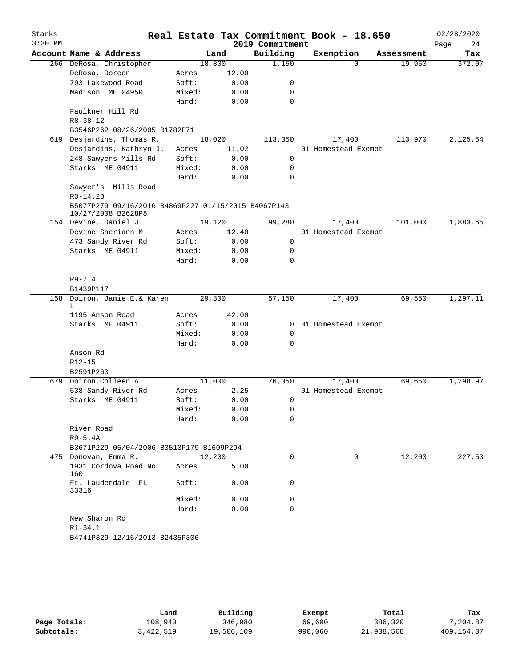| Starks<br>$3:30$ PM |                                                                  |                |       | 2019 Commitment  | Real Estate Tax Commitment Book - 18.650 |            | 02/28/2020<br>Page<br>24 |
|---------------------|------------------------------------------------------------------|----------------|-------|------------------|------------------------------------------|------------|--------------------------|
|                     | Account Name & Address                                           |                | Land  | Building         | Exemption                                | Assessment | Tax                      |
|                     | 266 DeRosa, Christopher                                          | 18,800         |       | 1,150            | $\Omega$                                 | 19,950     | 372.07                   |
|                     | DeRosa, Doreen                                                   | Acres          | 12.00 |                  |                                          |            |                          |
|                     | 793 Lakewood Road                                                | Soft:          | 0.00  | 0                |                                          |            |                          |
|                     | Madison ME 04950                                                 | Mixed:         | 0.00  | 0                |                                          |            |                          |
|                     |                                                                  | Hard:          | 0.00  | 0                |                                          |            |                          |
|                     | Faulkner Hill Rd                                                 |                |       |                  |                                          |            |                          |
|                     | $R8 - 38 - 12$                                                   |                |       |                  |                                          |            |                          |
|                     | B3546P262 08/26/2005 B1782P71                                    |                |       |                  |                                          |            |                          |
|                     | 619 Desjardins, Thomas R.                                        | 18,020         |       | 113,350          | 17,400                                   | 113,970    | 2,125.54                 |
|                     | Desjardins, Kathryn J.                                           | Acres          | 11.02 |                  | 01 Homestead Exempt                      |            |                          |
|                     | 248 Sawyers Mills Rd                                             | Soft:          | 0.00  | 0                |                                          |            |                          |
|                     | Starks ME 04911                                                  | Mixed:         | 0.00  | 0                |                                          |            |                          |
|                     |                                                                  | Hard:          | 0.00  | 0                |                                          |            |                          |
|                     | Sawyer's Mills Road                                              |                |       |                  |                                          |            |                          |
|                     | $R3 - 14.2B$                                                     |                |       |                  |                                          |            |                          |
|                     | B5077P279 09/16/2016 B4869P227 01/15/2015 B4067P143              |                |       |                  |                                          |            |                          |
|                     | 10/27/2008 B2628P8                                               |                |       |                  |                                          |            |                          |
|                     | 154 Devine, Daniel J.                                            | 19,120         |       | 99,280           | 17,400                                   | 101,000    | 1,883.65                 |
|                     | Devine Sheriann M.                                               | Acres          | 12.40 |                  | 01 Homestead Exempt                      |            |                          |
|                     | 473 Sandy River Rd                                               | Soft:          | 0.00  | 0                |                                          |            |                          |
|                     | Starks ME 04911                                                  | Mixed:         | 0.00  | 0                |                                          |            |                          |
|                     |                                                                  | Hard:          | 0.00  | 0                |                                          |            |                          |
|                     |                                                                  |                |       |                  |                                          |            |                          |
|                     | $R9 - 7.4$                                                       |                |       |                  |                                          |            |                          |
|                     | B1439P117                                                        |                |       |                  |                                          |            |                          |
|                     | 158 Doiron, Jamie E.& Karen                                      | 29,800         |       | 57,150           | 17,400                                   | 69,550     | 1,297.11                 |
|                     | L                                                                |                |       |                  |                                          |            |                          |
|                     | 1195 Anson Road                                                  | Acres          | 42.00 |                  |                                          |            |                          |
|                     | Starks ME 04911                                                  | Soft:          | 0.00  | $\mathbf{0}$     | 01 Homestead Exempt                      |            |                          |
|                     |                                                                  | Mixed:         | 0.00  | 0<br>$\mathbf 0$ |                                          |            |                          |
|                     |                                                                  | Hard:          | 0.00  |                  |                                          |            |                          |
|                     | Anson Rd<br>$R12 - 15$                                           |                |       |                  |                                          |            |                          |
|                     |                                                                  |                |       |                  |                                          |            |                          |
|                     | B2591P263<br>679 Doiron, Colleen A                               | 11,000         |       | 76,050           | 17,400                                   | 69,650     | 1,298.97                 |
|                     |                                                                  |                | 2.25  |                  |                                          |            |                          |
|                     | 538 Sandy River Rd<br>Starks ME 04911                            | Acres<br>Soft: | 0.00  |                  | 01 Homestead Exempt                      |            |                          |
|                     |                                                                  |                | 0.00  | 0<br>0           |                                          |            |                          |
|                     |                                                                  | Mixed:         |       | 0                |                                          |            |                          |
|                     |                                                                  | Hard:          | 0.00  |                  |                                          |            |                          |
|                     | River Road                                                       |                |       |                  |                                          |            |                          |
|                     | $R9-5.4A$                                                        |                |       |                  |                                          |            |                          |
|                     | B3671P229 05/04/2006 B3513P179 B1609P294<br>475 Donovan, Emma R. | 12,200         |       | 0                | 0                                        | 12,200     | 227.53                   |
|                     | 1931 Cordova Road No                                             |                | 5.00  |                  |                                          |            |                          |
|                     | 160                                                              | Acres          |       |                  |                                          |            |                          |
|                     | Ft. Lauderdale FL<br>33316                                       | Soft:          | 0.00  | 0                |                                          |            |                          |
|                     |                                                                  | Mixed:         | 0.00  | 0                |                                          |            |                          |
|                     |                                                                  | Hard:          | 0.00  | 0                |                                          |            |                          |
|                     | New Sharon Rd                                                    |                |       |                  |                                          |            |                          |
|                     | $R1 - 34.1$                                                      |                |       |                  |                                          |            |                          |
|                     | B4741P329 12/16/2013 B2435P306                                   |                |       |                  |                                          |            |                          |
|                     |                                                                  |                |       |                  |                                          |            |                          |

|              | Land      | Building   | Exempt  | Total      | Tax          |
|--------------|-----------|------------|---------|------------|--------------|
| Page Totals: | 108,940   | 346,980    | 69,600  | 386,320    | 7,204.87     |
| Subtotals:   | 3,422,519 | 19,506,109 | 990,060 | 21,938,568 | 409, 154, 37 |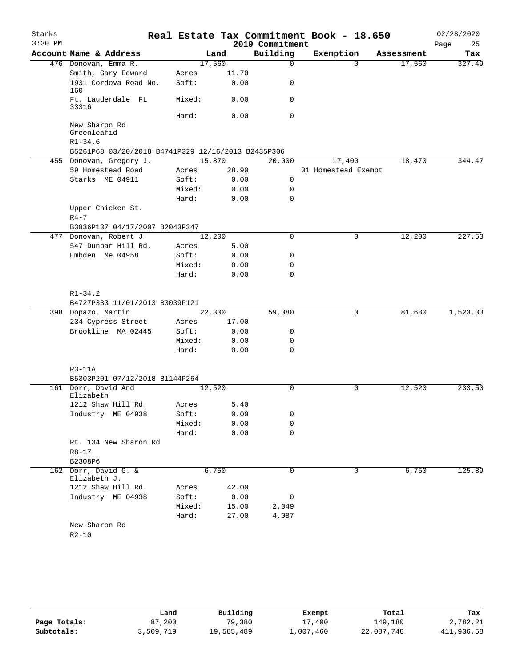| Starks    |                                                    |        |       |                 | Real Estate Tax Commitment Book - 18.650 |            | 02/28/2020 |
|-----------|----------------------------------------------------|--------|-------|-----------------|------------------------------------------|------------|------------|
| $3:30$ PM |                                                    |        |       | 2019 Commitment |                                          |            | 25<br>Page |
|           | Account Name & Address                             |        | Land  | Building        | Exemption                                | Assessment | Tax        |
|           | 476 Donovan, Emma R.                               | 17,560 |       | $\mathbf 0$     | $\Omega$                                 | 17,560     | 327.49     |
|           | Smith, Gary Edward                                 | Acres  | 11.70 |                 |                                          |            |            |
|           | 1931 Cordova Road No.<br>160                       | Soft:  | 0.00  | 0               |                                          |            |            |
|           | Ft. Lauderdale FL<br>33316                         | Mixed: | 0.00  | $\mathbf 0$     |                                          |            |            |
|           |                                                    | Hard:  | 0.00  | $\mathbf 0$     |                                          |            |            |
|           | New Sharon Rd<br>Greenleafid<br>$R1 - 34.6$        |        |       |                 |                                          |            |            |
|           | B5261P68 03/20/2018 B4741P329 12/16/2013 B2435P306 |        |       |                 |                                          |            |            |
|           | 455 Donovan, Gregory J.                            | 15,870 |       | 20,000          | 17,400                                   | 18,470     | 344.47     |
|           | 59 Homestead Road                                  | Acres  | 28.90 |                 | 01 Homestead Exempt                      |            |            |
|           | Starks ME 04911                                    | Soft:  | 0.00  | $\mathbf 0$     |                                          |            |            |
|           |                                                    | Mixed: | 0.00  | 0               |                                          |            |            |
|           |                                                    | Hard:  | 0.00  | 0               |                                          |            |            |
|           | Upper Chicken St.<br>$R4 - 7$                      |        |       |                 |                                          |            |            |
|           | B3836P137 04/17/2007 B2043P347                     |        |       |                 |                                          |            |            |
|           | 477 Donovan, Robert J.                             | 12,200 |       | 0               | 0                                        | 12,200     | 227.53     |
|           | 547 Dunbar Hill Rd.                                | Acres  | 5.00  |                 |                                          |            |            |
|           | Embden Me 04958                                    | Soft:  | 0.00  | 0               |                                          |            |            |
|           |                                                    | Mixed: | 0.00  | 0               |                                          |            |            |
|           |                                                    | Hard:  | 0.00  | $\mathbf 0$     |                                          |            |            |
|           | $R1 - 34.2$<br>B4727P333 11/01/2013 B3039P121      |        |       |                 |                                          |            |            |
|           | 398 Dopazo, Martin                                 | 22,300 |       | 59,380          | 0                                        | 81,680     | 1,523.33   |
|           | 234 Cypress Street                                 | Acres  | 17.00 |                 |                                          |            |            |
|           | Brookline MA 02445                                 | Soft:  | 0.00  | 0               |                                          |            |            |
|           |                                                    | Mixed: | 0.00  | 0               |                                          |            |            |
|           |                                                    | Hard:  | 0.00  | 0               |                                          |            |            |
|           | $R3-11A$<br>B5303P201 07/12/2018 B1144P264         |        |       |                 |                                          |            |            |
|           | 161 Dorr, David And                                | 12,520 |       | $\mathbf 0$     | 0                                        | 12,520     | 233.50     |
|           | Elizabeth                                          |        |       |                 |                                          |            |            |
|           | 1212 Shaw Hill Rd.                                 | Acres  | 5.40  |                 |                                          |            |            |
|           | Industry ME 04938                                  | Soft:  | 0.00  | 0               |                                          |            |            |
|           |                                                    | Mixed: | 0.00  | 0               |                                          |            |            |
|           |                                                    | Hard:  | 0.00  | $\mathbf 0$     |                                          |            |            |
|           | Rt. 134 New Sharon Rd                              |        |       |                 |                                          |            |            |
|           | $R8 - 17$                                          |        |       |                 |                                          |            |            |
|           | B2308P6                                            |        |       |                 |                                          |            |            |
|           | 162 Dorr, David G. &<br>Elizabeth J.               |        | 6,750 | 0               | 0                                        | 6,750      | 125.89     |
|           | 1212 Shaw Hill Rd.                                 | Acres  | 42.00 |                 |                                          |            |            |
|           | Industry ME 04938                                  | Soft:  | 0.00  | 0               |                                          |            |            |
|           |                                                    | Mixed: | 15.00 | 2,049           |                                          |            |            |
|           |                                                    | Hard:  | 27.00 | 4,087           |                                          |            |            |
|           | New Sharon Rd<br>$R2 - 10$                         |        |       |                 |                                          |            |            |

|              | Land      | Building   | Exempt    | Total      | Tax        |
|--------------|-----------|------------|-----------|------------|------------|
| Page Totals: | 87,200    | 79,380     | 17,400    | 149,180    | 2,782.21   |
| Subtotals:   | 3,509,719 | 19,585,489 | 1,007,460 | 22,087,748 | 411,936.58 |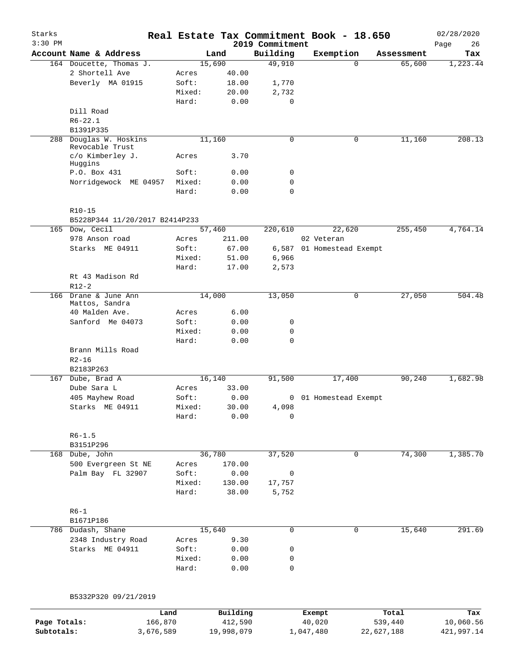| Starks<br>$3:30$ PM |                                                      |        |                | 2019 Commitment | Real Estate Tax Commitment Book - 18.650 |            | 02/28/2020<br>Page<br>26 |
|---------------------|------------------------------------------------------|--------|----------------|-----------------|------------------------------------------|------------|--------------------------|
|                     | Account Name & Address                               |        | Land           | Building        | Exemption                                | Assessment | Tax                      |
|                     | 164 Doucette, Thomas J.                              |        | 15,690         | 49,910          | $\Omega$                                 | 65,600     | 1,223.44                 |
|                     | 2 Shortell Ave                                       | Acres  | 40.00          |                 |                                          |            |                          |
|                     | Beverly MA 01915                                     | Soft:  | 18.00          | 1,770           |                                          |            |                          |
|                     |                                                      | Mixed: | 20.00          | 2,732           |                                          |            |                          |
|                     |                                                      | Hard:  | 0.00           | 0               |                                          |            |                          |
|                     | Dill Road                                            |        |                |                 |                                          |            |                          |
|                     | $R6 - 22.1$                                          |        |                |                 |                                          |            |                          |
|                     | B1391P335                                            |        |                |                 |                                          |            |                          |
| 288                 | Douglas W. Hoskins<br>Revocable Trust                |        | 11,160         | 0               | 0                                        | 11,160     | 208.13                   |
|                     | c/o Kimberley J.<br>Huggins                          | Acres  | 3.70           |                 |                                          |            |                          |
|                     | P.O. Box 431                                         | Soft:  | 0.00           | 0               |                                          |            |                          |
|                     | Norridgewock ME 04957                                | Mixed: | 0.00           | 0               |                                          |            |                          |
|                     |                                                      | Hard:  | 0.00           | 0               |                                          |            |                          |
|                     | $R10-15$<br>B5228P344 11/20/2017 B2414P233           |        |                |                 |                                          |            |                          |
| 165                 | Dow, Cecil                                           |        | 57,460         | 220,610         | 22,620                                   | 255,450    | 4,764.14                 |
|                     | 978 Anson road                                       | Acres  | 211.00         |                 | 02 Veteran                               |            |                          |
|                     | Starks ME 04911                                      | Soft:  | 67.00          | 6,587           | 01 Homestead Exempt                      |            |                          |
|                     |                                                      | Mixed: | 51.00          | 6,966           |                                          |            |                          |
|                     |                                                      | Hard:  | 17.00          | 2,573           |                                          |            |                          |
|                     | Rt 43 Madison Rd                                     |        |                |                 |                                          |            |                          |
|                     | $R12-2$                                              |        |                |                 |                                          |            |                          |
| 166                 | Drane & June Ann<br>Mattos, Sandra<br>40 Malden Ave. |        | 14,000<br>6.00 | 13,050          | $\mathbf 0$                              | 27,050     | 504.48                   |
|                     |                                                      | Acres  |                |                 |                                          |            |                          |
|                     | Sanford Me 04073                                     | Soft:  | 0.00           | 0               |                                          |            |                          |
|                     |                                                      | Mixed: | 0.00           | 0               |                                          |            |                          |
|                     |                                                      | Hard:  | 0.00           | 0               |                                          |            |                          |
|                     | Brann Mills Road<br>$R2 - 16$                        |        |                |                 |                                          |            |                          |
|                     | B2183P263                                            |        |                |                 |                                          |            |                          |
| 167                 | Dube, Brad A                                         |        | 16,140         | 91,500          | 17,400                                   | 90, 240    | 1,682.98                 |
|                     | Dube Sara L                                          | Acres  | 33.00          |                 |                                          |            |                          |
|                     | 405 Mayhew Road                                      | Soft:  | 0.00           | 0               | 01 Homestead Exempt                      |            |                          |
|                     | Starks ME 04911                                      | Mixed: | 30.00          | 4,098           |                                          |            |                          |
|                     |                                                      | Hard:  | 0.00           | 0               |                                          |            |                          |
|                     | $R6 - 1.5$                                           |        |                |                 |                                          |            |                          |
|                     | B3151P296                                            |        |                |                 |                                          |            |                          |
|                     | 168 Dube, John                                       |        | 36,780         | 37,520          | $\mathbf 0$                              | 74,300     | 1,385.70                 |
|                     | 500 Evergreen St NE                                  | Acres  | 170.00         |                 |                                          |            |                          |
|                     | Palm Bay FL 32907                                    | Soft:  | 0.00           | 0               |                                          |            |                          |
|                     |                                                      | Mixed: | 130.00         | 17,757          |                                          |            |                          |
|                     |                                                      | Hard:  | 38.00          | 5,752           |                                          |            |                          |
|                     | $R6-1$<br>B1671P186                                  |        |                |                 |                                          |            |                          |
|                     | 786 Dudash, Shane                                    |        | 15,640         | 0               | 0                                        | 15,640     | 291.69                   |
|                     | 2348 Industry Road                                   | Acres  | 9.30           |                 |                                          |            |                          |
|                     | Starks ME 04911                                      | Soft:  | 0.00           | 0               |                                          |            |                          |
|                     |                                                      | Mixed: | 0.00           | 0               |                                          |            |                          |
|                     |                                                      | Hard:  | 0.00           | $\mathbf 0$     |                                          |            |                          |
|                     |                                                      |        |                |                 |                                          |            |                          |
|                     |                                                      |        |                |                 |                                          |            |                          |
|                     | B5332P320 09/21/2019                                 |        |                |                 |                                          |            |                          |

|              | Land      | Building   | Exempt    | Total      | Tax        |
|--------------|-----------|------------|-----------|------------|------------|
| Page Totals: | 166.870   | 412,590    | 40,020    | 539,440    | 10,060.56  |
| Subtotals:   | 3,676,589 | 19,998,079 | 1,047,480 | 22,627,188 | 421,997.14 |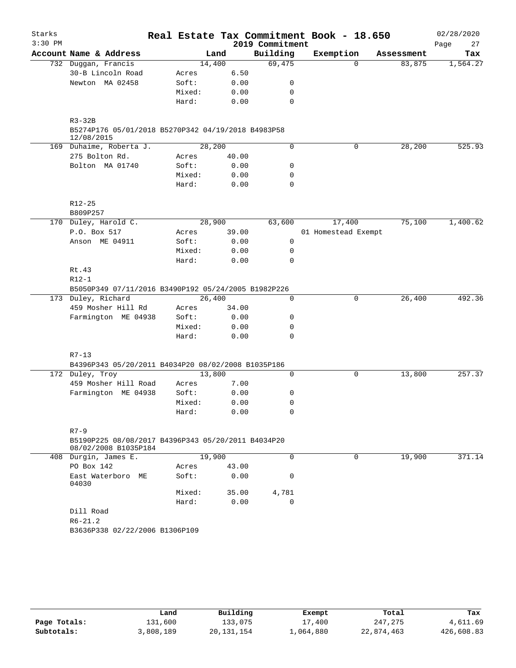| Starks    |                                                                            |        |       |                 | Real Estate Tax Commitment Book - 18.650 |          |            | 02/28/2020 |
|-----------|----------------------------------------------------------------------------|--------|-------|-----------------|------------------------------------------|----------|------------|------------|
| $3:30$ PM |                                                                            |        |       | 2019 Commitment |                                          |          |            | Page<br>27 |
|           | Account Name & Address                                                     |        | Land  | Building        | Exemption                                |          | Assessment | Tax        |
|           | 732 Duggan, Francis                                                        | 14,400 |       | 69,475          |                                          | $\Omega$ | 83,875     | 1,564.27   |
|           | 30-B Lincoln Road                                                          | Acres  | 6.50  |                 |                                          |          |            |            |
|           | Newton MA 02458                                                            | Soft:  | 0.00  | 0               |                                          |          |            |            |
|           |                                                                            | Mixed: | 0.00  | 0               |                                          |          |            |            |
|           |                                                                            | Hard:  | 0.00  | 0               |                                          |          |            |            |
|           | $R3-32B$                                                                   |        |       |                 |                                          |          |            |            |
|           | B5274P176 05/01/2018 B5270P342 04/19/2018 B4983P58<br>12/08/2015           |        |       |                 |                                          |          |            |            |
|           | 169 Duhaime, Roberta J.                                                    | 28,200 |       | $\Omega$        |                                          | 0        | 28,200     | 525.93     |
|           | 275 Bolton Rd.                                                             | Acres  | 40.00 |                 |                                          |          |            |            |
|           | Bolton MA 01740                                                            | Soft:  | 0.00  | 0               |                                          |          |            |            |
|           |                                                                            | Mixed: | 0.00  | 0               |                                          |          |            |            |
|           |                                                                            | Hard:  | 0.00  | 0               |                                          |          |            |            |
|           | $R12 - 25$                                                                 |        |       |                 |                                          |          |            |            |
|           | B809P257                                                                   |        |       |                 |                                          |          |            |            |
|           | 170 Duley, Harold C.                                                       | 28,900 |       | 63,600          | 17,400                                   |          | 75,100     | 1,400.62   |
|           | P.O. Box 517                                                               | Acres  | 39.00 |                 | 01 Homestead Exempt                      |          |            |            |
|           | Anson ME 04911                                                             | Soft:  | 0.00  | $\mathsf{O}$    |                                          |          |            |            |
|           |                                                                            | Mixed: | 0.00  | 0               |                                          |          |            |            |
|           |                                                                            | Hard:  | 0.00  | 0               |                                          |          |            |            |
|           | Rt.43                                                                      |        |       |                 |                                          |          |            |            |
|           | $R12-1$                                                                    |        |       |                 |                                          |          |            |            |
|           | B5050P349 07/11/2016 B3490P192 05/24/2005 B1982P226                        | 26,400 |       | 0               |                                          | 0        | 26,400     | 492.36     |
|           | 173 Duley, Richard<br>459 Mosher Hill Rd                                   | Acres  | 34.00 |                 |                                          |          |            |            |
|           | Farmington ME 04938                                                        | Soft:  | 0.00  | 0               |                                          |          |            |            |
|           |                                                                            | Mixed: | 0.00  | 0               |                                          |          |            |            |
|           |                                                                            | Hard:  | 0.00  | $\Omega$        |                                          |          |            |            |
|           |                                                                            |        |       |                 |                                          |          |            |            |
|           | $R7 - 13$<br>B4396P343 05/20/2011 B4034P20 08/02/2008 B1035P186            |        |       |                 |                                          |          |            |            |
|           | 172 Duley, Troy                                                            | 13,800 |       | 0               |                                          | 0        | 13,800     | 257.37     |
|           | 459 Mosher Hill Road                                                       | Acres  | 7.00  |                 |                                          |          |            |            |
|           | Farmington ME 04938                                                        | Soft:  | 0.00  | 0               |                                          |          |            |            |
|           |                                                                            | Mixed: | 0.00  | 0               |                                          |          |            |            |
|           |                                                                            | Hard:  | 0.00  | 0               |                                          |          |            |            |
|           |                                                                            |        |       |                 |                                          |          |            |            |
|           | $R7 - 9$                                                                   |        |       |                 |                                          |          |            |            |
|           | B5190P225 08/08/2017 B4396P343 05/20/2011 B4034P20<br>08/02/2008 B1035P184 |        |       |                 |                                          |          |            |            |
|           | 408 Durgin, James E.                                                       | 19,900 |       | 0               |                                          | 0        | 19,900     | 371.14     |
|           | PO Box 142                                                                 | Acres  | 43.00 |                 |                                          |          |            |            |
|           | East Waterboro ME<br>04030                                                 | Soft:  | 0.00  | 0               |                                          |          |            |            |
|           |                                                                            | Mixed: | 35.00 | 4,781           |                                          |          |            |            |
|           |                                                                            | Hard:  | 0.00  | $\Omega$        |                                          |          |            |            |
|           | Dill Road                                                                  |        |       |                 |                                          |          |            |            |
|           | $R6 - 21.2$                                                                |        |       |                 |                                          |          |            |            |
|           | B3636P338 02/22/2006 B1306P109                                             |        |       |                 |                                          |          |            |            |
|           |                                                                            |        |       |                 |                                          |          |            |            |

|              | Land      | Building     | Exempt    | Total      | Tax        |
|--------------|-----------|--------------|-----------|------------|------------|
| Page Totals: | 131,600   | 133.075      | 17,400    | 247,275    | 4,611.69   |
| Subtotals:   | 3,808,189 | 20, 131, 154 | 1,064,880 | 22,874,463 | 426,608.83 |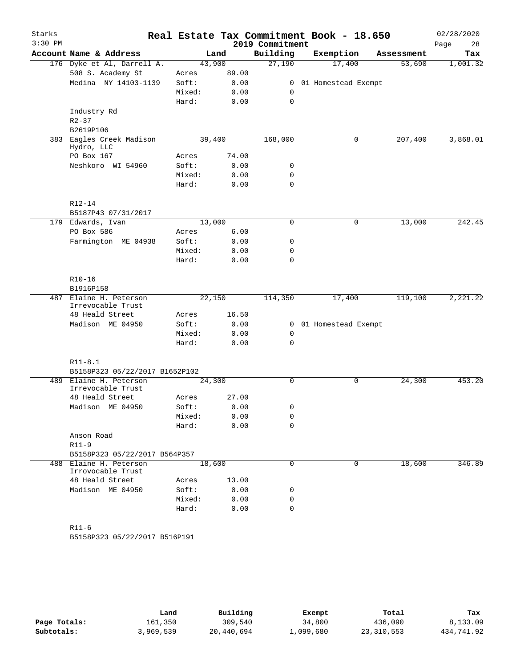| Starks<br>$3:30$ PM |                                             |                 |              |                             | Real Estate Tax Commitment Book - 18.650 |                      | 02/28/2020      |
|---------------------|---------------------------------------------|-----------------|--------------|-----------------------------|------------------------------------------|----------------------|-----------------|
|                     | Account Name & Address                      |                 | Land         | 2019 Commitment<br>Building | Exemption                                |                      | Page<br>28      |
|                     | 176 Dyke et Al, Darrell A.                  | 43,900          |              | 27,190                      | 17,400                                   | Assessment<br>53,690 | Tax<br>1,001.32 |
|                     | 508 S. Academy St                           | Acres           | 89.00        |                             |                                          |                      |                 |
|                     | Medina NY 14103-1139                        | Soft:           | 0.00         |                             | 0 01 Homestead Exempt                    |                      |                 |
|                     |                                             | Mixed:          | 0.00         | 0                           |                                          |                      |                 |
|                     |                                             | Hard:           | 0.00         | $\mathbf 0$                 |                                          |                      |                 |
|                     | Industry Rd                                 |                 |              |                             |                                          |                      |                 |
|                     | $R2 - 37$                                   |                 |              |                             |                                          |                      |                 |
|                     | B2619P106                                   |                 |              |                             |                                          |                      |                 |
|                     | 383 Eagles Creek Madison<br>Hydro, LLC      | 39,400          |              | 168,000                     | 0                                        | 207,400              | 3,868.01        |
|                     | PO Box 167                                  | Acres           | 74.00        |                             |                                          |                      |                 |
|                     | Neshkoro WI 54960                           | Soft:           | 0.00         | 0                           |                                          |                      |                 |
|                     |                                             | Mixed:          | 0.00         | $\mathbf 0$                 |                                          |                      |                 |
|                     |                                             | Hard:           | 0.00         | $\mathbf 0$                 |                                          |                      |                 |
|                     | R12-14<br>B5187P43 07/31/2017               |                 |              |                             |                                          |                      |                 |
|                     | 179 Edwards, Ivan                           | 13,000          |              | $\mathbf 0$                 | $\mathsf{O}$                             | 13,000               | 242.45          |
|                     | PO Box 586                                  | Acres           | 6.00         |                             |                                          |                      |                 |
|                     | Farmington ME 04938                         | Soft:           | 0.00         | 0                           |                                          |                      |                 |
|                     |                                             | Mixed:          | 0.00         | 0                           |                                          |                      |                 |
|                     |                                             | Hard:           | 0.00         | $\mathbf 0$                 |                                          |                      |                 |
|                     | $R10-16$                                    |                 |              |                             |                                          |                      |                 |
|                     | B1916P158                                   |                 |              |                             |                                          |                      |                 |
|                     | 487 Elaine H. Peterson<br>Irrevocable Trust | 22,150          |              | 114,350                     | 17,400                                   | 119,100              | 2,221.22        |
|                     | 48 Heald Street                             | Acres           | 16.50        |                             |                                          |                      |                 |
|                     | Madison ME 04950                            | Soft:           | 0.00         |                             | 0 01 Homestead Exempt                    |                      |                 |
|                     |                                             | Mixed:          | 0.00         | 0                           |                                          |                      |                 |
|                     |                                             | Hard:           | 0.00         | $\mathbf 0$                 |                                          |                      |                 |
|                     | $R11 - 8.1$                                 |                 |              |                             |                                          |                      |                 |
|                     | B5158P323 05/22/2017 B1652P102              |                 |              |                             |                                          |                      |                 |
|                     | 489 Elaine H. Peterson<br>Irrevocable Trust | 24,300          |              | 0                           | $\mathbf 0$                              | 24,300               | 453.20          |
|                     | 48 Heald Street                             | Acres           | 27.00        |                             |                                          |                      |                 |
|                     | Madison ME 04950                            | Soft:           | 0.00         | 0                           |                                          |                      |                 |
|                     |                                             | Mixed:<br>Hard: | 0.00<br>0.00 | 0<br>$\Omega$               |                                          |                      |                 |
|                     | Anson Road                                  |                 |              |                             |                                          |                      |                 |
|                     | $R11-9$                                     |                 |              |                             |                                          |                      |                 |
|                     | B5158P323 05/22/2017 B564P357               |                 |              |                             |                                          |                      |                 |
|                     | 488 Elaine H. Peterson<br>Irrovocable Trust | 18,600          |              | 0                           | 0                                        | 18,600               | 346.89          |
|                     | 48 Heald Street                             | Acres           | 13.00        |                             |                                          |                      |                 |
|                     | Madison ME 04950                            | Soft:           | 0.00         | 0                           |                                          |                      |                 |
|                     |                                             | Mixed:          | 0.00         | 0                           |                                          |                      |                 |
|                     |                                             | Hard:           | 0.00         | $\Omega$                    |                                          |                      |                 |
|                     | $R11-6$                                     |                 |              |                             |                                          |                      |                 |
|                     | B5158P323 05/22/2017 B516P191               |                 |              |                             |                                          |                      |                 |

|              | Land      | Building   | Exempt    | Total        | Tax        |
|--------------|-----------|------------|-----------|--------------|------------|
| Page Totals: | 161,350   | 309,540    | 34,800    | 436,090      | 8,133.09   |
| Subtotals:   | 3,969,539 | 20,440,694 | 1,099,680 | 23, 310, 553 | 434,741.92 |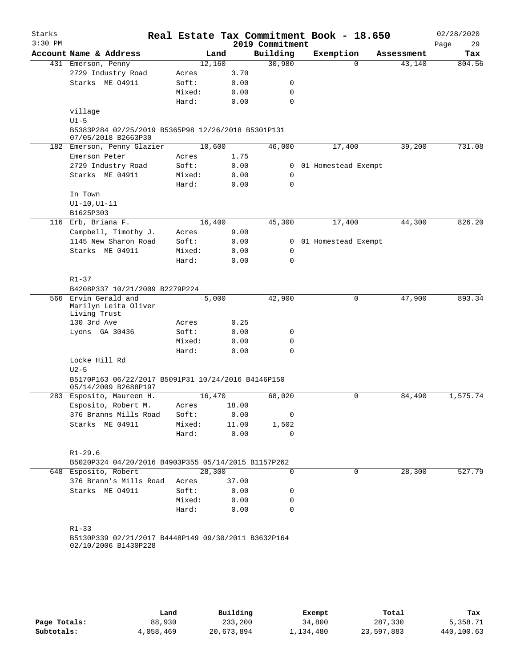| Starks<br>$3:30$ PM |                                                                             |                |       | Real Estate Tax Commitment Book - 18.650<br>2019 Commitment |                       |          |            | 02/28/2020<br>Page<br>29 |
|---------------------|-----------------------------------------------------------------------------|----------------|-------|-------------------------------------------------------------|-----------------------|----------|------------|--------------------------|
|                     | Account Name & Address                                                      | Land           |       | Building                                                    | Exemption             |          | Assessment | Tax                      |
|                     | 431 Emerson, Penny                                                          | 12,160         |       | 30,980                                                      |                       | $\Omega$ | 43,140     | 804.56                   |
|                     | 2729 Industry Road                                                          | Acres          | 3.70  |                                                             |                       |          |            |                          |
|                     | Starks ME 04911                                                             | Soft:          | 0.00  | 0                                                           |                       |          |            |                          |
|                     |                                                                             | Mixed:         | 0.00  | $\mathbf 0$                                                 |                       |          |            |                          |
|                     |                                                                             | Hard:          | 0.00  | 0                                                           |                       |          |            |                          |
|                     | village                                                                     |                |       |                                                             |                       |          |            |                          |
|                     | $U1-5$                                                                      |                |       |                                                             |                       |          |            |                          |
|                     | B5383P284 02/25/2019 B5365P98 12/26/2018 B5301P131<br>07/05/2018 B2663P30   |                |       |                                                             |                       |          |            |                          |
|                     | 182 Emerson, Penny Glazier                                                  | 10,600         |       | 46,000                                                      | 17,400                |          | 39,200     | 731.08                   |
|                     | Emerson Peter                                                               | Acres          | 1.75  |                                                             |                       |          |            |                          |
|                     | 2729 Industry Road                                                          | Soft:          | 0.00  | 0                                                           | 01 Homestead Exempt   |          |            |                          |
|                     | Starks ME 04911                                                             | Mixed:         | 0.00  | 0                                                           |                       |          |            |                          |
|                     |                                                                             | Hard:          | 0.00  | $\mathbf 0$                                                 |                       |          |            |                          |
|                     | In Town                                                                     |                |       |                                                             |                       |          |            |                          |
|                     | $UI-10, UI-11$                                                              |                |       |                                                             |                       |          |            |                          |
|                     | B1625P303                                                                   |                |       |                                                             |                       |          |            |                          |
|                     | 116 Erb, Briana F.                                                          | 16,400         |       | 45,300                                                      | 17,400                |          | 44,300     | 826.20                   |
|                     | Campbell, Timothy J.                                                        |                | 9.00  |                                                             |                       |          |            |                          |
|                     | 1145 New Sharon Road                                                        | Acres<br>Soft: |       |                                                             |                       |          |            |                          |
|                     |                                                                             |                | 0.00  |                                                             | 0 01 Homestead Exempt |          |            |                          |
|                     | Starks ME 04911                                                             | Mixed:         | 0.00  | 0                                                           |                       |          |            |                          |
|                     |                                                                             | Hard:          | 0.00  | $\mathbf 0$                                                 |                       |          |            |                          |
|                     |                                                                             |                |       |                                                             |                       |          |            |                          |
|                     | $R1 - 37$                                                                   |                |       |                                                             |                       |          |            |                          |
|                     | B4208P337 10/21/2009 B2279P224                                              |                |       |                                                             |                       |          |            |                          |
|                     | 566 Ervin Gerald and<br>Marilyn Leita Oliver<br>Living Trust                | 5,000          |       | 42,900                                                      |                       | 0        | 47,900     | 893.34                   |
|                     | 130 3rd Ave                                                                 | Acres          | 0.25  |                                                             |                       |          |            |                          |
|                     | Lyons GA 30436                                                              | Soft:          | 0.00  | 0                                                           |                       |          |            |                          |
|                     |                                                                             | Mixed:         | 0.00  | 0                                                           |                       |          |            |                          |
|                     |                                                                             | Hard:          | 0.00  | 0                                                           |                       |          |            |                          |
|                     | Locke Hill Rd                                                               |                |       |                                                             |                       |          |            |                          |
|                     | $U2-5$                                                                      |                |       |                                                             |                       |          |            |                          |
|                     | B5170P163 06/22/2017 B5091P31 10/24/2016 B4146P150<br>05/14/2009 B2688P197  |                |       |                                                             |                       |          |            |                          |
|                     | 283 Esposito, Maureen H.                                                    | 16,470         |       | 68,020                                                      |                       | 0        | 84,490     | 1,575.74                 |
|                     | Esposito, Robert M.                                                         | Acres          | 18.00 |                                                             |                       |          |            |                          |
|                     | 376 Branns Mills Road                                                       | Soft:          | 0.00  | 0                                                           |                       |          |            |                          |
|                     | Starks ME 04911                                                             | Mixed:         | 11.00 | 1,502                                                       |                       |          |            |                          |
|                     |                                                                             | Hard:          | 0.00  | $\mathbf 0$                                                 |                       |          |            |                          |
|                     |                                                                             |                |       |                                                             |                       |          |            |                          |
|                     | $R1 - 29.6$                                                                 |                |       |                                                             |                       |          |            |                          |
|                     | B5020P324 04/20/2016 B4903P355 05/14/2015 B1157P262                         |                |       |                                                             |                       |          |            |                          |
|                     | 648 Esposito, Robert                                                        | 28,300         |       | 0                                                           |                       | 0        | 28,300     | 527.79                   |
|                     | 376 Brann's Mills Road                                                      | Acres          |       |                                                             |                       |          |            |                          |
|                     |                                                                             |                | 37.00 |                                                             |                       |          |            |                          |
|                     | Starks ME 04911                                                             | Soft:          | 0.00  | 0                                                           |                       |          |            |                          |
|                     |                                                                             | Mixed:         | 0.00  | 0                                                           |                       |          |            |                          |
|                     |                                                                             | Hard:          | 0.00  | 0                                                           |                       |          |            |                          |
|                     |                                                                             |                |       |                                                             |                       |          |            |                          |
|                     | R1-33                                                                       |                |       |                                                             |                       |          |            |                          |
|                     | B5130P339 02/21/2017 B4448P149 09/30/2011 B3632P164<br>02/10/2006 B1430P228 |                |       |                                                             |                       |          |            |                          |
|                     |                                                                             |                |       |                                                             |                       |          |            |                          |
|                     |                                                                             |                |       |                                                             |                       |          |            |                          |
|                     |                                                                             |                |       |                                                             |                       |          |            |                          |
|                     |                                                                             |                |       |                                                             |                       |          |            |                          |

|              | Land      | Building   | Exempt    | Total      | Tax        |
|--------------|-----------|------------|-----------|------------|------------|
| Page Totals: | 88,930    | 233,200    | 34,800    | 287,330    | 5,358.71   |
| Subtotals:   | 4,058,469 | 20,673,894 | 1,134,480 | 23,597,883 | 440,100.63 |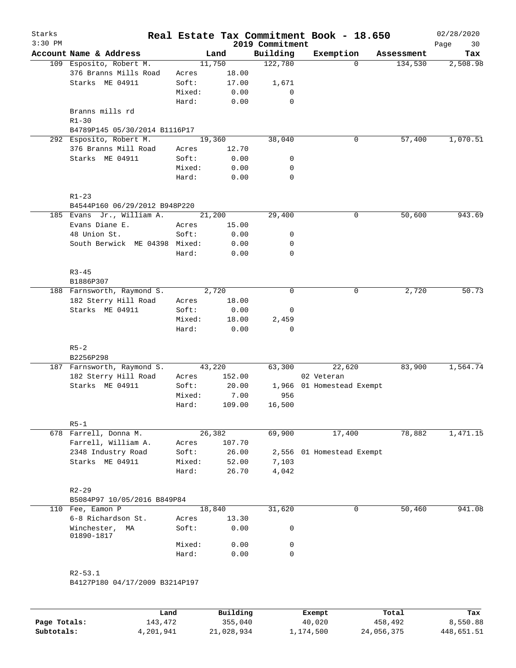| Starks    |                                                 |                |          |                             | Real Estate Tax Commitment Book - 18.650 |            | 02/28/2020         |
|-----------|-------------------------------------------------|----------------|----------|-----------------------------|------------------------------------------|------------|--------------------|
| $3:30$ PM | Account Name & Address                          |                | Land     | 2019 Commitment<br>Building | Exemption                                | Assessment | Page<br>30<br>Tax  |
|           | 109 Esposito, Robert M.                         |                | 11,750   | 122,780                     | $\Omega$                                 | 134,530    |                    |
|           | 376 Branns Mills Road                           | Acres          | 18.00    |                             |                                          |            | 2,508.98           |
|           | Starks ME 04911                                 | Soft:          | 17.00    | 1,671                       |                                          |            |                    |
|           |                                                 |                |          |                             |                                          |            |                    |
|           |                                                 | Mixed:         | 0.00     | 0                           |                                          |            |                    |
|           |                                                 | Hard:          | 0.00     | $\mathbf 0$                 |                                          |            |                    |
|           | Branns mills rd                                 |                |          |                             |                                          |            |                    |
|           | $R1 - 30$                                       |                |          |                             |                                          |            |                    |
|           | B4789P145 05/30/2014 B1116P17                   |                |          |                             |                                          |            |                    |
|           | 292 Esposito, Robert M.<br>376 Branns Mill Road |                | 19,360   | 38,040                      | 0                                        |            | 57,400<br>1,070.51 |
|           | Starks ME 04911                                 | Acres<br>Soft: | 12.70    |                             |                                          |            |                    |
|           |                                                 |                | 0.00     | 0                           |                                          |            |                    |
|           |                                                 | Mixed:         | 0.00     | 0                           |                                          |            |                    |
|           |                                                 | Hard:          | 0.00     | 0                           |                                          |            |                    |
|           |                                                 |                |          |                             |                                          |            |                    |
|           | $R1 - 23$                                       |                |          |                             |                                          |            |                    |
|           | B4544P160 06/29/2012 B948P220                   |                |          |                             |                                          |            |                    |
|           | 185 Evans Jr., William A.                       |                | 21,200   | 29,400                      | 0                                        |            | 50,600<br>943.69   |
|           | Evans Diane E.                                  | Acres          | 15.00    |                             |                                          |            |                    |
|           | 48 Union St.                                    | Soft:          | 0.00     | 0                           |                                          |            |                    |
|           | South Berwick ME 04398 Mixed:                   |                | 0.00     | 0                           |                                          |            |                    |
|           |                                                 | Hard:          | 0.00     | 0                           |                                          |            |                    |
|           |                                                 |                |          |                             |                                          |            |                    |
|           | $R3 - 45$                                       |                |          |                             |                                          |            |                    |
|           | B1886P307                                       |                |          |                             |                                          |            |                    |
|           | 188 Farnsworth, Raymond S.                      |                | 2,720    | $\mathbf 0$                 | 0                                        |            | 2,720<br>50.73     |
|           | 182 Sterry Hill Road                            | Acres          | 18.00    |                             |                                          |            |                    |
|           | Starks ME 04911                                 | Soft:          | 0.00     | 0                           |                                          |            |                    |
|           |                                                 | Mixed:         | 18.00    | 2,459                       |                                          |            |                    |
|           |                                                 | Hard:          | 0.00     | $\mathbf 0$                 |                                          |            |                    |
|           |                                                 |                |          |                             |                                          |            |                    |
|           | $R5 - 2$                                        |                |          |                             |                                          |            |                    |
|           | B2256P298                                       |                |          |                             |                                          |            |                    |
|           | 187 Farnsworth, Raymond S.                      |                | 43,220   | 63,300                      | 22,620                                   |            | 1,564.74<br>83,900 |
|           | 182 Sterry Hill Road                            | Acres          | 152.00   |                             | 02 Veteran                               |            |                    |
|           | Starks ME 04911                                 | Soft:          | 20.00    |                             | 1,966 01 Homestead Exempt                |            |                    |
|           |                                                 | Mixed:         | 7.00     | 956                         |                                          |            |                    |
|           |                                                 | Hard:          | 109.00   | 16,500                      |                                          |            |                    |
|           |                                                 |                |          |                             |                                          |            |                    |
|           | $R5-1$                                          |                |          |                             |                                          |            |                    |
|           | 678 Farrell, Donna M.                           |                | 26,382   | 69,900                      | 17,400                                   |            | 78,882<br>1,471.15 |
|           | Farrell, William A.                             | Acres          | 107.70   |                             |                                          |            |                    |
|           | 2348 Industry Road                              | Soft:          | 26.00    |                             | 2,556 01 Homestead Exempt                |            |                    |
|           | Starks ME 04911                                 | Mixed:         | 52.00    | 7,103                       |                                          |            |                    |
|           |                                                 | Hard:          | 26.70    | 4,042                       |                                          |            |                    |
|           |                                                 |                |          |                             |                                          |            |                    |
|           | $R2 - 29$                                       |                |          |                             |                                          |            |                    |
|           | B5084P97 10/05/2016 B849P84                     |                |          |                             |                                          |            |                    |
|           | 110 Fee, Eamon P                                |                | 18,840   | 31,620                      | $\mathbf 0$                              |            | 50,460<br>941.08   |
|           | 6-8 Richardson St.                              | Acres          | 13.30    |                             |                                          |            |                    |
|           | Winchester,<br>МA<br>01890-1817                 | Soft:          | 0.00     | 0                           |                                          |            |                    |
|           |                                                 | Mixed:         | 0.00     | 0                           |                                          |            |                    |
|           |                                                 | Hard:          | 0.00     | 0                           |                                          |            |                    |
|           |                                                 |                |          |                             |                                          |            |                    |
|           |                                                 |                |          |                             |                                          |            |                    |
|           | $R2 - 53.1$<br>B4127P180 04/17/2009 B3214P197   |                |          |                             |                                          |            |                    |
|           |                                                 |                |          |                             |                                          |            |                    |
|           |                                                 |                |          |                             |                                          |            |                    |
|           |                                                 |                |          |                             |                                          |            |                    |
|           | Land                                            |                | Building |                             | Exempt                                   | Total      | Tax                |

|              | .         | <u>DULLULUM</u> | <b>BY CITING</b> | ----       | $-0.0$     |
|--------------|-----------|-----------------|------------------|------------|------------|
| Page Totals: | 143,472   | 355,040         | 40,020           | 458,492    | 8,550.88   |
| Subtotals:   | 4,201,941 | 21,028,934      | 1,174,500        | 24,056,375 | 448,651.51 |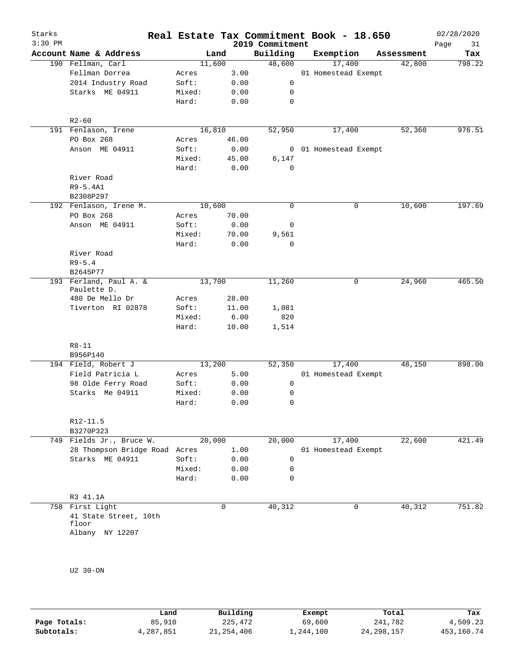| Starks<br>$3:30$ PM |                                      |                |             |                | 2019 Commitment | Real Estate Tax Commitment Book - 18.650 |            | 02/28/2020<br>Page<br>31 |
|---------------------|--------------------------------------|----------------|-------------|----------------|-----------------|------------------------------------------|------------|--------------------------|
|                     | Account Name & Address               |                | Land        |                | Building        | Exemption                                | Assessment | Tax                      |
|                     | 190 Fellman, Carl                    |                | 11,600      |                | 48,600          | 17,400                                   | 42,800     | 798.22                   |
|                     | Fellman Dorrea                       | Acres          |             | 3.00           |                 | 01 Homestead Exempt                      |            |                          |
|                     | 2014 Industry Road                   | Soft:          |             | 0.00           | 0               |                                          |            |                          |
|                     | Starks ME 04911                      | Mixed:         |             | 0.00           | 0               |                                          |            |                          |
|                     |                                      | Hard:          |             | 0.00           | 0               |                                          |            |                          |
|                     | $R2 - 60$                            |                |             |                |                 |                                          |            |                          |
|                     | 191 Fenlason, Irene                  |                | 16,810      |                | 52,950          | 17,400                                   | 52,360     | 976.51                   |
|                     | PO Box 268                           | Acres          |             | 46.00          |                 |                                          |            |                          |
|                     | Anson ME 04911                       | Soft:          |             | 0.00           |                 | 0 01 Homestead Exempt                    |            |                          |
|                     |                                      | Mixed:         |             | 45.00          | 6,147           |                                          |            |                          |
|                     |                                      | Hard:          |             | 0.00           | 0               |                                          |            |                          |
|                     | River Road                           |                |             |                |                 |                                          |            |                          |
|                     | R9-5.4A1                             |                |             |                |                 |                                          |            |                          |
|                     | B2308P297                            |                |             |                |                 |                                          |            |                          |
|                     | 192 Fenlason, Irene M.               |                | 10,600      |                | 0               | 0                                        | 10,600     | 197.69                   |
|                     | PO Box 268                           | Acres          |             | 70.00          |                 |                                          |            |                          |
|                     | Anson ME 04911                       | Soft:          |             | 0.00           | 0               |                                          |            |                          |
|                     |                                      | Mixed:         |             | 70.00          | 9,561           |                                          |            |                          |
|                     |                                      | Hard:          |             | 0.00           | 0               |                                          |            |                          |
|                     | River Road                           |                |             |                |                 |                                          |            |                          |
|                     | $R9 - 5.4$                           |                |             |                |                 |                                          |            |                          |
|                     | B2645P77                             |                |             |                |                 |                                          |            |                          |
|                     | 193 Ferland, Paul A. &               |                | 13,700      |                | 11,260          | 0                                        | 24,960     | 465.50                   |
|                     | Paulette D.                          |                |             |                |                 |                                          |            |                          |
|                     | 480 De Mello Dr<br>Tiverton RI 02878 | Acres<br>Soft: |             | 28.00<br>11.00 | 1,081           |                                          |            |                          |
|                     |                                      | Mixed:         |             | 6.00           | 820             |                                          |            |                          |
|                     |                                      | Hard:          |             | 10.00          | 1,514           |                                          |            |                          |
|                     |                                      |                |             |                |                 |                                          |            |                          |
|                     | $R8 - 11$                            |                |             |                |                 |                                          |            |                          |
|                     | B956P140                             |                |             |                |                 |                                          |            |                          |
|                     | 194 Field, Robert J                  |                | 13,200      |                | 52,350          | 17,400                                   | 48,150     | 898.00                   |
|                     | Field Patricia L                     | Acres          |             | 5.00           |                 | 01 Homestead Exempt                      |            |                          |
|                     | 98 Olde Ferry Road                   | Soft:          |             | 0.00           | 0               |                                          |            |                          |
|                     | Starks Me 04911                      | Mixed:         |             | 0.00           | 0               |                                          |            |                          |
|                     |                                      | Hard:          |             | 0.00           | 0               |                                          |            |                          |
|                     | R12-11.5                             |                |             |                |                 |                                          |            |                          |
|                     | B3270P323                            |                |             |                |                 |                                          |            |                          |
|                     | 749 Fields Jr., Bruce W.             |                | 20,000      |                | 20,000          | 17,400                                   | 22,600     | 421.49                   |
|                     | 28 Thompson Bridge Road Acres        |                |             | 1.00           |                 | 01 Homestead Exempt                      |            |                          |
|                     | Starks ME 04911                      | Soft:          |             | 0.00           | 0               |                                          |            |                          |
|                     |                                      | Mixed:         |             | 0.00           | 0               |                                          |            |                          |
|                     |                                      | Hard:          |             | 0.00           | 0               |                                          |            |                          |
|                     |                                      |                |             |                |                 |                                          |            |                          |
|                     | R3 41.1A                             |                |             |                |                 |                                          |            |                          |
|                     | 758 First Light                      |                | $\mathbf 0$ |                | 40,312          | 0                                        | 40,312     | 751.82                   |
|                     | 41 State Street, 10th                |                |             |                |                 |                                          |            |                          |
|                     | floor<br>Albany NY 12207             |                |             |                |                 |                                          |            |                          |
|                     |                                      |                |             |                |                 |                                          |            |                          |
|                     |                                      |                |             |                |                 |                                          |            |                          |
|                     |                                      |                |             |                |                 |                                          |            |                          |
|                     | U2 30-ON                             |                |             |                |                 |                                          |            |                          |
|                     |                                      |                |             |                |                 |                                          |            |                          |
|                     |                                      |                |             |                |                 |                                          |            |                          |

|              | Land      | Building   | Exempt    | Total        | Tax        |
|--------------|-----------|------------|-----------|--------------|------------|
| Page Totals: | 85,910    | 225,472    | 69,600    | 241,782      | 4,509.23   |
| Subtotals:   | 4,287,851 | 21,254,406 | 1,244,100 | 24, 298, 157 | 453,160.74 |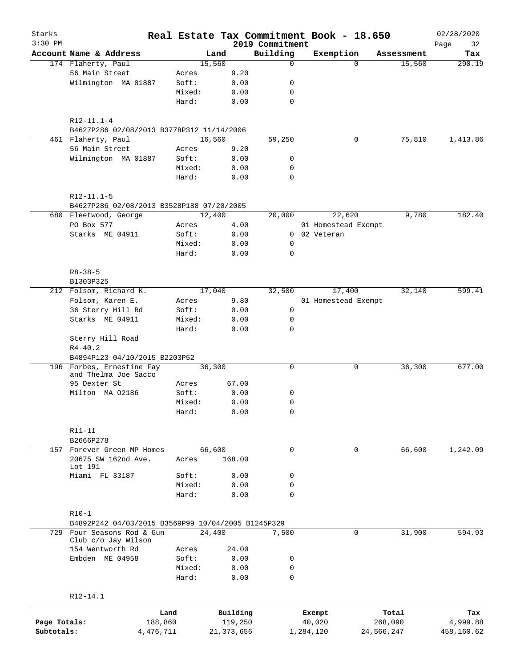| Starks<br>$3:30$ PM |                                                    |                 |              | 2019 Commitment | Real Estate Tax Commitment Book - 18.650 |            |            | 02/28/2020<br>Page<br>32 |
|---------------------|----------------------------------------------------|-----------------|--------------|-----------------|------------------------------------------|------------|------------|--------------------------|
|                     | Account Name & Address                             | Land            |              | Building        | Exemption                                |            | Assessment | Tax                      |
|                     | 174 Flaherty, Paul                                 | 15,560          |              | 0               |                                          | $\Omega$   | 15,560     | 290.19                   |
|                     | 56 Main Street                                     | Acres           | 9.20         |                 |                                          |            |            |                          |
|                     | Wilmington MA 01887                                | Soft:           | 0.00         | 0               |                                          |            |            |                          |
|                     |                                                    | Mixed:          | 0.00         | 0               |                                          |            |            |                          |
|                     |                                                    | Hard:           | 0.00         | 0               |                                          |            |            |                          |
|                     |                                                    |                 |              |                 |                                          |            |            |                          |
|                     | $R12-11.1-4$                                       |                 |              |                 |                                          |            |            |                          |
|                     | B4627P286 02/08/2013 B3778P312 11/14/2006          |                 |              |                 |                                          |            |            |                          |
|                     | 461 Flaherty, Paul                                 | 16,560          |              | 59,250          |                                          | 0          | 75,810     | 1,413.86                 |
|                     | 56 Main Street                                     | Acres           | 9.20         |                 |                                          |            |            |                          |
|                     | Wilmington MA 01887                                | Soft:           | 0.00         | 0               |                                          |            |            |                          |
|                     |                                                    | Mixed:          | 0.00         | 0               |                                          |            |            |                          |
|                     |                                                    | Hard:           | 0.00         | $\mathbf 0$     |                                          |            |            |                          |
|                     | $R12 - 11.1 - 5$                                   |                 |              |                 |                                          |            |            |                          |
|                     | B4627P286 02/08/2013 B3528P188 07/20/2005          |                 |              |                 |                                          |            |            |                          |
|                     | 680 Fleetwood, George                              | 12,400          |              | 20,000          | 22,620                                   |            | 9,780      | 182.40                   |
|                     | PO Box 577                                         | Acres           | 4.00         |                 | 01 Homestead Exempt                      |            |            |                          |
|                     | Starks ME 04911                                    | Soft:           | 0.00         |                 | 0 02 Veteran                             |            |            |                          |
|                     |                                                    | Mixed:          | 0.00         | 0               |                                          |            |            |                          |
|                     |                                                    | Hard:           | 0.00         | $\mathbf 0$     |                                          |            |            |                          |
|                     |                                                    |                 |              |                 |                                          |            |            |                          |
|                     | $R8 - 38 - 5$                                      |                 |              |                 |                                          |            |            |                          |
|                     | B1303P325                                          |                 |              |                 |                                          |            |            |                          |
|                     | 212 Folsom, Richard K.                             | 17,040          |              | 32,500          | 17,400                                   |            | 32,140     | 599.41                   |
|                     | Folsom, Karen E.                                   | Acres           | 9.80         |                 | 01 Homestead Exempt                      |            |            |                          |
|                     | 36 Sterry Hill Rd                                  | Soft:           | 0.00         | 0               |                                          |            |            |                          |
|                     | Starks ME 04911                                    | Mixed:          | 0.00         | 0               |                                          |            |            |                          |
|                     |                                                    | Hard:           | 0.00         | $\mathbf 0$     |                                          |            |            |                          |
|                     | Sterry Hill Road                                   |                 |              |                 |                                          |            |            |                          |
|                     | $R4 - 40.2$                                        |                 |              |                 |                                          |            |            |                          |
|                     | B4894P123 04/10/2015 B2203P52                      |                 |              |                 |                                          |            |            |                          |
|                     | 196 Forbes, Ernestine Fay                          | 36,300          |              | $\mathbf 0$     |                                          | 0          | 36,300     | 677.00                   |
|                     | and Thelma Joe Sacco                               |                 |              |                 |                                          |            |            |                          |
|                     | 95 Dexter St                                       | Acres           | 67.00        |                 |                                          |            |            |                          |
|                     | Milton MA 02186                                    | Soft:           | 0.00         | 0               |                                          |            |            |                          |
|                     |                                                    | Mixed:          | 0.00         | 0               |                                          |            |            |                          |
|                     |                                                    | Hard:           | 0.00         | 0               |                                          |            |            |                          |
|                     |                                                    |                 |              |                 |                                          |            |            |                          |
|                     | R11-11                                             |                 |              |                 |                                          |            |            |                          |
|                     | B2666P278                                          |                 |              |                 |                                          |            |            |                          |
|                     | 157 Forever Green MP Homes                         | 66,600          |              | $\mathbf 0$     |                                          | 0          | 66,600     | 1,242.09                 |
|                     | 20675 SW 162nd Ave.<br>Lot 191                     | Acres           | 168.00       |                 |                                          |            |            |                          |
|                     | Miami FL 33187                                     | Soft:           | 0.00         | 0               |                                          |            |            |                          |
|                     |                                                    | Mixed:          | 0.00         | 0               |                                          |            |            |                          |
|                     |                                                    | Hard:           | 0.00         | 0               |                                          |            |            |                          |
|                     |                                                    |                 |              |                 |                                          |            |            |                          |
|                     | $R10-1$                                            |                 |              |                 |                                          |            |            |                          |
|                     | B4892P242 04/03/2015 B3569P99 10/04/2005 B1245P329 |                 |              |                 |                                          |            |            |                          |
|                     | 729 Four Seasons Rod & Gun<br>Club c/o Jay Wilson  | 24,400          |              | 7,500           |                                          | 0          | 31,900     | 594.93                   |
|                     | 154 Wentworth Rd                                   | Acres           | 24.00        |                 |                                          |            |            |                          |
|                     | Embden ME 04958                                    |                 |              |                 |                                          |            |            |                          |
|                     |                                                    | Soft:           | 0.00         | 0               |                                          |            |            |                          |
|                     |                                                    | Mixed:<br>Hard: | 0.00<br>0.00 | 0<br>0          |                                          |            |            |                          |
|                     |                                                    |                 |              |                 |                                          |            |            |                          |
|                     | R12-14.1                                           |                 |              |                 |                                          |            |            |                          |
|                     | Land                                               |                 | Building     |                 | Exempt                                   |            | Total      | Tax                      |
| Page Totals:        | 188,860                                            |                 | 119,250      |                 | 40,020                                   |            | 268,090    | 4,999.88                 |
| Subtotals:          | 4,476,711                                          |                 | 21, 373, 656 |                 | 1,284,120                                | 24,566,247 |            | 458,160.62               |
|                     |                                                    |                 |              |                 |                                          |            |            |                          |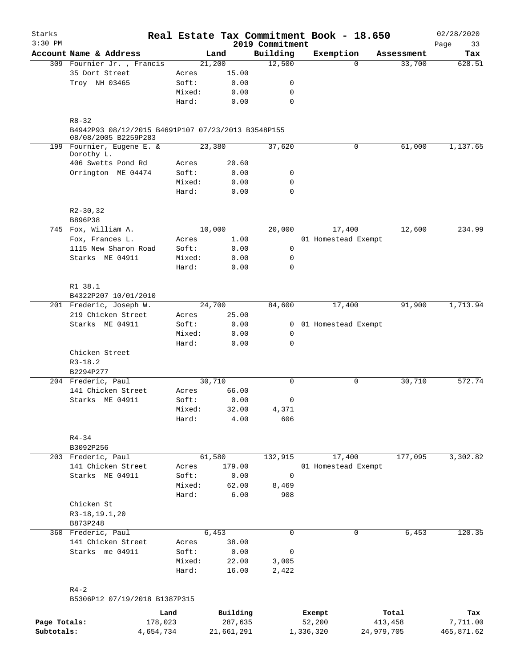| Starks<br>$3:30$ PM |                                                                            |        |          | 2019 Commitment | Real Estate Tax Commitment Book - 18.650 |            | 02/28/2020<br>33<br>Page |
|---------------------|----------------------------------------------------------------------------|--------|----------|-----------------|------------------------------------------|------------|--------------------------|
|                     | Account Name & Address                                                     |        | Land     | Building        | Exemption                                | Assessment | Tax                      |
|                     | 309 Fournier Jr., Francis                                                  |        | 21,200   | 12,500          | $\Omega$                                 | 33,700     | 628.51                   |
|                     | 35 Dort Street                                                             | Acres  | 15.00    |                 |                                          |            |                          |
|                     | Troy NH 03465                                                              | Soft:  | 0.00     | 0               |                                          |            |                          |
|                     |                                                                            | Mixed: | 0.00     | 0               |                                          |            |                          |
|                     |                                                                            | Hard:  | 0.00     | $\mathbf 0$     |                                          |            |                          |
|                     | $R8 - 32$                                                                  |        |          |                 |                                          |            |                          |
|                     | B4942P93 08/12/2015 B4691P107 07/23/2013 B3548P155<br>08/08/2005 B2259P283 |        |          |                 |                                          |            |                          |
|                     | 199 Fournier, Eugene E. &<br>Dorothy L.                                    |        | 23,380   | 37,620          | $\mathbf 0$                              | 61,000     | 1,137.65                 |
|                     | 406 Swetts Pond Rd                                                         | Acres  | 20.60    |                 |                                          |            |                          |
|                     | Orrington ME 04474                                                         | Soft:  | 0.00     | 0               |                                          |            |                          |
|                     |                                                                            | Mixed: | 0.00     | 0               |                                          |            |                          |
|                     |                                                                            | Hard:  | 0.00     | $\mathbf 0$     |                                          |            |                          |
|                     | $R2 - 30, 32$<br>B896P38                                                   |        |          |                 |                                          |            |                          |
|                     | 745 Fox, William A.                                                        |        | 10,000   | 20,000          | 17,400                                   | 12,600     | 234.99                   |
|                     | Fox, Frances L.                                                            | Acres  | 1.00     |                 | 01 Homestead Exempt                      |            |                          |
|                     | 1115 New Sharon Road                                                       | Soft:  | 0.00     | 0               |                                          |            |                          |
|                     | Starks ME 04911                                                            | Mixed: | 0.00     | 0               |                                          |            |                          |
|                     |                                                                            | Hard:  | 0.00     | 0               |                                          |            |                          |
|                     |                                                                            |        |          |                 |                                          |            |                          |
|                     | R1 38.1                                                                    |        |          |                 |                                          |            |                          |
|                     | B4322P207 10/01/2010                                                       |        |          |                 |                                          |            |                          |
|                     | 201 Frederic, Joseph W.                                                    |        | 24,700   | 84,600          | 17,400                                   | 91,900     | 1,713.94                 |
|                     | 219 Chicken Street                                                         | Acres  | 25.00    |                 |                                          |            |                          |
|                     | Starks ME 04911                                                            | Soft:  | 0.00     | $\mathbf{0}$    | 01 Homestead Exempt                      |            |                          |
|                     |                                                                            | Mixed: | 0.00     | 0               |                                          |            |                          |
|                     |                                                                            | Hard:  | 0.00     | $\mathbf 0$     |                                          |            |                          |
|                     | Chicken Street                                                             |        |          |                 |                                          |            |                          |
|                     | $R3 - 18.2$                                                                |        |          |                 |                                          |            |                          |
|                     | B2294P277                                                                  |        |          |                 |                                          |            |                          |
|                     | 204 Frederic, Paul                                                         |        | 30,710   | 0               | 0                                        | 30,710     | 572.74                   |
|                     | 141 Chicken Street                                                         | Acres  | 66.00    |                 |                                          |            |                          |
|                     | Starks ME 04911                                                            | Soft:  | 0.00     | 0               |                                          |            |                          |
|                     |                                                                            | Mixed: | 32.00    | 4,371           |                                          |            |                          |
|                     |                                                                            | Hard:  | 4.00     | 606             |                                          |            |                          |
|                     | $R4 - 34$                                                                  |        |          |                 |                                          |            |                          |
|                     | B3092P256                                                                  |        |          |                 |                                          |            |                          |
|                     | 203 Frederic, Paul                                                         |        | 61,580   | 132,915         | 17,400                                   | 177,095    | 3,302.82                 |
|                     | 141 Chicken Street                                                         | Acres  | 179.00   |                 | 01 Homestead Exempt                      |            |                          |
|                     | Starks ME 04911                                                            | Soft:  | 0.00     | 0               |                                          |            |                          |
|                     |                                                                            | Mixed: | 62.00    | 8,469           |                                          |            |                          |
|                     |                                                                            | Hard:  | 6.00     | 908             |                                          |            |                          |
|                     | Chicken St                                                                 |        |          |                 |                                          |            |                          |
|                     | R3-18, 19.1, 20                                                            |        |          |                 |                                          |            |                          |
|                     | B873P248                                                                   |        |          |                 |                                          |            |                          |
|                     | 360 Frederic, Paul                                                         |        | 6,453    | 0               | 0                                        | 6,453      | 120.35                   |
|                     | 141 Chicken Street                                                         | Acres  | 38.00    |                 |                                          |            |                          |
|                     | Starks me 04911                                                            | Soft:  | 0.00     | 0               |                                          |            |                          |
|                     |                                                                            | Mixed: | 22.00    | 3,005           |                                          |            |                          |
|                     |                                                                            | Hard:  | 16.00    | 2,422           |                                          |            |                          |
|                     | $R4-2$                                                                     |        |          |                 |                                          |            |                          |
|                     | B5306P12 07/19/2018 B1387P315                                              |        |          |                 |                                          |            |                          |
|                     |                                                                            | Land   | Building |                 | Exempt                                   | Total      | Tax                      |
| Page Totals:        | 178,023                                                                    |        | 287,635  |                 | 52,200                                   | 413,458    | 7,711.00                 |

**Subtotals:** 4,654,734 21,661,291 1,336,320 24,979,705 465,871.62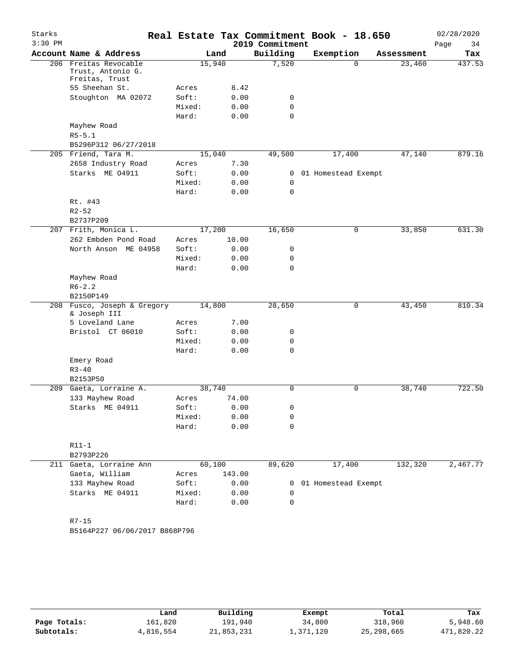| Starks<br>$3:30$ PM |                                                              |        |        | 2019 Commitment | Real Estate Tax Commitment Book - 18.650 |            | 02/28/2020<br>Page<br>34 |
|---------------------|--------------------------------------------------------------|--------|--------|-----------------|------------------------------------------|------------|--------------------------|
|                     | Account Name & Address                                       |        | Land   | Building        | Exemption                                | Assessment | Tax                      |
|                     | 206 Freitas Revocable<br>Trust, Antonio G.<br>Freitas, Trust |        | 15,940 | 7,520           | $\Omega$                                 | 23,460     | 437.53                   |
|                     | 55 Sheehan St.                                               | Acres  | 8.42   |                 |                                          |            |                          |
|                     | Stoughton MA 02072                                           | Soft:  | 0.00   | 0               |                                          |            |                          |
|                     |                                                              | Mixed: | 0.00   | 0               |                                          |            |                          |
|                     |                                                              | Hard:  | 0.00   | $\Omega$        |                                          |            |                          |
|                     | Mayhew Road                                                  |        |        |                 |                                          |            |                          |
|                     | $R5 - 5.1$                                                   |        |        |                 |                                          |            |                          |
|                     | B5296P312 06/27/2018                                         |        |        |                 |                                          |            |                          |
|                     | 205 Friend, Tara M.                                          |        | 15,040 | 49,500          | 17,400                                   | 47,140     | 879.16                   |
|                     | 2658 Industry Road                                           | Acres  | 7.30   |                 |                                          |            |                          |
|                     | Starks ME 04911                                              | Soft:  | 0.00   | 0               | 01 Homestead Exempt                      |            |                          |
|                     |                                                              | Mixed: | 0.00   | 0               |                                          |            |                          |
|                     |                                                              | Hard:  | 0.00   | $\mathbf 0$     |                                          |            |                          |
|                     | Rt. #43                                                      |        |        |                 |                                          |            |                          |
|                     | $R2 - 52$                                                    |        |        |                 |                                          |            |                          |
|                     | B2737P209                                                    |        |        |                 |                                          |            |                          |
|                     | 207 Frith, Monica L.                                         |        | 17,200 | 16,650          | 0                                        | 33,850     | 631.30                   |
|                     | 262 Embden Pond Road                                         | Acres  | 10.00  |                 |                                          |            |                          |
|                     | North Anson ME 04958                                         | Soft:  | 0.00   | 0               |                                          |            |                          |
|                     |                                                              | Mixed: | 0.00   | 0               |                                          |            |                          |
|                     |                                                              | Hard:  | 0.00   | $\Omega$        |                                          |            |                          |
|                     | Mayhew Road                                                  |        |        |                 |                                          |            |                          |
|                     | $R6 - 2.2$                                                   |        |        |                 |                                          |            |                          |
|                     | B2150P149                                                    |        |        |                 |                                          |            |                          |
|                     | 208 Fusco, Joseph & Gregory<br>& Joseph III                  |        | 14,800 | 28,650          | 0                                        | 43,450     | 810.34                   |
|                     | 5 Loveland Lane                                              | Acres  | 7.00   |                 |                                          |            |                          |
|                     | Bristol CT 06010                                             | Soft:  | 0.00   | 0               |                                          |            |                          |
|                     |                                                              | Mixed: | 0.00   | 0               |                                          |            |                          |
|                     |                                                              | Hard:  | 0.00   | 0               |                                          |            |                          |
|                     | Emery Road                                                   |        |        |                 |                                          |            |                          |
|                     | $R3 - 40$                                                    |        |        |                 |                                          |            |                          |
|                     | B2153P50                                                     |        |        |                 |                                          |            |                          |
|                     | 209 Gaeta, Lorraine A.                                       |        | 38,740 | $\mathbf 0$     | 0                                        | 38,740     | 722.50                   |
|                     | 133 Mayhew Road                                              | Acres  | 74.00  |                 |                                          |            |                          |
|                     | Starks ME 04911                                              | Soft:  | 0.00   | 0               |                                          |            |                          |
|                     |                                                              | Mixed: | 0.00   | 0               |                                          |            |                          |
|                     |                                                              | Hard:  | 0.00   | $\mathbf 0$     |                                          |            |                          |
|                     |                                                              |        |        |                 |                                          |            |                          |
|                     | $R11-1$                                                      |        |        |                 |                                          |            |                          |
|                     | B2793P226                                                    |        |        |                 |                                          |            |                          |
|                     | 211 Gaeta, Lorraine Ann                                      |        | 60,100 | 89,620          | 17,400                                   | 132,320    | 2,467.77                 |
|                     | Gaeta, William                                               | Acres  | 143.00 |                 |                                          |            |                          |
|                     | 133 Mayhew Road                                              | Soft:  | 0.00   | 0               | 01 Homestead Exempt                      |            |                          |
|                     | Starks ME 04911                                              | Mixed: | 0.00   | 0               |                                          |            |                          |
|                     |                                                              | Hard:  | 0.00   | 0               |                                          |            |                          |
|                     | $R7 - 15$                                                    |        |        |                 |                                          |            |                          |
|                     |                                                              |        |        |                 |                                          |            |                          |

|              | Land      | Building   | Exempt    | Total        | Tax        |
|--------------|-----------|------------|-----------|--------------|------------|
| Page Totals: | 161,820   | 191,940    | 34,800    | 318,960      | 5,948.60   |
| Subtotals:   | 4,816,554 | 21,853,231 | 1,371,120 | 25, 298, 665 | 471,820.22 |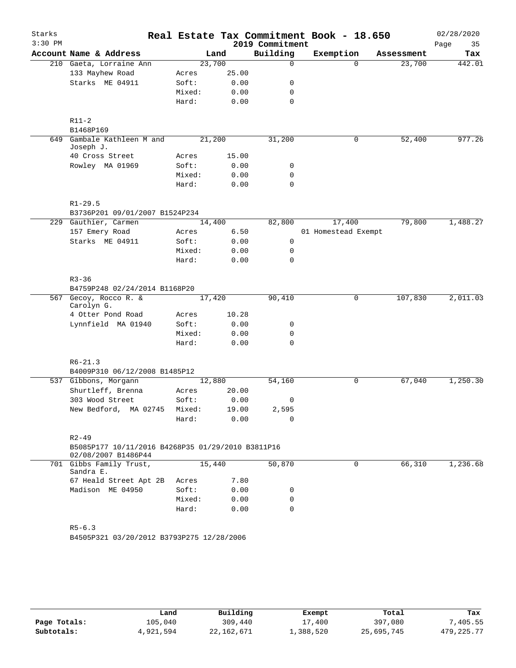| Starks    |                                                                          |        |       |                 | Real Estate Tax Commitment Book - 18.650 |            | 02/28/2020 |
|-----------|--------------------------------------------------------------------------|--------|-------|-----------------|------------------------------------------|------------|------------|
| $3:30$ PM |                                                                          |        |       | 2019 Commitment |                                          |            | Page<br>35 |
|           | Account Name & Address                                                   |        | Land  | Building        | Exemption                                | Assessment | Tax        |
|           | 210 Gaeta, Lorraine Ann                                                  | 23,700 |       | $\Omega$        | $\Omega$                                 | 23,700     | 442.01     |
|           | 133 Mayhew Road                                                          | Acres  | 25.00 |                 |                                          |            |            |
|           | Starks ME 04911                                                          | Soft:  | 0.00  | 0               |                                          |            |            |
|           |                                                                          | Mixed: | 0.00  | 0               |                                          |            |            |
|           |                                                                          | Hard:  | 0.00  | $\mathbf 0$     |                                          |            |            |
|           |                                                                          |        |       |                 |                                          |            |            |
|           | $R11-2$<br>B1468P169                                                     |        |       |                 |                                          |            |            |
| 649       | Gambale Kathleen M and                                                   | 21,200 |       | 31,200          | 0                                        | 52,400     | 977.26     |
|           | Joseph J.                                                                |        |       |                 |                                          |            |            |
|           | 40 Cross Street                                                          | Acres  | 15.00 |                 |                                          |            |            |
|           | Rowley MA 01969                                                          | Soft:  | 0.00  | 0               |                                          |            |            |
|           |                                                                          | Mixed: | 0.00  | $\mathbf 0$     |                                          |            |            |
|           |                                                                          | Hard:  | 0.00  | $\mathbf 0$     |                                          |            |            |
|           |                                                                          |        |       |                 |                                          |            |            |
|           | $R1 - 29.5$                                                              |        |       |                 |                                          |            |            |
|           | B3736P201 09/01/2007 B1524P234                                           |        |       |                 |                                          |            |            |
|           | 229 Gauthier, Carmen                                                     | 14,400 |       | 82,800          | 17,400                                   | 79,800     | 1,488.27   |
|           | 157 Emery Road                                                           | Acres  | 6.50  |                 | 01 Homestead Exempt                      |            |            |
|           | Starks ME 04911                                                          | Soft:  | 0.00  | 0               |                                          |            |            |
|           |                                                                          | Mixed: | 0.00  | $\mathbf 0$     |                                          |            |            |
|           |                                                                          | Hard:  | 0.00  | $\mathbf 0$     |                                          |            |            |
|           |                                                                          |        |       |                 |                                          |            |            |
|           | $R3 - 36$<br>B4759P248 02/24/2014 B1168P20                               |        |       |                 |                                          |            |            |
|           | 567 Gecoy, Rocco R. &                                                    | 17,420 |       | 90,410          | 0                                        | 107,830    | 2,011.03   |
|           | Carolyn G.                                                               |        |       |                 |                                          |            |            |
|           | 4 Otter Pond Road                                                        | Acres  | 10.28 |                 |                                          |            |            |
|           | Lynnfield MA 01940                                                       | Soft:  | 0.00  | 0               |                                          |            |            |
|           |                                                                          | Mixed: | 0.00  | 0               |                                          |            |            |
|           |                                                                          | Hard:  | 0.00  | $\mathbf 0$     |                                          |            |            |
|           |                                                                          |        |       |                 |                                          |            |            |
|           | $R6 - 21.3$                                                              |        |       |                 |                                          |            |            |
|           | B4009P310 06/12/2008 B1485P12                                            |        |       |                 |                                          |            |            |
|           | 537 Gibbons, Morgann                                                     | 12,880 |       | 54,160          | 0                                        | 67,040     | 1,250.30   |
|           | Shurtleff, Brenna                                                        | Acres  | 20.00 |                 |                                          |            |            |
|           | 303 Wood Street                                                          | Soft:  | 0.00  | 0               |                                          |            |            |
|           | New Bedford, MA 02745                                                    | Mixed: | 19.00 | 2,595           |                                          |            |            |
|           |                                                                          | Hard:  | 0.00  | 0               |                                          |            |            |
|           |                                                                          |        |       |                 |                                          |            |            |
|           | $R2 - 49$                                                                |        |       |                 |                                          |            |            |
|           | B5085P177 10/11/2016 B4268P35 01/29/2010 B3811P16<br>02/08/2007 B1486P44 |        |       |                 |                                          |            |            |
|           | 701 Gibbs Family Trust,                                                  | 15,440 |       | 50,870          | $\Omega$                                 | 66,310     | 1,236.68   |
|           | Sandra E.                                                                |        |       |                 |                                          |            |            |
|           | 67 Heald Street Apt 2B                                                   | Acres  | 7.80  |                 |                                          |            |            |
|           | Madison ME 04950                                                         | Soft:  | 0.00  | 0               |                                          |            |            |
|           |                                                                          | Mixed: | 0.00  | 0               |                                          |            |            |
|           |                                                                          | Hard:  | 0.00  | $\Omega$        |                                          |            |            |
|           |                                                                          |        |       |                 |                                          |            |            |
|           | $R5-6.3$                                                                 |        |       |                 |                                          |            |            |
|           | B4505P321 03/20/2012 B3793P275 12/28/2006                                |        |       |                 |                                          |            |            |
|           |                                                                          |        |       |                 |                                          |            |            |
|           |                                                                          |        |       |                 |                                          |            |            |

|              | Land      | Building   | Exempt    | Total      | Tax          |
|--------------|-----------|------------|-----------|------------|--------------|
| Page Totals: | 105,040   | 309,440    | 17,400    | 397,080    | 7,405.55     |
| Subtotals:   | 4,921,594 | 22,162,671 | 1,388,520 | 25,695,745 | 479, 225, 77 |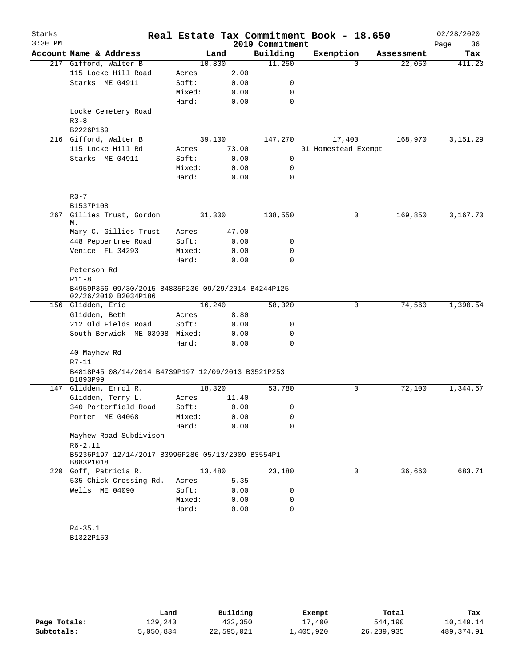| Starks    |                                                                             |        |        |                 | Real Estate Tax Commitment Book - 18.650 |            | 02/28/2020 |
|-----------|-----------------------------------------------------------------------------|--------|--------|-----------------|------------------------------------------|------------|------------|
| $3:30$ PM |                                                                             |        |        | 2019 Commitment |                                          |            | 36<br>Page |
|           | Account Name & Address                                                      |        | Land   | Building        | Exemption                                | Assessment | Tax        |
|           | 217 Gifford, Walter B.                                                      | 10,800 |        | 11,250          | $\Omega$                                 | 22,050     | 411.23     |
|           | 115 Locke Hill Road                                                         | Acres  | 2.00   |                 |                                          |            |            |
|           | Starks ME 04911                                                             | Soft:  | 0.00   | 0               |                                          |            |            |
|           |                                                                             | Mixed: | 0.00   | 0               |                                          |            |            |
|           |                                                                             | Hard:  | 0.00   | $\mathbf 0$     |                                          |            |            |
|           | Locke Cemetery Road                                                         |        |        |                 |                                          |            |            |
|           | $R3 - 8$                                                                    |        |        |                 |                                          |            |            |
|           | B2226P169                                                                   |        |        |                 |                                          |            |            |
|           | 216 Gifford, Walter B.                                                      | 39,100 |        | 147,270         | 17,400                                   | 168,970    | 3,151.29   |
|           | 115 Locke Hill Rd                                                           | Acres  | 73.00  |                 | 01 Homestead Exempt                      |            |            |
|           | Starks ME 04911                                                             | Soft:  | 0.00   | $\mathbf 0$     |                                          |            |            |
|           |                                                                             | Mixed: | 0.00   | 0               |                                          |            |            |
|           |                                                                             | Hard:  | 0.00   | 0               |                                          |            |            |
|           | $R3 - 7$                                                                    |        |        |                 |                                          |            |            |
|           | B1537P108                                                                   |        |        |                 |                                          |            |            |
| 267       | Gillies Trust, Gordon<br>М.                                                 | 31,300 |        | 138,550         | 0                                        | 169,850    | 3,167.70   |
|           | Mary C. Gillies Trust                                                       | Acres  | 47.00  |                 |                                          |            |            |
|           | 448 Peppertree Road                                                         | Soft:  | 0.00   | 0               |                                          |            |            |
|           | Venice FL 34293                                                             | Mixed: | 0.00   | 0               |                                          |            |            |
|           |                                                                             | Hard:  | 0.00   | $\Omega$        |                                          |            |            |
|           | Peterson Rd                                                                 |        |        |                 |                                          |            |            |
|           | $R11-8$                                                                     |        |        |                 |                                          |            |            |
|           | B4959P356 09/30/2015 B4835P236 09/29/2014 B4244P125<br>02/26/2010 B2034P186 |        |        |                 |                                          |            |            |
|           | 156 Glidden, Eric                                                           | 16,240 |        | 58,320          | $\mathbf 0$                              | 74,560     | 1,390.54   |
|           | Glidden, Beth                                                               | Acres  | 8.80   |                 |                                          |            |            |
|           | 212 Old Fields Road                                                         | Soft:  | 0.00   | 0               |                                          |            |            |
|           | South Berwick ME 03908 Mixed:                                               |        | 0.00   | 0               |                                          |            |            |
|           |                                                                             | Hard:  | 0.00   | 0               |                                          |            |            |
|           | 40 Mayhew Rd                                                                |        |        |                 |                                          |            |            |
|           | $R7 - 11$                                                                   |        |        |                 |                                          |            |            |
|           | B4818P45 08/14/2014 B4739P197 12/09/2013 B3521P253<br>B1893P99              |        |        |                 |                                          |            |            |
|           | 147 Glidden, Errol R.                                                       | 18,320 |        | 53,780          | 0                                        | 72,100     | 1,344.67   |
|           | Glidden, Terry L.                                                           | Acres  | 11.40  |                 |                                          |            |            |
|           | 340 Porterfield Road                                                        | Soft:  | 0.00   | $\overline{0}$  |                                          |            |            |
|           | Porter ME 04068                                                             | Mixed: | 0.00   | 0               |                                          |            |            |
|           |                                                                             | Hard:  | 0.00   | $\Omega$        |                                          |            |            |
|           | Mayhew Road Subdivison                                                      |        |        |                 |                                          |            |            |
|           | $R6 - 2.11$                                                                 |        |        |                 |                                          |            |            |
|           | B5236P197 12/14/2017 B3996P286 05/13/2009 B3554P1<br>B883P1018              |        |        |                 |                                          |            |            |
|           | 220 Goff, Patricia R.                                                       |        | 13,480 | 23,180          | 0                                        | 36,660     | 683.71     |
|           | 535 Chick Crossing Rd.                                                      | Acres  | 5.35   |                 |                                          |            |            |
|           | Wells ME 04090                                                              | Soft:  | 0.00   | 0               |                                          |            |            |
|           |                                                                             | Mixed: | 0.00   | 0               |                                          |            |            |
|           |                                                                             | Hard:  | 0.00   | 0               |                                          |            |            |
|           |                                                                             |        |        |                 |                                          |            |            |
|           | $R4 - 35.1$                                                                 |        |        |                 |                                          |            |            |
|           | B1322P150                                                                   |        |        |                 |                                          |            |            |
|           |                                                                             |        |        |                 |                                          |            |            |

|              | Land      | Building   | Exempt    | Total        | Tax         |  |
|--------------|-----------|------------|-----------|--------------|-------------|--|
| Page Totals: | 129,240   | 432,350    | 17,400    | 544,190      | 10,149.14   |  |
| Subtotals:   | 5,050,834 | 22,595,021 | ⊥,405,920 | 26, 239, 935 | 489, 374.91 |  |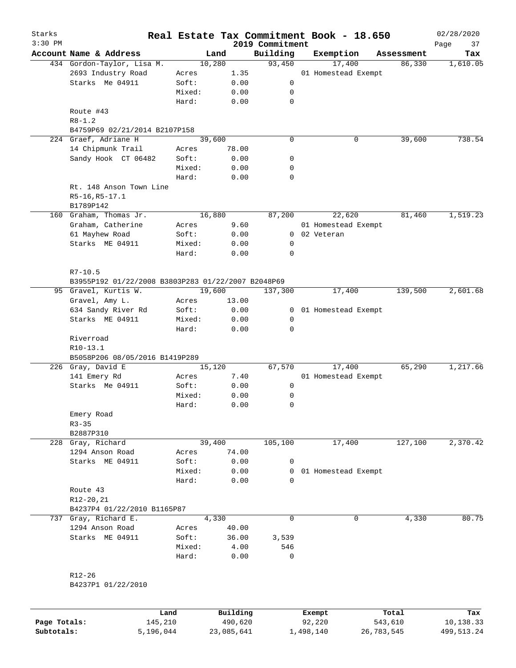| Starks<br>$3:30$ PM |                                                    |                 |              | 2019 Commitment |        | Real Estate Tax Commitment Book - 18.650 |            | 02/28/2020<br>Page<br>37 |
|---------------------|----------------------------------------------------|-----------------|--------------|-----------------|--------|------------------------------------------|------------|--------------------------|
|                     | Account Name & Address                             | Land            |              | Building        |        | Exemption                                | Assessment | Tax                      |
|                     | 434 Gordon-Taylor, Lisa M.                         | 10,280          |              | 93,450          |        | 17,400                                   | 86,330     | 1,610.05                 |
|                     | 2693 Industry Road                                 | Acres           | 1.35         |                 |        | 01 Homestead Exempt                      |            |                          |
|                     | Starks Me 04911                                    | Soft:           | 0.00         | 0               |        |                                          |            |                          |
|                     |                                                    | Mixed:          | 0.00         | 0               |        |                                          |            |                          |
|                     |                                                    | Hard:           | 0.00         | $\mathbf 0$     |        |                                          |            |                          |
|                     | Route #43<br>$R8 - 1.2$                            |                 |              |                 |        |                                          |            |                          |
|                     | B4759P69 02/21/2014 B2107P158                      |                 |              |                 |        |                                          |            |                          |
|                     | 224 Graef, Adriane H                               | 39,600          |              | $\mathbf 0$     |        | 0                                        | 39,600     | 738.54                   |
|                     | 14 Chipmunk Trail                                  | Acres           | 78.00        |                 |        |                                          |            |                          |
|                     | Sandy Hook CT 06482                                | Soft:           | 0.00         | 0               |        |                                          |            |                          |
|                     |                                                    | Mixed:          | 0.00         | 0               |        |                                          |            |                          |
|                     |                                                    | Hard:           | 0.00         | 0               |        |                                          |            |                          |
|                     | Rt. 148 Anson Town Line<br>R5-16, R5-17.1          |                 |              |                 |        |                                          |            |                          |
|                     | B1789P142                                          |                 |              |                 |        |                                          |            |                          |
|                     | 160 Graham, Thomas Jr.                             | 16,880          |              | 87,200          |        | 22,620                                   | 81,460     | 1,519.23                 |
|                     | Graham, Catherine                                  | Acres           | 9.60         |                 |        | 01 Homestead Exempt                      |            |                          |
|                     | 61 Mayhew Road                                     | Soft:           | 0.00         |                 |        | 0 02 Veteran                             |            |                          |
|                     | Starks ME 04911                                    | Mixed:          | 0.00         | 0               |        |                                          |            |                          |
|                     |                                                    | Hard:           | 0.00         | $\mathbf 0$     |        |                                          |            |                          |
|                     | $R7 - 10.5$                                        |                 |              |                 |        |                                          |            |                          |
|                     | B3955P192 01/22/2008 B3803P283 01/22/2007 B2048P69 |                 |              |                 |        |                                          |            |                          |
|                     | 95 Gravel, Kurtis W.                               | 19,600          |              | 137,300         |        | 17,400                                   | 139,500    | 2,601.68                 |
|                     | Gravel, Amy L.                                     | Acres           | 13.00        |                 |        |                                          |            |                          |
|                     | 634 Sandy River Rd                                 | Soft:           | 0.00         | 0               |        | 01 Homestead Exempt                      |            |                          |
|                     | Starks ME 04911                                    | Mixed:<br>Hard: | 0.00<br>0.00 | 0<br>0          |        |                                          |            |                          |
|                     | Riverroad                                          |                 |              |                 |        |                                          |            |                          |
|                     | R10-13.1                                           |                 |              |                 |        |                                          |            |                          |
|                     | B5058P206 08/05/2016 B1419P289                     |                 |              |                 |        |                                          |            |                          |
|                     | 226 Gray, David E                                  | 15,120          |              | 67,570          |        | 17,400                                   | 65,290     | 1,217.66                 |
|                     | 141 Emery Rd                                       | Acres           | 7.40         |                 |        | 01 Homestead Exempt                      |            |                          |
|                     | Starks Me 04911                                    | Soft:           | 0.00         | 0               |        |                                          |            |                          |
|                     |                                                    | Mixed:          | 0.00         | 0               |        |                                          |            |                          |
|                     |                                                    | Hard:           | 0.00         | 0               |        |                                          |            |                          |
|                     | Emery Road                                         |                 |              |                 |        |                                          |            |                          |
|                     | $R3 - 35$                                          |                 |              |                 |        |                                          |            |                          |
|                     | B2887P310                                          |                 |              |                 |        |                                          |            |                          |
|                     | 228 Gray, Richard                                  | 39,400          |              | 105,100         |        | 17,400                                   | 127,100    | 2,370.42                 |
|                     | 1294 Anson Road                                    | Acres           | 74.00        |                 |        |                                          |            |                          |
|                     | Starks ME 04911                                    | Soft:           | 0.00         | 0               |        |                                          |            |                          |
|                     |                                                    | Mixed:          | 0.00         |                 |        | 0 01 Homestead Exempt                    |            |                          |
|                     |                                                    | Hard:           | 0.00         | 0               |        |                                          |            |                          |
|                     | Route 43                                           |                 |              |                 |        |                                          |            |                          |
|                     | R12-20,21                                          |                 |              |                 |        |                                          |            |                          |
|                     | B4237P4 01/22/2010 B1165P87                        |                 |              |                 |        |                                          |            |                          |
| 737                 | Gray, Richard E.                                   | 4,330           |              | $\mathbf 0$     |        | 0                                        | 4,330      | 80.75                    |
|                     | 1294 Anson Road                                    | Acres           | 40.00        |                 |        |                                          |            |                          |
|                     | Starks ME 04911                                    | Soft:           | 36.00        | 3,539           |        |                                          |            |                          |
|                     |                                                    | Mixed:          | 4.00         | 546             |        |                                          |            |                          |
|                     |                                                    | Hard:           | 0.00         | $\mathbf 0$     |        |                                          |            |                          |
|                     | $R12 - 26$                                         |                 |              |                 |        |                                          |            |                          |
|                     | B4237P1 01/22/2010                                 |                 |              |                 |        |                                          |            |                          |
|                     |                                                    |                 |              |                 |        |                                          |            |                          |
|                     | Land                                               |                 | Building     |                 | Exempt |                                          | Total      | Tax                      |
| Page Totals:        | 145,210                                            |                 | 490,620      |                 | 92,220 |                                          | 543,610    | 10,138.33                |

**Subtotals:** 5,196,044 23,085,641 1,498,140 26,783,545 499,513.24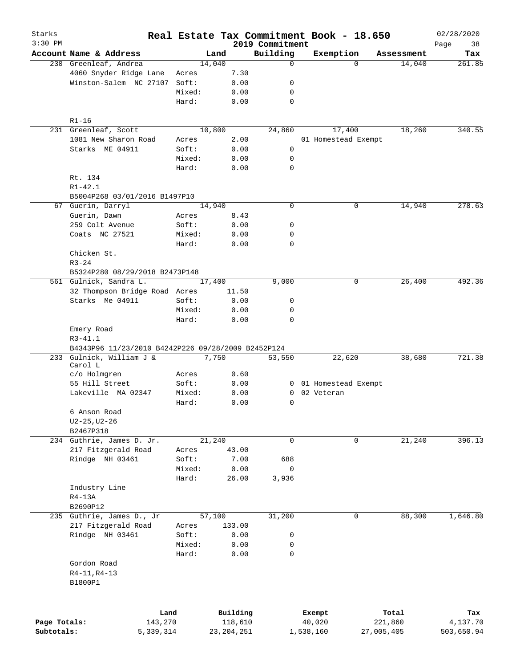| Starks       |                                                    |        |              |                             | Real Estate Tax Commitment Book - 18.650 |            | 02/28/2020    |
|--------------|----------------------------------------------------|--------|--------------|-----------------------------|------------------------------------------|------------|---------------|
| $3:30$ PM    | Account Name & Address                             |        | Land         | 2019 Commitment<br>Building |                                          | Assessment | Page<br>38    |
|              | 230 Greenleaf, Andrea                              |        | 14,040       | $\mathbf 0$                 | Exemption<br>$\Omega$                    | 14,040     | Tax<br>261.85 |
|              | 4060 Snyder Ridge Lane                             | Acres  | 7.30         |                             |                                          |            |               |
|              | Winston-Salem NC 27107                             | Soft:  | 0.00         | 0                           |                                          |            |               |
|              |                                                    | Mixed: | 0.00         | 0                           |                                          |            |               |
|              |                                                    | Hard:  | 0.00         | $\mathbf 0$                 |                                          |            |               |
|              |                                                    |        |              |                             |                                          |            |               |
|              | $R1 - 16$                                          |        |              |                             |                                          |            |               |
|              | 231 Greenleaf, Scott                               |        | 10,800       | 24,860                      | 17,400                                   | 18,260     | 340.55        |
|              | 1081 New Sharon Road                               | Acres  | 2.00         |                             | 01 Homestead Exempt                      |            |               |
|              | Starks ME 04911                                    | Soft:  | 0.00         | 0                           |                                          |            |               |
|              |                                                    | Mixed: | 0.00         | 0                           |                                          |            |               |
|              |                                                    | Hard:  | 0.00         | 0                           |                                          |            |               |
|              | Rt. 134                                            |        |              |                             |                                          |            |               |
|              | $R1 - 42.1$                                        |        |              |                             |                                          |            |               |
|              | B5004P268 03/01/2016 B1497P10                      |        |              |                             |                                          |            |               |
|              | 67 Guerin, Darryl                                  |        | 14,940       | 0                           | 0                                        | 14,940     | 278.63        |
|              | Guerin, Dawn                                       | Acres  | 8.43         |                             |                                          |            |               |
|              | 259 Colt Avenue                                    | Soft:  | 0.00         | 0                           |                                          |            |               |
|              | Coats NC 27521                                     | Mixed: | 0.00         | 0                           |                                          |            |               |
|              |                                                    | Hard:  | 0.00         | 0                           |                                          |            |               |
|              | Chicken St.                                        |        |              |                             |                                          |            |               |
|              | $R3 - 24$<br>B5324P280 08/29/2018 B2473P148        |        |              |                             |                                          |            |               |
|              | 561 Gulnick, Sandra L.                             |        | 17,400       | 9,000                       | 0                                        | 26,400     | 492.36        |
|              | 32 Thompson Bridge Road Acres                      |        | 11.50        |                             |                                          |            |               |
|              | Starks Me 04911                                    | Soft:  | 0.00         | 0                           |                                          |            |               |
|              |                                                    | Mixed: | 0.00         | 0                           |                                          |            |               |
|              |                                                    | Hard:  | 0.00         | $\mathbf 0$                 |                                          |            |               |
|              | Emery Road                                         |        |              |                             |                                          |            |               |
|              | $R3 - 41.1$                                        |        |              |                             |                                          |            |               |
|              | B4343P96 11/23/2010 B4242P226 09/28/2009 B2452P124 |        |              |                             |                                          |            |               |
| 233          | Gulnick, William J &                               |        | 7,750        | 53,550                      | 22,620                                   | 38,680     | 721.38        |
|              | Carol L                                            |        |              |                             |                                          |            |               |
|              | c/o Holmgren                                       | Acres  | 0.60         |                             |                                          |            |               |
|              | 55 Hill Street                                     | Soft:  | 0.00         |                             | 0 01 Homestead Exempt                    |            |               |
|              | Lakeville MA 02347                                 | Mixed: | 0.00         | 0                           | 02 Veteran                               |            |               |
|              |                                                    | Hard:  | 0.00         | 0                           |                                          |            |               |
|              | 6 Anson Road                                       |        |              |                             |                                          |            |               |
|              | $U2 - 25$ , $U2 - 26$                              |        |              |                             |                                          |            |               |
|              | B2467P318                                          |        |              |                             |                                          |            |               |
|              | 234 Guthrie, James D. Jr.                          |        | 21,240       | 0                           | 0                                        | 21,240     | 396.13        |
|              | 217 Fitzgerald Road                                | Acres  | 43.00        |                             |                                          |            |               |
|              | Rindge NH 03461                                    | Soft:  | 7.00         | 688                         |                                          |            |               |
|              |                                                    | Mixed: | 0.00         | 0                           |                                          |            |               |
|              |                                                    | Hard:  | 26.00        | 3,936                       |                                          |            |               |
|              | Industry Line                                      |        |              |                             |                                          |            |               |
|              | $R4-13A$                                           |        |              |                             |                                          |            |               |
|              | B2690P12                                           |        |              |                             |                                          |            |               |
|              | 235 Guthrie, James D., Jr                          |        | 57,100       | 31,200                      | 0                                        | 88,300     | 1,646.80      |
|              | 217 Fitzgerald Road                                | Acres  | 133.00       |                             |                                          |            |               |
|              | Rindge NH 03461                                    | Soft:  | 0.00         | 0                           |                                          |            |               |
|              |                                                    | Mixed: | 0.00         | 0                           |                                          |            |               |
|              |                                                    | Hard:  | 0.00         | 0                           |                                          |            |               |
|              | Gordon Road                                        |        |              |                             |                                          |            |               |
|              | R4-11, R4-13                                       |        |              |                             |                                          |            |               |
|              | B1800P1                                            |        |              |                             |                                          |            |               |
|              |                                                    |        |              |                             |                                          |            |               |
|              | Land                                               |        | Building     |                             | Exempt                                   | Total      | Tax           |
| Page Totals: | 143,270                                            |        | 118,610      |                             | 40,020                                   | 221,860    | 4,137.70      |
| Subtotals:   | 5,339,314                                          |        | 23, 204, 251 |                             | 1,538,160                                | 27,005,405 | 503,650.94    |
|              |                                                    |        |              |                             |                                          |            |               |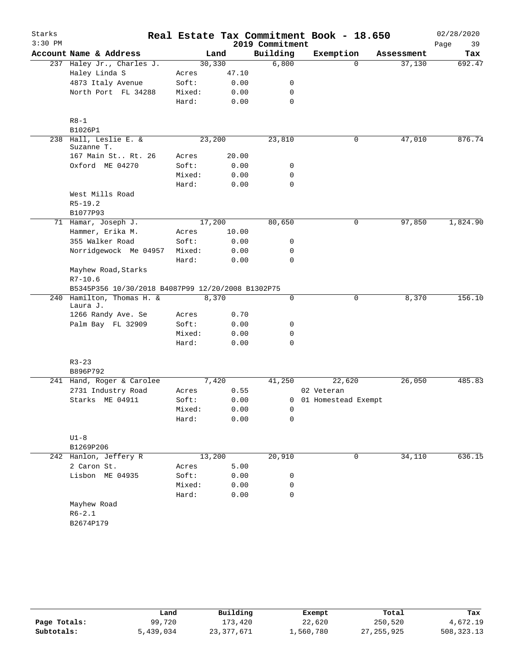| $3:30$ PM<br>2019 Commitment<br>Page<br>39<br>Account Name & Address<br>Building<br>Exemption<br>Land<br>Assessment<br>Tax<br>6,800<br>30, 330<br>237 Haley Jr., Charles J.<br>$\Omega$<br>37,130<br>Haley Linda S<br>47.10<br>Acres<br>4873 Italy Avenue<br>Soft:<br>0.00<br>0<br>North Port FL 34288<br>Mixed:<br>0.00<br>0<br>$\mathbf 0$<br>Hard:<br>0.00<br>$R8 - 1$<br>B1026P1<br>238 Hall, Leslie E. &<br>23,200<br>23,810<br>47,010<br>0<br>Suzanne T.<br>167 Main St Rt. 26<br>20.00<br>Acres<br>Oxford ME 04270<br>Soft:<br>0.00<br>0<br>$\mathbf 0$<br>Mixed:<br>0.00<br>$\mathbf 0$<br>Hard:<br>0.00<br>West Mills Road<br>$R5-19.2$<br>B1077P93<br>17,200<br>71 Hamar, Joseph J.<br>80,650<br>0<br>97,850<br>Hammer, Erika M.<br>10.00<br>Acres<br>355 Walker Road<br>Soft:<br>0.00<br>0<br>Norridgewock Me 04957<br>Mixed:<br>0<br>0.00<br>Hard:<br>0.00<br>0<br>Mayhew Road, Starks<br>$R7 - 10.6$<br>B5345P356 10/30/2018 B4087P99 12/20/2008 B1302P75<br>240 Hamilton, Thomas H. &<br>8,370<br>$\mathbf 0$<br>8,370<br>0<br>Laura J.<br>1266 Randy Ave. Se<br>Acres<br>0.70<br>Palm Bay FL 32909<br>Soft:<br>0.00<br>0<br>Mixed:<br>0.00<br>0<br>$\mathbf 0$<br>Hard:<br>0.00<br>$R3 - 23$<br>B896P792<br>7,420<br>41,250<br>26,050<br>241 Hand, Roger & Carolee<br>22,620<br>2731 Industry Road<br>0.55<br>Acres<br>02 Veteran<br>Soft:<br>Starks ME 04911<br>0.00<br>0 01 Homestead Exempt<br>Mixed:<br>0.00<br>0<br>Hard:<br>0.00<br>0<br>$U1-8$<br>B1269P206<br>34,110<br>242 Hanlon, Jeffery R<br>13,200<br>20,910<br>0<br>2 Caron St.<br>5.00<br>Acres<br>Lisbon ME 04935<br>Soft:<br>0.00<br>0<br>Mixed:<br>0.00<br>0<br>Hard:<br>0.00<br>$\mathbf 0$<br>Mayhew Road<br>$R6 - 2.1$<br>B2674P179 | Starks |  |  | Real Estate Tax Commitment Book - 18.650 |  | 02/28/2020 |
|-------------------------------------------------------------------------------------------------------------------------------------------------------------------------------------------------------------------------------------------------------------------------------------------------------------------------------------------------------------------------------------------------------------------------------------------------------------------------------------------------------------------------------------------------------------------------------------------------------------------------------------------------------------------------------------------------------------------------------------------------------------------------------------------------------------------------------------------------------------------------------------------------------------------------------------------------------------------------------------------------------------------------------------------------------------------------------------------------------------------------------------------------------------------------------------------------------------------------------------------------------------------------------------------------------------------------------------------------------------------------------------------------------------------------------------------------------------------------------------------------------------------------------------------------------------------------------------------------------------------------------------------------------------------------------------------------------------------------|--------|--|--|------------------------------------------|--|------------|
|                                                                                                                                                                                                                                                                                                                                                                                                                                                                                                                                                                                                                                                                                                                                                                                                                                                                                                                                                                                                                                                                                                                                                                                                                                                                                                                                                                                                                                                                                                                                                                                                                                                                                                                         |        |  |  |                                          |  |            |
|                                                                                                                                                                                                                                                                                                                                                                                                                                                                                                                                                                                                                                                                                                                                                                                                                                                                                                                                                                                                                                                                                                                                                                                                                                                                                                                                                                                                                                                                                                                                                                                                                                                                                                                         |        |  |  |                                          |  |            |
| 876.74                                                                                                                                                                                                                                                                                                                                                                                                                                                                                                                                                                                                                                                                                                                                                                                                                                                                                                                                                                                                                                                                                                                                                                                                                                                                                                                                                                                                                                                                                                                                                                                                                                                                                                                  |        |  |  |                                          |  | 692.47     |
|                                                                                                                                                                                                                                                                                                                                                                                                                                                                                                                                                                                                                                                                                                                                                                                                                                                                                                                                                                                                                                                                                                                                                                                                                                                                                                                                                                                                                                                                                                                                                                                                                                                                                                                         |        |  |  |                                          |  |            |
| 1,824.90                                                                                                                                                                                                                                                                                                                                                                                                                                                                                                                                                                                                                                                                                                                                                                                                                                                                                                                                                                                                                                                                                                                                                                                                                                                                                                                                                                                                                                                                                                                                                                                                                                                                                                                |        |  |  |                                          |  |            |
|                                                                                                                                                                                                                                                                                                                                                                                                                                                                                                                                                                                                                                                                                                                                                                                                                                                                                                                                                                                                                                                                                                                                                                                                                                                                                                                                                                                                                                                                                                                                                                                                                                                                                                                         |        |  |  |                                          |  |            |
|                                                                                                                                                                                                                                                                                                                                                                                                                                                                                                                                                                                                                                                                                                                                                                                                                                                                                                                                                                                                                                                                                                                                                                                                                                                                                                                                                                                                                                                                                                                                                                                                                                                                                                                         |        |  |  |                                          |  |            |
|                                                                                                                                                                                                                                                                                                                                                                                                                                                                                                                                                                                                                                                                                                                                                                                                                                                                                                                                                                                                                                                                                                                                                                                                                                                                                                                                                                                                                                                                                                                                                                                                                                                                                                                         |        |  |  |                                          |  |            |
|                                                                                                                                                                                                                                                                                                                                                                                                                                                                                                                                                                                                                                                                                                                                                                                                                                                                                                                                                                                                                                                                                                                                                                                                                                                                                                                                                                                                                                                                                                                                                                                                                                                                                                                         |        |  |  |                                          |  |            |
|                                                                                                                                                                                                                                                                                                                                                                                                                                                                                                                                                                                                                                                                                                                                                                                                                                                                                                                                                                                                                                                                                                                                                                                                                                                                                                                                                                                                                                                                                                                                                                                                                                                                                                                         |        |  |  |                                          |  |            |
|                                                                                                                                                                                                                                                                                                                                                                                                                                                                                                                                                                                                                                                                                                                                                                                                                                                                                                                                                                                                                                                                                                                                                                                                                                                                                                                                                                                                                                                                                                                                                                                                                                                                                                                         |        |  |  |                                          |  |            |
|                                                                                                                                                                                                                                                                                                                                                                                                                                                                                                                                                                                                                                                                                                                                                                                                                                                                                                                                                                                                                                                                                                                                                                                                                                                                                                                                                                                                                                                                                                                                                                                                                                                                                                                         |        |  |  |                                          |  |            |
|                                                                                                                                                                                                                                                                                                                                                                                                                                                                                                                                                                                                                                                                                                                                                                                                                                                                                                                                                                                                                                                                                                                                                                                                                                                                                                                                                                                                                                                                                                                                                                                                                                                                                                                         |        |  |  |                                          |  |            |
|                                                                                                                                                                                                                                                                                                                                                                                                                                                                                                                                                                                                                                                                                                                                                                                                                                                                                                                                                                                                                                                                                                                                                                                                                                                                                                                                                                                                                                                                                                                                                                                                                                                                                                                         |        |  |  |                                          |  |            |
|                                                                                                                                                                                                                                                                                                                                                                                                                                                                                                                                                                                                                                                                                                                                                                                                                                                                                                                                                                                                                                                                                                                                                                                                                                                                                                                                                                                                                                                                                                                                                                                                                                                                                                                         |        |  |  |                                          |  |            |
|                                                                                                                                                                                                                                                                                                                                                                                                                                                                                                                                                                                                                                                                                                                                                                                                                                                                                                                                                                                                                                                                                                                                                                                                                                                                                                                                                                                                                                                                                                                                                                                                                                                                                                                         |        |  |  |                                          |  |            |
|                                                                                                                                                                                                                                                                                                                                                                                                                                                                                                                                                                                                                                                                                                                                                                                                                                                                                                                                                                                                                                                                                                                                                                                                                                                                                                                                                                                                                                                                                                                                                                                                                                                                                                                         |        |  |  |                                          |  |            |
|                                                                                                                                                                                                                                                                                                                                                                                                                                                                                                                                                                                                                                                                                                                                                                                                                                                                                                                                                                                                                                                                                                                                                                                                                                                                                                                                                                                                                                                                                                                                                                                                                                                                                                                         |        |  |  |                                          |  |            |
|                                                                                                                                                                                                                                                                                                                                                                                                                                                                                                                                                                                                                                                                                                                                                                                                                                                                                                                                                                                                                                                                                                                                                                                                                                                                                                                                                                                                                                                                                                                                                                                                                                                                                                                         |        |  |  |                                          |  |            |
|                                                                                                                                                                                                                                                                                                                                                                                                                                                                                                                                                                                                                                                                                                                                                                                                                                                                                                                                                                                                                                                                                                                                                                                                                                                                                                                                                                                                                                                                                                                                                                                                                                                                                                                         |        |  |  |                                          |  |            |
|                                                                                                                                                                                                                                                                                                                                                                                                                                                                                                                                                                                                                                                                                                                                                                                                                                                                                                                                                                                                                                                                                                                                                                                                                                                                                                                                                                                                                                                                                                                                                                                                                                                                                                                         |        |  |  |                                          |  |            |
|                                                                                                                                                                                                                                                                                                                                                                                                                                                                                                                                                                                                                                                                                                                                                                                                                                                                                                                                                                                                                                                                                                                                                                                                                                                                                                                                                                                                                                                                                                                                                                                                                                                                                                                         |        |  |  |                                          |  |            |
|                                                                                                                                                                                                                                                                                                                                                                                                                                                                                                                                                                                                                                                                                                                                                                                                                                                                                                                                                                                                                                                                                                                                                                                                                                                                                                                                                                                                                                                                                                                                                                                                                                                                                                                         |        |  |  |                                          |  |            |
| 156.10<br>485.83<br>636.15                                                                                                                                                                                                                                                                                                                                                                                                                                                                                                                                                                                                                                                                                                                                                                                                                                                                                                                                                                                                                                                                                                                                                                                                                                                                                                                                                                                                                                                                                                                                                                                                                                                                                              |        |  |  |                                          |  |            |
|                                                                                                                                                                                                                                                                                                                                                                                                                                                                                                                                                                                                                                                                                                                                                                                                                                                                                                                                                                                                                                                                                                                                                                                                                                                                                                                                                                                                                                                                                                                                                                                                                                                                                                                         |        |  |  |                                          |  |            |
|                                                                                                                                                                                                                                                                                                                                                                                                                                                                                                                                                                                                                                                                                                                                                                                                                                                                                                                                                                                                                                                                                                                                                                                                                                                                                                                                                                                                                                                                                                                                                                                                                                                                                                                         |        |  |  |                                          |  |            |
|                                                                                                                                                                                                                                                                                                                                                                                                                                                                                                                                                                                                                                                                                                                                                                                                                                                                                                                                                                                                                                                                                                                                                                                                                                                                                                                                                                                                                                                                                                                                                                                                                                                                                                                         |        |  |  |                                          |  |            |
|                                                                                                                                                                                                                                                                                                                                                                                                                                                                                                                                                                                                                                                                                                                                                                                                                                                                                                                                                                                                                                                                                                                                                                                                                                                                                                                                                                                                                                                                                                                                                                                                                                                                                                                         |        |  |  |                                          |  |            |
|                                                                                                                                                                                                                                                                                                                                                                                                                                                                                                                                                                                                                                                                                                                                                                                                                                                                                                                                                                                                                                                                                                                                                                                                                                                                                                                                                                                                                                                                                                                                                                                                                                                                                                                         |        |  |  |                                          |  |            |
|                                                                                                                                                                                                                                                                                                                                                                                                                                                                                                                                                                                                                                                                                                                                                                                                                                                                                                                                                                                                                                                                                                                                                                                                                                                                                                                                                                                                                                                                                                                                                                                                                                                                                                                         |        |  |  |                                          |  |            |
|                                                                                                                                                                                                                                                                                                                                                                                                                                                                                                                                                                                                                                                                                                                                                                                                                                                                                                                                                                                                                                                                                                                                                                                                                                                                                                                                                                                                                                                                                                                                                                                                                                                                                                                         |        |  |  |                                          |  |            |
|                                                                                                                                                                                                                                                                                                                                                                                                                                                                                                                                                                                                                                                                                                                                                                                                                                                                                                                                                                                                                                                                                                                                                                                                                                                                                                                                                                                                                                                                                                                                                                                                                                                                                                                         |        |  |  |                                          |  |            |
|                                                                                                                                                                                                                                                                                                                                                                                                                                                                                                                                                                                                                                                                                                                                                                                                                                                                                                                                                                                                                                                                                                                                                                                                                                                                                                                                                                                                                                                                                                                                                                                                                                                                                                                         |        |  |  |                                          |  |            |
|                                                                                                                                                                                                                                                                                                                                                                                                                                                                                                                                                                                                                                                                                                                                                                                                                                                                                                                                                                                                                                                                                                                                                                                                                                                                                                                                                                                                                                                                                                                                                                                                                                                                                                                         |        |  |  |                                          |  |            |
|                                                                                                                                                                                                                                                                                                                                                                                                                                                                                                                                                                                                                                                                                                                                                                                                                                                                                                                                                                                                                                                                                                                                                                                                                                                                                                                                                                                                                                                                                                                                                                                                                                                                                                                         |        |  |  |                                          |  |            |
|                                                                                                                                                                                                                                                                                                                                                                                                                                                                                                                                                                                                                                                                                                                                                                                                                                                                                                                                                                                                                                                                                                                                                                                                                                                                                                                                                                                                                                                                                                                                                                                                                                                                                                                         |        |  |  |                                          |  |            |
|                                                                                                                                                                                                                                                                                                                                                                                                                                                                                                                                                                                                                                                                                                                                                                                                                                                                                                                                                                                                                                                                                                                                                                                                                                                                                                                                                                                                                                                                                                                                                                                                                                                                                                                         |        |  |  |                                          |  |            |
|                                                                                                                                                                                                                                                                                                                                                                                                                                                                                                                                                                                                                                                                                                                                                                                                                                                                                                                                                                                                                                                                                                                                                                                                                                                                                                                                                                                                                                                                                                                                                                                                                                                                                                                         |        |  |  |                                          |  |            |
|                                                                                                                                                                                                                                                                                                                                                                                                                                                                                                                                                                                                                                                                                                                                                                                                                                                                                                                                                                                                                                                                                                                                                                                                                                                                                                                                                                                                                                                                                                                                                                                                                                                                                                                         |        |  |  |                                          |  |            |
|                                                                                                                                                                                                                                                                                                                                                                                                                                                                                                                                                                                                                                                                                                                                                                                                                                                                                                                                                                                                                                                                                                                                                                                                                                                                                                                                                                                                                                                                                                                                                                                                                                                                                                                         |        |  |  |                                          |  |            |
|                                                                                                                                                                                                                                                                                                                                                                                                                                                                                                                                                                                                                                                                                                                                                                                                                                                                                                                                                                                                                                                                                                                                                                                                                                                                                                                                                                                                                                                                                                                                                                                                                                                                                                                         |        |  |  |                                          |  |            |
|                                                                                                                                                                                                                                                                                                                                                                                                                                                                                                                                                                                                                                                                                                                                                                                                                                                                                                                                                                                                                                                                                                                                                                                                                                                                                                                                                                                                                                                                                                                                                                                                                                                                                                                         |        |  |  |                                          |  |            |
|                                                                                                                                                                                                                                                                                                                                                                                                                                                                                                                                                                                                                                                                                                                                                                                                                                                                                                                                                                                                                                                                                                                                                                                                                                                                                                                                                                                                                                                                                                                                                                                                                                                                                                                         |        |  |  |                                          |  |            |
|                                                                                                                                                                                                                                                                                                                                                                                                                                                                                                                                                                                                                                                                                                                                                                                                                                                                                                                                                                                                                                                                                                                                                                                                                                                                                                                                                                                                                                                                                                                                                                                                                                                                                                                         |        |  |  |                                          |  |            |
|                                                                                                                                                                                                                                                                                                                                                                                                                                                                                                                                                                                                                                                                                                                                                                                                                                                                                                                                                                                                                                                                                                                                                                                                                                                                                                                                                                                                                                                                                                                                                                                                                                                                                                                         |        |  |  |                                          |  |            |
|                                                                                                                                                                                                                                                                                                                                                                                                                                                                                                                                                                                                                                                                                                                                                                                                                                                                                                                                                                                                                                                                                                                                                                                                                                                                                                                                                                                                                                                                                                                                                                                                                                                                                                                         |        |  |  |                                          |  |            |
|                                                                                                                                                                                                                                                                                                                                                                                                                                                                                                                                                                                                                                                                                                                                                                                                                                                                                                                                                                                                                                                                                                                                                                                                                                                                                                                                                                                                                                                                                                                                                                                                                                                                                                                         |        |  |  |                                          |  |            |

|              | Land      | Building     | Exempt    | Total        | Tax        |
|--------------|-----------|--------------|-----------|--------------|------------|
| Page Totals: | 99,720    | 173,420      | 22,620    | 250,520      | 4,672.19   |
| Subtotals:   | 5,439,034 | 23, 377, 671 | 1,560,780 | 27, 255, 925 | 508,323.13 |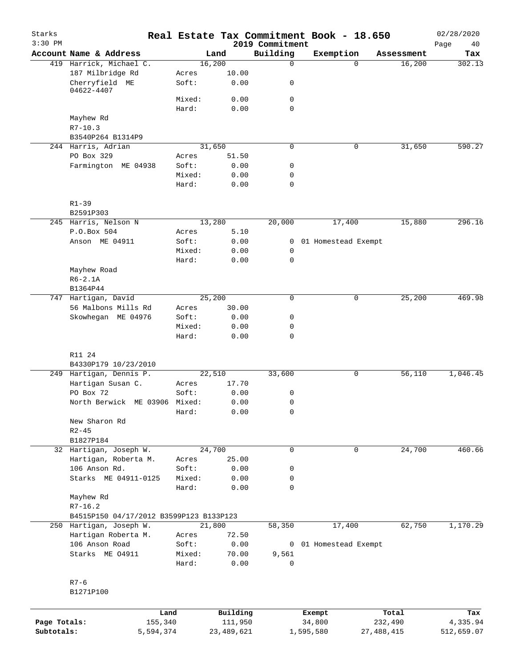| Starks<br>$3:30$ PM        |                                         |        |                         | 2019 Commitment | Real Estate Tax Commitment Book - 18.650 |                         | 02/28/2020<br>Page<br>40 |
|----------------------------|-----------------------------------------|--------|-------------------------|-----------------|------------------------------------------|-------------------------|--------------------------|
|                            | Account Name & Address                  |        | Land                    | Building        | Exemption                                | Assessment              | Tax                      |
|                            | 419 Harrick, Michael C.                 |        | 16,200                  | 0               | $\Omega$                                 | 16,200                  | 302.13                   |
|                            | 187 Milbridge Rd                        | Acres  | 10.00                   |                 |                                          |                         |                          |
|                            | Cherryfield ME<br>04622-4407            | Soft:  | 0.00                    | 0               |                                          |                         |                          |
|                            |                                         | Mixed: | 0.00                    | 0               |                                          |                         |                          |
|                            |                                         | Hard:  | 0.00                    | $\mathbf 0$     |                                          |                         |                          |
|                            | Mayhew Rd                               |        |                         |                 |                                          |                         |                          |
|                            | $R7 - 10.3$                             |        |                         |                 |                                          |                         |                          |
|                            | B3540P264 B1314P9                       |        |                         |                 |                                          |                         |                          |
|                            | 244 Harris, Adrian                      |        | 31,650                  | $\mathbf 0$     | 0                                        | 31,650                  | 590.27                   |
|                            | PO Box 329                              | Acres  | 51.50                   |                 |                                          |                         |                          |
|                            | Farmington ME 04938                     | Soft:  | 0.00                    | 0               |                                          |                         |                          |
|                            |                                         | Mixed: | 0.00                    | 0               |                                          |                         |                          |
|                            |                                         | Hard:  | 0.00                    | 0               |                                          |                         |                          |
|                            | $R1 - 39$                               |        |                         |                 |                                          |                         |                          |
|                            | B2591P303                               |        |                         |                 |                                          |                         |                          |
|                            | 245 Harris, Nelson N                    |        | 13,280                  | 20,000          | 17,400                                   | 15,880                  | 296.16                   |
|                            | P.O.Box 504                             | Acres  | 5.10                    |                 |                                          |                         |                          |
|                            | Anson ME 04911                          | Soft:  | 0.00                    | $\mathbf{0}$    | 01 Homestead Exempt                      |                         |                          |
|                            |                                         | Mixed: | 0.00                    | 0               |                                          |                         |                          |
|                            |                                         | Hard:  | 0.00                    | $\mathbf 0$     |                                          |                         |                          |
|                            | Mayhew Road                             |        |                         |                 |                                          |                         |                          |
|                            | $R6-2.1A$                               |        |                         |                 |                                          |                         |                          |
|                            | B1364P44                                |        |                         |                 |                                          |                         |                          |
|                            | 747 Hartigan, David                     |        | 25,200                  | 0               | 0                                        | 25, 200                 | 469.98                   |
|                            | 56 Malbons Mills Rd                     | Acres  | 30.00                   |                 |                                          |                         |                          |
|                            | Skowhegan ME 04976                      | Soft:  | 0.00                    | 0               |                                          |                         |                          |
|                            |                                         | Mixed: | 0.00                    | 0               |                                          |                         |                          |
|                            |                                         | Hard:  | 0.00                    | 0               |                                          |                         |                          |
|                            | R11 24                                  |        |                         |                 |                                          |                         |                          |
|                            | B4330P179 10/23/2010                    |        |                         |                 |                                          |                         |                          |
|                            | 249 Hartigan, Dennis P.                 |        | 22,510                  | 33,600          | 0                                        | 56, 110                 | 1,046.45                 |
|                            | Hartigan Susan C.                       | Acres  | 17.70                   |                 |                                          |                         |                          |
|                            | PO Box 72                               | Soft:  | 0.00                    | 0               |                                          |                         |                          |
|                            | North Berwick ME 03906 Mixed:           |        | 0.00                    | 0               |                                          |                         |                          |
|                            |                                         | Hard:  | 0.00                    | 0               |                                          |                         |                          |
|                            | New Sharon Rd                           |        |                         |                 |                                          |                         |                          |
|                            | $R2 - 45$                               |        |                         |                 |                                          |                         |                          |
|                            | B1827P184                               |        |                         |                 |                                          |                         |                          |
|                            | 32 Hartigan, Joseph W.                  |        | 24,700                  | $\mathbf 0$     | 0                                        | 24,700                  | 460.66                   |
|                            | Hartigan, Roberta M.                    | Acres  | 25.00                   |                 |                                          |                         |                          |
|                            | 106 Anson Rd.                           | Soft:  | 0.00                    | 0               |                                          |                         |                          |
|                            | Starks ME 04911-0125                    | Mixed: | 0.00                    | 0               |                                          |                         |                          |
|                            |                                         | Hard:  | 0.00                    | 0               |                                          |                         |                          |
|                            | Mayhew Rd                               |        |                         |                 |                                          |                         |                          |
|                            | $R7 - 16.2$                             |        |                         |                 |                                          |                         |                          |
|                            | B4515P150 04/17/2012 B3599P123 B133P123 |        |                         |                 |                                          |                         |                          |
|                            | 250 Hartigan, Joseph W.                 |        | 21,800                  | 58,350          | 17,400                                   | 62,750                  | 1,170.29                 |
|                            | Hartigan Roberta M.                     | Acres  | 72.50                   |                 |                                          |                         |                          |
|                            | 106 Anson Road                          | Soft:  | 0.00                    |                 | 0 01 Homestead Exempt                    |                         |                          |
|                            | Starks ME 04911                         | Mixed: | 70.00                   | 9,561           |                                          |                         |                          |
|                            |                                         | Hard:  | 0.00                    | 0               |                                          |                         |                          |
|                            | $R7-6$                                  |        |                         |                 |                                          |                         |                          |
|                            | B1271P100                               |        |                         |                 |                                          |                         |                          |
|                            |                                         |        |                         |                 |                                          |                         |                          |
|                            | Land                                    |        | Building                |                 | Exempt                                   | Total                   | Tax                      |
| Page Totals:<br>Subtotals: | 155,340<br>5,594,374                    |        | 111,950<br>23, 489, 621 |                 | 34,800<br>1,595,580                      | 232,490<br>27, 488, 415 | 4,335.94<br>512,659.07   |
|                            |                                         |        |                         |                 |                                          |                         |                          |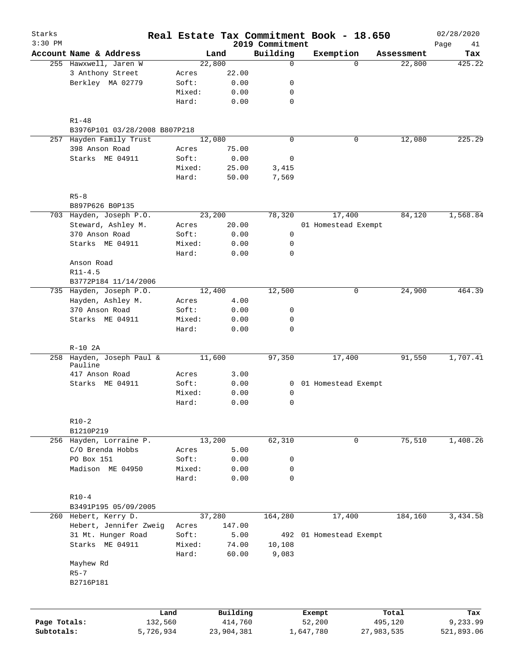| Starks<br>$3:30$ PM |                               |        |              | 2019 Commitment | Real Estate Tax Commitment Book - 18.650 |            | 02/28/2020<br>Page<br>41 |
|---------------------|-------------------------------|--------|--------------|-----------------|------------------------------------------|------------|--------------------------|
|                     | Account Name & Address        |        | Land         | Building        | Exemption                                | Assessment | Tax                      |
|                     | 255 Hawxwell, Jaren W         |        | 22,800       | $\mathbf 0$     | $\Omega$                                 | 22,800     | 425.22                   |
|                     | 3 Anthony Street              | Acres  | 22.00        |                 |                                          |            |                          |
|                     | Berkley MA 02779              | Soft:  | 0.00         | 0               |                                          |            |                          |
|                     |                               | Mixed: | 0.00         | 0               |                                          |            |                          |
|                     |                               | Hard:  | 0.00         | $\mathbf 0$     |                                          |            |                          |
|                     | $R1 - 48$                     |        |              |                 |                                          |            |                          |
|                     | B3976P101 03/28/2008 B807P218 |        |              |                 |                                          |            |                          |
|                     | 257 Hayden Family Trust       |        | 12,080       | $\mathbf 0$     | 0                                        | 12,080     | 225.29                   |
|                     | 398 Anson Road                | Acres  | 75.00        |                 |                                          |            |                          |
|                     | Starks ME 04911               | Soft:  | 0.00         | 0               |                                          |            |                          |
|                     |                               | Mixed: | 25.00        | 3,415           |                                          |            |                          |
|                     |                               | Hard:  | 50.00        | 7,569           |                                          |            |                          |
|                     | $R5 - 8$                      |        |              |                 |                                          |            |                          |
|                     | B897P626 B0P135               |        |              |                 |                                          |            |                          |
|                     | 703 Hayden, Joseph P.O.       |        | 23,200       | 78,320          | 17,400                                   | 84,120     | 1,568.84                 |
|                     | Steward, Ashley M.            | Acres  | 20.00        |                 | 01 Homestead Exempt                      |            |                          |
|                     | 370 Anson Road                | Soft:  | 0.00         | $\mathbf 0$     |                                          |            |                          |
|                     | Starks ME 04911               | Mixed: | 0.00         | 0               |                                          |            |                          |
|                     |                               | Hard:  | 0.00         | $\mathbf 0$     |                                          |            |                          |
|                     | Anson Road                    |        |              |                 |                                          |            |                          |
|                     | $R11 - 4.5$                   |        |              |                 |                                          |            |                          |
|                     | B3772P184 11/14/2006          |        |              |                 |                                          |            |                          |
|                     | 735 Hayden, Joseph P.O.       |        | 12,400       | 12,500          | 0                                        | 24,900     | 464.39                   |
|                     | Hayden, Ashley M.             | Acres  | 4.00         |                 |                                          |            |                          |
|                     | 370 Anson Road                | Soft:  | 0.00         | 0               |                                          |            |                          |
|                     | Starks ME 04911               | Mixed: | 0.00         | 0               |                                          |            |                          |
|                     |                               | Hard:  | 0.00         | $\mathbf 0$     |                                          |            |                          |
|                     | $R-10$ 2A                     |        |              |                 |                                          |            |                          |
|                     | 258 Hayden, Joseph Paul &     |        | 11,600       | 97,350          | 17,400                                   | 91,550     | 1,707.41                 |
|                     | Pauline<br>417 Anson Road     | Acres  | 3.00         |                 |                                          |            |                          |
|                     | Starks ME 04911               | Soft:  |              |                 | 0 01 Homestead Exempt                    |            |                          |
|                     |                               | Mixed: | 0.00<br>0.00 | 0               |                                          |            |                          |
|                     |                               | Hard:  | 0.00         | $\mathbf 0$     |                                          |            |                          |
|                     |                               |        |              |                 |                                          |            |                          |
|                     | $R10-2$<br>B1210P219          |        |              |                 |                                          |            |                          |
|                     | 256 Hayden, Lorraine P.       |        | 13,200       | 62,310          | 0                                        | 75,510     | 1,408.26                 |
|                     | C/O Brenda Hobbs              | Acres  | 5.00         |                 |                                          |            |                          |
|                     | PO Box 151                    | Soft:  | 0.00         | 0               |                                          |            |                          |
|                     | Madison ME 04950              | Mixed: | 0.00         | 0               |                                          |            |                          |
|                     |                               | Hard:  | 0.00         | $\mathbf 0$     |                                          |            |                          |
|                     |                               |        |              |                 |                                          |            |                          |
|                     | $R10 - 4$                     |        |              |                 |                                          |            |                          |
|                     | B3491P195 05/09/2005          |        |              |                 |                                          |            |                          |
|                     | 260 Hebert, Kerry D.          |        | 37,280       | 164,280         | 17,400                                   | 184,160    | 3,434.58                 |
|                     | Hebert, Jennifer Zweig        | Acres  | 147.00       |                 |                                          |            |                          |
|                     | 31 Mt. Hunger Road            | Soft:  | 5.00         | 492             | 01 Homestead Exempt                      |            |                          |
|                     | Starks ME 04911               | Mixed: | 74.00        | 10,108          |                                          |            |                          |
|                     |                               | Hard:  | 60.00        | 9,083           |                                          |            |                          |
|                     | Mayhew Rd                     |        |              |                 |                                          |            |                          |
|                     | $R5 - 7$<br>B2716P181         |        |              |                 |                                          |            |                          |
|                     |                               |        |              |                 |                                          |            |                          |
|                     | Land                          |        | Building     |                 | Exempt                                   | Total      | Tax                      |
| Page Totals:        | 132,560                       |        | 414,760      |                 | 52,200                                   | 495,120    | 9,233.99                 |
| Subtotals:          | 5,726,934                     |        | 23,904,381   |                 | 1,647,780                                | 27,983,535 | 521,893.06               |
|                     |                               |        |              |                 |                                          |            |                          |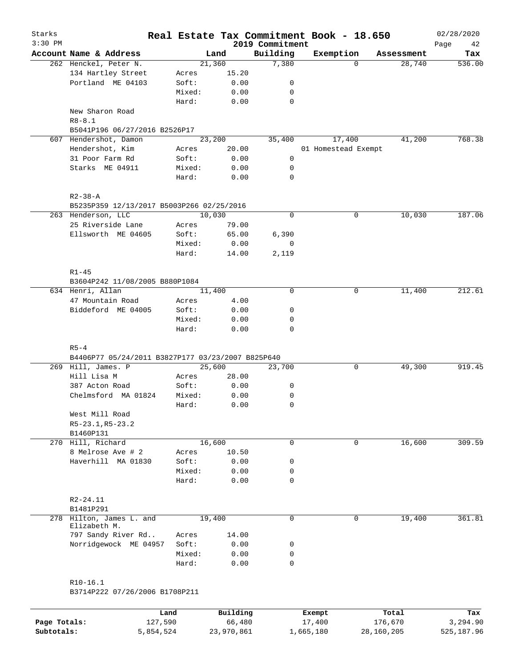| Starks<br>$3:30$ PM |                                                   |        |          | 2019 Commitment | Real Estate Tax Commitment Book - 18.650 |          |            | 02/28/2020<br>Page<br>42 |
|---------------------|---------------------------------------------------|--------|----------|-----------------|------------------------------------------|----------|------------|--------------------------|
|                     | Account Name & Address                            |        | Land     | Building        | Exemption                                |          | Assessment | Tax                      |
|                     | 262 Henckel, Peter N.                             |        | 21,360   | 7,380           |                                          | $\Omega$ | 28,740     | 536.00                   |
|                     | 134 Hartley Street                                | Acres  | 15.20    |                 |                                          |          |            |                          |
|                     | Portland ME 04103                                 | Soft:  | 0.00     | 0               |                                          |          |            |                          |
|                     |                                                   | Mixed: | 0.00     | 0               |                                          |          |            |                          |
|                     |                                                   | Hard:  | 0.00     | 0               |                                          |          |            |                          |
|                     | New Sharon Road<br>$R8 - 8.1$                     |        |          |                 |                                          |          |            |                          |
|                     | B5041P196 06/27/2016 B2526P17                     |        |          |                 |                                          |          |            |                          |
|                     | 607 Hendershot, Damon                             |        | 23,200   | 35,400          | 17,400                                   |          | 41,200     | 768.38                   |
|                     | Hendershot, Kim                                   | Acres  | 20.00    |                 | 01 Homestead Exempt                      |          |            |                          |
|                     | 31 Poor Farm Rd                                   | Soft:  | 0.00     | 0               |                                          |          |            |                          |
|                     | Starks ME 04911                                   | Mixed: | 0.00     | 0               |                                          |          |            |                          |
|                     |                                                   | Hard:  | 0.00     | $\mathbf 0$     |                                          |          |            |                          |
|                     | $R2 - 38 - A$                                     |        |          |                 |                                          |          |            |                          |
|                     | B5235P359 12/13/2017 B5003P266 02/25/2016         |        |          |                 |                                          |          |            |                          |
|                     | 263 Henderson, LLC                                |        | 10,030   | $\mathbf 0$     |                                          | 0        | 10,030     | 187.06                   |
|                     | 25 Riverside Lane                                 | Acres  | 79.00    |                 |                                          |          |            |                          |
|                     |                                                   |        |          |                 |                                          |          |            |                          |
|                     | Ellsworth ME 04605                                | Soft:  | 65.00    | 6,390           |                                          |          |            |                          |
|                     |                                                   | Mixed: | 0.00     | 0               |                                          |          |            |                          |
|                     |                                                   | Hard:  | 14.00    | 2,119           |                                          |          |            |                          |
|                     | $R1 - 45$                                         |        |          |                 |                                          |          |            |                          |
|                     | B3604P242 11/08/2005 B880P1084                    |        |          |                 |                                          |          |            |                          |
|                     | 634 Henri, Allan                                  |        | 11,400   | $\mathbf 0$     |                                          | 0        | 11,400     | 212.61                   |
|                     | 47 Mountain Road                                  | Acres  | 4.00     |                 |                                          |          |            |                          |
|                     | Biddeford ME 04005                                | Soft:  | 0.00     | 0               |                                          |          |            |                          |
|                     |                                                   | Mixed: | 0.00     | 0               |                                          |          |            |                          |
|                     |                                                   | Hard:  | 0.00     | $\mathbf 0$     |                                          |          |            |                          |
|                     | $R5 - 4$                                          |        |          |                 |                                          |          |            |                          |
|                     | B4406P77 05/24/2011 B3827P177 03/23/2007 B825P640 |        |          |                 |                                          |          |            |                          |
|                     | 269 Hill, James. P                                |        | 25,600   | 23,700          |                                          | 0        | 49,300     | 919.45                   |
|                     | Hill Lisa M                                       | Acres  | 28.00    |                 |                                          |          |            |                          |
|                     | 387 Acton Road                                    | Soft:  | 0.00     | 0               |                                          |          |            |                          |
|                     | Chelmsford MA 01824                               | Mixed: | 0.00     | 0               |                                          |          |            |                          |
|                     |                                                   | Hard:  | 0.00     | $\mathbf 0$     |                                          |          |            |                          |
|                     | West Mill Road                                    |        |          |                 |                                          |          |            |                          |
|                     | R5-23.1, R5-23.2                                  |        |          |                 |                                          |          |            |                          |
|                     | B1460P131                                         |        |          |                 |                                          |          |            |                          |
|                     | 270 Hill, Richard                                 |        | 16,600   | 0               |                                          | 0        | 16,600     | 309.59                   |
|                     | 8 Melrose Ave # 2                                 | Acres  | 10.50    |                 |                                          |          |            |                          |
|                     | Haverhill MA 01830                                | Soft:  | 0.00     | 0               |                                          |          |            |                          |
|                     |                                                   | Mixed: | 0.00     | 0               |                                          |          |            |                          |
|                     |                                                   | Hard:  | 0.00     | $\mathbf 0$     |                                          |          |            |                          |
|                     | R2-24.11                                          |        |          |                 |                                          |          |            |                          |
|                     | B1481P291                                         |        |          |                 |                                          |          |            |                          |
|                     | 278 Hilton, James L. and                          |        | 19,400   | $\mathbf 0$     |                                          | 0        | 19,400     | 361.81                   |
|                     | Elizabeth M.                                      |        |          |                 |                                          |          |            |                          |
|                     | 797 Sandy River Rd                                | Acres  | 14.00    |                 |                                          |          |            |                          |
|                     | Norridgewock ME 04957                             | Soft:  | 0.00     | 0               |                                          |          |            |                          |
|                     |                                                   | Mixed: | 0.00     | 0               |                                          |          |            |                          |
|                     |                                                   | Hard:  | 0.00     | 0               |                                          |          |            |                          |
|                     | $R10-16.1$                                        |        |          |                 |                                          |          |            |                          |
|                     | B3714P222 07/26/2006 B1708P211                    |        |          |                 |                                          |          |            |                          |
|                     |                                                   |        |          |                 |                                          |          |            |                          |
|                     |                                                   | Land   | Building |                 | Exempt                                   |          | Total      | Tax                      |
| Page Totals:        | 127,590                                           |        | 66,480   |                 | 17,400                                   |          | 176,670    | 3,294.90                 |

**Subtotals:** 5,854,524 23,970,861 1,665,180 28,160,205 525,187.96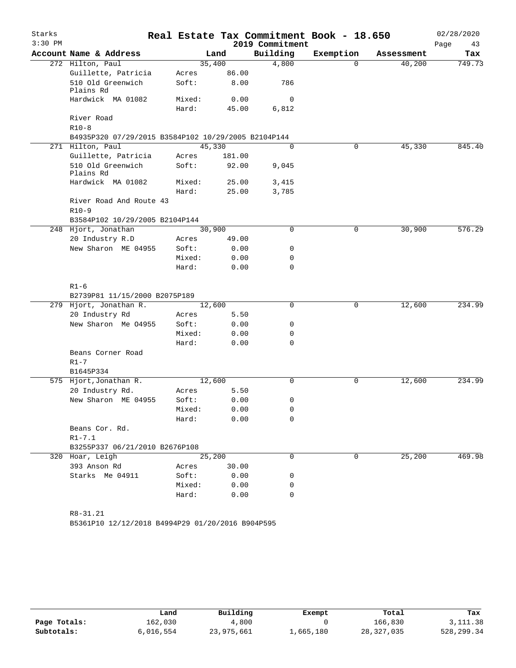| Starks    |                                                     |        |        |                 | Real Estate Tax Commitment Book - 18.650 |            | 02/28/2020 |
|-----------|-----------------------------------------------------|--------|--------|-----------------|------------------------------------------|------------|------------|
| $3:30$ PM |                                                     |        |        | 2019 Commitment |                                          |            | Page<br>43 |
|           | Account Name & Address                              |        | Land   | Building        | Exemption                                | Assessment | Tax        |
|           | 272 Hilton, Paul                                    |        | 35,400 | 4,800           | $\Omega$                                 | 40,200     | 749.73     |
|           | Guillette, Patricia                                 | Acres  | 86.00  |                 |                                          |            |            |
|           | 510 Old Greenwich<br>Plains Rd                      | Soft:  | 8.00   | 786             |                                          |            |            |
|           | Hardwick MA 01082                                   | Mixed: | 0.00   | 0               |                                          |            |            |
|           |                                                     | Hard:  | 45.00  | 6,812           |                                          |            |            |
|           | River Road                                          |        |        |                 |                                          |            |            |
|           | $R10-8$                                             |        |        |                 |                                          |            |            |
|           | B4935P320 07/29/2015 B3584P102 10/29/2005 B2104P144 |        |        |                 |                                          |            |            |
|           | 271 Hilton, Paul                                    |        | 45,330 | $\Omega$        | 0                                        | 45,330     | 845.40     |
|           | Guillette, Patricia                                 | Acres  | 181.00 |                 |                                          |            |            |
|           | 510 Old Greenwich<br>Plains Rd                      | Soft:  | 92.00  | 9,045           |                                          |            |            |
|           | Hardwick MA 01082                                   | Mixed: | 25.00  | 3,415           |                                          |            |            |
|           |                                                     | Hard:  | 25.00  | 3,785           |                                          |            |            |
|           | River Road And Route 43                             |        |        |                 |                                          |            |            |
|           | $R10-9$                                             |        |        |                 |                                          |            |            |
|           | B3584P102 10/29/2005 B2104P144                      |        |        |                 |                                          |            |            |
|           | 248 Hjort, Jonathan                                 |        | 30,900 | $\Omega$        | 0                                        | 30,900     | 576.29     |
|           | 20 Industry R.D                                     | Acres  | 49.00  |                 |                                          |            |            |
|           | New Sharon ME 04955                                 | Soft:  | 0.00   | 0               |                                          |            |            |
|           |                                                     | Mixed: | 0.00   | 0               |                                          |            |            |
|           |                                                     | Hard:  | 0.00   | $\Omega$        |                                          |            |            |
|           | $R1 - 6$                                            |        |        |                 |                                          |            |            |
|           | B2739P81 11/15/2000 B2075P189                       |        |        |                 |                                          |            |            |
|           | 279 Hjort, Jonathan R.                              |        | 12,600 | 0               | 0                                        | 12,600     | 234.99     |
|           | 20 Industry Rd                                      | Acres  | 5.50   |                 |                                          |            |            |
|           | New Sharon Me 04955                                 | Soft:  | 0.00   | 0               |                                          |            |            |
|           |                                                     | Mixed: | 0.00   | 0               |                                          |            |            |
|           |                                                     | Hard:  | 0.00   | 0               |                                          |            |            |
|           | Beans Corner Road                                   |        |        |                 |                                          |            |            |
|           | $R1 - 7$                                            |        |        |                 |                                          |            |            |
|           | B1645P334                                           |        |        |                 |                                          |            |            |
|           | 575 Hjort, Jonathan R.                              |        | 12,600 | 0               | 0                                        | 12,600     | 234.99     |
|           | 20 Industry Rd.                                     | Acres  | 5.50   |                 |                                          |            |            |
|           | New Sharon ME 04955                                 | Soft:  | 0.00   | 0               |                                          |            |            |
|           |                                                     | Mixed: | 0.00   | 0               |                                          |            |            |
|           |                                                     | Hard:  | 0.00   | 0               |                                          |            |            |
|           | Beans Cor. Rd.                                      |        |        |                 |                                          |            |            |
|           | $R1 - 7.1$                                          |        |        |                 |                                          |            |            |
|           | B3255P337 06/21/2010 B2676P108                      |        |        |                 |                                          |            |            |
|           | 320 Hoar, Leigh                                     |        | 25,200 | 0               | $\Omega$                                 | 25, 200    | 469.98     |
|           | 393 Anson Rd                                        | Acres  | 30.00  |                 |                                          |            |            |
|           | Starks Me 04911                                     | Soft:  | 0.00   | 0               |                                          |            |            |
|           |                                                     | Mixed: | 0.00   | 0               |                                          |            |            |
|           |                                                     | Hard:  | 0.00   | 0               |                                          |            |            |
|           |                                                     |        |        |                 |                                          |            |            |
|           | $R8 - 31.21$                                        |        |        |                 |                                          |            |            |

B5361P10 12/12/2018 B4994P29 01/20/2016 B904P595

|              | Land      | Building   | Exempt    | Total      | Tax        |
|--------------|-----------|------------|-----------|------------|------------|
| Page Totals: | 162,030   | 4,800      |           | 166,830    | 3, 111.38  |
| Subtotals:   | 6,016,554 | 23,975,661 | 1,665,180 | 28,327,035 | 528,299.34 |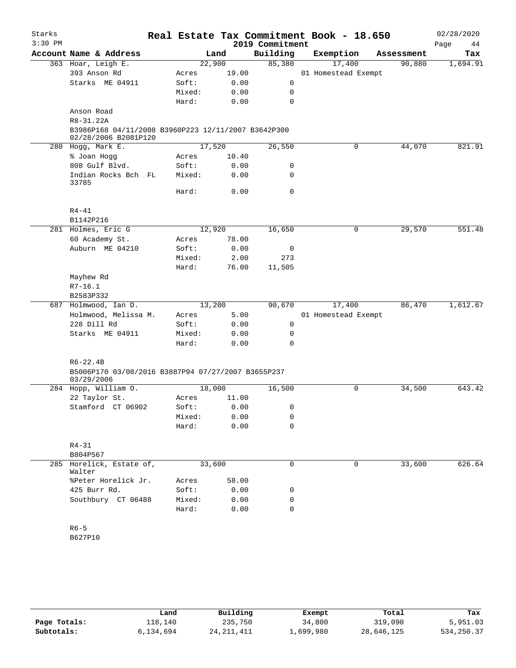| Starks    |                                                                             |                 |               |                 | Real Estate Tax Commitment Book - 18.650 |             | 02/28/2020 |
|-----------|-----------------------------------------------------------------------------|-----------------|---------------|-----------------|------------------------------------------|-------------|------------|
| $3:30$ PM |                                                                             |                 |               | 2019 Commitment |                                          |             | Page<br>44 |
|           | Account Name & Address                                                      |                 | Land          | Building        | Exemption                                | Assessment  | Tax        |
|           | 363 Hoar, Leigh E.                                                          |                 | 22,900        | 85,380          | 17,400                                   | 90,880      | 1,694.91   |
|           | 393 Anson Rd                                                                | Acres           | 19.00         |                 | 01 Homestead Exempt                      |             |            |
|           | Starks ME 04911                                                             | Soft:           | 0.00          | 0               |                                          |             |            |
|           |                                                                             | Mixed:          | 0.00          | 0               |                                          |             |            |
|           |                                                                             | Hard:           | 0.00          | $\mathbf 0$     |                                          |             |            |
|           | Anson Road                                                                  |                 |               |                 |                                          |             |            |
|           | R8-31.22A                                                                   |                 |               |                 |                                          |             |            |
|           | B3986P168 04/11/2008 B3960P223 12/11/2007 B3642P300<br>02/28/2006 B2081P120 |                 |               |                 |                                          |             |            |
|           | 280 Hogg, Mark E.                                                           |                 | 17,520        | 26,550          |                                          | 44,070<br>0 | 821.91     |
|           | % Joan Hogg                                                                 | Acres           | 10.40         |                 |                                          |             |            |
|           | 808 Gulf Blvd.                                                              | Soft:           | 0.00          | 0               |                                          |             |            |
|           | Indian Rocks Bch FL<br>33785                                                | Mixed:          | 0.00          | $\mathbf 0$     |                                          |             |            |
|           |                                                                             | Hard:           | 0.00          | $\mathbf 0$     |                                          |             |            |
|           | $R4 - 41$                                                                   |                 |               |                 |                                          |             |            |
|           | B1142P216                                                                   |                 |               |                 |                                          |             |            |
|           | 281 Holmes, Eric G                                                          |                 | 12,920        | 16,650          |                                          | 29,570<br>0 | 551.48     |
|           | 60 Academy St.                                                              | Acres           | 78.00         |                 |                                          |             |            |
|           | Auburn ME 04210                                                             | Soft:           | 0.00          | 0               |                                          |             |            |
|           |                                                                             | Mixed:<br>Hard: | 2.00<br>76.00 | 273<br>11,505   |                                          |             |            |
|           | Mayhew Rd                                                                   |                 |               |                 |                                          |             |            |
|           | $R7-16.1$                                                                   |                 |               |                 |                                          |             |            |
|           | B2583P332                                                                   |                 |               |                 |                                          |             |            |
|           | 687 Holmwood, Ian D.                                                        |                 | 13,200        | 90,670          | 17,400                                   | 86,470      | 1,612.67   |
|           | Holmwood, Melissa M.                                                        | Acres           | 5.00          |                 | 01 Homestead Exempt                      |             |            |
|           | 228 Dill Rd                                                                 | Soft:           | 0.00          | 0               |                                          |             |            |
|           | Starks ME 04911                                                             | Mixed:          | 0.00          | 0               |                                          |             |            |
|           |                                                                             | Hard:           | 0.00          | $\mathbf 0$     |                                          |             |            |
|           | $R6 - 22.4B$                                                                |                 |               |                 |                                          |             |            |
|           | B5006P170 03/08/2016 B3887P94 07/27/2007 B3655P237<br>03/29/2006            |                 |               |                 |                                          |             |            |
|           | 284 Hopp, William O.                                                        |                 | 18,000        | 16,500          |                                          | 34,500<br>0 | 643.42     |
|           | 22 Taylor St.                                                               | Acres           | 11.00         |                 |                                          |             |            |
|           | Stamford CT 06902                                                           | Soft:           | 0.00          | $\mathbf{0}$    |                                          |             |            |
|           |                                                                             | Mixed:          | 0.00          | 0               |                                          |             |            |
|           |                                                                             | Hard:           | 0.00          | 0               |                                          |             |            |
|           | $R4 - 31$<br>B804P567                                                       |                 |               |                 |                                          |             |            |
|           | 285 Horelick, Estate of,                                                    |                 | 33,600        | 0               |                                          | 33,600<br>0 | 626.64     |
|           | Walter<br>%Peter Horelick Jr.                                               |                 |               |                 |                                          |             |            |
|           | 425 Burr Rd.                                                                | Acres<br>Soft:  | 58.00<br>0.00 | 0               |                                          |             |            |
|           | Southbury CT 06488                                                          | Mixed:          | 0.00          | 0               |                                          |             |            |
|           |                                                                             | Hard:           | 0.00          | 0               |                                          |             |            |
|           |                                                                             |                 |               |                 |                                          |             |            |
|           | $R6 - 5$                                                                    |                 |               |                 |                                          |             |            |
|           | B627P10                                                                     |                 |               |                 |                                          |             |            |

|              | Land      | Building     | Exempt    | Total      | Tax         |
|--------------|-----------|--------------|-----------|------------|-------------|
| Page Totals: | 118,140   | 235,750      | 34,800    | 319,090    | 5,951.03    |
| Subtotals:   | 6,134,694 | 24, 211, 411 | 1,699,980 | 28,646,125 | 534, 250.37 |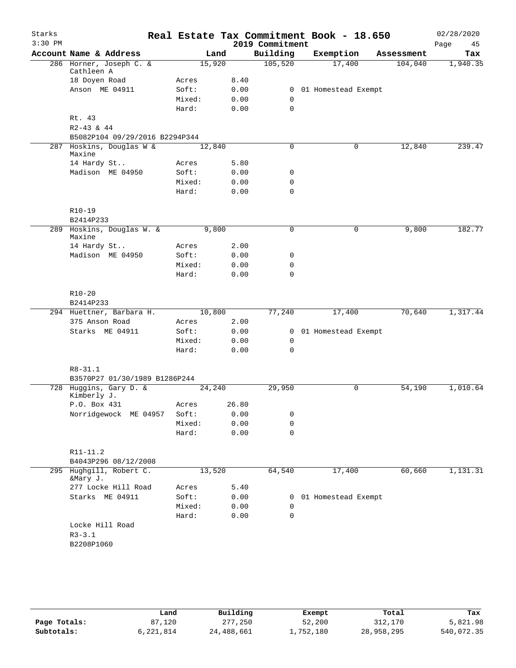| Starks<br>$3:30$ PM |                                       |        |        |       | Real Estate Tax Commitment Book - 18.650<br>2019 Commitment |                       |            | 02/28/2020<br>Page | 45 |
|---------------------|---------------------------------------|--------|--------|-------|-------------------------------------------------------------|-----------------------|------------|--------------------|----|
|                     | Account Name & Address                |        | Land   |       | Building                                                    | Exemption             | Assessment | Tax                |    |
|                     | 286 Horner, Joseph C. &<br>Cathleen A |        | 15,920 |       | 105,520                                                     | 17,400                | 104,040    | 1,940.35           |    |
|                     | 18 Doyen Road                         | Acres  |        | 8.40  |                                                             |                       |            |                    |    |
|                     | Anson ME 04911                        | Soft:  |        | 0.00  |                                                             | 0 01 Homestead Exempt |            |                    |    |
|                     |                                       | Mixed: |        | 0.00  | 0                                                           |                       |            |                    |    |
|                     |                                       | Hard:  |        | 0.00  | $\mathbf 0$                                                 |                       |            |                    |    |
|                     | Rt. 43                                |        |        |       |                                                             |                       |            |                    |    |
|                     | $R2-43$ & 44                          |        |        |       |                                                             |                       |            |                    |    |
|                     | B5082P104 09/29/2016 B2294P344        |        |        |       |                                                             |                       |            |                    |    |
|                     | 287 Hoskins, Douglas W &              |        | 12,840 |       | 0                                                           | 0                     | 12,840     | 239.47             |    |
|                     | Maxine                                |        |        |       |                                                             |                       |            |                    |    |
|                     | 14 Hardy St                           | Acres  |        | 5.80  |                                                             |                       |            |                    |    |
|                     | Madison ME 04950                      | Soft:  |        | 0.00  | 0                                                           |                       |            |                    |    |
|                     |                                       | Mixed: |        | 0.00  | 0                                                           |                       |            |                    |    |
|                     |                                       | Hard:  |        | 0.00  | $\mathbf 0$                                                 |                       |            |                    |    |
|                     |                                       |        |        |       |                                                             |                       |            |                    |    |
|                     | R10-19<br>B2414P233                   |        |        |       |                                                             |                       |            |                    |    |
|                     | 289 Hoskins, Douglas W. &             |        | 9,800  |       | 0                                                           | $\mathbf 0$           | 9,800      | 182.77             |    |
|                     | Maxine                                |        |        |       |                                                             |                       |            |                    |    |
|                     | 14 Hardy St                           | Acres  |        | 2.00  |                                                             |                       |            |                    |    |
|                     | Madison ME 04950                      | Soft:  |        | 0.00  | 0                                                           |                       |            |                    |    |
|                     |                                       | Mixed: |        | 0.00  | $\mathbf 0$                                                 |                       |            |                    |    |
|                     |                                       | Hard:  |        | 0.00  | $\mathbf 0$                                                 |                       |            |                    |    |
|                     | $R10 - 20$                            |        |        |       |                                                             |                       |            |                    |    |
|                     | B2414P233                             |        |        |       |                                                             |                       |            |                    |    |
|                     | 294 Huettner, Barbara H.              |        | 10,800 |       | 77,240                                                      | 17,400                | 70,640     | 1,317.44           |    |
|                     | 375 Anson Road                        | Acres  |        | 2.00  |                                                             |                       |            |                    |    |
|                     | Starks ME 04911                       | Soft:  |        | 0.00  |                                                             | 0 01 Homestead Exempt |            |                    |    |
|                     |                                       | Mixed: |        | 0.00  | 0                                                           |                       |            |                    |    |
|                     |                                       | Hard:  |        | 0.00  | $\mathbf 0$                                                 |                       |            |                    |    |
|                     |                                       |        |        |       |                                                             |                       |            |                    |    |
|                     | $R8 - 31.1$                           |        |        |       |                                                             |                       |            |                    |    |
|                     | B3570P27 01/30/1989 B1286P244         |        |        |       |                                                             |                       |            |                    |    |
|                     | 728 Huggins, Gary D. &<br>Kimberly J. |        | 24,240 |       | 29,950                                                      | $\mathbf 0$           | 54,190     | 1,010.64           |    |
|                     | P.O. Box 431                          | Acres  |        | 26.80 |                                                             |                       |            |                    |    |
|                     | Norridgewock ME 04957                 | Soft:  |        | 0.00  | 0                                                           |                       |            |                    |    |
|                     |                                       | Mixed: |        | 0.00  | 0                                                           |                       |            |                    |    |
|                     |                                       | Hard:  |        | 0.00  | $\mathbf 0$                                                 |                       |            |                    |    |
|                     |                                       |        |        |       |                                                             |                       |            |                    |    |
|                     | $R11 - 11.2$                          |        |        |       |                                                             |                       |            |                    |    |
|                     | B4043P296 08/12/2008                  |        |        |       |                                                             |                       |            |                    |    |
| 295                 | Hughgill, Robert C.<br>&Mary J.       |        | 13,520 |       | 64,540                                                      | 17,400                | 60,660     | 1,131.31           |    |
|                     | 277 Locke Hill Road                   | Acres  |        | 5.40  |                                                             |                       |            |                    |    |
|                     | Starks ME 04911                       | Soft:  |        | 0.00  |                                                             | 0 01 Homestead Exempt |            |                    |    |
|                     |                                       | Mixed: |        | 0.00  | 0                                                           |                       |            |                    |    |
|                     |                                       | Hard:  |        | 0.00  | $\mathbf 0$                                                 |                       |            |                    |    |
|                     | Locke Hill Road                       |        |        |       |                                                             |                       |            |                    |    |
|                     | $R3 - 3.1$                            |        |        |       |                                                             |                       |            |                    |    |
|                     | B2208P1060                            |        |        |       |                                                             |                       |            |                    |    |
|                     |                                       |        |        |       |                                                             |                       |            |                    |    |
|                     |                                       |        |        |       |                                                             |                       |            |                    |    |

|              | Land      | Building   | Exempt    | Total      | Tax        |
|--------------|-----------|------------|-----------|------------|------------|
| Page Totals: | 87,120    | 277,250    | 52,200    | 312,170    | 5,821.98   |
| Subtotals:   | 6,221,814 | 24,488,661 | 1,752,180 | 28,958,295 | 540,072.35 |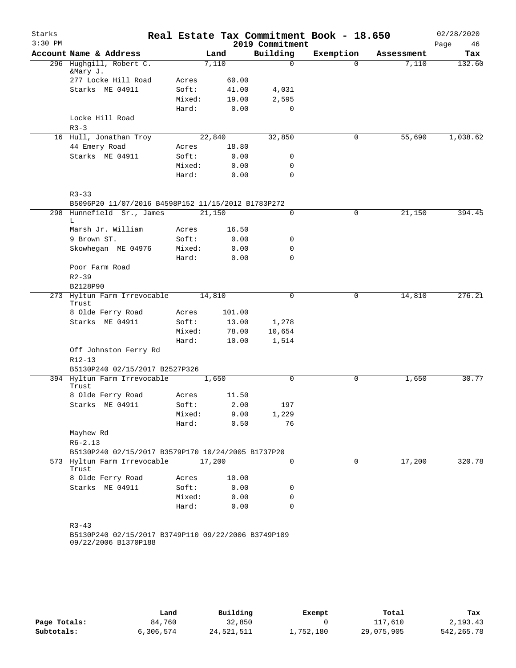| Starks<br>$3:30$ PM |                                                                                   |        |        |        | Real Estate Tax Commitment Book - 18.650 |             |            | 02/28/2020        |
|---------------------|-----------------------------------------------------------------------------------|--------|--------|--------|------------------------------------------|-------------|------------|-------------------|
|                     | Account Name & Address                                                            |        | Land   |        | 2019 Commitment<br>Building              | Exemption   | Assessment | Page<br>46<br>Tax |
|                     | 296 Hughgill, Robert C.                                                           |        | 7,110  |        | $\mathbf 0$                              | $\Omega$    | 7,110      | 132.60            |
|                     | &Mary J.                                                                          |        |        |        |                                          |             |            |                   |
|                     | 277 Locke Hill Road                                                               | Acres  |        | 60.00  |                                          |             |            |                   |
|                     | Starks ME 04911                                                                   | Soft:  |        | 41.00  | 4,031                                    |             |            |                   |
|                     |                                                                                   | Mixed: |        | 19.00  | 2,595                                    |             |            |                   |
|                     |                                                                                   | Hard:  |        | 0.00   | 0                                        |             |            |                   |
|                     | Locke Hill Road                                                                   |        |        |        |                                          |             |            |                   |
|                     | $R3 - 3$                                                                          |        |        |        |                                          |             |            |                   |
|                     | 16 Hull, Jonathan Troy                                                            |        | 22,840 |        | 32,850                                   | 0           | 55,690     | 1,038.62          |
|                     | 44 Emery Road                                                                     | Acres  |        | 18.80  |                                          |             |            |                   |
|                     | Starks ME 04911                                                                   | Soft:  |        | 0.00   | 0                                        |             |            |                   |
|                     |                                                                                   | Mixed: |        | 0.00   | 0                                        |             |            |                   |
|                     |                                                                                   | Hard:  |        | 0.00   | $\mathbf 0$                              |             |            |                   |
|                     |                                                                                   |        |        |        |                                          |             |            |                   |
|                     | $R3 - 33$<br>B5096P20 11/07/2016 B4598P152 11/15/2012 B1783P272                   |        |        |        |                                          |             |            |                   |
|                     | 298 Hunnefield Sr., James                                                         |        | 21,150 |        | 0                                        | 0           | 21,150     | 394.45            |
|                     | L                                                                                 |        |        |        |                                          |             |            |                   |
|                     | Marsh Jr. William                                                                 | Acres  |        | 16.50  |                                          |             |            |                   |
|                     | 9 Brown ST.                                                                       | Soft:  |        | 0.00   | 0                                        |             |            |                   |
|                     | Skowhegan ME 04976                                                                | Mixed: |        | 0.00   | 0                                        |             |            |                   |
|                     |                                                                                   | Hard:  |        | 0.00   | $\mathbf 0$                              |             |            |                   |
|                     | Poor Farm Road                                                                    |        |        |        |                                          |             |            |                   |
|                     | $R2 - 39$                                                                         |        |        |        |                                          |             |            |                   |
|                     | B2128P90                                                                          |        |        |        |                                          |             |            |                   |
|                     | 273 Hyltun Farm Irrevocable<br>Trust                                              |        | 14,810 |        | $\mathsf{O}$                             | $\mathbf 0$ | 14,810     | 276.21            |
|                     | 8 Olde Ferry Road                                                                 | Acres  |        | 101.00 |                                          |             |            |                   |
|                     | Starks ME 04911                                                                   | Soft:  |        | 13.00  | 1,278                                    |             |            |                   |
|                     |                                                                                   | Mixed: |        | 78.00  | 10,654                                   |             |            |                   |
|                     |                                                                                   | Hard:  |        | 10.00  | 1,514                                    |             |            |                   |
|                     | Off Johnston Ferry Rd                                                             |        |        |        |                                          |             |            |                   |
|                     | $R12 - 13$                                                                        |        |        |        |                                          |             |            |                   |
|                     | B5130P240 02/15/2017 B2527P326                                                    |        |        |        |                                          |             |            |                   |
|                     | 394 Hyltun Farm Irrevocable                                                       |        | 1,650  |        | $\Omega$                                 | 0           | 1,650      | 30.77             |
|                     | Trust                                                                             |        |        |        |                                          |             |            |                   |
|                     | 8 Olde Ferry Road                                                                 | Acres  |        | 11.50  |                                          |             |            |                   |
|                     | Starks ME 04911                                                                   | Soft:  |        | 2.00   | 197                                      |             |            |                   |
|                     |                                                                                   | Mixed: |        | 9.00   | 1,229                                    |             |            |                   |
|                     |                                                                                   | Hard:  |        | 0.50   | 76                                       |             |            |                   |
|                     | Mayhew Rd                                                                         |        |        |        |                                          |             |            |                   |
|                     | $R6 - 2.13$                                                                       |        |        |        |                                          |             |            |                   |
|                     | B5130P240 02/15/2017 B3579P170 10/24/2005 B1737P20<br>573 Hyltun Farm Irrevocable |        | 17,200 |        | 0                                        | $\mathbf 0$ | 17,200     | 320.78            |
|                     | Trust                                                                             |        |        |        |                                          |             |            |                   |
|                     | 8 Olde Ferry Road                                                                 | Acres  |        | 10.00  |                                          |             |            |                   |
|                     | Starks ME 04911                                                                   | Soft:  |        | 0.00   | 0                                        |             |            |                   |
|                     |                                                                                   | Mixed: |        | 0.00   | 0                                        |             |            |                   |
|                     |                                                                                   | Hard:  |        | 0.00   | 0                                        |             |            |                   |
|                     |                                                                                   |        |        |        |                                          |             |            |                   |
|                     | $R3 - 43$                                                                         |        |        |        |                                          |             |            |                   |
|                     | B5130P240 02/15/2017 B3749P110 09/22/2006 B3749P109                               |        |        |        |                                          |             |            |                   |
|                     | 09/22/2006 B1370P188                                                              |        |        |        |                                          |             |            |                   |
|                     |                                                                                   |        |        |        |                                          |             |            |                   |

|              | Land      | Building   | Exempt    | Total      | Tax         |
|--------------|-----------|------------|-----------|------------|-------------|
| Page Totals: | 84,760    | 32,850     |           | 117,610    | 2,193.43    |
| Subtotals:   | 6,306,574 | 24,521,511 | 1,752,180 | 29,075,905 | 542, 265.78 |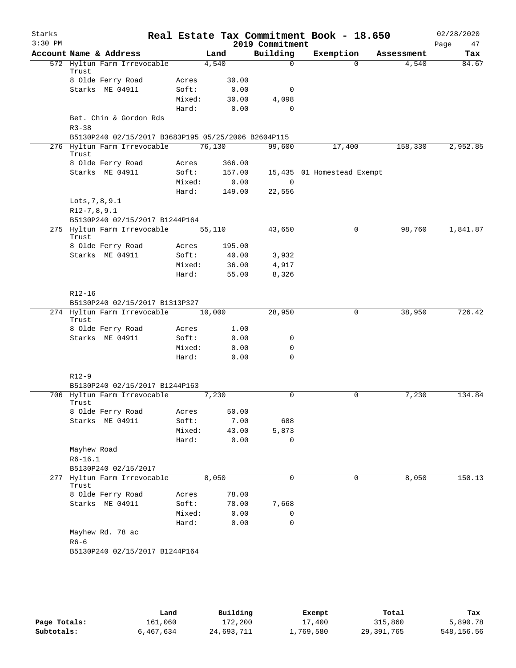| Starks<br>$3:30$ PM |                                                     |        |        |        | Real Estate Tax Commitment Book - 18.650<br>2019 Commitment |                            |             |            | 02/28/2020<br>Page<br>47 |
|---------------------|-----------------------------------------------------|--------|--------|--------|-------------------------------------------------------------|----------------------------|-------------|------------|--------------------------|
|                     | Account Name & Address                              |        | Land   |        | Building                                                    | Exemption                  |             | Assessment | Tax                      |
|                     | 572 Hyltun Farm Irrevocable<br>Trust                |        | 4,540  |        | $\Omega$                                                    |                            | $\Omega$    | 4,540      | 84.67                    |
|                     | 8 Olde Ferry Road                                   | Acres  |        | 30.00  |                                                             |                            |             |            |                          |
|                     | Starks ME 04911                                     | Soft:  |        | 0.00   | 0                                                           |                            |             |            |                          |
|                     |                                                     | Mixed: |        | 30.00  | 4,098                                                       |                            |             |            |                          |
|                     |                                                     | Hard:  |        | 0.00   | $\Omega$                                                    |                            |             |            |                          |
|                     | Bet. Chin & Gordon Rds<br>$R3 - 38$                 |        |        |        |                                                             |                            |             |            |                          |
|                     | B5130P240 02/15/2017 B3683P195 05/25/2006 B2604P115 |        |        |        |                                                             |                            |             |            |                          |
|                     | 276 Hyltun Farm Irrevocable<br>Trust                |        | 76,130 |        | 99,600                                                      | 17,400                     |             | 158,330    | 2,952.85                 |
|                     | 8 Olde Ferry Road                                   | Acres  |        | 366.00 |                                                             |                            |             |            |                          |
|                     | Starks ME 04911                                     | Soft:  |        | 157.00 |                                                             | 15,435 01 Homestead Exempt |             |            |                          |
|                     |                                                     | Mixed: |        | 0.00   | $\overline{0}$                                              |                            |             |            |                          |
|                     |                                                     | Hard:  |        | 149.00 | 22,556                                                      |                            |             |            |                          |
|                     | Lots, 7, 8, 9.1                                     |        |        |        |                                                             |                            |             |            |                          |
|                     | $R12-7, 8, 9.1$                                     |        |        |        |                                                             |                            |             |            |                          |
|                     | B5130P240 02/15/2017 B1244P164                      |        |        |        |                                                             |                            |             |            |                          |
|                     | 275 Hyltun Farm Irrevocable<br>Trust                |        | 55,110 |        | 43,650                                                      |                            | 0           | 98,760     | 1,841.87                 |
|                     | 8 Olde Ferry Road                                   | Acres  |        | 195.00 |                                                             |                            |             |            |                          |
|                     | Starks ME 04911                                     | Soft:  |        | 40.00  | 3,932                                                       |                            |             |            |                          |
|                     |                                                     | Mixed: |        | 36.00  | 4,917                                                       |                            |             |            |                          |
|                     |                                                     | Hard:  |        | 55.00  | 8,326                                                       |                            |             |            |                          |
|                     | R12-16<br>B5130P240 02/15/2017 B1313P327            |        |        |        |                                                             |                            |             |            |                          |
|                     | 274 Hyltun Farm Irrevocable                         |        | 10,000 |        | 28,950                                                      |                            | 0           | 38,950     | 726.42                   |
|                     | Trust                                               |        |        |        |                                                             |                            |             |            |                          |
|                     | 8 Olde Ferry Road                                   | Acres  |        | 1.00   |                                                             |                            |             |            |                          |
|                     | Starks ME 04911                                     | Soft:  |        | 0.00   | 0                                                           |                            |             |            |                          |
|                     |                                                     | Mixed: |        | 0.00   | $\mathbf 0$                                                 |                            |             |            |                          |
|                     |                                                     | Hard:  |        | 0.00   | $\Omega$                                                    |                            |             |            |                          |
|                     | $R12-9$                                             |        |        |        |                                                             |                            |             |            |                          |
|                     | B5130P240 02/15/2017 B1244P163                      |        |        |        |                                                             |                            |             |            |                          |
|                     | 706 Hyltun Farm Irrevocable<br>Trust                |        | 7,230  |        | 0                                                           |                            | $\mathbf 0$ | 7,230      | 134.84                   |
|                     | 8 Olde Ferry Road                                   | Acres  |        | 50.00  |                                                             |                            |             |            |                          |
|                     | Starks ME 04911                                     | Soft:  |        | 7.00   | 688                                                         |                            |             |            |                          |
|                     |                                                     | Mixed: |        | 43.00  | 5,873                                                       |                            |             |            |                          |
|                     |                                                     | Hard:  |        | 0.00   | 0                                                           |                            |             |            |                          |
|                     | Mayhew Road                                         |        |        |        |                                                             |                            |             |            |                          |
|                     | $R6-16.1$                                           |        |        |        |                                                             |                            |             |            |                          |
|                     | B5130P240 02/15/2017                                |        |        |        |                                                             |                            |             |            |                          |
|                     | 277 Hyltun Farm Irrevocable<br>Trust                |        | 8,050  |        | $\mathbf 0$                                                 |                            | 0           | 8,050      | 150.13                   |
|                     | 8 Olde Ferry Road                                   | Acres  |        | 78.00  |                                                             |                            |             |            |                          |
|                     | Starks ME 04911                                     | Soft:  |        | 78.00  | 7,668                                                       |                            |             |            |                          |
|                     |                                                     | Mixed: |        | 0.00   | 0                                                           |                            |             |            |                          |
|                     |                                                     | Hard:  |        | 0.00   | $\mathbf 0$                                                 |                            |             |            |                          |
|                     | Mayhew Rd. 78 ac<br>$R6 - 6$                        |        |        |        |                                                             |                            |             |            |                          |
|                     | B5130P240 02/15/2017 B1244P164                      |        |        |        |                                                             |                            |             |            |                          |
|                     |                                                     |        |        |        |                                                             |                            |             |            |                          |

|              | Land      | Building   | Exempt    | Total        | Tax        |
|--------------|-----------|------------|-----------|--------------|------------|
| Page Totals: | 161,060   | 172,200    | 17,400    | 315,860      | 5,890.78   |
| Subtotals:   | 6,467,634 | 24,693,711 | 1,769,580 | 29, 391, 765 | 548,156.56 |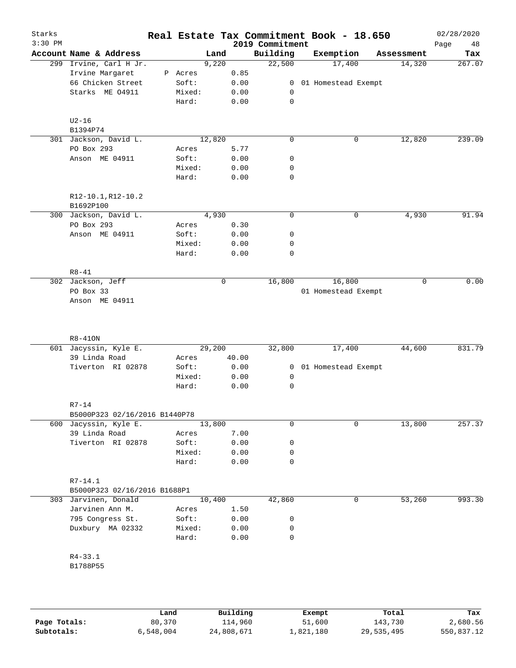| Building<br>Exemption<br>Account Name & Address<br>Land<br>Assessment<br>9,220<br>22,500<br>17,400<br>299 Irvine, Carl H Jr.<br>14,320<br>Irvine Margaret<br>0.85<br>P Acres<br>66 Chicken Street<br>Soft:<br>0.00<br>01 Homestead Exempt<br>0<br>Starks ME 04911<br>Mixed:<br>0.00<br>0<br>$\mathsf{O}$<br>Hard:<br>0.00<br>$U2-16$<br>B1394P74<br>12,820<br>$\mathbf 0$<br>12,820<br>301 Jackson, David L.<br>0<br>PO Box 293<br>5.77<br>Acres<br>Anson ME 04911<br>Soft:<br>0.00<br>0<br>Mixed:<br>0.00<br>0<br>$\mathbf 0$<br>Hard:<br>0.00<br>R12-10.1, R12-10.2<br>B1692P100<br>300 Jackson, David L.<br>4,930<br>0<br>0<br>4,930<br>PO Box 293<br>0.30<br>Acres<br>Anson ME 04911<br>Soft:<br>0.00<br>0<br>Mixed:<br>0.00<br>0<br>0<br>Hard:<br>0.00<br>$R8 - 41$<br>16,800<br>16,800<br>302 Jackson, Jeff<br>0<br>$\mathbf 0$<br>PO Box 33<br>01 Homestead Exempt<br>Anson ME 04911 | Tax                                   |
|---------------------------------------------------------------------------------------------------------------------------------------------------------------------------------------------------------------------------------------------------------------------------------------------------------------------------------------------------------------------------------------------------------------------------------------------------------------------------------------------------------------------------------------------------------------------------------------------------------------------------------------------------------------------------------------------------------------------------------------------------------------------------------------------------------------------------------------------------------------------------------------------|---------------------------------------|
|                                                                                                                                                                                                                                                                                                                                                                                                                                                                                                                                                                                                                                                                                                                                                                                                                                                                                             | 267.07<br>239.09<br>91.94<br>0.00     |
|                                                                                                                                                                                                                                                                                                                                                                                                                                                                                                                                                                                                                                                                                                                                                                                                                                                                                             |                                       |
|                                                                                                                                                                                                                                                                                                                                                                                                                                                                                                                                                                                                                                                                                                                                                                                                                                                                                             |                                       |
|                                                                                                                                                                                                                                                                                                                                                                                                                                                                                                                                                                                                                                                                                                                                                                                                                                                                                             |                                       |
|                                                                                                                                                                                                                                                                                                                                                                                                                                                                                                                                                                                                                                                                                                                                                                                                                                                                                             |                                       |
|                                                                                                                                                                                                                                                                                                                                                                                                                                                                                                                                                                                                                                                                                                                                                                                                                                                                                             |                                       |
|                                                                                                                                                                                                                                                                                                                                                                                                                                                                                                                                                                                                                                                                                                                                                                                                                                                                                             |                                       |
|                                                                                                                                                                                                                                                                                                                                                                                                                                                                                                                                                                                                                                                                                                                                                                                                                                                                                             |                                       |
|                                                                                                                                                                                                                                                                                                                                                                                                                                                                                                                                                                                                                                                                                                                                                                                                                                                                                             |                                       |
|                                                                                                                                                                                                                                                                                                                                                                                                                                                                                                                                                                                                                                                                                                                                                                                                                                                                                             |                                       |
|                                                                                                                                                                                                                                                                                                                                                                                                                                                                                                                                                                                                                                                                                                                                                                                                                                                                                             |                                       |
|                                                                                                                                                                                                                                                                                                                                                                                                                                                                                                                                                                                                                                                                                                                                                                                                                                                                                             |                                       |
|                                                                                                                                                                                                                                                                                                                                                                                                                                                                                                                                                                                                                                                                                                                                                                                                                                                                                             |                                       |
|                                                                                                                                                                                                                                                                                                                                                                                                                                                                                                                                                                                                                                                                                                                                                                                                                                                                                             |                                       |
|                                                                                                                                                                                                                                                                                                                                                                                                                                                                                                                                                                                                                                                                                                                                                                                                                                                                                             |                                       |
|                                                                                                                                                                                                                                                                                                                                                                                                                                                                                                                                                                                                                                                                                                                                                                                                                                                                                             |                                       |
|                                                                                                                                                                                                                                                                                                                                                                                                                                                                                                                                                                                                                                                                                                                                                                                                                                                                                             |                                       |
|                                                                                                                                                                                                                                                                                                                                                                                                                                                                                                                                                                                                                                                                                                                                                                                                                                                                                             |                                       |
|                                                                                                                                                                                                                                                                                                                                                                                                                                                                                                                                                                                                                                                                                                                                                                                                                                                                                             |                                       |
|                                                                                                                                                                                                                                                                                                                                                                                                                                                                                                                                                                                                                                                                                                                                                                                                                                                                                             |                                       |
|                                                                                                                                                                                                                                                                                                                                                                                                                                                                                                                                                                                                                                                                                                                                                                                                                                                                                             |                                       |
|                                                                                                                                                                                                                                                                                                                                                                                                                                                                                                                                                                                                                                                                                                                                                                                                                                                                                             |                                       |
|                                                                                                                                                                                                                                                                                                                                                                                                                                                                                                                                                                                                                                                                                                                                                                                                                                                                                             |                                       |
|                                                                                                                                                                                                                                                                                                                                                                                                                                                                                                                                                                                                                                                                                                                                                                                                                                                                                             |                                       |
|                                                                                                                                                                                                                                                                                                                                                                                                                                                                                                                                                                                                                                                                                                                                                                                                                                                                                             |                                       |
| $R8 - 410N$                                                                                                                                                                                                                                                                                                                                                                                                                                                                                                                                                                                                                                                                                                                                                                                                                                                                                 |                                       |
| 601 Jacyssin, Kyle E.<br>29,200                                                                                                                                                                                                                                                                                                                                                                                                                                                                                                                                                                                                                                                                                                                                                                                                                                                             |                                       |
| 39 Linda Road<br>40.00<br>Acres                                                                                                                                                                                                                                                                                                                                                                                                                                                                                                                                                                                                                                                                                                                                                                                                                                                             | 32,800<br>17,400<br>44,600            |
| Tiverton RI 02878<br>Soft:<br>0.00                                                                                                                                                                                                                                                                                                                                                                                                                                                                                                                                                                                                                                                                                                                                                                                                                                                          |                                       |
| Mixed:<br>0.00                                                                                                                                                                                                                                                                                                                                                                                                                                                                                                                                                                                                                                                                                                                                                                                                                                                                              | 01 Homestead Exempt<br>$\overline{0}$ |
| Hard:<br>0.00                                                                                                                                                                                                                                                                                                                                                                                                                                                                                                                                                                                                                                                                                                                                                                                                                                                                               | 0                                     |
| $R7-14$                                                                                                                                                                                                                                                                                                                                                                                                                                                                                                                                                                                                                                                                                                                                                                                                                                                                                     | 0                                     |
| B5000P323 02/16/2016 B1440P78                                                                                                                                                                                                                                                                                                                                                                                                                                                                                                                                                                                                                                                                                                                                                                                                                                                               |                                       |
| 13,800<br>0<br>$\mathbf 0$<br>600 Jacyssin, Kyle E.                                                                                                                                                                                                                                                                                                                                                                                                                                                                                                                                                                                                                                                                                                                                                                                                                                         |                                       |
| 39 Linda Road<br>7.00<br>Acres                                                                                                                                                                                                                                                                                                                                                                                                                                                                                                                                                                                                                                                                                                                                                                                                                                                              | 13,800                                |
| Tiverton RI 02878<br>Soft:<br>0.00<br>0                                                                                                                                                                                                                                                                                                                                                                                                                                                                                                                                                                                                                                                                                                                                                                                                                                                     |                                       |
| Mixed:<br>0.00<br>0                                                                                                                                                                                                                                                                                                                                                                                                                                                                                                                                                                                                                                                                                                                                                                                                                                                                         |                                       |
| Hard:<br>0.00                                                                                                                                                                                                                                                                                                                                                                                                                                                                                                                                                                                                                                                                                                                                                                                                                                                                               |                                       |
|                                                                                                                                                                                                                                                                                                                                                                                                                                                                                                                                                                                                                                                                                                                                                                                                                                                                                             | 0                                     |
| R7-14.1                                                                                                                                                                                                                                                                                                                                                                                                                                                                                                                                                                                                                                                                                                                                                                                                                                                                                     |                                       |
| B5000P323 02/16/2016 B1688P1                                                                                                                                                                                                                                                                                                                                                                                                                                                                                                                                                                                                                                                                                                                                                                                                                                                                |                                       |
| 10,400<br>42,860<br>0<br>53,260<br>303 Jarvinen, Donald                                                                                                                                                                                                                                                                                                                                                                                                                                                                                                                                                                                                                                                                                                                                                                                                                                     | 993.30                                |
| Jarvinen Ann M.<br>1.50<br>Acres                                                                                                                                                                                                                                                                                                                                                                                                                                                                                                                                                                                                                                                                                                                                                                                                                                                            |                                       |
| 795 Congress St.<br>Soft:<br>0.00<br>0                                                                                                                                                                                                                                                                                                                                                                                                                                                                                                                                                                                                                                                                                                                                                                                                                                                      |                                       |
| Duxbury MA 02332<br>Mixed:<br>0.00<br>0                                                                                                                                                                                                                                                                                                                                                                                                                                                                                                                                                                                                                                                                                                                                                                                                                                                     |                                       |
| Hard:<br>$\mathbf 0$<br>0.00                                                                                                                                                                                                                                                                                                                                                                                                                                                                                                                                                                                                                                                                                                                                                                                                                                                                |                                       |
|                                                                                                                                                                                                                                                                                                                                                                                                                                                                                                                                                                                                                                                                                                                                                                                                                                                                                             |                                       |
| $R4 - 33.1$                                                                                                                                                                                                                                                                                                                                                                                                                                                                                                                                                                                                                                                                                                                                                                                                                                                                                 | 831.79<br>257.37                      |
| B1788P55                                                                                                                                                                                                                                                                                                                                                                                                                                                                                                                                                                                                                                                                                                                                                                                                                                                                                    |                                       |

|              | Land      | Building   | Exempt    | Total      | Tax        |
|--------------|-----------|------------|-----------|------------|------------|
| Page Totals: | 80,370    | 114,960    | 51,600    | 143,730    | 2,680.56   |
| Subtotals:   | 6,548,004 | 24,808,671 | 1,821,180 | 29,535,495 | 550,837.12 |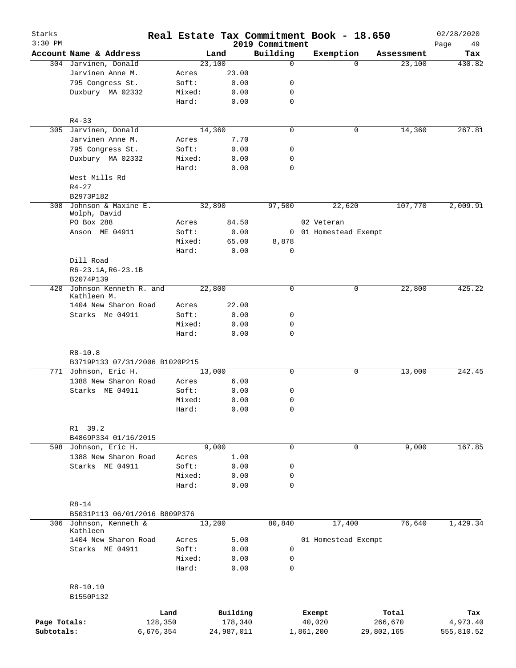| Starks<br>$3:30$ PM |                                |           |        | Real Estate Tax Commitment Book - 18.650 | 2019 Commitment |            |                       |            | 02/28/2020<br>49<br>Page |
|---------------------|--------------------------------|-----------|--------|------------------------------------------|-----------------|------------|-----------------------|------------|--------------------------|
|                     | Account Name & Address         |           |        | Land                                     | Building        | Exemption  |                       | Assessment | Tax                      |
|                     | 304 Jarvinen, Donald           |           |        | 23,100                                   | $\mathbf 0$     |            | $\Omega$              | 23,100     | 430.82                   |
|                     | Jarvinen Anne M.               |           | Acres  | 23.00                                    |                 |            |                       |            |                          |
|                     | 795 Congress St.               |           | Soft:  | 0.00                                     | 0               |            |                       |            |                          |
|                     | Duxbury MA 02332               |           | Mixed: | 0.00                                     | 0               |            |                       |            |                          |
|                     |                                |           | Hard:  | 0.00                                     | 0               |            |                       |            |                          |
|                     | $R4 - 33$                      |           |        |                                          |                 |            |                       |            |                          |
|                     | 305 Jarvinen, Donald           |           |        | 14,360                                   | $\mathbf 0$     |            | 0                     | 14,360     | 267.81                   |
|                     | Jarvinen Anne M.               |           | Acres  | 7.70                                     |                 |            |                       |            |                          |
|                     | 795 Congress St.               |           | Soft:  | 0.00                                     | 0               |            |                       |            |                          |
|                     | Duxbury MA 02332               |           | Mixed: | 0.00                                     | 0               |            |                       |            |                          |
|                     |                                |           | Hard:  | 0.00                                     | 0               |            |                       |            |                          |
|                     | West Mills Rd                  |           |        |                                          |                 |            |                       |            |                          |
|                     | $R4 - 27$                      |           |        |                                          |                 |            |                       |            |                          |
|                     | B2973P182                      |           |        |                                          |                 |            |                       |            |                          |
| 308                 | Johnson & Maxine E.            |           |        | 32,890                                   | 97,500          |            | 22,620                | 107,770    | 2,009.91                 |
|                     | Wolph, David                   |           |        |                                          |                 |            |                       |            |                          |
|                     | PO Box 288                     |           | Acres  | 84.50                                    |                 | 02 Veteran |                       |            |                          |
|                     | Anson ME 04911                 |           | Soft:  | 0.00                                     |                 |            | 0 01 Homestead Exempt |            |                          |
|                     |                                |           | Mixed: | 65.00                                    | 8,878           |            |                       |            |                          |
|                     |                                |           | Hard:  | 0.00                                     | 0               |            |                       |            |                          |
|                     | Dill Road                      |           |        |                                          |                 |            |                       |            |                          |
|                     | R6-23.1A, R6-23.1B             |           |        |                                          |                 |            |                       |            |                          |
|                     | B2074P139                      |           |        |                                          |                 |            |                       |            |                          |
|                     | 420 Johnson Kenneth R. and     |           |        | 22,800                                   | $\mathbf 0$     |            |                       | 22,800     |                          |
|                     | Kathleen M.                    |           |        |                                          |                 |            | 0                     |            | 425.22                   |
|                     | 1404 New Sharon Road           |           | Acres  | 22.00                                    |                 |            |                       |            |                          |
|                     | Starks Me 04911                |           | Soft:  | 0.00                                     | 0               |            |                       |            |                          |
|                     |                                |           | Mixed: | 0.00                                     | 0               |            |                       |            |                          |
|                     |                                |           | Hard:  | 0.00                                     | $\mathbf 0$     |            |                       |            |                          |
|                     |                                |           |        |                                          |                 |            |                       |            |                          |
|                     | $R8 - 10.8$                    |           |        |                                          |                 |            |                       |            |                          |
|                     | B3719P133 07/31/2006 B1020P215 |           |        |                                          |                 |            |                       |            |                          |
|                     | 771 Johnson, Eric H.           |           |        | 13,000                                   | $\mathbf 0$     |            | 0                     | 13,000     | 242.45                   |
|                     | 1388 New Sharon Road           |           |        |                                          |                 |            |                       |            |                          |
|                     | Starks ME 04911                |           | Acres  | 6.00                                     |                 |            |                       |            |                          |
|                     |                                |           | Soft:  | 0.00                                     | 0               |            |                       |            |                          |
|                     |                                |           | Mixed: | 0.00                                     | 0               |            |                       |            |                          |
|                     |                                |           | Hard:  | 0.00                                     | 0               |            |                       |            |                          |
|                     |                                |           |        |                                          |                 |            |                       |            |                          |
|                     | R1 39.2                        |           |        |                                          |                 |            |                       |            |                          |
|                     | B4869P334 01/16/2015           |           |        |                                          |                 |            |                       |            |                          |
| 598                 | Johnson, Eric H.               |           |        | 9,000                                    | $\mathbf 0$     |            | 0                     | 9,000      | 167.85                   |
|                     | 1388 New Sharon Road           |           | Acres  | 1.00                                     |                 |            |                       |            |                          |
|                     | Starks ME 04911                |           | Soft:  | 0.00                                     | 0               |            |                       |            |                          |
|                     |                                |           | Mixed: | 0.00                                     | 0               |            |                       |            |                          |
|                     |                                |           | Hard:  | 0.00                                     | $\mathbf 0$     |            |                       |            |                          |
|                     |                                |           |        |                                          |                 |            |                       |            |                          |
|                     | $R8 - 14$                      |           |        |                                          |                 |            |                       |            |                          |
|                     | B5031P113 06/01/2016 B809P376  |           |        |                                          |                 |            |                       |            |                          |
|                     | 306 Johnson, Kenneth &         |           |        | 13,200                                   | 80,840          |            | 17,400                | 76,640     | 1,429.34                 |
|                     | Kathleen                       |           |        |                                          |                 |            |                       |            |                          |
|                     | 1404 New Sharon Road           |           | Acres  | 5.00                                     |                 |            | 01 Homestead Exempt   |            |                          |
|                     | Starks ME 04911                |           | Soft:  | 0.00                                     | 0               |            |                       |            |                          |
|                     |                                |           | Mixed: | 0.00                                     | 0               |            |                       |            |                          |
|                     |                                |           | Hard:  | 0.00                                     | 0               |            |                       |            |                          |
|                     |                                |           |        |                                          |                 |            |                       |            |                          |
|                     | R8-10.10                       |           |        |                                          |                 |            |                       |            |                          |
|                     | B1550P132                      |           |        |                                          |                 |            |                       |            |                          |
|                     |                                |           |        |                                          |                 |            |                       |            |                          |
|                     |                                | Land      |        | Building                                 |                 | Exempt     |                       | Total      | Tax                      |
| Page Totals:        |                                | 128,350   |        | 178,340                                  |                 | 40,020     |                       | 266,670    | 4,973.40                 |
| Subtotals:          |                                | 6,676,354 |        | 24,987,011                               |                 | 1,861,200  | 29,802,165            |            | 555,810.52               |
|                     |                                |           |        |                                          |                 |            |                       |            |                          |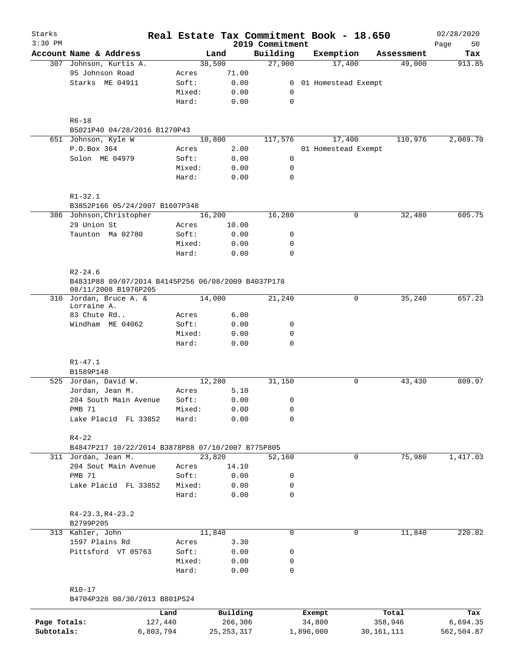| Starks<br>$3:30$ PM |                                                                            |        |                     | 2019 Commitment | Real Estate Tax Commitment Book - 18.650 |                  | 02/28/2020<br>50<br>Page |
|---------------------|----------------------------------------------------------------------------|--------|---------------------|-----------------|------------------------------------------|------------------|--------------------------|
|                     | Account Name & Address                                                     |        | Land                | Building        | Exemption                                | Assessment       | Tax                      |
|                     | 307 Johnson, Kurtis A.                                                     |        | 38,500              | 27,900          | 17,400                                   | 49,000           | 913.85                   |
|                     | 95 Johnson Road                                                            | Acres  | 71.00               |                 |                                          |                  |                          |
|                     | Starks ME 04911                                                            | Soft:  | 0.00                |                 | 0 01 Homestead Exempt                    |                  |                          |
|                     |                                                                            | Mixed: | 0.00                | $\mathbf 0$     |                                          |                  |                          |
|                     |                                                                            | Hard:  | 0.00                | 0               |                                          |                  |                          |
|                     | $R6 - 18$                                                                  |        |                     |                 |                                          |                  |                          |
|                     | B5021P40 04/28/2016 B1270P43                                               |        |                     |                 |                                          |                  |                          |
|                     | 651 Johnson, Kyle W                                                        |        | 10,800              | 117,576         | 17,400                                   | 110,976          | 2,069.70                 |
|                     | P.O.Box 364                                                                | Acres  | 2.00                |                 | 01 Homestead Exempt                      |                  |                          |
|                     | Solon ME 04979                                                             | Soft:  | 0.00                | $\mathsf{O}$    |                                          |                  |                          |
|                     |                                                                            | Mixed: | 0.00                | 0               |                                          |                  |                          |
|                     |                                                                            | Hard:  | 0.00                | $\Omega$        |                                          |                  |                          |
|                     | $R1 - 32.1$                                                                |        |                     |                 |                                          |                  |                          |
|                     | B3852P166 05/24/2007 B1607P348                                             |        |                     |                 |                                          |                  |                          |
|                     | 386 Johnson, Christopher                                                   |        | 16,200              | 16,280          | $\mathbf 0$                              | 32,480           | 605.75                   |
|                     | 29 Union St                                                                | Acres  | 10.00               |                 |                                          |                  |                          |
|                     | Taunton Ma 02780                                                           | Soft:  | 0.00                | 0               |                                          |                  |                          |
|                     |                                                                            | Mixed: | 0.00                | 0               |                                          |                  |                          |
|                     |                                                                            | Hard:  | 0.00                | 0               |                                          |                  |                          |
|                     | $R2 - 24.6$                                                                |        |                     |                 |                                          |                  |                          |
|                     | B4831P88 09/07/2014 B4145P256 06/08/2009 B4037P178<br>08/11/2008 B1976P205 |        |                     |                 |                                          |                  |                          |
|                     | 310 Jordan, Bruce A. &                                                     |        | 14,000              | 21,240          | $\mathbf 0$                              | 35,240           | 657.23                   |
|                     | Lorraine A.                                                                |        |                     |                 |                                          |                  |                          |
|                     | 83 Chute Rd                                                                | Acres  | 6.00                |                 |                                          |                  |                          |
|                     | Windham ME 04062                                                           | Soft:  | 0.00                | 0               |                                          |                  |                          |
|                     |                                                                            | Mixed: | 0.00                | 0               |                                          |                  |                          |
|                     |                                                                            | Hard:  | 0.00                | $\mathbf 0$     |                                          |                  |                          |
|                     | $R1 - 47.1$<br>B1589P148                                                   |        |                     |                 |                                          |                  |                          |
|                     | 525 Jordan, David W.                                                       |        | 12,280              | 31,150          | 0                                        | 43,430           | 809.97                   |
|                     | Jordan, Jean M.                                                            | Acres  | 5.10                |                 |                                          |                  |                          |
|                     | 204 South Main Avenue                                                      | Soft:  | 0.00                | 0               |                                          |                  |                          |
|                     | <b>PMB 71</b>                                                              | Mixed: | 0.00                | 0               |                                          |                  |                          |
|                     | Lake Placid FL 33852                                                       | Hard:  | 0.00                | 0               |                                          |                  |                          |
|                     |                                                                            |        |                     |                 |                                          |                  |                          |
|                     | $R4 - 22$<br>B4847P217 10/22/2014 B3878P88 07/10/2007 B775P805             |        |                     |                 |                                          |                  |                          |
|                     | 311 Jordan, Jean M.                                                        |        | 23,820              | 52,160          | 0                                        | 75,980           | 1,417.03                 |
|                     | 204 Sout Main Avenue                                                       | Acres  | 14.10               |                 |                                          |                  |                          |
|                     | <b>PMB 71</b>                                                              | Soft:  | 0.00                | 0               |                                          |                  |                          |
|                     | Lake Placid FL 33852                                                       | Mixed: | 0.00                | 0               |                                          |                  |                          |
|                     |                                                                            | Hard:  | 0.00                | 0               |                                          |                  |                          |
|                     | $R4-23.3, R4-23.2$<br>B2799P205                                            |        |                     |                 |                                          |                  |                          |
|                     | 313 Kahler, John                                                           |        | 11,840              | 0               | 0                                        | 11,840           | 220.82                   |
|                     | 1597 Plains Rd                                                             | Acres  | 3.30                |                 |                                          |                  |                          |
|                     | Pittsford VT 05763                                                         | Soft:  | 0.00                | 0               |                                          |                  |                          |
|                     |                                                                            | Mixed: | 0.00                | 0               |                                          |                  |                          |
|                     |                                                                            | Hard:  | 0.00                | 0               |                                          |                  |                          |
|                     |                                                                            |        |                     |                 |                                          |                  |                          |
|                     | $R10 - 17$<br>B4704P328 08/30/2013 B801P524                                |        |                     |                 |                                          |                  |                          |
|                     |                                                                            |        |                     |                 |                                          |                  |                          |
| Page Totals:        | 127,440                                                                    | Land   | Building<br>266,306 |                 | Exempt<br>34,800                         | Total<br>358,946 | Tax<br>6,694.35          |

**Subtotals:** 6,803,794 25,253,317 1,896,000 30,161,111 562,504.87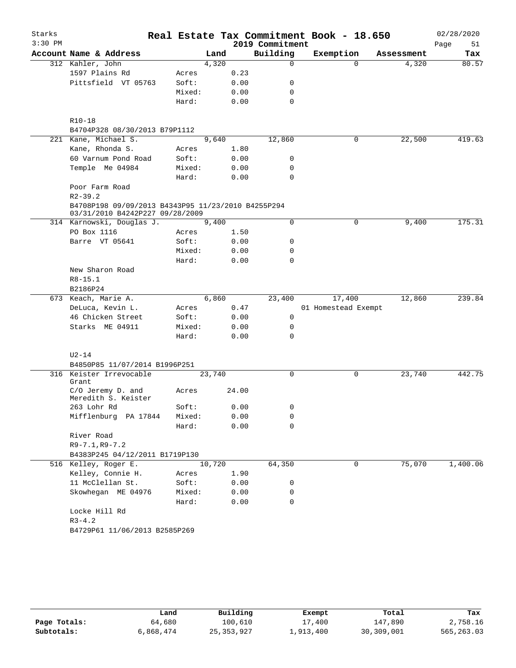| Starks    |                                                                                       |        |        |       | Real Estate Tax Commitment Book - 18.650 |                     |          |            | 02/28/2020 |
|-----------|---------------------------------------------------------------------------------------|--------|--------|-------|------------------------------------------|---------------------|----------|------------|------------|
| $3:30$ PM |                                                                                       |        |        |       | 2019 Commitment                          |                     |          |            | Page<br>51 |
|           | Account Name & Address                                                                |        | Land   |       | Building                                 | Exemption           |          | Assessment | Tax        |
|           | 312 Kahler, John                                                                      |        | 4,320  |       | $\Omega$                                 |                     | $\Omega$ | 4,320      | 80.57      |
|           | 1597 Plains Rd                                                                        | Acres  |        | 0.23  |                                          |                     |          |            |            |
|           | Pittsfield VT 05763                                                                   | Soft:  |        | 0.00  | 0                                        |                     |          |            |            |
|           |                                                                                       | Mixed: |        | 0.00  | 0                                        |                     |          |            |            |
|           |                                                                                       | Hard:  |        | 0.00  | 0                                        |                     |          |            |            |
|           | $R10-18$                                                                              |        |        |       |                                          |                     |          |            |            |
|           | B4704P328 08/30/2013 B79P1112                                                         |        |        |       |                                          |                     |          |            |            |
|           | 221 Kane, Michael S.                                                                  |        | 9,640  |       | 12,860                                   |                     | 0        | 22,500     | 419.63     |
|           | Kane, Rhonda S.                                                                       | Acres  |        | 1.80  |                                          |                     |          |            |            |
|           | 60 Varnum Pond Road                                                                   | Soft:  |        | 0.00  | 0                                        |                     |          |            |            |
|           | Temple Me 04984                                                                       | Mixed: |        | 0.00  | 0                                        |                     |          |            |            |
|           |                                                                                       | Hard:  |        | 0.00  | 0                                        |                     |          |            |            |
|           | Poor Farm Road<br>$R2 - 39.2$                                                         |        |        |       |                                          |                     |          |            |            |
|           |                                                                                       |        |        |       |                                          |                     |          |            |            |
|           | B4708P198 09/09/2013 B4343P95 11/23/2010 B4255P294<br>03/31/2010 B4242P227 09/28/2009 |        |        |       |                                          |                     |          |            |            |
|           | 314 Karnowski, Douglas J.                                                             |        | 9,400  |       | 0                                        |                     | 0        | 9,400      | 175.31     |
|           | PO Box 1116                                                                           | Acres  |        | 1.50  |                                          |                     |          |            |            |
|           | Barre VT 05641                                                                        | Soft:  |        | 0.00  | 0                                        |                     |          |            |            |
|           |                                                                                       | Mixed: |        | 0.00  | 0                                        |                     |          |            |            |
|           |                                                                                       | Hard:  |        | 0.00  | 0                                        |                     |          |            |            |
|           | New Sharon Road                                                                       |        |        |       |                                          |                     |          |            |            |
|           | $R8 - 15.1$                                                                           |        |        |       |                                          |                     |          |            |            |
|           | B2186P24                                                                              |        |        |       |                                          |                     |          |            |            |
|           | 673 Keach, Marie A.                                                                   |        | 6,860  |       | 23,400                                   | 17,400              |          | 12,860     | 239.84     |
|           | DeLuca, Kevin L.                                                                      | Acres  |        | 0.47  |                                          | 01 Homestead Exempt |          |            |            |
|           | 46 Chicken Street                                                                     | Soft:  |        | 0.00  | 0                                        |                     |          |            |            |
|           | Starks ME 04911                                                                       | Mixed: |        | 0.00  | $\mathbf 0$                              |                     |          |            |            |
|           |                                                                                       | Hard:  |        | 0.00  | $\Omega$                                 |                     |          |            |            |
|           | $U2-14$                                                                               |        |        |       |                                          |                     |          |            |            |
|           | B4850P85 11/07/2014 B1996P251                                                         |        |        |       |                                          |                     |          |            |            |
|           | 316 Keister Irrevocable<br>Grant                                                      |        | 23,740 |       | 0                                        |                     | 0        | 23,740     | 442.75     |
|           | C/O Jeremy D. and<br>Meredith S. Keister                                              | Acres  |        | 24.00 |                                          |                     |          |            |            |
|           | 263 Lohr Rd                                                                           | Soft:  |        | 0.00  |                                          |                     |          |            |            |
|           | Mifflenburg PA 17844                                                                  | Mixed: |        | 0.00  | 0                                        |                     |          |            |            |
|           |                                                                                       | Hard:  |        | 0.00  | $\Omega$                                 |                     |          |            |            |
|           | River Road                                                                            |        |        |       |                                          |                     |          |            |            |
|           | $R9 - 7.1, R9 - 7.2$                                                                  |        |        |       |                                          |                     |          |            |            |
|           | B4383P245 04/12/2011 B1719P130                                                        |        |        |       |                                          |                     |          |            |            |
|           | 516 Kelley, Roger E.                                                                  |        | 10,720 |       | 64,350                                   |                     | 0        | 75,070     | 1,400.06   |
|           | Kelley, Connie H.                                                                     | Acres  |        | 1.90  |                                          |                     |          |            |            |
|           | 11 McClellan St.                                                                      | Soft:  |        | 0.00  | 0                                        |                     |          |            |            |
|           | Skowhegan ME 04976                                                                    | Mixed: |        | 0.00  | 0                                        |                     |          |            |            |
|           |                                                                                       | Hard:  |        | 0.00  | 0                                        |                     |          |            |            |
|           | Locke Hill Rd                                                                         |        |        |       |                                          |                     |          |            |            |
|           | $R3 - 4.2$                                                                            |        |        |       |                                          |                     |          |            |            |
|           | B4729P61 11/06/2013 B2585P269                                                         |        |        |       |                                          |                     |          |            |            |
|           |                                                                                       |        |        |       |                                          |                     |          |            |            |

|              | Land      | Building     | Exempt    | Total      | Tax         |
|--------------|-----------|--------------|-----------|------------|-------------|
| Page Totals: | 64,680    | 100,610      | 17,400    | 147,890    | 2,758.16    |
| Subtotals:   | 6,868,474 | 25, 353, 927 | 1,913,400 | 30,309,001 | 565, 263.03 |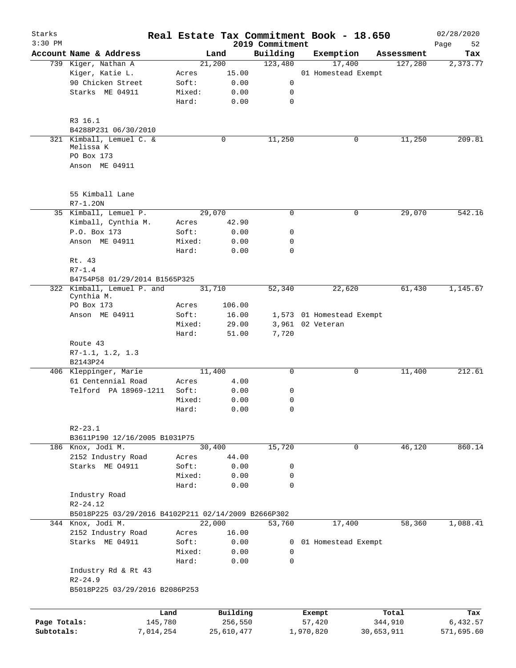| Starks       |                                                     |        | Real Estate Tax Commitment Book - 18.650 |                 |                     |                           |                       | 02/28/2020             |
|--------------|-----------------------------------------------------|--------|------------------------------------------|-----------------|---------------------|---------------------------|-----------------------|------------------------|
| $3:30$ PM    |                                                     |        |                                          | 2019 Commitment |                     |                           |                       | Page<br>52             |
|              | Account Name & Address                              |        | Land                                     | Building        |                     | Exemption                 | Assessment            | Tax                    |
|              | 739 Kiger, Nathan A                                 |        | 21,200                                   | 123,480         |                     | 17,400                    | 127,280               | 2,373.77               |
|              | Kiger, Katie L.<br>90 Chicken Street                | Acres  | 15.00                                    |                 |                     | 01 Homestead Exempt       |                       |                        |
|              |                                                     | Soft:  | 0.00                                     | 0               |                     |                           |                       |                        |
|              | Starks ME 04911                                     | Mixed: | 0.00                                     | 0               |                     |                           |                       |                        |
|              |                                                     | Hard:  | 0.00                                     | 0               |                     |                           |                       |                        |
|              |                                                     |        |                                          |                 |                     |                           |                       |                        |
|              | R3 16.1                                             |        |                                          |                 |                     |                           |                       |                        |
|              | B4288P231 06/30/2010                                |        |                                          |                 |                     |                           |                       |                        |
|              | 321 Kimball, Lemuel C. &<br>Melissa K               |        | 0                                        | 11,250          |                     | 0                         | 11,250                | 209.81                 |
|              | PO Box 173                                          |        |                                          |                 |                     |                           |                       |                        |
|              | Anson ME 04911                                      |        |                                          |                 |                     |                           |                       |                        |
|              |                                                     |        |                                          |                 |                     |                           |                       |                        |
|              |                                                     |        |                                          |                 |                     |                           |                       |                        |
|              | 55 Kimball Lane                                     |        |                                          |                 |                     |                           |                       |                        |
|              | $R7 - 1.20N$                                        |        |                                          |                 |                     |                           |                       |                        |
|              | 35 Kimball, Lemuel P.                               |        | 29,070                                   | 0               |                     | 0                         | 29,070                | 542.16                 |
|              | Kimball, Cynthia M.                                 | Acres  | 42.90                                    |                 |                     |                           |                       |                        |
|              | P.O. Box 173                                        | Soft:  | 0.00                                     | 0               |                     |                           |                       |                        |
|              | Anson ME 04911                                      | Mixed: | 0.00                                     | 0               |                     |                           |                       |                        |
|              |                                                     | Hard:  | 0.00                                     | $\mathbf 0$     |                     |                           |                       |                        |
|              | Rt. 43                                              |        |                                          |                 |                     |                           |                       |                        |
|              | $R7 - 1.4$                                          |        |                                          |                 |                     |                           |                       |                        |
|              | B4754P58 01/29/2014 B1565P325                       |        |                                          |                 |                     |                           |                       |                        |
|              | 322 Kimball, Lemuel P. and                          |        | 31,710                                   | 52,340          |                     | 22,620                    | 61,430                | 1,145.67               |
|              | Cynthia M.                                          |        |                                          |                 |                     |                           |                       |                        |
|              | PO Box 173                                          | Acres  | 106.00                                   |                 |                     |                           |                       |                        |
|              | Anson ME 04911                                      | Soft:  | 16.00                                    |                 |                     | 1,573 01 Homestead Exempt |                       |                        |
|              |                                                     | Mixed: | 29.00                                    |                 |                     | 3,961 02 Veteran          |                       |                        |
|              |                                                     | Hard:  | 51.00                                    | 7,720           |                     |                           |                       |                        |
|              | Route 43                                            |        |                                          |                 |                     |                           |                       |                        |
|              | $R7-1.1, 1.2, 1.3$                                  |        |                                          |                 |                     |                           |                       |                        |
|              | B2143P24                                            |        |                                          |                 |                     |                           |                       |                        |
|              | 406 Kleppinger, Marie                               |        | 11,400                                   | $\mathbf 0$     |                     | $\mathbf 0$               | 11,400                | 212.61                 |
|              | 61 Centennial Road                                  | Acres  | 4.00                                     |                 |                     |                           |                       |                        |
|              | Telford PA 18969-1211                               | Soft:  | 0.00                                     | 0               |                     |                           |                       |                        |
|              |                                                     | Mixed: | 0.00                                     | 0               |                     |                           |                       |                        |
|              |                                                     | Hard:  | 0.00                                     | 0               |                     |                           |                       |                        |
|              |                                                     |        |                                          |                 |                     |                           |                       |                        |
|              | $R2 - 23.1$                                         |        |                                          |                 |                     |                           |                       |                        |
|              | B3611P190 12/16/2005 B1031P75                       |        |                                          |                 |                     |                           |                       |                        |
|              | 186 Knox, Jodi M.                                   |        | 30,400                                   | 15,720          |                     | 0                         | 46,120                | 860.14                 |
|              | 2152 Industry Road                                  | Acres  | 44.00                                    |                 |                     |                           |                       |                        |
|              | Starks ME 04911                                     | Soft:  | 0.00                                     | 0               |                     |                           |                       |                        |
|              |                                                     | Mixed: | 0.00                                     | 0               |                     |                           |                       |                        |
|              |                                                     | Hard:  | 0.00                                     | 0               |                     |                           |                       |                        |
|              | Industry Road                                       |        |                                          |                 |                     |                           |                       |                        |
|              | $R2 - 24.12$                                        |        |                                          |                 |                     |                           |                       |                        |
|              | B5018P225 03/29/2016 B4102P211 02/14/2009 B2666P302 |        |                                          |                 |                     |                           |                       |                        |
|              | 344 Knox, Jodi M.                                   |        | 22,000                                   | 53,760          |                     | 17,400                    | 58,360                | 1,088.41               |
|              | 2152 Industry Road                                  | Acres  | 16.00                                    |                 |                     |                           |                       |                        |
|              | Starks ME 04911                                     | Soft:  | 0.00                                     | 0               |                     | 01 Homestead Exempt       |                       |                        |
|              |                                                     | Mixed: | 0.00                                     | 0               |                     |                           |                       |                        |
|              |                                                     | Hard:  | 0.00                                     | 0               |                     |                           |                       |                        |
|              | Industry Rd & Rt 43                                 |        |                                          |                 |                     |                           |                       |                        |
|              | $R2 - 24.9$                                         |        |                                          |                 |                     |                           |                       |                        |
|              | B5018P225 03/29/2016 B2086P253                      |        |                                          |                 |                     |                           |                       |                        |
|              |                                                     |        |                                          |                 |                     |                           |                       |                        |
|              |                                                     |        |                                          |                 |                     |                           |                       |                        |
| Page Totals: | Land                                                |        | Building                                 |                 | Exempt              |                           | Total                 | Tax                    |
| Subtotals:   | 145,780<br>7,014,254                                |        | 256,550<br>25,610,477                    |                 | 57,420<br>1,970,820 |                           | 344,910<br>30,653,911 | 6,432.57<br>571,695.60 |
|              |                                                     |        |                                          |                 |                     |                           |                       |                        |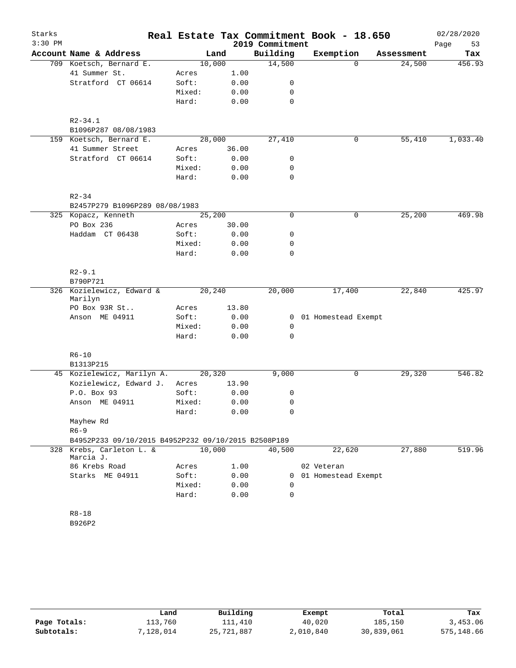| Starks    |                                                     |        |        |                 | Real Estate Tax Commitment Book - 18.650 |            | 02/28/2020 |
|-----------|-----------------------------------------------------|--------|--------|-----------------|------------------------------------------|------------|------------|
| $3:30$ PM |                                                     |        |        | 2019 Commitment |                                          |            | Page<br>53 |
|           | Account Name & Address                              |        | Land   | Building        | Exemption                                | Assessment | Tax        |
|           | 709 Koetsch, Bernard E.                             |        | 10,000 | 14,500          | $\Omega$                                 | 24,500     | 456.93     |
|           | 41 Summer St.                                       | Acres  | 1.00   |                 |                                          |            |            |
|           | Stratford CT 06614                                  | Soft:  | 0.00   | 0               |                                          |            |            |
|           |                                                     | Mixed: | 0.00   | $\mathbf 0$     |                                          |            |            |
|           |                                                     | Hard:  | 0.00   | $\mathbf 0$     |                                          |            |            |
|           | $R2 - 34.1$<br>B1096P287 08/08/1983                 |        |        |                 |                                          |            |            |
|           | 159 Koetsch, Bernard E.                             |        | 28,000 | 27,410          | 0                                        | 55,410     | 1,033.40   |
|           | 41 Summer Street                                    | Acres  | 36.00  |                 |                                          |            |            |
|           | Stratford CT 06614                                  | Soft:  | 0.00   | 0               |                                          |            |            |
|           |                                                     | Mixed: | 0.00   | 0               |                                          |            |            |
|           |                                                     | Hard:  | 0.00   | $\mathbf 0$     |                                          |            |            |
|           | $R2 - 34$                                           |        |        |                 |                                          |            |            |
|           | B2457P279 B1096P289 08/08/1983                      |        |        |                 |                                          |            |            |
|           | 325 Kopacz, Kenneth                                 |        | 25,200 | $\mathbf 0$     | 0                                        | 25,200     | 469.98     |
|           | PO Box 236                                          | Acres  | 30.00  |                 |                                          |            |            |
|           | Haddam CT 06438                                     | Soft:  | 0.00   | 0               |                                          |            |            |
|           |                                                     | Mixed: | 0.00   | 0               |                                          |            |            |
|           |                                                     | Hard:  | 0.00   | $\mathbf 0$     |                                          |            |            |
|           | $R2 - 9.1$                                          |        |        |                 |                                          |            |            |
|           | B790P721                                            |        |        |                 |                                          |            |            |
|           | 326 Kozielewicz, Edward &<br>Marilyn                |        | 20,240 | 20,000          | 17,400                                   | 22,840     | 425.97     |
|           | PO Box 93R St                                       | Acres  | 13.80  |                 |                                          |            |            |
|           | Anson ME 04911                                      | Soft:  | 0.00   | $\mathbf{0}$    | 01 Homestead Exempt                      |            |            |
|           |                                                     | Mixed: | 0.00   | $\mathbf 0$     |                                          |            |            |
|           |                                                     | Hard:  | 0.00   | $\Omega$        |                                          |            |            |
|           | $R6 - 10$                                           |        |        |                 |                                          |            |            |
|           | B1313P215                                           |        |        |                 |                                          |            |            |
|           | 45 Kozielewicz, Marilyn A.                          |        | 20,320 | 9,000           | 0                                        | 29,320     | 546.82     |
|           | Kozielewicz, Edward J.                              | Acres  | 13.90  |                 |                                          |            |            |
|           | P.O. Box 93                                         | Soft:  | 0.00   | 0               |                                          |            |            |
|           | Anson ME 04911                                      | Mixed: | 0.00   | 0               |                                          |            |            |
|           |                                                     | Hard:  | 0.00   | 0               |                                          |            |            |
|           | Mayhew Rd                                           |        |        |                 |                                          |            |            |
|           | $R6 - 9$                                            |        |        |                 |                                          |            |            |
|           | B4952P233 09/10/2015 B4952P232 09/10/2015 B2508P189 |        |        |                 |                                          |            |            |
|           | 328 Krebs, Carleton L. &<br>Marcia J.               |        | 10,000 | 40,500          | 22,620                                   | 27,880     | 519.96     |
|           | 86 Krebs Road                                       | Acres  | 1.00   |                 | 02 Veteran                               |            |            |
|           | Starks ME 04911                                     | Soft:  | 0.00   | $\mathbf{0}$    | 01 Homestead Exempt                      |            |            |
|           |                                                     | Mixed: | 0.00   | 0               |                                          |            |            |
|           |                                                     | Hard:  | 0.00   | $\Omega$        |                                          |            |            |
|           | $R8 - 18$                                           |        |        |                 |                                          |            |            |
|           | B926P2                                              |        |        |                 |                                          |            |            |
|           |                                                     |        |        |                 |                                          |            |            |

|              | Land      | Building   | Exempt    | Total      | Tax        |
|--------------|-----------|------------|-----------|------------|------------|
| Page Totals: | 113,760   | 111,410    | 40,020    | 185,150    | 3,453.06   |
| Subtotals:   | 7,128,014 | 25,721,887 | 2,010,840 | 30,839,061 | 575,148.66 |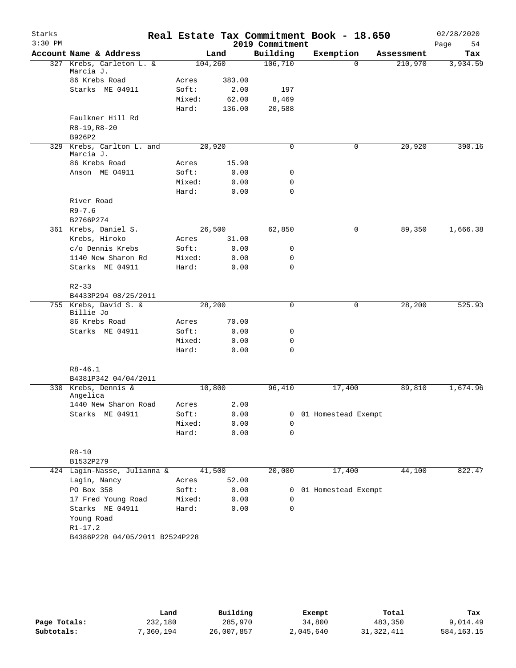| Starks    |                                        |         |        |                 | Real Estate Tax Commitment Book - 18.650 |            | 02/28/2020 |
|-----------|----------------------------------------|---------|--------|-----------------|------------------------------------------|------------|------------|
| $3:30$ PM |                                        |         |        | 2019 Commitment |                                          |            | Page<br>54 |
|           | Account Name & Address                 |         | Land   | Building        | Exemption                                | Assessment | Tax        |
|           | 327 Krebs, Carleton L. &<br>Marcia J.  | 104,260 |        | 106,710         | $\Omega$                                 | 210,970    | 3,934.59   |
|           | 86 Krebs Road                          | Acres   | 383.00 |                 |                                          |            |            |
|           | Starks ME 04911                        | Soft:   | 2.00   | 197             |                                          |            |            |
|           |                                        | Mixed:  | 62.00  | 8,469           |                                          |            |            |
|           |                                        | Hard:   | 136.00 | 20,588          |                                          |            |            |
|           | Faulkner Hill Rd<br>$R8-19, R8-20$     |         |        |                 |                                          |            |            |
|           | B926P2                                 |         |        |                 |                                          |            |            |
|           | 329 Krebs, Carlton L. and<br>Marcia J. | 20,920  |        | $\mathbf 0$     | 0                                        | 20,920     | 390.16     |
|           | 86 Krebs Road                          | Acres   | 15.90  |                 |                                          |            |            |
|           | Anson ME 04911                         | Soft:   | 0.00   | 0               |                                          |            |            |
|           |                                        | Mixed:  | 0.00   | 0               |                                          |            |            |
|           |                                        | Hard:   | 0.00   | $\mathbf 0$     |                                          |            |            |
|           | River Road                             |         |        |                 |                                          |            |            |
|           | $R9 - 7.6$                             |         |        |                 |                                          |            |            |
|           | B2766P274                              |         |        |                 |                                          |            |            |
|           | 361 Krebs, Daniel S.                   | 26,500  |        | 62,850          | 0                                        | 89,350     | 1,666.38   |
|           | Krebs, Hiroko                          | Acres   | 31.00  |                 |                                          |            |            |
|           | c/o Dennis Krebs                       | Soft:   | 0.00   | 0               |                                          |            |            |
|           | 1140 New Sharon Rd                     | Mixed:  | 0.00   | 0               |                                          |            |            |
|           | Starks ME 04911                        | Hard:   | 0.00   | $\mathbf 0$     |                                          |            |            |
|           | $R2 - 33$                              |         |        |                 |                                          |            |            |
|           | B4433P294 08/25/2011                   |         |        |                 |                                          |            |            |
|           | 755 Krebs, David S. &                  | 28,200  |        | 0               | 0                                        | 28,200     | 525.93     |
|           | Billie Jo                              |         |        |                 |                                          |            |            |
|           | 86 Krebs Road                          | Acres   | 70.00  |                 |                                          |            |            |
|           | Starks ME 04911                        | Soft:   | 0.00   | 0               |                                          |            |            |
|           |                                        | Mixed:  | 0.00   | 0               |                                          |            |            |
|           |                                        | Hard:   | 0.00   | $\mathbf 0$     |                                          |            |            |
|           | $R8 - 46.1$                            |         |        |                 |                                          |            |            |
|           | B4381P342 04/04/2011                   |         |        |                 |                                          |            |            |
|           | 330 Krebs, Dennis &                    | 10,800  |        | 96,410          | 17,400                                   | 89,810     | 1,674.96   |
|           | Angelica                               |         |        |                 |                                          |            |            |
|           | 1440 New Sharon Road                   | Acres   | 2.00   |                 |                                          |            |            |
|           | Starks ME 04911                        | Soft:   | 0.00   | 0               | 01 Homestead Exempt                      |            |            |
|           |                                        | Mixed:  | 0.00   | 0               |                                          |            |            |
|           |                                        | Hard:   | 0.00   | 0               |                                          |            |            |
|           | $R8 - 10$                              |         |        |                 |                                          |            |            |
|           | B1532P279                              |         |        |                 |                                          |            |            |
|           | 424 Lagin-Nasse, Julianna &            | 41,500  |        | 20,000          | 17,400                                   | 44,100     | 822.47     |
|           | Lagin, Nancy                           | Acres   | 52.00  |                 |                                          |            |            |
|           | PO Box 358                             | Soft:   | 0.00   |                 | 0 01 Homestead Exempt                    |            |            |
|           | 17 Fred Young Road                     | Mixed:  | 0.00   | 0               |                                          |            |            |
|           | Starks ME 04911                        | Hard:   | 0.00   | $\mathbf 0$     |                                          |            |            |
|           | Young Road                             |         |        |                 |                                          |            |            |
|           | $R1 - 17.2$                            |         |        |                 |                                          |            |            |
|           | B4386P228 04/05/2011 B2524P228         |         |        |                 |                                          |            |            |
|           |                                        |         |        |                 |                                          |            |            |
|           |                                        |         |        |                 |                                          |            |            |

|              | Land     | Building   | Exempt    | Total        | Tax          |
|--------------|----------|------------|-----------|--------------|--------------|
| Page Totals: | 232,180  | 285,970    | 34,800    | 483,350      | 9,014.49     |
| Subtotals:   | ,360,194 | 26,007,857 | 2,045,640 | 31, 322, 411 | 584, 163. 15 |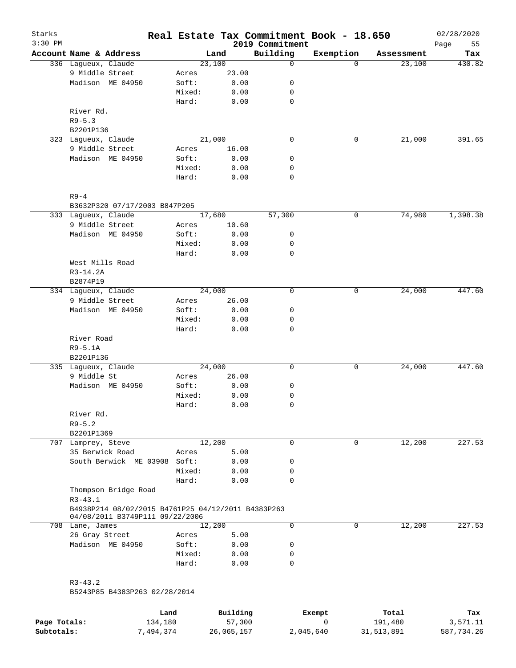| Starks<br>$3:30$ PM |                                                                                       |        |        | 2019 Commitment | Real Estate Tax Commitment Book - 18.650 |            | 02/28/2020<br>Page<br>55 |
|---------------------|---------------------------------------------------------------------------------------|--------|--------|-----------------|------------------------------------------|------------|--------------------------|
|                     | Account Name & Address                                                                |        | Land   | Building        | Exemption                                | Assessment | Tax                      |
|                     | 336 Lagueux, Claude                                                                   |        | 23,100 | $\mathsf{O}$    | $\Omega$                                 | 23,100     | 430.82                   |
|                     | 9 Middle Street                                                                       | Acres  | 23.00  |                 |                                          |            |                          |
|                     | Madison ME 04950                                                                      | Soft:  | 0.00   | 0               |                                          |            |                          |
|                     |                                                                                       | Mixed: | 0.00   | 0               |                                          |            |                          |
|                     |                                                                                       | Hard:  | 0.00   | $\mathbf 0$     |                                          |            |                          |
|                     | River Rd.                                                                             |        |        |                 |                                          |            |                          |
|                     | $R9 - 5.3$                                                                            |        |        |                 |                                          |            |                          |
|                     | B2201P136                                                                             |        |        |                 |                                          |            |                          |
|                     | 323 Lagueux, Claude                                                                   |        | 21,000 | $\mathbf 0$     | 0                                        | 21,000     | 391.65                   |
|                     | 9 Middle Street                                                                       | Acres  | 16.00  |                 |                                          |            |                          |
|                     | Madison ME 04950                                                                      | Soft:  | 0.00   | 0               |                                          |            |                          |
|                     |                                                                                       | Mixed: | 0.00   | 0               |                                          |            |                          |
|                     |                                                                                       | Hard:  | 0.00   | 0               |                                          |            |                          |
|                     |                                                                                       |        |        |                 |                                          |            |                          |
|                     | $R9-4$                                                                                |        |        |                 |                                          |            |                          |
|                     | B3632P320 07/17/2003 B847P205                                                         |        |        |                 |                                          |            |                          |
|                     | 333 Laqueux, Claude                                                                   |        | 17,680 | 57,300          | 0                                        | 74,980     | 1,398.38                 |
|                     | 9 Middle Street                                                                       | Acres  | 10.60  |                 |                                          |            |                          |
|                     | Madison ME 04950                                                                      | Soft:  | 0.00   | 0               |                                          |            |                          |
|                     |                                                                                       | Mixed: | 0.00   | 0               |                                          |            |                          |
|                     |                                                                                       | Hard:  | 0.00   | $\mathbf 0$     |                                          |            |                          |
|                     | West Mills Road                                                                       |        |        |                 |                                          |            |                          |
|                     | $R3-14.2A$                                                                            |        |        |                 |                                          |            |                          |
|                     | B2874P19                                                                              |        |        |                 |                                          |            |                          |
|                     | 334 Lagueux, Claude                                                                   |        | 24,000 | 0               | 0                                        | 24,000     | 447.60                   |
|                     | 9 Middle Street                                                                       | Acres  | 26.00  |                 |                                          |            |                          |
|                     | Madison ME 04950                                                                      | Soft:  | 0.00   | 0               |                                          |            |                          |
|                     |                                                                                       | Mixed: | 0.00   | 0               |                                          |            |                          |
|                     |                                                                                       | Hard:  | 0.00   | 0               |                                          |            |                          |
|                     | River Road                                                                            |        |        |                 |                                          |            |                          |
|                     | $R9 - 5.1A$                                                                           |        |        |                 |                                          |            |                          |
|                     | B2201P136                                                                             |        |        |                 |                                          |            |                          |
|                     | 335 Lagueux, Claude                                                                   |        | 24,000 | 0               | 0                                        | 24,000     | 447.60                   |
|                     | 9 Middle St                                                                           | Acres  | 26.00  |                 |                                          |            |                          |
|                     | Madison ME 04950                                                                      | Soft:  | 0.00   | 0               |                                          |            |                          |
|                     |                                                                                       | Mixed: | 0.00   | 0               |                                          |            |                          |
|                     |                                                                                       | Hard:  | 0.00   | $\mathbf 0$     |                                          |            |                          |
|                     | River Rd.                                                                             |        |        |                 |                                          |            |                          |
|                     | $R9 - 5.2$                                                                            |        |        |                 |                                          |            |                          |
|                     | B2201P1369                                                                            |        |        |                 |                                          |            |                          |
|                     | 707 Lamprey, Steve                                                                    |        | 12,200 | 0               | 0                                        | 12,200     | 227.53                   |
|                     | 35 Berwick Road                                                                       | Acres  | 5.00   |                 |                                          |            |                          |
|                     | South Berwick ME 03908 Soft:                                                          |        | 0.00   | 0               |                                          |            |                          |
|                     |                                                                                       | Mixed: | 0.00   | 0               |                                          |            |                          |
|                     |                                                                                       | Hard:  | 0.00   | $\mathbf 0$     |                                          |            |                          |
|                     | Thompson Bridge Road                                                                  |        |        |                 |                                          |            |                          |
|                     | $R3 - 43.1$                                                                           |        |        |                 |                                          |            |                          |
|                     | B4938P214 08/02/2015 B4761P25 04/12/2011 B4383P263<br>04/08/2011 B3749P111 09/22/2006 |        |        |                 |                                          |            |                          |
|                     | 708 Lane, James                                                                       |        | 12,200 | 0               | 0                                        | 12,200     | 227.53                   |
|                     | 26 Gray Street                                                                        | Acres  | 5.00   |                 |                                          |            |                          |
|                     | Madison ME 04950                                                                      | Soft:  | 0.00   | 0               |                                          |            |                          |
|                     |                                                                                       | Mixed: | 0.00   | 0               |                                          |            |                          |
|                     |                                                                                       | Hard:  | 0.00   | 0               |                                          |            |                          |
|                     |                                                                                       |        |        |                 |                                          |            |                          |
|                     | $R3 - 43.2$                                                                           |        |        |                 |                                          |            |                          |
|                     | B5243P85 B4383P263 02/28/2014                                                         |        |        |                 |                                          |            |                          |
|                     |                                                                                       |        |        |                 |                                          |            |                          |
|                     |                                                                                       |        |        |                 |                                          |            |                          |

|              | Land      | Building   | Exempt    | Total      | Tax        |
|--------------|-----------|------------|-----------|------------|------------|
| Page Totals: | 134,180   | 57,300     |           | 191,480    | 3,571.11   |
| Subtotals:   | 7,494,374 | 26,065,157 | 2,045,640 | 31,513,891 | 587,734.26 |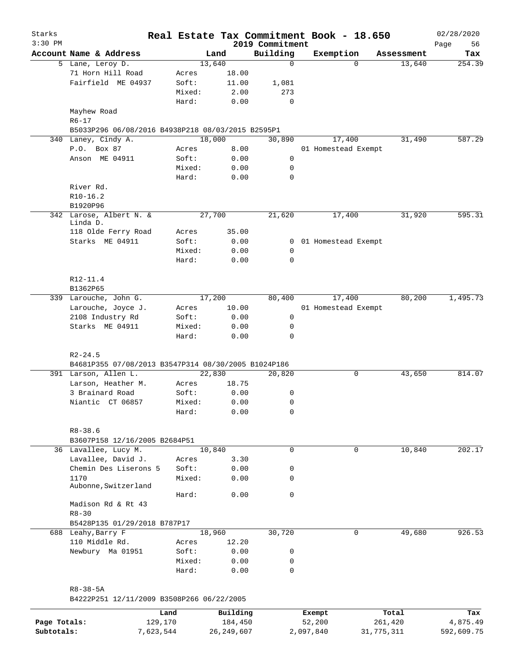| Starks<br>$3:30$ PM |                                                                    |        | Real Estate Tax Commitment Book - 18.650 | 2019 Commitment |                       |          |            | 02/28/2020        |
|---------------------|--------------------------------------------------------------------|--------|------------------------------------------|-----------------|-----------------------|----------|------------|-------------------|
|                     | Account Name & Address                                             |        | Land                                     | Building        | Exemption             |          | Assessment | Page<br>56<br>Tax |
|                     | 5 Lane, Leroy D.                                                   |        | 13,640                                   | $\mathbf 0$     |                       | $\Omega$ | 13,640     | 254.39            |
|                     | 71 Horn Hill Road                                                  | Acres  | 18.00                                    |                 |                       |          |            |                   |
|                     | Fairfield ME 04937                                                 | Soft:  | 11.00                                    | 1,081           |                       |          |            |                   |
|                     |                                                                    | Mixed: | 2.00                                     | 273             |                       |          |            |                   |
|                     |                                                                    | Hard:  | 0.00                                     | 0               |                       |          |            |                   |
|                     | Mayhew Road<br>$R6 - 17$                                           |        |                                          |                 |                       |          |            |                   |
|                     | B5033P296 06/08/2016 B4938P218 08/03/2015 B2595P1                  |        |                                          |                 |                       |          |            |                   |
|                     | 340 Laney, Cindy A.                                                |        | 18,000                                   | 30,890          |                       | 17,400   | 31,490     | 587.29            |
|                     | P.O. Box 87                                                        | Acres  | 8.00                                     |                 | 01 Homestead Exempt   |          |            |                   |
|                     | Anson ME 04911                                                     | Soft:  | 0.00                                     | 0               |                       |          |            |                   |
|                     |                                                                    | Mixed: | 0.00                                     | 0               |                       |          |            |                   |
|                     |                                                                    | Hard:  | 0.00                                     | 0               |                       |          |            |                   |
|                     | River Rd.                                                          |        |                                          |                 |                       |          |            |                   |
|                     | $R10-16.2$                                                         |        |                                          |                 |                       |          |            |                   |
|                     | B1920P96                                                           |        |                                          |                 |                       |          |            |                   |
|                     | 342 Larose, Albert N. &<br>Linda D.                                |        | 27,700                                   | 21,620          |                       | 17,400   | 31,920     | 595.31            |
|                     | 118 Olde Ferry Road                                                | Acres  | 35.00                                    |                 |                       |          |            |                   |
|                     | Starks ME 04911                                                    | Soft:  | 0.00                                     |                 | 0 01 Homestead Exempt |          |            |                   |
|                     |                                                                    | Mixed: | 0.00                                     | 0               |                       |          |            |                   |
|                     |                                                                    | Hard:  | 0.00                                     | $\mathbf 0$     |                       |          |            |                   |
|                     |                                                                    |        |                                          |                 |                       |          |            |                   |
|                     | R12-11.4                                                           |        |                                          |                 |                       |          |            |                   |
|                     | B1362P65                                                           |        |                                          |                 |                       |          |            |                   |
|                     | 339 Larouche, John G.                                              |        | 17,200                                   | 80,400          |                       | 17,400   | 80,200     | 1,495.73          |
|                     | Larouche, Joyce J.                                                 | Acres  | 10.00                                    |                 | 01 Homestead Exempt   |          |            |                   |
|                     | 2108 Industry Rd                                                   | Soft:  | 0.00                                     | $\mathbf 0$     |                       |          |            |                   |
|                     | Starks ME 04911                                                    | Mixed: | 0.00                                     | 0               |                       |          |            |                   |
|                     |                                                                    | Hard:  | 0.00                                     | 0               |                       |          |            |                   |
|                     |                                                                    |        |                                          |                 |                       |          |            |                   |
|                     | $R2 - 24.5$<br>B4681P355 07/08/2013 B3547P314 08/30/2005 B1024P186 |        |                                          |                 |                       |          |            |                   |
|                     | 391 Larson, Allen L.                                               |        | 22,830                                   | 20,820          |                       | 0        | 43,650     | 814.07            |
|                     | Larson, Heather M.                                                 | Acres  | 18.75                                    |                 |                       |          |            |                   |
|                     | 3 Brainard Road                                                    | Soft:  | 0.00                                     | 0               |                       |          |            |                   |
|                     | Niantic CT 06857                                                   | Mixed: | 0.00                                     | 0               |                       |          |            |                   |
|                     |                                                                    | Hard:  | 0.00                                     | 0               |                       |          |            |                   |
|                     |                                                                    |        |                                          |                 |                       |          |            |                   |
|                     | $R8 - 38.6$                                                        |        |                                          |                 |                       |          |            |                   |
|                     | B3607P158 12/16/2005 B2684P51                                      |        |                                          |                 |                       |          |            |                   |
|                     | 36 Lavallee, Lucy M.                                               |        | 10,840                                   | $\mathbf 0$     |                       | 0        | 10,840     | 202.17            |
|                     | Lavallee, David J.                                                 | Acres  | 3.30                                     |                 |                       |          |            |                   |
|                     | Chemin Des Liserons 5                                              | Soft:  | 0.00                                     | 0               |                       |          |            |                   |
|                     | 1170                                                               | Mixed: | 0.00                                     | 0               |                       |          |            |                   |
|                     | Aubonne, Switzerland                                               |        |                                          |                 |                       |          |            |                   |
|                     |                                                                    | Hard:  | 0.00                                     | $\mathbf 0$     |                       |          |            |                   |
|                     | Madison Rd & Rt 43<br>$R8 - 30$                                    |        |                                          |                 |                       |          |            |                   |
|                     | B5428P135 01/29/2018 B787P17                                       |        |                                          |                 |                       |          |            |                   |
|                     | 688 Leahy, Barry F                                                 |        | 18,960                                   | 30,720          |                       | 0        | 49,680     | 926.53            |
|                     | 110 Middle Rd.                                                     | Acres  | 12.20                                    |                 |                       |          |            |                   |
|                     | Newbury Ma 01951                                                   | Soft:  | 0.00                                     | 0               |                       |          |            |                   |
|                     |                                                                    | Mixed: | 0.00                                     | 0               |                       |          |            |                   |
|                     |                                                                    | Hard:  | 0.00                                     | $\mathbf 0$     |                       |          |            |                   |
|                     |                                                                    |        |                                          |                 |                       |          |            |                   |
|                     | R8-38-5A                                                           |        |                                          |                 |                       |          |            |                   |
|                     | B4222P251 12/11/2009 B3508P266 06/22/2005                          |        |                                          |                 |                       |          |            |                   |
|                     |                                                                    |        |                                          |                 |                       |          |            |                   |
|                     |                                                                    | Land   | Building                                 |                 | Exempt                |          | Total      | Tax               |
| Page Totals:        | 129,170                                                            |        | 184,450                                  |                 | 52,200                |          | 261,420    | 4,875.49          |

**Subtotals:** 7,623,544 26,249,607 2,097,840 31,775,311 592,609.75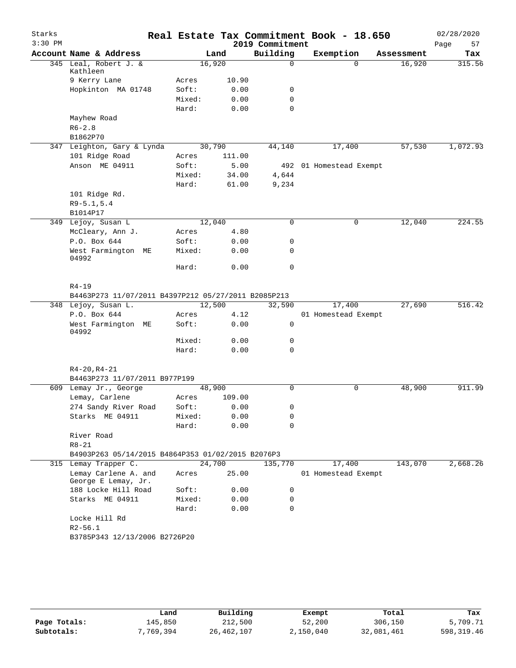| Starks    |                                                                            |        |        |                 | Real Estate Tax Commitment Book - 18.650 |            | 02/28/2020 |
|-----------|----------------------------------------------------------------------------|--------|--------|-----------------|------------------------------------------|------------|------------|
| $3:30$ PM |                                                                            |        |        | 2019 Commitment |                                          |            | Page<br>57 |
|           | Account Name & Address                                                     |        | Land   | Building        | Exemption                                | Assessment | Tax        |
|           | 345 Leal, Robert J. &<br>Kathleen                                          | 16,920 |        | $\Omega$        | 0                                        | 16,920     | 315.56     |
|           | 9 Kerry Lane                                                               | Acres  | 10.90  |                 |                                          |            |            |
|           | Hopkinton MA 01748                                                         | Soft:  | 0.00   | 0               |                                          |            |            |
|           |                                                                            | Mixed: | 0.00   | 0               |                                          |            |            |
|           |                                                                            | Hard:  | 0.00   | $\mathbf 0$     |                                          |            |            |
|           | Mayhew Road                                                                |        |        |                 |                                          |            |            |
|           | $R6 - 2.8$                                                                 |        |        |                 |                                          |            |            |
|           | B1862P70                                                                   |        |        |                 |                                          |            |            |
|           | 347 Leighton, Gary & Lynda                                                 | 30,790 |        | 44,140          | 17,400                                   | 57,530     | 1,072.93   |
|           | 101 Ridge Road                                                             | Acres  | 111.00 |                 |                                          |            |            |
|           | Anson ME 04911                                                             | Soft:  | 5.00   |                 | 492 01 Homestead Exempt                  |            |            |
|           |                                                                            | Mixed: | 34.00  | 4,644           |                                          |            |            |
|           |                                                                            | Hard:  | 61.00  | 9,234           |                                          |            |            |
|           | 101 Ridge Rd.                                                              |        |        |                 |                                          |            |            |
|           | $R9 - 5.1, 5.4$                                                            |        |        |                 |                                          |            |            |
|           | B1014P17                                                                   | 12,040 |        | 0               | 0                                        |            | 224.55     |
|           | 349 Lejoy, Susan L<br>McCleary, Ann J.                                     | Acres  | 4.80   |                 |                                          | 12,040     |            |
|           | P.O. Box 644                                                               | Soft:  | 0.00   | 0               |                                          |            |            |
|           | West Farmington ME                                                         | Mixed: | 0.00   | 0               |                                          |            |            |
|           | 04992                                                                      |        |        |                 |                                          |            |            |
|           |                                                                            | Hard:  | 0.00   | 0               |                                          |            |            |
|           |                                                                            |        |        |                 |                                          |            |            |
|           | $R4 - 19$                                                                  |        |        |                 |                                          |            |            |
|           | B4463P273 11/07/2011 B4397P212 05/27/2011 B2085P213<br>348 Lejoy, Susan L. | 12,500 |        |                 |                                          | 27,690     | 516.42     |
|           | P.O. Box 644                                                               | Acres  | 4.12   | 32,590          | 17,400<br>01 Homestead Exempt            |            |            |
|           | West Farmington ME                                                         | Soft:  | 0.00   | 0               |                                          |            |            |
|           | 04992                                                                      |        |        |                 |                                          |            |            |
|           |                                                                            | Mixed: | 0.00   | 0               |                                          |            |            |
|           |                                                                            | Hard:  | 0.00   | 0               |                                          |            |            |
|           | $R4 - 20, R4 - 21$                                                         |        |        |                 |                                          |            |            |
|           | B4463P273 11/07/2011 B977P199                                              |        |        |                 |                                          |            |            |
|           | 609 Lemay Jr., George                                                      | 48,900 |        | $\Omega$        | 0                                        | 48,900     | 911.99     |
|           | Lemay, Carlene                                                             | Acres  | 109.00 |                 |                                          |            |            |
|           | 274 Sandy River Road                                                       | Soft:  | 0.00   | 0               |                                          |            |            |
|           | Starks ME 04911                                                            | Mixed: | 0.00   | 0               |                                          |            |            |
|           |                                                                            | Hard:  | 0.00   | $\Omega$        |                                          |            |            |
|           | River Road                                                                 |        |        |                 |                                          |            |            |
|           | $R8 - 21$                                                                  |        |        |                 |                                          |            |            |
|           | B4903P263 05/14/2015 B4864P353 01/02/2015 B2076P3                          |        |        |                 |                                          |            |            |
|           | 315 Lemay Trapper C.                                                       | 24,700 |        | 135,770         | 17,400                                   | 143,070    | 2,668.26   |
|           | Lemay Carlene A. and<br>George E Lemay, Jr.                                | Acres  | 25.00  |                 | 01 Homestead Exempt                      |            |            |
|           | 188 Locke Hill Road                                                        | Soft:  | 0.00   | 0               |                                          |            |            |
|           | Starks ME 04911                                                            | Mixed: | 0.00   | 0               |                                          |            |            |
|           |                                                                            | Hard:  | 0.00   | $\Omega$        |                                          |            |            |
|           | Locke Hill Rd                                                              |        |        |                 |                                          |            |            |
|           | $R2 - 56.1$                                                                |        |        |                 |                                          |            |            |
|           | B3785P343 12/13/2006 B2726P20                                              |        |        |                 |                                          |            |            |
|           |                                                                            |        |        |                 |                                          |            |            |
|           |                                                                            |        |        |                 |                                          |            |            |

|              | Land      | Building   | Exempt    | Total      | Tax        |
|--------------|-----------|------------|-----------|------------|------------|
| Page Totals: | 145,850   | 212,500    | 52,200    | 306,150    | 5,709.71   |
| Subtotals:   | 7,769,394 | 26,462,107 | 2,150,040 | 32,081,461 | 598,319.46 |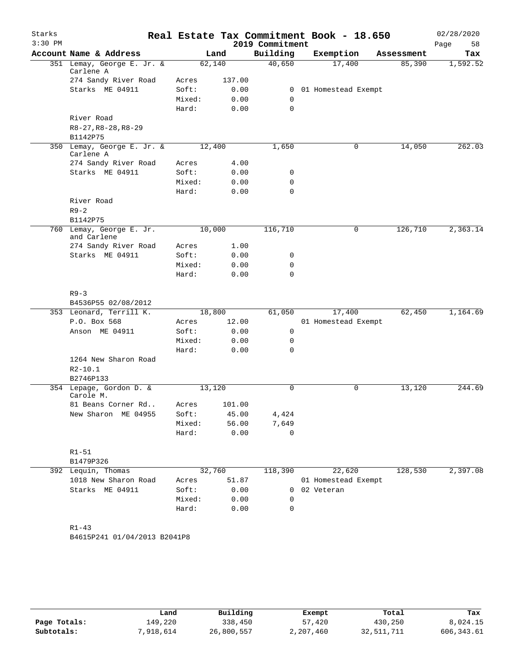| Starks<br>$3:30$ PM |                                                |                 |        | 2019 Commitment | Real Estate Tax Commitment Book - 18.650 |            | 02/28/2020<br>Page<br>58 |
|---------------------|------------------------------------------------|-----------------|--------|-----------------|------------------------------------------|------------|--------------------------|
|                     | Account Name & Address                         |                 | Land   | Building        | Exemption                                | Assessment | Tax                      |
|                     | 351 Lemay, George E. Jr. &<br>Carlene A        | 62,140          |        | 40,650          | 17,400                                   | 85,390     | 1,592.52                 |
|                     | 274 Sandy River Road                           | Acres           | 137.00 |                 |                                          |            |                          |
|                     | Starks ME 04911                                | Soft:           | 0.00   | 0               | 01 Homestead Exempt                      |            |                          |
|                     |                                                | Mixed:          | 0.00   | 0               |                                          |            |                          |
|                     |                                                | Hard:           | 0.00   | $\mathbf 0$     |                                          |            |                          |
|                     | River Road                                     |                 |        |                 |                                          |            |                          |
|                     | $R8-27, R8-28, R8-29$<br>B1142P75              |                 |        |                 |                                          |            |                          |
|                     | 350 Lemay, George E. Jr. &                     | 12,400          |        | 1,650           | 0                                        | 14,050     | 262.03                   |
|                     | Carlene A                                      |                 |        |                 |                                          |            |                          |
|                     | 274 Sandy River Road                           | Acres           | 4.00   |                 |                                          |            |                          |
|                     | Starks ME 04911                                | Soft:           | 0.00   | 0               |                                          |            |                          |
|                     |                                                | Mixed:          | 0.00   | 0               |                                          |            |                          |
|                     | River Road                                     | Hard:           | 0.00   | $\mathbf 0$     |                                          |            |                          |
|                     | $R9 - 2$                                       |                 |        |                 |                                          |            |                          |
|                     | B1142P75                                       |                 |        |                 |                                          |            |                          |
|                     | 760 Lemay, George E. Jr.                       | 10,000          |        | 116,710         | 0                                        | 126,710    | 2,363.14                 |
|                     | and Carlene                                    |                 |        |                 |                                          |            |                          |
|                     | 274 Sandy River Road                           | Acres           | 1.00   |                 |                                          |            |                          |
|                     | Starks ME 04911                                | Soft:           | 0.00   | 0               |                                          |            |                          |
|                     |                                                | Mixed:          | 0.00   | $\mathbf 0$     |                                          |            |                          |
|                     |                                                | Hard:           | 0.00   | $\mathbf 0$     |                                          |            |                          |
|                     |                                                |                 |        |                 |                                          |            |                          |
|                     | $R9 - 3$                                       |                 |        |                 |                                          |            |                          |
|                     | B4536P55 02/08/2012<br>353 Leonard, Terrill K. | 18,800          |        | 61,050          | 17,400                                   | 62,450     | 1,164.69                 |
|                     | P.O. Box 568                                   | Acres           | 12.00  |                 | 01 Homestead Exempt                      |            |                          |
|                     | Anson ME 04911                                 | Soft:           | 0.00   | 0               |                                          |            |                          |
|                     |                                                | Mixed:          | 0.00   | 0               |                                          |            |                          |
|                     |                                                | Hard:           | 0.00   | $\mathbf 0$     |                                          |            |                          |
|                     | 1264 New Sharon Road                           |                 |        |                 |                                          |            |                          |
|                     | $R2 - 10.1$                                    |                 |        |                 |                                          |            |                          |
|                     | B2746P133                                      |                 |        |                 |                                          |            |                          |
|                     | 354 Lepage, Gordon D. &                        | 13,120          |        | $\mathbf 0$     | 0                                        | 13,120     | 244.69                   |
|                     | Carole M.                                      |                 |        |                 |                                          |            |                          |
|                     | 81 Beans Corner Rd                             | Acres           | 101.00 |                 |                                          |            |                          |
|                     | New Sharon ME 04955                            | Soft:           | 45.00  | 4,424           |                                          |            |                          |
|                     |                                                | Mixed:<br>Hard: | 56.00  | 7,649<br>0      |                                          |            |                          |
|                     |                                                |                 | 0.00   |                 |                                          |            |                          |
|                     | $R1 - 51$                                      |                 |        |                 |                                          |            |                          |
|                     | B1479P326                                      |                 |        |                 |                                          |            |                          |
|                     | 392 Lequin, Thomas                             | 32,760          |        | 118,390         | 22,620                                   | 128,530    | 2,397.08                 |
|                     | 1018 New Sharon Road                           | Acres           | 51.87  |                 | 01 Homestead Exempt                      |            |                          |
|                     | Starks ME 04911                                | Soft:           | 0.00   | 0               | 02 Veteran                               |            |                          |
|                     |                                                | Mixed:          | 0.00   | 0               |                                          |            |                          |
|                     |                                                | Hard:           | 0.00   | 0               |                                          |            |                          |
|                     |                                                |                 |        |                 |                                          |            |                          |
|                     | $R1 - 43$                                      |                 |        |                 |                                          |            |                          |
|                     | B4615P241 01/04/2013 B2041P8                   |                 |        |                 |                                          |            |                          |
|                     |                                                |                 |        |                 |                                          |            |                          |
|                     |                                                |                 |        |                 |                                          |            |                          |
|                     |                                                |                 |        |                 |                                          |            |                          |

|              | Land      | Building   | Exempt    | Total      | Tax         |
|--------------|-----------|------------|-----------|------------|-------------|
| Page Totals: | 149,220   | 338,450    | 57,420    | 430,250    | 8,024.15    |
| Subtotals:   | 7,918,614 | 26,800,557 | 2,207,460 | 32,511,711 | 606, 343.61 |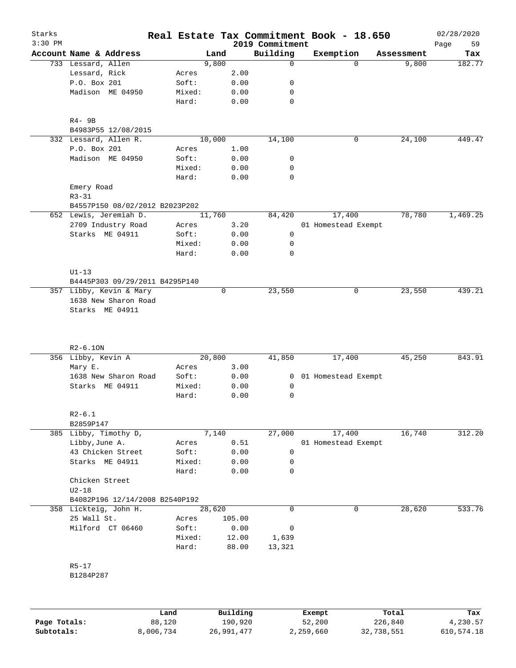| Starks<br>$3:30$ PM |                                |        |        |          | 2019 Commitment | Real Estate Tax Commitment Book - 18.650 |            | 02/28/2020<br>59<br>Page |
|---------------------|--------------------------------|--------|--------|----------|-----------------|------------------------------------------|------------|--------------------------|
|                     | Account Name & Address         |        | Land   |          | Building        | Exemption                                | Assessment | Tax                      |
|                     | 733 Lessard, Allen             |        | 9,800  |          | $\mathbf 0$     | $\Omega$                                 | 9,800      | 182.77                   |
|                     | Lessard, Rick                  | Acres  |        | 2.00     |                 |                                          |            |                          |
|                     | P.O. Box 201                   | Soft:  |        | 0.00     | 0               |                                          |            |                          |
|                     | Madison ME 04950               | Mixed: |        | 0.00     | 0               |                                          |            |                          |
|                     |                                | Hard:  |        | 0.00     | $\mathbf 0$     |                                          |            |                          |
|                     | R4- 9B                         |        |        |          |                 |                                          |            |                          |
|                     | B4983P55 12/08/2015            |        |        |          |                 |                                          |            |                          |
|                     | 332 Lessard, Allen R.          |        | 10,000 |          | 14,100          | 0                                        | 24,100     | 449.47                   |
|                     | P.O. Box 201                   | Acres  |        | 1.00     |                 |                                          |            |                          |
|                     | Madison ME 04950               | Soft:  |        | 0.00     | 0               |                                          |            |                          |
|                     |                                | Mixed: |        | 0.00     | 0               |                                          |            |                          |
|                     |                                | Hard:  |        | 0.00     | $\mathbf 0$     |                                          |            |                          |
|                     | Emery Road<br>$R3 - 31$        |        |        |          |                 |                                          |            |                          |
|                     | B4557P150 08/02/2012 B2023P202 |        |        |          |                 |                                          |            |                          |
|                     | 652 Lewis, Jeremiah D.         |        | 11,760 |          | 84,420          | 17,400                                   | 78,780     | 1,469.25                 |
|                     | 2709 Industry Road             | Acres  |        | 3.20     |                 | 01 Homestead Exempt                      |            |                          |
|                     | Starks ME 04911                | Soft:  |        | 0.00     | 0               |                                          |            |                          |
|                     |                                | Mixed: |        | 0.00     | 0               |                                          |            |                          |
|                     |                                | Hard:  |        | 0.00     | $\mathbf 0$     |                                          |            |                          |
|                     |                                |        |        |          |                 |                                          |            |                          |
|                     | $U1-13$                        |        |        |          |                 |                                          |            |                          |
|                     | B4445P303 09/29/2011 B4295P140 |        |        |          |                 |                                          |            |                          |
|                     | 357 Libby, Kevin & Mary        |        | 0      |          | 23,550          | 0                                        | 23,550     | 439.21                   |
|                     | 1638 New Sharon Road           |        |        |          |                 |                                          |            |                          |
|                     | Starks ME 04911                |        |        |          |                 |                                          |            |                          |
|                     |                                |        |        |          |                 |                                          |            |                          |
|                     | $R2-6.10N$                     |        |        |          |                 |                                          |            |                          |
|                     | 356 Libby, Kevin A             |        | 20,800 |          | 41,850          | 17,400                                   | 45,250     | 843.91                   |
|                     | Mary E.                        | Acres  |        | 3.00     |                 |                                          |            |                          |
|                     | 1638 New Sharon Road           | Soft:  |        | 0.00     | $\overline{0}$  | 01 Homestead Exempt                      |            |                          |
|                     | Starks ME 04911                | Mixed: |        | 0.00     | 0               |                                          |            |                          |
|                     |                                | Hard:  |        | 0.00     | 0               |                                          |            |                          |
|                     | $R2 - 6.1$                     |        |        |          |                 |                                          |            |                          |
|                     | B2859P147                      |        |        |          |                 |                                          |            |                          |
|                     | 385 Libby, Timothy D,          |        | 7,140  |          | 27,000          | 17,400                                   | 16,740     | 312.20                   |
|                     | Libby, June A.                 | Acres  |        | 0.51     |                 | 01 Homestead Exempt                      |            |                          |
|                     | 43 Chicken Street              | Soft:  |        | 0.00     | 0               |                                          |            |                          |
|                     | Starks ME 04911                | Mixed: |        | 0.00     | 0               |                                          |            |                          |
|                     |                                | Hard:  |        | 0.00     | $\mathbf 0$     |                                          |            |                          |
|                     | Chicken Street                 |        |        |          |                 |                                          |            |                          |
|                     | $U2-18$                        |        |        |          |                 |                                          |            |                          |
|                     | B4082P196 12/14/2008 B2540P192 |        |        |          |                 |                                          |            |                          |
|                     | 358 Lickteig, John H.          |        | 28,620 |          | $\mathbf 0$     | 0                                        | 28,620     | 533.76                   |
|                     | 25 Wall St.                    | Acres  |        | 105.00   |                 |                                          |            |                          |
|                     | Milford CT 06460               | Soft:  |        | 0.00     | 0               |                                          |            |                          |
|                     |                                | Mixed: |        | 12.00    | 1,639           |                                          |            |                          |
|                     |                                | Hard:  |        | 88.00    | 13,321          |                                          |            |                          |
|                     | $R5 - 17$                      |        |        |          |                 |                                          |            |                          |
|                     | B1284P287                      |        |        |          |                 |                                          |            |                          |
|                     |                                |        |        |          |                 |                                          |            |                          |
|                     |                                |        |        |          |                 |                                          |            |                          |
|                     |                                | Land   |        | Building |                 | Exempt                                   | Total      | Tax                      |
| Page Totals:        |                                | 88,120 |        | 190,920  |                 | 52,200                                   | 226,840    | 4,230.57                 |

**Subtotals:** 8,006,734 26,991,477 2,259,660 32,738,551 610,574.18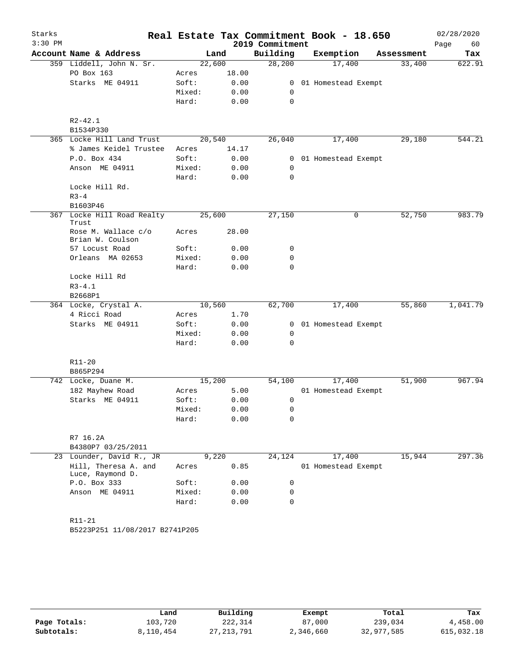| Starks<br>$3:30$ PM |                                          |                 |        |              | Real Estate Tax Commitment Book - 18.650 |                       |            | 02/28/2020 |
|---------------------|------------------------------------------|-----------------|--------|--------------|------------------------------------------|-----------------------|------------|------------|
|                     |                                          |                 |        |              | 2019 Commitment                          |                       |            | Page<br>60 |
|                     | Account Name & Address                   |                 | Land   |              | Building                                 | Exemption             | Assessment | Tax        |
|                     | 359 Liddell, John N. Sr.                 |                 | 22,600 |              | 28,200                                   | 17,400                | 33,400     | 622.91     |
|                     | PO Box 163                               | Acres           |        | 18.00        |                                          |                       |            |            |
|                     | Starks ME 04911                          | Soft:           |        | 0.00         | 0                                        | 0 01 Homestead Exempt |            |            |
|                     |                                          | Mixed:<br>Hard: |        | 0.00<br>0.00 | 0                                        |                       |            |            |
|                     |                                          |                 |        |              |                                          |                       |            |            |
|                     | $R2 - 42.1$                              |                 |        |              |                                          |                       |            |            |
|                     | B1534P330                                |                 |        |              |                                          |                       |            |            |
|                     | 365 Locke Hill Land Trust                |                 | 20,540 |              | 26,040                                   | 17,400                | 29,180     | 544.21     |
|                     | % James Keidel Trustee                   | Acres           |        | 14.17        |                                          |                       |            |            |
|                     | P.O. Box 434                             | Soft:           |        | 0.00         |                                          | 0 01 Homestead Exempt |            |            |
|                     | Anson ME 04911                           | Mixed:          |        | 0.00         | 0                                        |                       |            |            |
|                     |                                          | Hard:           |        | 0.00         | 0                                        |                       |            |            |
|                     | Locke Hill Rd.                           |                 |        |              |                                          |                       |            |            |
|                     | $R3 - 4$                                 |                 |        |              |                                          |                       |            |            |
|                     | B1603P46                                 |                 |        |              |                                          |                       |            |            |
| 367                 | Locke Hill Road Realty<br>Trust          |                 | 25,600 |              | 27,150                                   | 0                     | 52,750     | 983.79     |
|                     | Rose M. Wallace c/o                      | Acres           |        | 28.00        |                                          |                       |            |            |
|                     | Brian W. Coulson                         |                 |        |              |                                          |                       |            |            |
|                     | 57 Locust Road                           | Soft:           |        | 0.00         | 0                                        |                       |            |            |
|                     | Orleans MA 02653                         | Mixed:<br>Hard: |        | 0.00         | 0<br>$\mathbf 0$                         |                       |            |            |
|                     | Locke Hill Rd                            |                 |        | 0.00         |                                          |                       |            |            |
|                     | $R3 - 4.1$                               |                 |        |              |                                          |                       |            |            |
|                     | B2668P1                                  |                 |        |              |                                          |                       |            |            |
|                     | 364 Locke, Crystal A.                    |                 | 10,560 |              | 62,700                                   | 17,400                | 55,860     | 1,041.79   |
|                     | 4 Ricci Road                             | Acres           |        | 1.70         |                                          |                       |            |            |
|                     | Starks ME 04911                          | Soft:           |        | 0.00         |                                          | 0 01 Homestead Exempt |            |            |
|                     |                                          | Mixed:          |        | 0.00         | 0                                        |                       |            |            |
|                     |                                          | Hard:           |        | 0.00         | 0                                        |                       |            |            |
|                     | $R11 - 20$                               |                 |        |              |                                          |                       |            |            |
|                     | B865P294                                 |                 |        |              |                                          |                       |            |            |
|                     | 742 Locke, Duane M.                      |                 | 15,200 |              | 54,100                                   | 17,400                | 51,900     | 967.94     |
|                     | 182 Mayhew Road                          | Acres           |        | 5.00         |                                          | 01 Homestead Exempt   |            |            |
|                     | Starks ME 04911                          | Soft:           |        | 0.00         | 0                                        |                       |            |            |
|                     |                                          | Mixed:          |        | 0.00         | 0                                        |                       |            |            |
|                     |                                          | Hard:           |        | 0.00         | 0                                        |                       |            |            |
|                     | R7 16.2A                                 |                 |        |              |                                          |                       |            |            |
|                     | B4380P7 03/25/2011                       |                 |        |              |                                          |                       |            |            |
|                     | 23 Lounder, David R., JR                 |                 | 9,220  |              | 24,124                                   | 17,400                | 15,944     | 297.36     |
|                     | Hill, Theresa A. and<br>Luce, Raymond D. | Acres           |        | 0.85         |                                          | 01 Homestead Exempt   |            |            |
|                     | P.O. Box 333                             | Soft:           |        | 0.00         | 0                                        |                       |            |            |
|                     | Anson ME 04911                           | Mixed:          |        | 0.00         | 0                                        |                       |            |            |
|                     |                                          | Hard:           |        | 0.00         | 0                                        |                       |            |            |
|                     |                                          |                 |        |              |                                          |                       |            |            |
|                     | R11-21                                   |                 |        |              |                                          |                       |            |            |
|                     | B5223P251 11/08/2017 B2741P205           |                 |        |              |                                          |                       |            |            |
|                     |                                          |                 |        |              |                                          |                       |            |            |
|                     |                                          |                 |        |              |                                          |                       |            |            |

|              | Land      | Building     | Exempt    | Total      | Tax        |
|--------------|-----------|--------------|-----------|------------|------------|
| Page Totals: | 103,720   | 222,314      | 87,000    | 239,034    | 4,458.00   |
| Subtotals:   | 8,110,454 | 27, 213, 791 | 2,346,660 | 32,977,585 | 615,032.18 |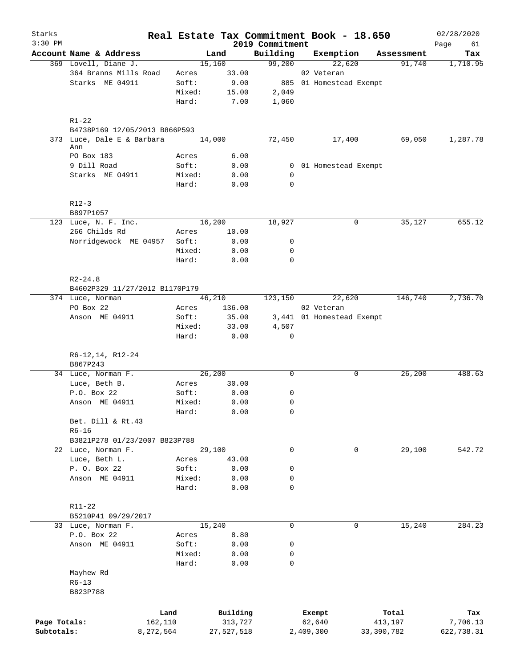| Starks<br>$3:30$ PM |                                            |           |                 |               |                             | Real Estate Tax Commitment Book - 18.650 |            | 02/28/2020        |
|---------------------|--------------------------------------------|-----------|-----------------|---------------|-----------------------------|------------------------------------------|------------|-------------------|
|                     | Account Name & Address                     |           |                 | Land          | 2019 Commitment<br>Building | Exemption                                | Assessment | Page<br>61<br>Tax |
|                     | 369 Lovell, Diane J.                       |           |                 | 15,160        | 99,200                      | 22,620                                   | 91,740     | 1,710.95          |
|                     | 364 Branns Mills Road                      |           | Acres           | 33.00         |                             | 02 Veteran                               |            |                   |
|                     | Starks ME 04911                            |           | Soft:           | 9.00          |                             | 885 01 Homestead Exempt                  |            |                   |
|                     |                                            |           | Mixed:          | 15.00         | 2,049                       |                                          |            |                   |
|                     |                                            |           |                 |               |                             |                                          |            |                   |
|                     |                                            |           | Hard:           | 7.00          | 1,060                       |                                          |            |                   |
|                     | $R1 - 22$<br>B4738P169 12/05/2013 B866P593 |           |                 |               |                             |                                          |            |                   |
|                     | 373 Luce, Dale E & Barbara                 |           |                 | 14,000        | 72,450                      | 17,400                                   | 69,050     | 1,287.78          |
|                     | Ann                                        |           |                 |               |                             |                                          |            |                   |
|                     | PO Box 183                                 |           | Acres           | 6.00          |                             |                                          |            |                   |
|                     | 9 Dill Road                                |           | Soft:           | 0.00          |                             | 0 01 Homestead Exempt                    |            |                   |
|                     | Starks ME 04911                            |           | Mixed:<br>Hard: | 0.00<br>0.00  | 0<br>0                      |                                          |            |                   |
|                     |                                            |           |                 |               |                             |                                          |            |                   |
|                     | $R12-3$<br>B897P1057                       |           |                 |               |                             |                                          |            |                   |
|                     | 123 Luce, N. F. Inc.                       |           |                 | 16,200        | 18,927                      | 0                                        | 35,127     | 655.12            |
|                     | 266 Childs Rd                              |           | Acres           | 10.00         |                             |                                          |            |                   |
|                     | Norridgewock ME 04957                      |           | Soft:           | 0.00          | 0                           |                                          |            |                   |
|                     |                                            |           | Mixed:          | 0.00          | 0                           |                                          |            |                   |
|                     |                                            |           | Hard:           | 0.00          | $\mathbf 0$                 |                                          |            |                   |
|                     | $R2 - 24.8$                                |           |                 |               |                             |                                          |            |                   |
|                     | B4602P329 11/27/2012 B1170P179             |           |                 |               |                             |                                          |            |                   |
|                     | 374 Luce, Norman                           |           |                 | 46,210        | 123,150                     | 22,620                                   | 146,740    | 2,736.70          |
|                     | PO Box 22                                  |           | Acres           | 136.00        |                             | 02 Veteran                               |            |                   |
|                     | Anson ME 04911                             |           | Soft:           | 35.00         |                             | 3,441 01 Homestead Exempt                |            |                   |
|                     |                                            |           | Mixed:<br>Hard: | 33.00<br>0.00 | 4,507<br>0                  |                                          |            |                   |
|                     |                                            |           |                 |               |                             |                                          |            |                   |
|                     | R6-12,14, R12-24<br>B867P243               |           |                 |               |                             |                                          |            |                   |
|                     | 34 Luce, Norman F.                         |           |                 | 26,200        | 0                           | 0                                        | 26,200     | 488.63            |
|                     | Luce, Beth B.                              |           | Acres           | 30.00         |                             |                                          |            |                   |
|                     | P.O. Box 22                                |           | Soft:           | 0.00          | 0                           |                                          |            |                   |
|                     | Anson ME 04911                             |           | Mixed:          | 0.00          | 0                           |                                          |            |                   |
|                     |                                            |           | Hard:           | 0.00          | 0                           |                                          |            |                   |
|                     | Bet. Dill & Rt.43                          |           |                 |               |                             |                                          |            |                   |
|                     | $R6 - 16$                                  |           |                 |               |                             |                                          |            |                   |
|                     | B3821P278 01/23/2007 B823P788              |           |                 |               |                             |                                          |            |                   |
|                     | 22 Luce, Norman F.                         |           |                 | 29,100        | $\mathbf 0$                 | 0                                        | 29,100     | 542.72            |
|                     | Luce, Beth L.                              |           | Acres           | 43.00         |                             |                                          |            |                   |
|                     | P. O. Box 22                               |           | Soft:           | 0.00          | 0                           |                                          |            |                   |
|                     | Anson ME 04911                             |           | Mixed:<br>Hard: | 0.00<br>0.00  | 0<br>0                      |                                          |            |                   |
|                     |                                            |           |                 |               |                             |                                          |            |                   |
|                     | R11-22                                     |           |                 |               |                             |                                          |            |                   |
|                     | B5210P41 09/29/2017                        |           |                 |               |                             |                                          |            |                   |
|                     | 33 Luce, Norman F.                         |           |                 | 15,240        | 0                           | 0                                        | 15,240     | 284.23            |
|                     | P.O. Box 22                                |           | Acres           | 8.80          |                             |                                          |            |                   |
|                     | Anson ME 04911                             |           | Soft:           | 0.00          | 0                           |                                          |            |                   |
|                     |                                            |           | Mixed:<br>Hard: | 0.00<br>0.00  | 0<br>0                      |                                          |            |                   |
|                     | Mayhew Rd                                  |           |                 |               |                             |                                          |            |                   |
|                     | $R6 - 13$                                  |           |                 |               |                             |                                          |            |                   |
|                     | B823P788                                   |           |                 |               |                             |                                          |            |                   |
|                     |                                            | Land      |                 | Building      |                             | Exempt                                   | Total      | Tax               |
| Page Totals:        |                                            | 162,110   |                 | 313,727       |                             | 62,640                                   | 413,197    | 7,706.13          |
| Subtotals:          |                                            | 8,272,564 |                 | 27,527,518    |                             | 2,409,300                                | 33,390,782 | 622,738.31        |
|                     |                                            |           |                 |               |                             |                                          |            |                   |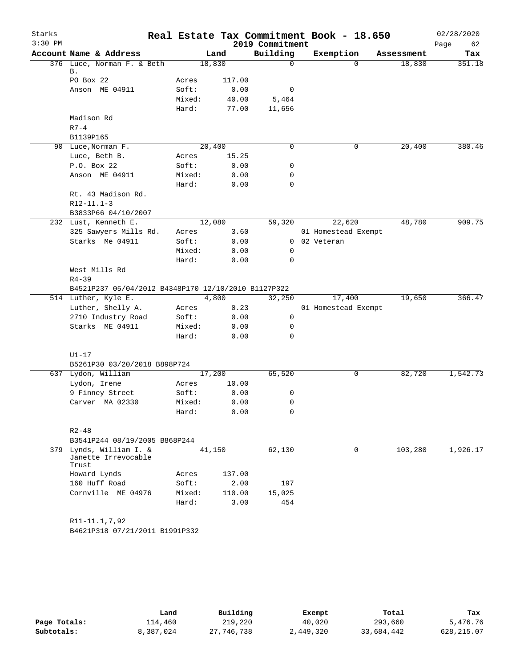| Starks    |                                                         |        |        |                             | Real Estate Tax Commitment Book - 18.650 |            | 02/28/2020        |
|-----------|---------------------------------------------------------|--------|--------|-----------------------------|------------------------------------------|------------|-------------------|
| $3:30$ PM | Account Name & Address                                  |        | Land   | 2019 Commitment<br>Building | Exemption                                | Assessment | Page<br>62<br>Tax |
|           | 376 Luce, Norman F. & Beth                              | 18,830 |        | 0                           | $\Omega$                                 | 18,830     | 351.18            |
|           | Β.                                                      |        |        |                             |                                          |            |                   |
|           | PO Box 22                                               | Acres  | 117.00 |                             |                                          |            |                   |
|           | Anson ME 04911                                          | Soft:  | 0.00   | 0                           |                                          |            |                   |
|           |                                                         | Mixed: | 40.00  | 5,464                       |                                          |            |                   |
|           |                                                         | Hard:  | 77.00  | 11,656                      |                                          |            |                   |
|           | Madison Rd                                              |        |        |                             |                                          |            |                   |
|           | $R7 - 4$                                                |        |        |                             |                                          |            |                   |
|           | B1139P165                                               |        |        |                             |                                          |            |                   |
|           | 90 Luce, Norman F.                                      | 20,400 |        | 0                           | 0                                        | 20,400     | 380.46            |
|           | Luce, Beth B.                                           | Acres  | 15.25  |                             |                                          |            |                   |
|           | P.O. Box 22                                             | Soft:  | 0.00   | 0                           |                                          |            |                   |
|           | Anson ME 04911                                          | Mixed: | 0.00   | 0                           |                                          |            |                   |
|           |                                                         | Hard:  | 0.00   | 0                           |                                          |            |                   |
|           | Rt. 43 Madison Rd.                                      |        |        |                             |                                          |            |                   |
|           | $R12 - 11.1 - 3$                                        |        |        |                             |                                          |            |                   |
|           | B3833P66 04/10/2007                                     |        |        |                             |                                          |            |                   |
|           | 232 Lust, Kenneth E.                                    | 12,080 |        | 59,320                      | 22,620                                   | 48,780     | 909.75            |
|           | 325 Sawyers Mills Rd.                                   | Acres  | 3.60   |                             | 01 Homestead Exempt                      |            |                   |
|           | Starks Me 04911                                         | Soft:  | 0.00   |                             | 0 02 Veteran                             |            |                   |
|           |                                                         | Mixed: | 0.00   | 0                           |                                          |            |                   |
|           |                                                         | Hard:  | 0.00   | 0                           |                                          |            |                   |
|           | West Mills Rd                                           |        |        |                             |                                          |            |                   |
|           | $R4 - 39$                                               |        |        |                             |                                          |            |                   |
|           | B4521P237 05/04/2012 B4348P170 12/10/2010 B1127P322     |        |        |                             |                                          |            |                   |
|           | 514 Luther, Kyle E.                                     | 4,800  |        | 32,250                      | 17,400                                   | 19,650     | 366.47            |
|           | Luther, Shelly A.                                       | Acres  | 0.23   |                             | 01 Homestead Exempt                      |            |                   |
|           | 2710 Industry Road                                      | Soft:  | 0.00   | $\mathbf 0$                 |                                          |            |                   |
|           | Starks ME 04911                                         | Mixed: | 0.00   | 0                           |                                          |            |                   |
|           |                                                         | Hard:  | 0.00   | 0                           |                                          |            |                   |
|           | $U1-17$                                                 |        |        |                             |                                          |            |                   |
|           | B5261P30 03/20/2018 B898P724                            |        |        |                             |                                          |            |                   |
|           | 637 Lydon, William                                      | 17,200 |        | 65,520                      | 0                                        | 82,720     | 1,542.73          |
|           | Lydon, Irene                                            | Acres  | 10.00  |                             |                                          |            |                   |
|           | 9 Finney Street                                         | Soft:  | 0.00   | 0                           |                                          |            |                   |
|           | Carver MA 02330                                         | Mixed: | 0.00   | 0                           |                                          |            |                   |
|           |                                                         | Hard:  | 0.00   | 0                           |                                          |            |                   |
|           |                                                         |        |        |                             |                                          |            |                   |
|           | $R2 - 48$                                               |        |        |                             |                                          |            |                   |
|           | B3541P244 08/19/2005 B868P244                           |        |        |                             |                                          |            |                   |
|           | 379 Lynds, William I. &<br>Janette Irrevocable<br>Trust | 41,150 |        | 62,130                      | 0                                        | 103,280    | 1,926.17          |
|           | Howard Lynds                                            | Acres  | 137.00 |                             |                                          |            |                   |
|           | 160 Huff Road                                           | Soft:  | 2.00   | 197                         |                                          |            |                   |
|           | Cornville ME 04976                                      | Mixed: | 110.00 | 15,025                      |                                          |            |                   |
|           |                                                         | Hard:  | 3.00   | 454                         |                                          |            |                   |
|           | R11-11.1,7,92<br>B4621P318 07/21/2011 B1991P332         |        |        |                             |                                          |            |                   |

|              | Land      | Building     | Exempt    | Total      | Tax         |
|--------------|-----------|--------------|-----------|------------|-------------|
| Page Totals: | 114,460   | 219,220      | 40,020    | 293,660    | 5,476.76    |
| Subtotals:   | 8,387,024 | 27, 746, 738 | 2,449,320 | 33,684,442 | 628, 215.07 |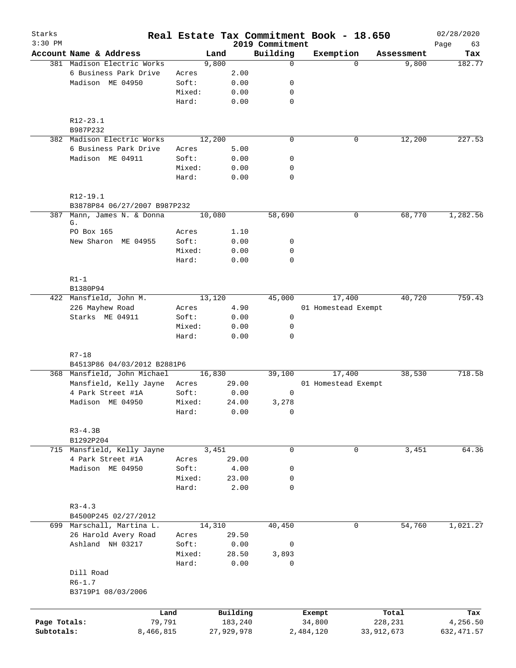| Starks       |                                                      |                 |              |                 | Real Estate Tax Commitment Book - 18.650 |                        |        | 02/28/2020    |
|--------------|------------------------------------------------------|-----------------|--------------|-----------------|------------------------------------------|------------------------|--------|---------------|
| $3:30$ PM    |                                                      |                 |              | 2019 Commitment |                                          |                        |        | Page<br>63    |
|              | Account Name & Address<br>381 Madison Electric Works |                 | Land         | Building<br>0   | Exemption                                | Assessment<br>$\Omega$ |        | Tax<br>182.77 |
|              |                                                      |                 | 9,800        |                 |                                          |                        | 9,800  |               |
|              | 6 Business Park Drive<br>Madison ME 04950            | Acres<br>Soft:  | 2.00         |                 |                                          |                        |        |               |
|              |                                                      |                 | 0.00         | 0               |                                          |                        |        |               |
|              |                                                      | Mixed:          | 0.00         | 0               |                                          |                        |        |               |
|              |                                                      | Hard:           | 0.00         | 0               |                                          |                        |        |               |
|              | $R12 - 23.1$                                         |                 |              |                 |                                          |                        |        |               |
|              | B987P232                                             |                 |              |                 |                                          |                        |        |               |
|              | 382 Madison Electric Works                           | 12,200          |              | $\mathbf 0$     |                                          | 0                      | 12,200 | 227.53        |
|              | 6 Business Park Drive                                | Acres           | 5.00         |                 |                                          |                        |        |               |
|              | Madison ME 04911                                     | Soft:           | 0.00         | 0               |                                          |                        |        |               |
|              |                                                      | Mixed:          | 0.00         | 0               |                                          |                        |        |               |
|              |                                                      | Hard:           | 0.00         | 0               |                                          |                        |        |               |
|              | R12-19.1                                             |                 |              |                 |                                          |                        |        |               |
|              | B3878P84 06/27/2007 B987P232                         |                 |              |                 |                                          |                        |        |               |
| 387          | Mann, James N. & Donna<br>G.                         | 10,080          |              | 58,690          |                                          | 0                      | 68,770 | 1,282.56      |
|              | PO Box 165                                           | Acres           | 1.10         |                 |                                          |                        |        |               |
|              | New Sharon ME 04955                                  | Soft:           | 0.00         | 0               |                                          |                        |        |               |
|              |                                                      | Mixed:          | 0.00         | 0               |                                          |                        |        |               |
|              |                                                      | Hard:           | 0.00         | 0               |                                          |                        |        |               |
|              |                                                      |                 |              |                 |                                          |                        |        |               |
|              | $R1-1$<br>B1380P94                                   |                 |              |                 |                                          |                        |        |               |
|              | 422 Mansfield, John M.                               | 13,120          |              | 45,000          | 17,400                                   |                        | 40,720 | 759.43        |
|              | 226 Mayhew Road                                      | Acres           | 4.90         |                 | 01 Homestead Exempt                      |                        |        |               |
|              | Starks ME 04911                                      | Soft:           | 0.00         | $\mathbf 0$     |                                          |                        |        |               |
|              |                                                      |                 |              |                 |                                          |                        |        |               |
|              |                                                      | Mixed:<br>Hard: | 0.00<br>0.00 | 0<br>0          |                                          |                        |        |               |
|              |                                                      |                 |              |                 |                                          |                        |        |               |
|              | $R7 - 18$<br>B4513P86 04/03/2012 B2881P6             |                 |              |                 |                                          |                        |        |               |
|              | 368 Mansfield, John Michael                          | 16,830          |              | 39,100          | 17,400                                   |                        | 38,530 | 718.58        |
|              | Mansfield, Kelly Jayne                               | Acres           | 29.00        |                 | 01 Homestead Exempt                      |                        |        |               |
|              | 4 Park Street #1A                                    | Soft:           | 0.00         | 0               |                                          |                        |        |               |
|              | Madison ME 04950                                     | Mixed:          | 24.00        | 3,278           |                                          |                        |        |               |
|              |                                                      | Hard:           | 0.00         | 0               |                                          |                        |        |               |
|              | $R3 - 4.3B$                                          |                 |              |                 |                                          |                        |        |               |
|              | B1292P204                                            |                 |              |                 |                                          |                        |        |               |
|              | 715 Mansfield, Kelly Jayne                           |                 | 3,451        | 0               |                                          | 0                      | 3,451  | 64.36         |
|              | 4 Park Street #1A                                    | Acres           | 29.00        |                 |                                          |                        |        |               |
|              | Madison ME 04950                                     | Soft:           | 4.00         | 0               |                                          |                        |        |               |
|              |                                                      | Mixed:          | 23.00        | 0               |                                          |                        |        |               |
|              |                                                      | Hard:           | 2.00         | 0               |                                          |                        |        |               |
|              | $R3 - 4.3$                                           |                 |              |                 |                                          |                        |        |               |
|              | B4500P245 02/27/2012                                 |                 |              |                 |                                          |                        |        |               |
|              |                                                      |                 |              |                 |                                          |                        |        |               |
|              | 699 Marschall, Martina L.                            | 14,310          |              | 40,450          |                                          | 0                      | 54,760 | 1,021.27      |
|              | 26 Harold Avery Road                                 | Acres           | 29.50        |                 |                                          |                        |        |               |
|              | Ashland NH 03217                                     | Soft:           | 0.00         | 0               |                                          |                        |        |               |
|              |                                                      | Mixed:          | 28.50        | 3,893           |                                          |                        |        |               |
|              |                                                      | Hard:           | 0.00         | 0               |                                          |                        |        |               |
|              | Dill Road                                            |                 |              |                 |                                          |                        |        |               |
|              | $R6 - 1.7$<br>B3719P1 08/03/2006                     |                 |              |                 |                                          |                        |        |               |
|              |                                                      |                 |              |                 |                                          |                        |        |               |
|              | Land                                                 |                 | Building     |                 | Exempt                                   | Total                  |        | Tax           |
| Page Totals: | 79,791                                               |                 | 183,240      |                 | 34,800                                   | 228,231                |        | 4,256.50      |
| Subtotals:   | 8,466,815                                            |                 | 27,929,978   |                 | 2,484,120                                | 33,912,673             |        | 632, 471.57   |
|              |                                                      |                 |              |                 |                                          |                        |        |               |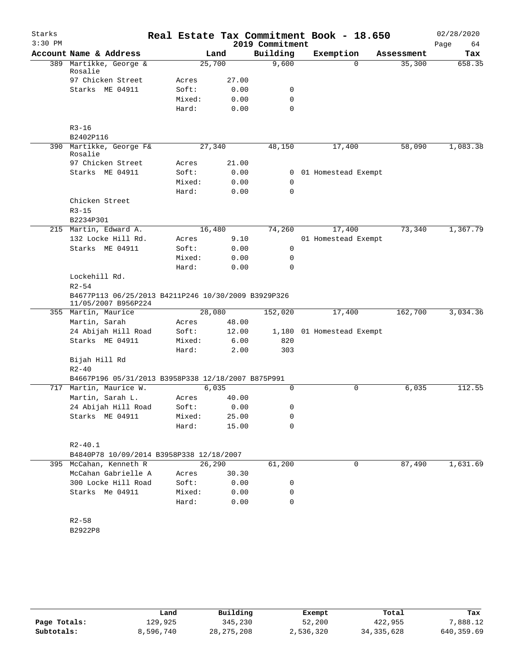| Starks    |                                                                              |        |         | Real Estate Tax Commitment Book - 18.650 |                           |            | 02/28/2020 |
|-----------|------------------------------------------------------------------------------|--------|---------|------------------------------------------|---------------------------|------------|------------|
| $3:30$ PM |                                                                              |        |         | 2019 Commitment                          |                           |            | Page<br>64 |
|           | Account Name & Address                                                       |        | Land    | Building                                 | Exemption                 | Assessment | Tax        |
| 389       | Martikke, George &<br>Rosalie                                                | 25,700 |         | 9,600                                    | $\Omega$                  | 35,300     | 658.35     |
|           | 97 Chicken Street                                                            | Acres  | 27.00   |                                          |                           |            |            |
|           | Starks ME 04911                                                              | Soft:  | 0.00    | 0                                        |                           |            |            |
|           |                                                                              | Mixed: | 0.00    | 0                                        |                           |            |            |
|           |                                                                              | Hard:  | 0.00    | $\Omega$                                 |                           |            |            |
|           |                                                                              |        |         |                                          |                           |            |            |
|           | $R3 - 16$                                                                    |        |         |                                          |                           |            |            |
|           | B2402P116                                                                    |        |         |                                          |                           |            |            |
|           | 390 Martikke, George F&<br>Rosalie                                           | 27,340 |         | 48,150                                   | 17,400                    | 58,090     | 1,083.38   |
|           | 97 Chicken Street                                                            | Acres  | 21.00   |                                          |                           |            |            |
|           | Starks ME 04911                                                              | Soft:  | 0.00    | 0                                        | 01 Homestead Exempt       |            |            |
|           |                                                                              | Mixed: | 0.00    | 0                                        |                           |            |            |
|           |                                                                              | Hard:  | 0.00    | 0                                        |                           |            |            |
|           | Chicken Street                                                               |        |         |                                          |                           |            |            |
|           | $R3 - 15$<br>B2234P301                                                       |        |         |                                          |                           |            |            |
|           | 215 Martin, Edward A.                                                        | 16,480 |         | 74,260                                   | 17,400                    | 73,340     | 1,367.79   |
|           | 132 Locke Hill Rd.                                                           | Acres  | 9.10    |                                          | 01 Homestead Exempt       |            |            |
|           | Starks ME 04911                                                              | Soft:  | 0.00    | 0                                        |                           |            |            |
|           |                                                                              | Mixed: | 0.00    | 0                                        |                           |            |            |
|           |                                                                              | Hard:  | 0.00    | 0                                        |                           |            |            |
|           | Lockehill Rd.                                                                |        |         |                                          |                           |            |            |
|           | $R2 - 54$                                                                    |        |         |                                          |                           |            |            |
|           | B4677P113 06/25/2013 B4211P246 10/30/2009 B3929P326<br>11/05/2007 B956P224   |        |         |                                          |                           |            |            |
|           | 355 Martin, Maurice                                                          | 28,080 |         | 152,020                                  | 17,400                    | 162,700    | 3,034.36   |
|           | Martin, Sarah                                                                | Acres  | 48.00   |                                          |                           |            |            |
|           | 24 Abijah Hill Road                                                          | Soft:  | 12.00   |                                          | 1,180 01 Homestead Exempt |            |            |
|           | Starks ME 04911                                                              | Mixed: | 6.00    | 820                                      |                           |            |            |
|           |                                                                              | Hard:  | 2.00    | 303                                      |                           |            |            |
|           | Bijah Hill Rd                                                                |        |         |                                          |                           |            |            |
|           | $R2 - 40$                                                                    |        |         |                                          |                           |            |            |
|           | B4667P196 05/31/2013 B3958P338 12/18/2007 B875P991<br>717 Martin, Maurice W. | 6,035  |         | 0                                        | $\Omega$                  |            | 112.55     |
|           | Martin, Sarah L.                                                             | Acres  | 40.00   |                                          |                           | 6,035      |            |
|           | 24 Abijah Hill Road                                                          | Soft:  | 0.00    | 0                                        |                           |            |            |
|           | Starks ME 04911                                                              | Mixed: | 25.00   | 0                                        |                           |            |            |
|           |                                                                              | Hard:  | 15.00   | 0                                        |                           |            |            |
|           |                                                                              |        |         |                                          |                           |            |            |
|           | $R2 - 40.1$                                                                  |        |         |                                          |                           |            |            |
|           | B4840P78 10/09/2014 B3958P338 12/18/2007                                     |        |         |                                          |                           |            |            |
|           | 395 McCahan, Kenneth R                                                       |        | 26, 290 | 61,200                                   | 0                         | 87,490     | 1,631.69   |
|           | McCahan Gabrielle A                                                          | Acres  | 30.30   |                                          |                           |            |            |
|           | 300 Locke Hill Road                                                          | Soft:  | 0.00    | 0                                        |                           |            |            |
|           | Starks Me 04911                                                              | Mixed: | 0.00    | 0                                        |                           |            |            |
|           |                                                                              | Hard:  | 0.00    | 0                                        |                           |            |            |
|           | $R2 - 58$                                                                    |        |         |                                          |                           |            |            |
|           | B2922P8                                                                      |        |         |                                          |                           |            |            |
|           |                                                                              |        |         |                                          |                           |            |            |
|           |                                                                              |        |         |                                          |                           |            |            |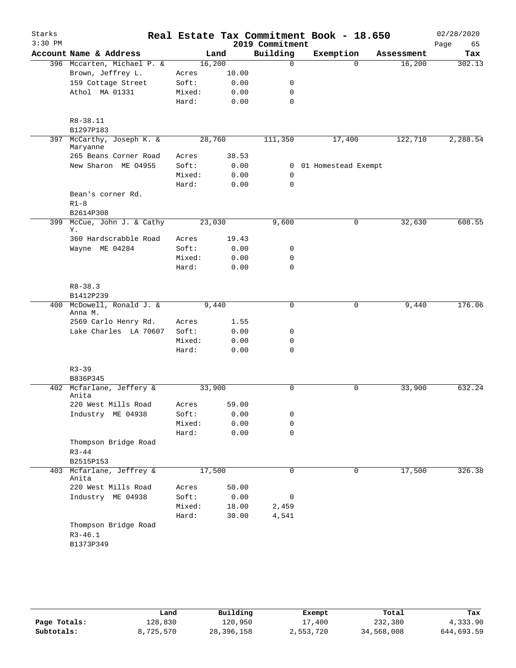| Starks    |                                                  |        |       |                  | Real Estate Tax Commitment Book - 18.650 |            | 02/28/2020 |
|-----------|--------------------------------------------------|--------|-------|------------------|------------------------------------------|------------|------------|
| $3:30$ PM |                                                  |        |       | 2019 Commitment  |                                          |            | Page<br>65 |
|           | Account Name & Address                           |        | Land  | Building         | Exemption                                | Assessment | Tax        |
|           | 396 Mccarten, Michael P. &                       | 16,200 |       | $\mathbf 0$      | $\Omega$                                 | 16,200     | 302.13     |
|           | Brown, Jeffrey L.                                | Acres  | 10.00 |                  |                                          |            |            |
|           | 159 Cottage Street                               | Soft:  | 0.00  | 0                |                                          |            |            |
|           | Athol MA 01331                                   | Mixed: | 0.00  | 0<br>$\mathbf 0$ |                                          |            |            |
|           |                                                  | Hard:  | 0.00  |                  |                                          |            |            |
|           | R8-38.11<br>B1297P183                            |        |       |                  |                                          |            |            |
| 397       | McCarthy, Joseph K. &                            | 28,760 |       | 111,350          | 17,400                                   | 122,710    | 2,288.54   |
|           | Maryanne<br>265 Beans Corner Road                | Acres  | 38.53 |                  |                                          |            |            |
|           | New Sharon ME 04955                              | Soft:  | 0.00  |                  | 0 01 Homestead Exempt                    |            |            |
|           |                                                  | Mixed: | 0.00  | $\mathbf 0$      |                                          |            |            |
|           |                                                  | Hard:  | 0.00  | $\mathbf 0$      |                                          |            |            |
|           | Bean's corner Rd.                                |        |       |                  |                                          |            |            |
|           | $R1-8$                                           |        |       |                  |                                          |            |            |
|           | B2614P308                                        |        |       |                  |                                          |            |            |
|           | 399 McCue, John J. & Cathy<br>Υ.                 | 23,030 |       | 9,600            | 0                                        | 32,630     | 608.55     |
|           | 360 Hardscrabble Road                            | Acres  | 19.43 |                  |                                          |            |            |
|           | Wayne ME 04284                                   | Soft:  | 0.00  | 0                |                                          |            |            |
|           |                                                  | Mixed: | 0.00  | 0                |                                          |            |            |
|           |                                                  | Hard:  | 0.00  | $\mathbf 0$      |                                          |            |            |
|           | $R8 - 38.3$                                      |        |       |                  |                                          |            |            |
|           | B1412P239                                        |        |       |                  |                                          |            |            |
|           | 400 McDowell, Ronald J. &                        | 9,440  |       | $\mathbf 0$      | 0                                        | 9,440      | 176.06     |
|           | Anna M.                                          |        |       |                  |                                          |            |            |
|           | 2569 Carlo Henry Rd.                             | Acres  | 1.55  |                  |                                          |            |            |
|           | Lake Charles LA 70607                            | Soft:  | 0.00  | 0                |                                          |            |            |
|           |                                                  | Mixed: | 0.00  | 0                |                                          |            |            |
|           |                                                  | Hard:  | 0.00  | 0                |                                          |            |            |
|           | $R3 - 39$                                        |        |       |                  |                                          |            |            |
|           | B836P345                                         |        |       |                  |                                          |            |            |
|           | 402 Mcfarlane, Jeffery &<br>Anita                | 33,900 |       | $\mathbf 0$      | 0                                        | 33,900     | 632.24     |
|           | 220 West Mills Road                              | Acres  | 59.00 |                  |                                          |            |            |
|           | Industry ME 04938                                | Soft:  | 0.00  | 0                |                                          |            |            |
|           |                                                  | Mixed: | 0.00  | 0                |                                          |            |            |
|           |                                                  | Hard:  | 0.00  | $\mathbf 0$      |                                          |            |            |
|           | Thompson Bridge Road<br>$R3 - 44$                |        |       |                  |                                          |            |            |
|           | B2515P153                                        |        |       |                  |                                          |            |            |
|           | 403 Mcfarlane, Jeffrey &                         | 17,500 |       | 0                | 0                                        | 17,500     | 326.38     |
|           | Anita                                            |        |       |                  |                                          |            |            |
|           | 220 West Mills Road                              | Acres  | 50.00 |                  |                                          |            |            |
|           | Industry ME 04938                                | Soft:  | 0.00  | 0                |                                          |            |            |
|           |                                                  | Mixed: | 18.00 | 2,459            |                                          |            |            |
|           |                                                  | Hard:  | 30.00 | 4,541            |                                          |            |            |
|           | Thompson Bridge Road<br>$R3 - 46.1$<br>B1373P349 |        |       |                  |                                          |            |            |

|              | Land      | Building   | Exempt    | Total      | Tax        |
|--------------|-----------|------------|-----------|------------|------------|
| Page Totals: | 128,830   | 120,950    | 17,400    | 232,380    | 4,333.90   |
| Subtotals:   | 8,725,570 | 28,396,158 | 2,553,720 | 34,568,008 | 644,693.59 |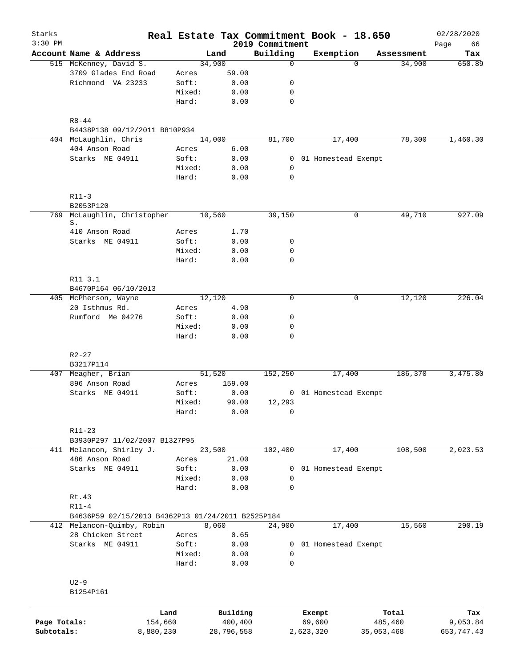| Starks<br>$3:30$ PM |                                                   |                 |                     | 2019 Commitment            | Real Estate Tax Commitment Book - 18.650 |                  | 02/28/2020<br>66 |
|---------------------|---------------------------------------------------|-----------------|---------------------|----------------------------|------------------------------------------|------------------|------------------|
|                     | Account Name & Address                            |                 | Land                | Building                   | Exemption                                | Assessment       | Page<br>Tax      |
|                     | 515 McKenney, David S.                            |                 | 34,900              | 0                          | $\Omega$                                 | 34,900           | 650.89           |
|                     | 3709 Glades End Road                              | Acres           | 59.00               |                            |                                          |                  |                  |
|                     | Richmond VA 23233                                 | Soft:           | 0.00                | $\mathbf 0$                |                                          |                  |                  |
|                     |                                                   | Mixed:          | 0.00                | $\mathbf 0$                |                                          |                  |                  |
|                     |                                                   | Hard:           | 0.00                | $\mathbf 0$                |                                          |                  |                  |
|                     | $R8 - 44$                                         |                 |                     |                            |                                          |                  |                  |
|                     | B4438P138 09/12/2011 B810P934                     |                 |                     |                            |                                          |                  |                  |
|                     | 404 McLaughlin, Chris                             |                 | 14,000              | 81,700                     | 17,400                                   | 78,300           | 1,460.30         |
|                     | 404 Anson Road                                    | Acres           | 6.00                |                            |                                          |                  |                  |
|                     | Starks ME 04911                                   | Soft:           | 0.00                |                            | 0 01 Homestead Exempt                    |                  |                  |
|                     |                                                   | Mixed:          | 0.00                | 0                          |                                          |                  |                  |
|                     |                                                   | Hard:           | 0.00                | $\mathbf 0$                |                                          |                  |                  |
|                     | $R11-3$                                           |                 |                     |                            |                                          |                  |                  |
|                     | B2053P120                                         |                 |                     |                            |                                          |                  |                  |
| 769                 | McLaughlin, Christopher<br>S.                     |                 | 10,560              | 39,150                     | 0                                        | 49,710           | 927.09           |
|                     | 410 Anson Road                                    | Acres           | 1.70                |                            |                                          |                  |                  |
|                     | Starks ME 04911                                   | Soft:           | 0.00                | 0                          |                                          |                  |                  |
|                     |                                                   | Mixed:          | 0.00                | $\mathbf 0$                |                                          |                  |                  |
|                     |                                                   | Hard:           | 0.00                | $\mathbf 0$                |                                          |                  |                  |
|                     | R11 3.1                                           |                 |                     |                            |                                          |                  |                  |
|                     | B4670P164 06/10/2013                              |                 |                     |                            |                                          |                  |                  |
|                     | 405 McPherson, Wayne                              |                 | 12,120              | $\Omega$                   | 0                                        | 12,120           | 226.04           |
|                     | 20 Isthmus Rd.                                    | Acres           | 4.90                |                            |                                          |                  |                  |
|                     | Rumford Me 04276                                  | Soft:           | 0.00                | 0                          |                                          |                  |                  |
|                     |                                                   | Mixed:          | 0.00                | $\mathbf 0$                |                                          |                  |                  |
|                     |                                                   | Hard:           | 0.00                | $\mathbf 0$                |                                          |                  |                  |
|                     | $R2 - 27$                                         |                 |                     |                            |                                          |                  |                  |
|                     | B3217P114                                         |                 |                     |                            |                                          |                  |                  |
|                     | 407 Meagher, Brian                                |                 | 51,520              | 152,250                    | 17,400                                   | 186,370          | 3,475.80         |
|                     | 896 Anson Road                                    | Acres           | 159.00              |                            |                                          |                  |                  |
|                     | Starks ME 04911                                   | Soft:           | 0.00                |                            | 0 01 Homestead Exempt                    |                  |                  |
|                     |                                                   | Mixed:          | 90.00               | 12,293                     |                                          |                  |                  |
|                     |                                                   | Hard:           | 0.00                | $\mathsf{O}$               |                                          |                  |                  |
|                     | $R11 - 23$                                        |                 |                     |                            |                                          |                  |                  |
|                     | B3930P297 11/02/2007 B1327P95                     |                 |                     |                            |                                          |                  |                  |
|                     | 411 Melancon, Shirley J.                          |                 | 23,500              | 102,400                    | 17,400                                   | 108,500          | 2,023.53         |
|                     | 486 Anson Road                                    | Acres           | 21.00               |                            |                                          |                  |                  |
|                     | Starks ME 04911                                   | Soft:           | 0.00                | 0                          | 01 Homestead Exempt                      |                  |                  |
|                     |                                                   | Mixed:          | 0.00                | $\mathbf 0$                |                                          |                  |                  |
|                     |                                                   | Hard:           | 0.00                | $\mathbf 0$                |                                          |                  |                  |
|                     | Rt.43                                             |                 |                     |                            |                                          |                  |                  |
|                     | $R11 - 4$                                         |                 |                     |                            |                                          |                  |                  |
|                     | B4636P59 02/15/2013 B4362P13 01/24/2011 B2525P184 |                 |                     |                            |                                          |                  |                  |
|                     | 412 Melancon-Quimby, Robin                        |                 | 8,060               | 24,900                     | 17,400                                   | 15,560           | 290.19           |
|                     | 28 Chicken Street                                 | Acres           | 0.65                |                            |                                          |                  |                  |
|                     | Starks ME 04911                                   | Soft:           | 0.00                | 0                          | 01 Homestead Exempt                      |                  |                  |
|                     |                                                   | Mixed:<br>Hard: | 0.00<br>0.00        | $\mathbf 0$<br>$\mathbf 0$ |                                          |                  |                  |
|                     | $U2-9$                                            |                 |                     |                            |                                          |                  |                  |
|                     | B1254P161                                         |                 |                     |                            |                                          |                  |                  |
|                     |                                                   |                 |                     |                            |                                          |                  |                  |
| Page Totals:        | Land<br>154,660                                   |                 | Building<br>400,400 |                            | Exempt<br>69,600                         | Total<br>485,460 | Tax<br>9,053.84  |
| Subtotals:          | 8,880,230                                         |                 | 28,796,558          |                            | 2,623,320                                | 35,053,468       | 653, 747.43      |
|                     |                                                   |                 |                     |                            |                                          |                  |                  |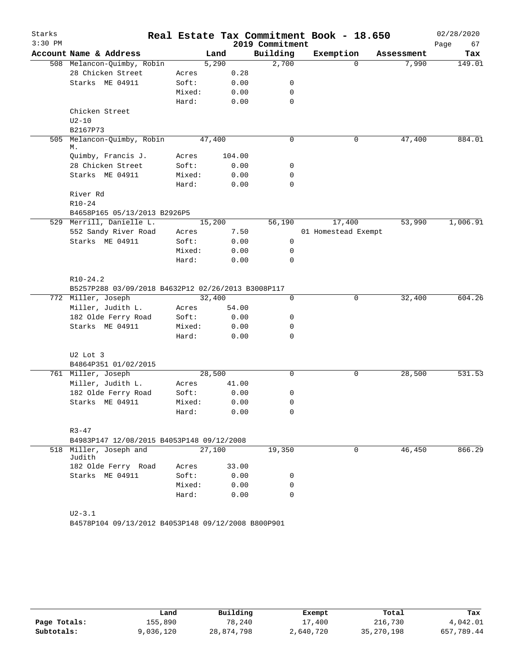| Starks    |                                                    |        |        |        |                 | Real Estate Tax Commitment Book - 18.650 |            | 02/28/2020 |
|-----------|----------------------------------------------------|--------|--------|--------|-----------------|------------------------------------------|------------|------------|
| $3:30$ PM |                                                    |        |        |        | 2019 Commitment |                                          |            | 67<br>Page |
|           | Account Name & Address                             |        | Land   |        | Building        | Exemption                                | Assessment | Tax        |
|           | 508 Melancon-Quimby, Robin                         |        | 5,290  |        | 2,700           | $\Omega$                                 | 7,990      | 149.01     |
|           | 28 Chicken Street                                  | Acres  |        | 0.28   |                 |                                          |            |            |
|           | Starks ME 04911                                    | Soft:  |        | 0.00   | 0               |                                          |            |            |
|           |                                                    | Mixed: |        | 0.00   | 0               |                                          |            |            |
|           |                                                    | Hard:  |        | 0.00   | $\mathbf 0$     |                                          |            |            |
|           | Chicken Street                                     |        |        |        |                 |                                          |            |            |
|           | $U2 - 10$                                          |        |        |        |                 |                                          |            |            |
|           | B2167P73                                           |        |        |        |                 |                                          |            |            |
| 505       | Melancon-Quimby, Robin<br>М.                       |        | 47,400 |        | 0               | 0                                        | 47,400     | 884.01     |
|           | Quimby, Francis J.                                 | Acres  |        | 104.00 |                 |                                          |            |            |
|           | 28 Chicken Street                                  | Soft:  |        | 0.00   | 0               |                                          |            |            |
|           | Starks ME 04911                                    | Mixed: |        | 0.00   | $\mathbf 0$     |                                          |            |            |
|           |                                                    | Hard:  |        | 0.00   | $\mathbf 0$     |                                          |            |            |
|           | River Rd                                           |        |        |        |                 |                                          |            |            |
|           | $R10-24$                                           |        |        |        |                 |                                          |            |            |
|           | B4658P165 05/13/2013 B2926P5                       |        |        |        |                 |                                          |            |            |
|           | 529 Merrill, Danielle L.                           |        | 15,200 |        | 56,190          | 17,400                                   | 53,990     | 1,006.91   |
|           | 552 Sandy River Road                               | Acres  |        | 7.50   |                 | 01 Homestead Exempt                      |            |            |
|           | Starks ME 04911                                    | Soft:  |        | 0.00   | 0               |                                          |            |            |
|           |                                                    | Mixed: |        | 0.00   | 0               |                                          |            |            |
|           |                                                    | Hard:  |        | 0.00   | 0               |                                          |            |            |
|           | $R10-24.2$                                         |        |        |        |                 |                                          |            |            |
|           | B5257P288 03/09/2018 B4632P12 02/26/2013 B3008P117 |        |        |        |                 |                                          |            |            |
|           | 772 Miller, Joseph                                 |        | 32,400 |        | $\mathbf 0$     | $\mathbf 0$                              | 32,400     | 604.26     |
|           | Miller, Judith L.                                  | Acres  |        | 54.00  |                 |                                          |            |            |
|           | 182 Olde Ferry Road                                | Soft:  |        | 0.00   | 0               |                                          |            |            |
|           | Starks ME 04911                                    | Mixed: |        | 0.00   | 0               |                                          |            |            |
|           |                                                    | Hard:  |        | 0.00   | 0               |                                          |            |            |
|           |                                                    |        |        |        |                 |                                          |            |            |
|           | U2 Lot 3<br>B4864P351 01/02/2015                   |        |        |        |                 |                                          |            |            |
|           | 761 Miller, Joseph                                 |        | 28,500 |        | 0               | 0                                        | 28,500     | 531.53     |
|           | Miller, Judith L.                                  | Acres  |        | 41.00  |                 |                                          |            |            |
|           | 182 Olde Ferry Road                                | Soft:  |        | 0.00   | 0               |                                          |            |            |
|           | Starks ME 04911                                    | Mixed: |        | 0.00   | 0               |                                          |            |            |
|           |                                                    | Hard:  |        | 0.00   | 0               |                                          |            |            |
|           |                                                    |        |        |        |                 |                                          |            |            |
|           | $R3 - 47$                                          |        |        |        |                 |                                          |            |            |
|           | B4983P147 12/08/2015 B4053P148 09/12/2008          |        |        |        |                 |                                          |            |            |
|           | 518 Miller, Joseph and<br>Judith                   |        | 27,100 |        | 19,350          | $\mathbf 0$                              | 46,450     | 866.29     |
|           | 182 Olde Ferry Road                                | Acres  |        | 33.00  |                 |                                          |            |            |
|           | Starks ME 04911                                    | Soft:  |        | 0.00   | 0               |                                          |            |            |
|           |                                                    | Mixed: |        | 0.00   | 0               |                                          |            |            |
|           |                                                    | Hard:  |        | 0.00   | $\mathbf 0$     |                                          |            |            |
|           |                                                    |        |        |        |                 |                                          |            |            |
|           | $U2 - 3.1$                                         |        |        |        |                 |                                          |            |            |

B4578P104 09/13/2012 B4053P148 09/12/2008 B800P901

|              | Land      | Building   | Exempt    | Total        | Tax        |
|--------------|-----------|------------|-----------|--------------|------------|
| Page Totals: | ⊥55,890   | 78,240     | 17,400    | 216,730      | 4,042.01   |
| Subtotals:   | 9,036,120 | 28,874,798 | 2,640,720 | 35, 270, 198 | 657,789.44 |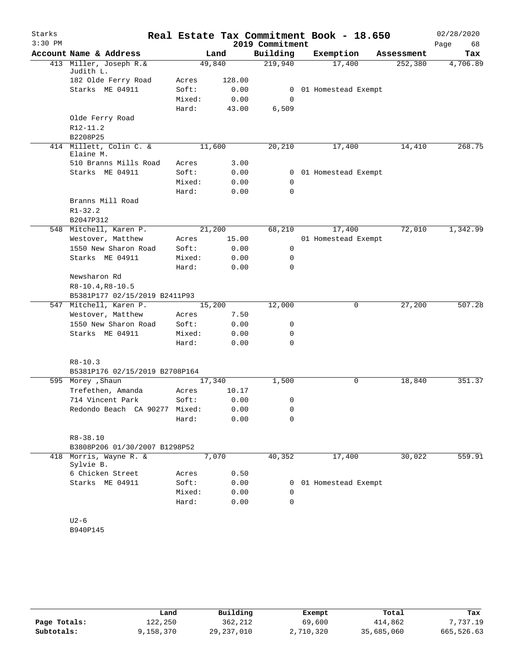| Starks    |                                               |                 |        |                 | Real Estate Tax Commitment Book - 18.650 |            | 02/28/2020 |
|-----------|-----------------------------------------------|-----------------|--------|-----------------|------------------------------------------|------------|------------|
| $3:30$ PM |                                               |                 |        | 2019 Commitment |                                          |            | Page<br>68 |
|           | Account Name & Address                        |                 | Land   | Building        | Exemption                                | Assessment | Tax        |
| 413       | Miller, Joseph R.&                            | 49,840          |        | 219,940         | 17,400                                   | 252,380    | 4,706.89   |
|           | Judith L.                                     |                 |        |                 |                                          |            |            |
|           | 182 Olde Ferry Road                           | Acres           | 128.00 |                 |                                          |            |            |
|           | Starks ME 04911                               | Soft:<br>Mixed: | 0.00   | 0               | 0 01 Homestead Exempt                    |            |            |
|           |                                               | Hard:           | 0.00   |                 |                                          |            |            |
|           | Olde Ferry Road                               |                 | 43.00  | 6,509           |                                          |            |            |
|           | R12-11.2                                      |                 |        |                 |                                          |            |            |
|           | B2208P25                                      |                 |        |                 |                                          |            |            |
|           | 414 Millett, Colin C. &                       | 11,600          |        | 20,210          | 17,400                                   | 14,410     | 268.75     |
|           | Elaine M.                                     |                 |        |                 |                                          |            |            |
|           | 510 Branns Mills Road                         | Acres           | 3.00   |                 |                                          |            |            |
|           | Starks ME 04911                               | Soft:           | 0.00   |                 | 0 01 Homestead Exempt                    |            |            |
|           |                                               | Mixed:          | 0.00   | 0               |                                          |            |            |
|           |                                               | Hard:           | 0.00   | 0               |                                          |            |            |
|           | Branns Mill Road                              |                 |        |                 |                                          |            |            |
|           | $R1 - 32.2$                                   |                 |        |                 |                                          |            |            |
|           | B2047P312                                     |                 |        |                 |                                          |            |            |
| 548       | Mitchell, Karen P.                            | 21,200          |        | 68,210          | 17,400                                   | 72,010     | 1,342.99   |
|           | Westover, Matthew                             | Acres           | 15.00  |                 | 01 Homestead Exempt                      |            |            |
|           | 1550 New Sharon Road                          | Soft:           | 0.00   | 0               |                                          |            |            |
|           | Starks ME 04911                               | Mixed:          | 0.00   | 0               |                                          |            |            |
|           |                                               | Hard:           | 0.00   | 0               |                                          |            |            |
|           | Newsharon Rd                                  |                 |        |                 |                                          |            |            |
|           | $R8-10.4, R8-10.5$                            |                 |        |                 |                                          |            |            |
|           | B5381P177 02/15/2019 B2411P93                 |                 |        |                 |                                          |            |            |
|           | 547 Mitchell, Karen P.                        | 15,200          |        | 12,000          | 0                                        | 27,200     | 507.28     |
|           | Westover, Matthew                             | Acres           | 7.50   |                 |                                          |            |            |
|           | 1550 New Sharon Road                          | Soft:           | 0.00   | 0               |                                          |            |            |
|           | Starks ME 04911                               | Mixed:          | 0.00   | 0               |                                          |            |            |
|           |                                               | Hard:           | 0.00   | 0               |                                          |            |            |
|           |                                               |                 |        |                 |                                          |            |            |
|           | $R8 - 10.3$<br>B5381P176 02/15/2019 B2708P164 |                 |        |                 |                                          |            |            |
|           | 595 Morey , Shaun                             | 17,340          |        | 1,500           | 0                                        | 18,840     | 351.37     |
|           | Trefethen, Amanda                             | Acres           | 10.17  |                 |                                          |            |            |
|           | 714 Vincent Park                              | Soft:           | 0.00   | 0               |                                          |            |            |
|           | Redondo Beach CA 90277 Mixed:                 |                 | 0.00   | 0               |                                          |            |            |
|           |                                               | Hard:           | 0.00   | 0               |                                          |            |            |
|           |                                               |                 |        |                 |                                          |            |            |
|           | $R8 - 38.10$                                  |                 |        |                 |                                          |            |            |
|           | B3808P206 01/30/2007 B1298P52                 |                 |        |                 |                                          |            |            |
| 418       | Morris, Wayne R. &                            | 7,070           |        | 40,352          | 17,400                                   | 30,022     | 559.91     |
|           | Sylvie B.                                     |                 |        |                 |                                          |            |            |
|           | 6 Chicken Street                              | Acres           | 0.50   |                 |                                          |            |            |
|           | Starks ME 04911                               | Soft:           | 0.00   | 0               | 01 Homestead Exempt                      |            |            |
|           |                                               | Mixed:          | 0.00   | $\Omega$        |                                          |            |            |
|           |                                               | Hard:           | 0.00   | $\Omega$        |                                          |            |            |
|           |                                               |                 |        |                 |                                          |            |            |
|           | $U2-6$                                        |                 |        |                 |                                          |            |            |
|           | B940P145                                      |                 |        |                 |                                          |            |            |

|              | Land      | Building     | Exempt    | Total      | Tax        |
|--------------|-----------|--------------|-----------|------------|------------|
| Page Totals: | 122,250   | 362,212      | 69,600    | 414,862    | 7,737.19   |
| Subtotals:   | 9,158,370 | 29, 237, 010 | 2,710,320 | 35,685,060 | 665,526.63 |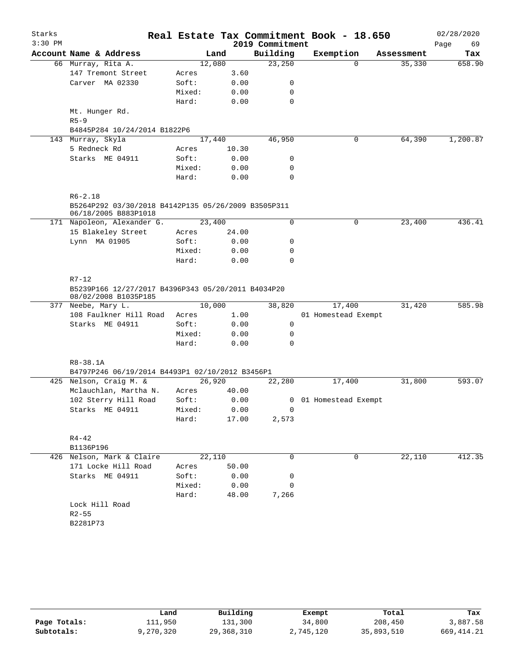| Starks    |                                                                    |        |        |                 | Real Estate Tax Commitment Book - 18.650 |            | 02/28/2020 |  |  |  |  |
|-----------|--------------------------------------------------------------------|--------|--------|-----------------|------------------------------------------|------------|------------|--|--|--|--|
| $3:30$ PM |                                                                    |        |        | 2019 Commitment |                                          |            | Page<br>69 |  |  |  |  |
|           | Account Name & Address                                             |        | Land   | Building        | Exemption                                | Assessment | Tax        |  |  |  |  |
|           | 66 Murray, Rita A.                                                 |        | 12,080 | 23,250          | $\Omega$                                 | 35,330     | 658.90     |  |  |  |  |
|           | 147 Tremont Street                                                 | Acres  | 3.60   |                 |                                          |            |            |  |  |  |  |
|           | Carver MA 02330                                                    | Soft:  | 0.00   | 0               |                                          |            |            |  |  |  |  |
|           |                                                                    | Mixed: | 0.00   | 0               |                                          |            |            |  |  |  |  |
|           |                                                                    | Hard:  | 0.00   | $\mathbf 0$     |                                          |            |            |  |  |  |  |
|           | Mt. Hunger Rd.                                                     |        |        |                 |                                          |            |            |  |  |  |  |
|           | $R5 - 9$                                                           |        |        |                 |                                          |            |            |  |  |  |  |
|           | B4845P284 10/24/2014 B1822P6                                       |        |        |                 |                                          |            |            |  |  |  |  |
|           | 143 Murray, Skyla                                                  |        | 17,440 | 46,950          | 0                                        | 64,390     | 1,200.87   |  |  |  |  |
|           | 5 Redneck Rd                                                       | Acres  | 10.30  |                 |                                          |            |            |  |  |  |  |
|           | Starks ME 04911                                                    | Soft:  | 0.00   | 0               |                                          |            |            |  |  |  |  |
|           |                                                                    | Mixed: | 0.00   | 0               |                                          |            |            |  |  |  |  |
|           |                                                                    | Hard:  | 0.00   | $\mathbf 0$     |                                          |            |            |  |  |  |  |
|           |                                                                    |        |        |                 |                                          |            |            |  |  |  |  |
|           | $R6 - 2.18$<br>B5264P292 03/30/2018 B4142P135 05/26/2009 B3505P311 |        |        |                 |                                          |            |            |  |  |  |  |
|           | 06/18/2005 B883P1018                                               |        |        |                 |                                          |            |            |  |  |  |  |
|           | 171 Napoleon, Alexander G.                                         |        | 23,400 | 0               | $\mathbf 0$                              | 23,400     | 436.41     |  |  |  |  |
|           | 15 Blakeley Street                                                 | Acres  | 24.00  |                 |                                          |            |            |  |  |  |  |
|           | Lynn MA 01905                                                      | Soft:  | 0.00   | 0               |                                          |            |            |  |  |  |  |
|           |                                                                    | Mixed: | 0.00   | 0               |                                          |            |            |  |  |  |  |
|           |                                                                    | Hard:  | 0.00   | $\mathbf 0$     |                                          |            |            |  |  |  |  |
|           |                                                                    |        |        |                 |                                          |            |            |  |  |  |  |
|           | $R7 - 12$<br>B5239P166 12/27/2017 B4396P343 05/20/2011 B4034P20    |        |        |                 |                                          |            |            |  |  |  |  |
|           | 08/02/2008 B1035P185                                               |        |        |                 |                                          |            |            |  |  |  |  |
|           | 377 Neebe, Mary L.                                                 |        | 10,000 | 38,820          | 17,400                                   | 31,420     | 585.98     |  |  |  |  |
|           | 108 Faulkner Hill Road                                             | Acres  | 1.00   |                 | 01 Homestead Exempt                      |            |            |  |  |  |  |
|           | Starks ME 04911                                                    | Soft:  | 0.00   | 0               |                                          |            |            |  |  |  |  |
|           |                                                                    | Mixed: | 0.00   | 0               |                                          |            |            |  |  |  |  |
|           |                                                                    | Hard:  | 0.00   | $\mathbf 0$     |                                          |            |            |  |  |  |  |
|           |                                                                    |        |        |                 |                                          |            |            |  |  |  |  |
|           | R8-38.1A                                                           |        |        |                 |                                          |            |            |  |  |  |  |
|           | B4797P246 06/19/2014 B4493P1 02/10/2012 B3456P1                    |        |        |                 |                                          |            |            |  |  |  |  |
|           | 425 Nelson, Craig M. &                                             |        | 26,920 | 22,280          | 17,400                                   | 31,800     | 593.07     |  |  |  |  |
|           | Mclauchlan, Martha N.                                              | Acres  | 40.00  |                 |                                          |            |            |  |  |  |  |
|           | 102 Sterry Hill Road                                               | Soft:  | 0.00   |                 | 0 01 Homestead Exempt                    |            |            |  |  |  |  |
|           | Starks ME 04911                                                    | Mixed: | 0.00   | $\circ$         |                                          |            |            |  |  |  |  |
|           |                                                                    | Hard:  | 17.00  | 2,573           |                                          |            |            |  |  |  |  |
|           | $R4 - 42$                                                          |        |        |                 |                                          |            |            |  |  |  |  |
|           | B1136P196                                                          |        |        |                 |                                          |            |            |  |  |  |  |
|           | 426 Nelson, Mark & Claire                                          |        | 22,110 | 0               | 0                                        | 22,110     | 412.35     |  |  |  |  |
|           | 171 Locke Hill Road                                                | Acres  | 50.00  |                 |                                          |            |            |  |  |  |  |
|           | Starks ME 04911                                                    | Soft:  | 0.00   | 0               |                                          |            |            |  |  |  |  |
|           |                                                                    | Mixed: | 0.00   | $\mathbf 0$     |                                          |            |            |  |  |  |  |
|           |                                                                    | Hard:  | 48.00  | 7,266           |                                          |            |            |  |  |  |  |
|           | Lock Hill Road                                                     |        |        |                 |                                          |            |            |  |  |  |  |
|           | $R2 - 55$                                                          |        |        |                 |                                          |            |            |  |  |  |  |
|           | B2281P73                                                           |        |        |                 |                                          |            |            |  |  |  |  |
|           |                                                                    |        |        |                 |                                          |            |            |  |  |  |  |
|           |                                                                    |        |        |                 |                                          |            |            |  |  |  |  |

|              | Land      | Building     | Exempt    | Total      | Tax         |
|--------------|-----------|--------------|-----------|------------|-------------|
| Page Totals: | 111,950   | 131,300      | 34,800    | 208,450    | 3,887.58    |
| Subtotals:   | 9,270,320 | 29, 368, 310 | 2,745,120 | 35,893,510 | 669, 414.21 |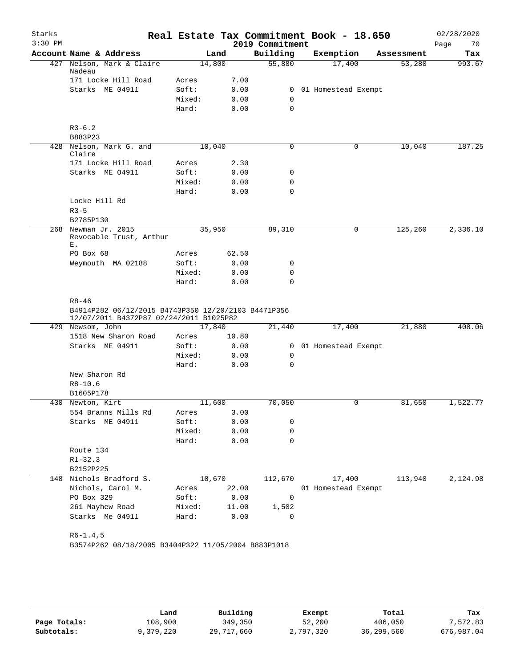| Starks    |                                                                                                             |        |       |                 | Real Estate Tax Commitment Book - 18.650 |            | 02/28/2020 |
|-----------|-------------------------------------------------------------------------------------------------------------|--------|-------|-----------------|------------------------------------------|------------|------------|
| $3:30$ PM |                                                                                                             |        |       | 2019 Commitment |                                          |            | Page<br>70 |
|           | Account Name & Address                                                                                      |        | Land  | Building        | Exemption                                | Assessment | Tax        |
| 427       | Nelson, Mark & Claire<br>Nadeau                                                                             | 14,800 |       | 55,880          | 17,400                                   | 53,280     | 993.67     |
|           | 171 Locke Hill Road                                                                                         | Acres  | 7.00  |                 |                                          |            |            |
|           | Starks ME 04911                                                                                             | Soft:  | 0.00  | 0               | 01 Homestead Exempt                      |            |            |
|           |                                                                                                             | Mixed: | 0.00  | 0               |                                          |            |            |
|           |                                                                                                             | Hard:  | 0.00  | $\mathbf 0$     |                                          |            |            |
|           | $R3-6.2$                                                                                                    |        |       |                 |                                          |            |            |
|           | B883P23                                                                                                     |        |       |                 |                                          |            |            |
|           | 428 Nelson, Mark G. and<br>Claire                                                                           | 10,040 |       | $\mathbf 0$     | 0                                        | 10,040     | 187.25     |
|           | 171 Locke Hill Road                                                                                         | Acres  | 2.30  |                 |                                          |            |            |
|           | Starks ME 04911                                                                                             | Soft:  | 0.00  | 0               |                                          |            |            |
|           |                                                                                                             | Mixed: | 0.00  | 0               |                                          |            |            |
|           |                                                                                                             | Hard:  | 0.00  | $\mathbf 0$     |                                          |            |            |
|           | Locke Hill Rd                                                                                               |        |       |                 |                                          |            |            |
|           | $R3 - 5$                                                                                                    |        |       |                 |                                          |            |            |
|           | B2785P130                                                                                                   |        |       |                 |                                          |            |            |
| 268       | Newman Jr. 2015<br>Revocable Trust, Arthur<br>Ε.                                                            | 35,950 |       | 89,310          | 0                                        | 125,260    | 2,336.10   |
|           | PO Box 68                                                                                                   | Acres  | 62.50 |                 |                                          |            |            |
|           | Weymouth MA 02188                                                                                           | Soft:  | 0.00  | 0               |                                          |            |            |
|           |                                                                                                             | Mixed: | 0.00  | 0               |                                          |            |            |
|           |                                                                                                             | Hard:  | 0.00  | $\mathbf 0$     |                                          |            |            |
|           | $R8 - 46$<br>B4914P282 06/12/2015 B4743P350 12/20/2103 B4471P356<br>12/07/2011 B4372P87 02/24/2011 B1025P82 |        |       |                 |                                          |            |            |
|           | 429 Newsom, John                                                                                            | 17,840 |       | 21,440          | 17,400                                   | 21,880     | 408.06     |
|           | 1518 New Sharon Road                                                                                        | Acres  | 10.80 |                 |                                          |            |            |
|           | Starks ME 04911                                                                                             | Soft:  | 0.00  | $\mathbf{0}$    | 01 Homestead Exempt                      |            |            |
|           |                                                                                                             | Mixed: | 0.00  | 0               |                                          |            |            |
|           |                                                                                                             | Hard:  | 0.00  | 0               |                                          |            |            |
|           | New Sharon Rd                                                                                               |        |       |                 |                                          |            |            |
|           | $R8 - 10.6$                                                                                                 |        |       |                 |                                          |            |            |
|           | B1605P178                                                                                                   |        |       |                 |                                          |            |            |
|           | 430 Newton, Kirt                                                                                            | 11,600 |       | 70,050          | 0                                        | 81,650     | 1,522.77   |
|           | 554 Branns Mills Rd                                                                                         | Acres  | 3.00  |                 |                                          |            |            |
|           | Starks ME 04911                                                                                             | Soft:  | 0.00  | 0               |                                          |            |            |
|           |                                                                                                             | Mixed: | 0.00  | 0<br>0          |                                          |            |            |
|           | Route 134                                                                                                   | Hard:  | 0.00  |                 |                                          |            |            |
|           | $R1 - 32.3$                                                                                                 |        |       |                 |                                          |            |            |
|           | B2152P225                                                                                                   |        |       |                 |                                          |            |            |
|           | 148 Nichols Bradford S.                                                                                     | 18,670 |       | 112,670         | 17,400                                   | 113,940    | 2,124.98   |
|           | Nichols, Carol M.                                                                                           | Acres  | 22.00 |                 | 01 Homestead Exempt                      |            |            |
|           | PO Box 329                                                                                                  | Soft:  | 0.00  | 0               |                                          |            |            |
|           | 261 Mayhew Road                                                                                             | Mixed: | 11.00 | 1,502           |                                          |            |            |
|           | Starks Me 04911                                                                                             | Hard:  | 0.00  | $\Omega$        |                                          |            |            |
|           |                                                                                                             |        |       |                 |                                          |            |            |
|           | $R6-1.4,5$<br>B3574P262 08/18/2005 B3404P322 11/05/2004 B883P1018                                           |        |       |                 |                                          |            |            |

|              | Land      | Building   | Exempt    | Total      | Tax        |
|--------------|-----------|------------|-----------|------------|------------|
| Page Totals: | 108,900   | 349,350    | 52,200    | 406,050    | 7,572.83   |
| Subtotals:   | 9,379,220 | 29,717,660 | 2,797,320 | 36,299,560 | 676,987.04 |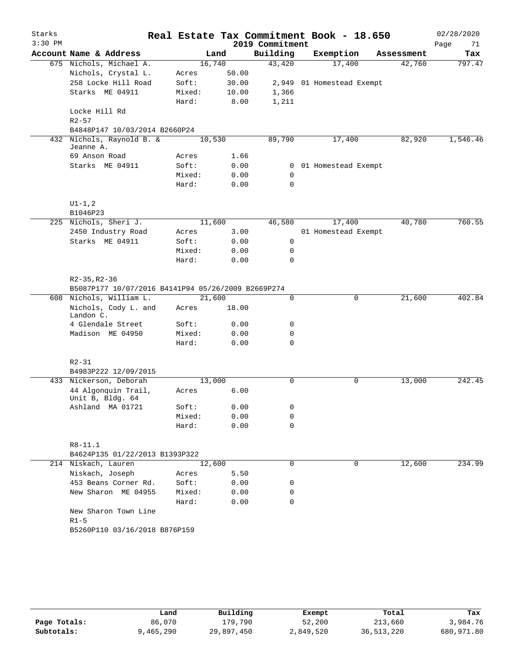| Starks    |                                                                          |        |        |                 | Real Estate Tax Commitment Book - 18.650 |            | 02/28/2020 |
|-----------|--------------------------------------------------------------------------|--------|--------|-----------------|------------------------------------------|------------|------------|
| $3:30$ PM |                                                                          |        |        | 2019 Commitment |                                          |            | 71<br>Page |
|           | Account Name & Address                                                   |        | Land   | Building        | Exemption                                | Assessment | Tax        |
|           | 675 Nichols, Michael A.                                                  | 16,740 |        | 43,420          | 17,400                                   | 42,760     | 797.47     |
|           | Nichols, Crystal L.                                                      | Acres  | 50.00  |                 |                                          |            |            |
|           | 258 Locke Hill Road                                                      | Soft:  | 30.00  |                 | 2,949 01 Homestead Exempt                |            |            |
|           | Starks ME 04911                                                          | Mixed: | 10.00  | 1,366           |                                          |            |            |
|           |                                                                          | Hard:  | 8.00   | 1,211           |                                          |            |            |
|           | Locke Hill Rd                                                            |        |        |                 |                                          |            |            |
|           | $R2 - 57$                                                                |        |        |                 |                                          |            |            |
|           | B4848P147 10/03/2014 B2660P24                                            |        |        |                 |                                          |            |            |
|           | 432 Nichols, Raynold B. &<br>Jeanne A.                                   | 10,530 |        | 89,790          | 17,400                                   | 82,920     | 1,546.46   |
|           | 69 Anson Road                                                            | Acres  | 1.66   |                 |                                          |            |            |
|           | Starks ME 04911                                                          | Soft:  | 0.00   |                 | 0 01 Homestead Exempt                    |            |            |
|           |                                                                          | Mixed: | 0.00   | $\mathbf 0$     |                                          |            |            |
|           |                                                                          | Hard:  | 0.00   | $\Omega$        |                                          |            |            |
|           | $UI - 1, 2$                                                              |        |        |                 |                                          |            |            |
|           | B1046P23                                                                 |        |        |                 |                                          |            |            |
|           | 225 Nichols, Sheri J.                                                    |        | 11,600 | 46,580          | 17,400                                   | 40,780     | 760.55     |
|           | 2450 Industry Road                                                       | Acres  | 3.00   |                 | 01 Homestead Exempt                      |            |            |
|           | Starks ME 04911                                                          | Soft:  | 0.00   | $\mathsf{O}$    |                                          |            |            |
|           |                                                                          | Mixed: | 0.00   | $\mathbf 0$     |                                          |            |            |
|           |                                                                          | Hard:  | 0.00   | 0               |                                          |            |            |
|           | $R2 - 35, R2 - 36$<br>B5087P177 10/07/2016 B4141P94 05/26/2009 B2669P274 |        |        |                 |                                          |            |            |
|           | 608 Nichols, William L.                                                  | 21,600 |        | $\mathbf 0$     | $\mathbf 0$                              | 21,600     | 402.84     |
|           | Nichols, Cody L. and<br>Landon C.                                        | Acres  | 18.00  |                 |                                          |            |            |
|           | 4 Glendale Street                                                        | Soft:  | 0.00   | 0               |                                          |            |            |
|           | Madison ME 04950                                                         | Mixed: | 0.00   | 0               |                                          |            |            |
|           |                                                                          | Hard:  | 0.00   | $\mathbf 0$     |                                          |            |            |
|           | $R2 - 31$<br>B4983P222 12/09/2015                                        |        |        |                 |                                          |            |            |
|           | 433 Nickerson, Deborah                                                   | 13,000 |        | $\mathbf 0$     | 0                                        | 13,000     | 242.45     |
|           | 44 Algonquin Trail,<br>Unit B, Bldg. 64                                  | Acres  | 6.00   |                 |                                          |            |            |
|           | Ashland MA 01721                                                         | Soft:  | 0.00   | 0               |                                          |            |            |
|           |                                                                          | Mixed: | 0.00   | 0               |                                          |            |            |
|           |                                                                          | Hard:  | 0.00   | 0               |                                          |            |            |
|           | R8-11.1                                                                  |        |        |                 |                                          |            |            |
|           | B4624P135 01/22/2013 B1393P322                                           |        |        |                 |                                          |            |            |
|           | 214 Niskach, Lauren                                                      | 12,600 |        | 0               | 0                                        | 12,600     | 234.99     |
|           | Niskach, Joseph                                                          | Acres  | 5.50   |                 |                                          |            |            |
|           | 453 Beans Corner Rd.                                                     | Soft:  | 0.00   | 0               |                                          |            |            |
|           | New Sharon ME 04955                                                      | Mixed: | 0.00   | 0               |                                          |            |            |
|           |                                                                          | Hard:  | 0.00   | 0               |                                          |            |            |
|           | New Sharon Town Line                                                     |        |        |                 |                                          |            |            |
|           | $R1-5$                                                                   |        |        |                 |                                          |            |            |
|           | B5260P110 03/16/2018 B876P159                                            |        |        |                 |                                          |            |            |
|           |                                                                          |        |        |                 |                                          |            |            |

|              | Land      | Building   | Exempt    | Total      | Tax        |
|--------------|-----------|------------|-----------|------------|------------|
| Page Totals: | 86,070    | 179,790    | 52,200    | 213,660    | 3,984.76   |
| Subtotals:   | 9,465,290 | 29,897,450 | 2,849,520 | 36,513,220 | 680,971.80 |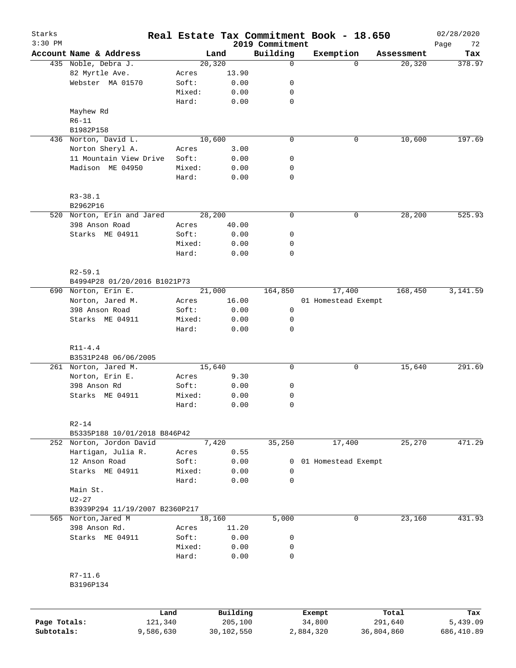| Starks<br>$3:30$ PM        |                                           |                      |                 | Real Estate Tax Commitment Book - 18.650 | 2019 Commitment  |                     |            |            | 02/28/2020<br>72<br>Page |
|----------------------------|-------------------------------------------|----------------------|-----------------|------------------------------------------|------------------|---------------------|------------|------------|--------------------------|
|                            | Account Name & Address                    |                      |                 | Land                                     | Building         | Exemption           |            | Assessment | Tax                      |
|                            | 435 Noble, Debra J.                       |                      |                 | 20,320                                   | 0                |                     | $\Omega$   | 20,320     | 378.97                   |
|                            | 82 Myrtle Ave.                            |                      | Acres           | 13.90                                    |                  |                     |            |            |                          |
|                            | Webster MA 01570                          |                      | Soft:           | 0.00                                     | 0                |                     |            |            |                          |
|                            |                                           |                      | Mixed:          | 0.00                                     | 0                |                     |            |            |                          |
|                            |                                           |                      | Hard:           | 0.00                                     | $\mathbf 0$      |                     |            |            |                          |
|                            | Mayhew Rd                                 |                      |                 |                                          |                  |                     |            |            |                          |
|                            | $R6 - 11$                                 |                      |                 |                                          |                  |                     |            |            |                          |
|                            | B1982P158                                 |                      |                 |                                          |                  |                     |            |            |                          |
|                            | 436 Norton, David L.                      |                      |                 | 10,600                                   | $\mathbf 0$      | 0                   |            | 10,600     | 197.69                   |
|                            | Norton Sheryl A.                          |                      | Acres           | 3.00                                     |                  |                     |            |            |                          |
|                            | 11 Mountain View Drive                    |                      | Soft:           | 0.00                                     | 0                |                     |            |            |                          |
|                            | Madison ME 04950                          |                      | Mixed:          | 0.00                                     | 0                |                     |            |            |                          |
|                            |                                           |                      | Hard:           | 0.00                                     | $\mathbf 0$      |                     |            |            |                          |
|                            | $R3 - 38.1$                               |                      |                 |                                          |                  |                     |            |            |                          |
|                            | B2962P16                                  |                      |                 |                                          |                  |                     |            |            |                          |
|                            | 520 Norton, Erin and Jared                |                      |                 | 28,200                                   | 0                | 0                   |            | 28,200     | 525.93                   |
|                            | 398 Anson Road                            |                      | Acres           | 40.00                                    |                  |                     |            |            |                          |
|                            | Starks ME 04911                           |                      | Soft:           | 0.00                                     | 0                |                     |            |            |                          |
|                            |                                           |                      | Mixed:          | 0.00                                     | 0                |                     |            |            |                          |
|                            |                                           |                      | Hard:           | 0.00                                     | 0                |                     |            |            |                          |
|                            | $R2 - 59.1$                               |                      |                 |                                          |                  |                     |            |            |                          |
|                            | B4994P28 01/20/2016 B1021P73              |                      |                 |                                          |                  |                     |            |            |                          |
|                            | 690 Norton, Erin E.                       |                      |                 | 21,000                                   | 164,850          | 17,400              |            | 168,450    | 3,141.59                 |
|                            | Norton, Jared M.                          |                      | Acres           | 16.00                                    |                  | 01 Homestead Exempt |            |            |                          |
|                            | 398 Anson Road                            |                      | Soft:           | 0.00                                     | 0                |                     |            |            |                          |
|                            | Starks ME 04911                           |                      | Mixed:          | 0.00                                     | 0<br>0           |                     |            |            |                          |
|                            |                                           |                      | Hard:           | 0.00                                     |                  |                     |            |            |                          |
|                            | $R11 - 4.4$<br>B3531P248 06/06/2005       |                      |                 |                                          |                  |                     |            |            |                          |
|                            | 261 Norton, Jared M.                      |                      |                 | 15,640                                   | $\mathbf 0$      | 0                   |            | 15,640     | 291.69                   |
|                            | Norton, Erin E.                           |                      | Acres           | 9.30                                     |                  |                     |            |            |                          |
|                            | 398 Anson Rd                              |                      | Soft:           | 0.00                                     | 0                |                     |            |            |                          |
|                            | Starks ME 04911                           |                      | Mixed:          | 0.00                                     | 0                |                     |            |            |                          |
|                            |                                           |                      | Hard:           | 0.00                                     | $\mathbf 0$      |                     |            |            |                          |
|                            |                                           |                      |                 |                                          |                  |                     |            |            |                          |
|                            | $R2 - 14$<br>B5335P188 10/01/2018 B846P42 |                      |                 |                                          |                  |                     |            |            |                          |
|                            | 252 Norton, Jordon David                  |                      |                 | 7,420                                    | 35,250           | 17,400              |            | 25,270     | 471.29                   |
|                            | Hartigan, Julia R.                        |                      | Acres           | 0.55                                     |                  |                     |            |            |                          |
|                            | 12 Anson Road                             |                      | Soft:           | 0.00                                     | 0                | 01 Homestead Exempt |            |            |                          |
|                            | Starks ME 04911                           |                      | Mixed:          | 0.00                                     | 0                |                     |            |            |                          |
|                            |                                           |                      | Hard:           | 0.00                                     | $\mathbf 0$      |                     |            |            |                          |
|                            | Main St.                                  |                      |                 |                                          |                  |                     |            |            |                          |
|                            | $U2 - 27$                                 |                      |                 |                                          |                  |                     |            |            |                          |
|                            |                                           |                      |                 |                                          |                  |                     |            |            |                          |
|                            | B3939P294 11/19/2007 B2360P217            |                      |                 |                                          |                  |                     |            |            |                          |
|                            | 565 Norton, Jared M<br>398 Anson Rd.      |                      |                 | 18,160                                   | 5,000            | 0                   |            | 23,160     | 431.93                   |
|                            |                                           |                      | Acres           | 11.20                                    |                  |                     |            |            |                          |
|                            | Starks ME 04911                           |                      | Soft:           | 0.00                                     | 0                |                     |            |            |                          |
|                            |                                           |                      | Mixed:<br>Hard: | 0.00<br>0.00                             | 0<br>$\mathbf 0$ |                     |            |            |                          |
|                            | $R7 - 11.6$                               |                      |                 |                                          |                  |                     |            |            |                          |
|                            | B3196P134                                 |                      |                 |                                          |                  |                     |            |            |                          |
|                            |                                           |                      |                 |                                          |                  |                     |            |            |                          |
|                            |                                           | Land                 |                 | Building                                 |                  | Exempt              |            | Total      | Tax                      |
| Page Totals:<br>Subtotals: |                                           | 121,340<br>9,586,630 |                 | 205,100<br>30,102,550                    |                  | 34,800<br>2,884,320 | 36,804,860 | 291,640    | 5,439.09<br>686,410.89   |
|                            |                                           |                      |                 |                                          |                  |                     |            |            |                          |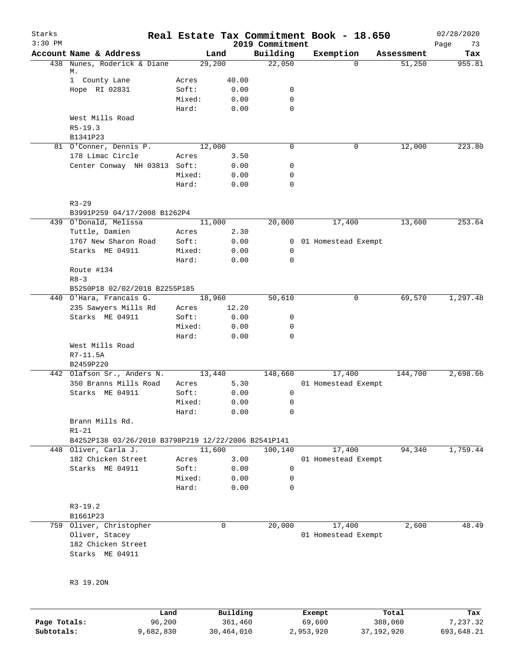| Starks<br>$3:30$ PM |                                                     |                 |              | 2019 Commitment | Real Estate Tax Commitment Book - 18.650 |            | 02/28/2020<br>Page<br>73 |
|---------------------|-----------------------------------------------------|-----------------|--------------|-----------------|------------------------------------------|------------|--------------------------|
|                     | Account Name & Address                              | Land            |              | Building        | Exemption                                | Assessment | Tax                      |
|                     | 438 Nunes, Roderick & Diane                         | 29,200          |              | 22,050          | $\Omega$                                 | 51,250     | 955.81                   |
|                     | М.                                                  |                 |              |                 |                                          |            |                          |
|                     | 1 County Lane                                       | Acres           | 40.00        |                 |                                          |            |                          |
|                     | Hope RI 02831                                       | Soft:<br>Mixed: | 0.00         | 0<br>0          |                                          |            |                          |
|                     |                                                     | Hard:           | 0.00<br>0.00 | $\mathbf 0$     |                                          |            |                          |
|                     | West Mills Road                                     |                 |              |                 |                                          |            |                          |
|                     | $R5 - 19.3$                                         |                 |              |                 |                                          |            |                          |
|                     | B1341P23                                            |                 |              |                 |                                          |            |                          |
|                     | 81 O'Conner, Dennis P.                              | 12,000          |              | $\Omega$        | 0                                        | 12,000     | 223.80                   |
|                     | 178 Limac Circle                                    | Acres           | 3.50         |                 |                                          |            |                          |
|                     | Center Conway NH 03813 Soft:                        |                 | 0.00         | 0               |                                          |            |                          |
|                     |                                                     | Mixed:          | 0.00         | 0               |                                          |            |                          |
|                     |                                                     | Hard:           | 0.00         | $\mathbf 0$     |                                          |            |                          |
|                     | $R3 - 29$                                           |                 |              |                 |                                          |            |                          |
|                     | B3991P259 04/17/2008 B1262P4                        |                 |              |                 |                                          |            |                          |
|                     | 439 O'Donald, Melissa                               | 11,000          |              | 20,000          | 17,400                                   | 13,600     | 253.64                   |
|                     | Tuttle, Damien                                      | Acres           | 2.30         |                 |                                          |            |                          |
|                     | 1767 New Sharon Road                                | Soft:           | 0.00         |                 | 0 01 Homestead Exempt                    |            |                          |
|                     | Starks ME 04911                                     | Mixed:          | 0.00         | 0               |                                          |            |                          |
|                     |                                                     | Hard:           | 0.00         | $\mathbf 0$     |                                          |            |                          |
|                     | Route #134                                          |                 |              |                 |                                          |            |                          |
|                     | $R8 - 3$                                            |                 |              |                 |                                          |            |                          |
|                     | B5250P18 02/02/2018 B2255P185                       |                 |              |                 |                                          |            |                          |
|                     | 440 O'Hara, Francais G.                             | 18,960          |              | 50,610          | 0                                        | 69,570     | 1,297.48                 |
|                     | 235 Sawyers Mills Rd                                | Acres           | 12.20        |                 |                                          |            |                          |
|                     | Starks ME 04911                                     | Soft:           | 0.00         | 0               |                                          |            |                          |
|                     |                                                     | Mixed:          | 0.00         | 0               |                                          |            |                          |
|                     |                                                     | Hard:           | 0.00         | 0               |                                          |            |                          |
|                     | West Mills Road                                     |                 |              |                 |                                          |            |                          |
|                     | R7-11.5A                                            |                 |              |                 |                                          |            |                          |
|                     | B2459P220                                           |                 |              |                 |                                          |            |                          |
|                     | 442 Olafson Sr., Anders N.                          | 13,440          |              | 148,660         | 17,400                                   | 144,700    | 2,698.66                 |
|                     | 350 Branns Mills Road                               | Acres           | 5.30         |                 | 01 Homestead Exempt                      |            |                          |
|                     | Starks ME 04911                                     | Soft:           | 0.00         | 0               |                                          |            |                          |
|                     |                                                     | Mixed:<br>Hard: | 0.00         | 0<br>0          |                                          |            |                          |
|                     | Brann Mills Rd.                                     |                 | 0.00         |                 |                                          |            |                          |
|                     | $R1 - 21$                                           |                 |              |                 |                                          |            |                          |
|                     | B4252P138 03/26/2010 B3798P219 12/22/2006 B2541P141 |                 |              |                 |                                          |            |                          |
|                     | 448 Oliver, Carla J.                                | 11,600          |              | 100,140         | 17,400                                   | 94,340     | 1,759.44                 |
|                     | 182 Chicken Street                                  | Acres           | 3.00         |                 | 01 Homestead Exempt                      |            |                          |
|                     | Starks ME 04911                                     | Soft:           | 0.00         | 0               |                                          |            |                          |
|                     |                                                     | Mixed:          | 0.00         | 0               |                                          |            |                          |
|                     |                                                     | Hard:           | 0.00         | 0               |                                          |            |                          |
|                     | $R3-19.2$                                           |                 |              |                 |                                          |            |                          |
|                     | B1661P23                                            |                 |              |                 |                                          |            |                          |
|                     | 759 Oliver, Christopher                             | 0               |              | 20,000          | 17,400                                   | 2,600      | 48.49                    |
|                     | Oliver, Stacey                                      |                 |              |                 | 01 Homestead Exempt                      |            |                          |
|                     | 182 Chicken Street                                  |                 |              |                 |                                          |            |                          |
|                     | Starks ME 04911                                     |                 |              |                 |                                          |            |                          |
|                     | R3 19.20N                                           |                 |              |                 |                                          |            |                          |
|                     |                                                     |                 |              |                 |                                          |            |                          |
|                     | Land                                                |                 | Building     |                 | Exempt                                   | Total      | Tax                      |

|              | -------   | $-$        | --------  | ------     | ------     |
|--------------|-----------|------------|-----------|------------|------------|
| Page Totals: | 96,200    | 361,460    | 69,600    | 388,060    | 7,237.32   |
| Subtotals:   | 9,682,830 | 30,464,010 | 2,953,920 | 37,192,920 | 693,648.21 |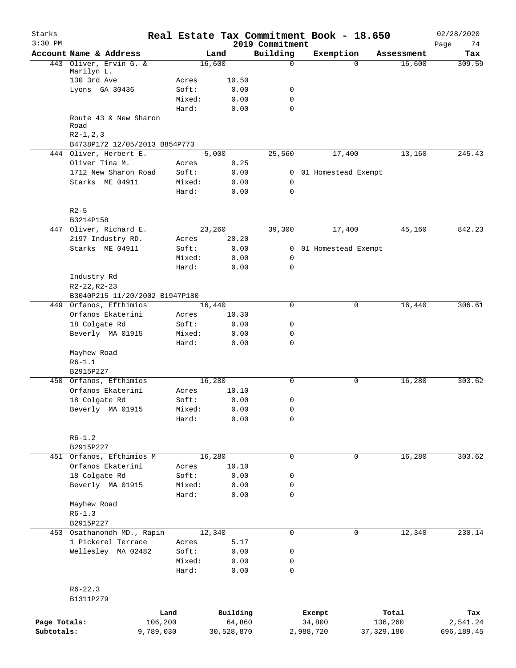| Starks<br>$3:30$ PM |                                               |        | Real Estate Tax Commitment Book - 18.650 | 2019 Commitment     |                       |          |              | 02/28/2020<br>74 |
|---------------------|-----------------------------------------------|--------|------------------------------------------|---------------------|-----------------------|----------|--------------|------------------|
|                     | Account Name & Address                        |        | Land                                     | Building            | Exemption             |          | Assessment   | Page<br>Tax      |
|                     | 443 Oliver, Ervin G. &                        |        | 16,600                                   | $\mathbf 0$         |                       | $\Omega$ | 16,600       | 309.59           |
|                     | Marilyn L.<br>130 3rd Ave                     | Acres  | 10.50                                    |                     |                       |          |              |                  |
|                     | Lyons GA 30436                                | Soft:  | 0.00                                     | 0                   |                       |          |              |                  |
|                     |                                               | Mixed: | 0.00                                     | $\mathbf 0$         |                       |          |              |                  |
|                     |                                               | Hard:  | 0.00                                     | $\mathbf 0$         |                       |          |              |                  |
|                     | Route 43 & New Sharon<br>Road<br>$R2-1, 2, 3$ |        |                                          |                     |                       |          |              |                  |
|                     | B4738P172 12/05/2013 B854P773                 |        |                                          |                     |                       |          |              |                  |
|                     | 444 Oliver, Herbert E.                        |        | 5,000                                    | 25,560              |                       | 17,400   | 13,160       | 245.43           |
|                     | Oliver Tina M.                                | Acres  | 0.25                                     |                     |                       |          |              |                  |
|                     | 1712 New Sharon Road                          | Soft:  | 0.00                                     |                     | 0 01 Homestead Exempt |          |              |                  |
|                     | Starks ME 04911                               | Mixed: | 0.00                                     | 0                   |                       |          |              |                  |
|                     |                                               | Hard:  | 0.00                                     | $\mathbf 0$         |                       |          |              |                  |
|                     | $R2 - 5$                                      |        |                                          |                     |                       |          |              |                  |
|                     | B3214P158                                     |        |                                          |                     |                       |          |              |                  |
|                     | 447 Oliver, Richard E.                        |        | 23,260                                   | 39,300              |                       | 17,400   | 45,160       | 842.23           |
|                     | 2197 Industry RD.                             | Acres  | 20.20                                    |                     |                       |          |              |                  |
|                     | Starks ME 04911                               | Soft:  | 0.00                                     | 0                   | 01 Homestead Exempt   |          |              |                  |
|                     |                                               | Mixed: | 0.00                                     | 0                   |                       |          |              |                  |
|                     |                                               | Hard:  | 0.00                                     | $\Omega$            |                       |          |              |                  |
|                     | Industry Rd                                   |        |                                          |                     |                       |          |              |                  |
|                     | $R2 - 22, R2 - 23$                            |        |                                          |                     |                       |          |              |                  |
|                     | B3040P215 11/20/2002 B1947P180                |        |                                          |                     |                       |          |              |                  |
|                     | 449 Orfanos, Efthimios                        |        | 16,440                                   | 0                   |                       | 0        | 16,440       | 306.61           |
|                     | Orfanos Ekaterini                             | Acres  | 10.30                                    |                     |                       |          |              |                  |
|                     | 18 Colgate Rd                                 | Soft:  | 0.00                                     | 0                   |                       |          |              |                  |
|                     | Beverly MA 01915                              | Mixed: | 0.00                                     | 0                   |                       |          |              |                  |
|                     |                                               | Hard:  | 0.00                                     | $\mathbf 0$         |                       |          |              |                  |
|                     | Mayhew Road                                   |        |                                          |                     |                       |          |              |                  |
|                     | $R6 - 1.1$                                    |        |                                          |                     |                       |          |              |                  |
|                     | B2915P227                                     |        |                                          |                     |                       |          |              |                  |
|                     | 450 Orfanos, Efthimios                        |        | 16,280                                   | 0                   |                       | 0        | 16,280       | 303.62           |
|                     | Orfanos Ekaterini                             | Acres  | 10.10                                    |                     |                       |          |              |                  |
|                     | 18 Colgate Rd                                 | Soft:  | 0.00                                     | 0                   |                       |          |              |                  |
|                     | Beverly MA 01915                              | Mixed: | 0.00                                     | 0                   |                       |          |              |                  |
|                     |                                               | Hard:  | 0.00                                     | $\mathsf{O}\xspace$ |                       |          |              |                  |
|                     | $R6 - 1.2$                                    |        |                                          |                     |                       |          |              |                  |
|                     | B2915P227                                     |        |                                          |                     |                       |          |              |                  |
|                     | 451 Orfanos, Efthimios M                      |        | 16,280                                   | 0                   |                       | 0        | 16,280       | 303.62           |
|                     | Orfanos Ekaterini                             | Acres  | 10.10                                    |                     |                       |          |              |                  |
|                     | 18 Colgate Rd                                 | Soft:  | 0.00                                     | 0                   |                       |          |              |                  |
|                     | Beverly MA 01915                              | Mixed: | 0.00                                     | 0                   |                       |          |              |                  |
|                     |                                               | Hard:  | 0.00                                     | 0                   |                       |          |              |                  |
|                     | Mayhew Road                                   |        |                                          |                     |                       |          |              |                  |
|                     | $R6 - 1.3$                                    |        |                                          |                     |                       |          |              |                  |
|                     | B2915P227                                     |        |                                          |                     |                       |          |              |                  |
|                     | 453 Osathanondh MD., Rapin                    |        | 12,340                                   | 0                   |                       | 0        | 12,340       | 230.14           |
|                     | 1 Pickerel Terrace                            | Acres  | 5.17                                     |                     |                       |          |              |                  |
|                     | Wellesley MA 02482                            | Soft:  | 0.00                                     | 0                   |                       |          |              |                  |
|                     |                                               | Mixed: | 0.00                                     | 0                   |                       |          |              |                  |
|                     |                                               | Hard:  | 0.00                                     | 0                   |                       |          |              |                  |
|                     | $R6 - 22.3$                                   |        |                                          |                     |                       |          |              |                  |
|                     | B1311P279                                     |        |                                          |                     |                       |          |              |                  |
|                     |                                               | Land   | Building                                 |                     | Exempt                |          | Total        | Tax              |
| Page Totals:        | 106,200                                       |        | 64,860                                   |                     | 34,800                |          | 136,260      | 2,541.24         |
| Subtotals:          | 9,789,030                                     |        | 30,528,870                               |                     | 2,988,720             |          | 37, 329, 180 | 696,189.45       |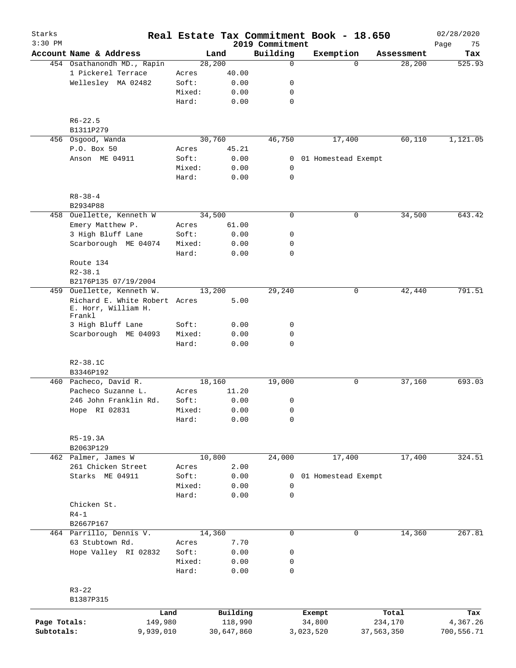| Starks<br>$3:30$ PM |                                                                |                 |              | 2019 Commitment | Real Estate Tax Commitment Book - 18.650 |            | Page       | 02/28/2020<br>75 |
|---------------------|----------------------------------------------------------------|-----------------|--------------|-----------------|------------------------------------------|------------|------------|------------------|
|                     | Account Name & Address                                         |                 | Land         | Building        | Exemption                                |            | Assessment | Tax              |
|                     | 454 Osathanondh MD., Rapin                                     |                 | 28, 200      | $\mathbf 0$     |                                          | $\Omega$   | 28,200     | 525.93           |
|                     | 1 Pickerel Terrace                                             | Acres           | 40.00        |                 |                                          |            |            |                  |
|                     | Wellesley MA 02482                                             | Soft:           | 0.00         | 0               |                                          |            |            |                  |
|                     |                                                                | Mixed:          | 0.00         | 0               |                                          |            |            |                  |
|                     |                                                                | Hard:           | 0.00         | $\mathbf 0$     |                                          |            |            |                  |
|                     | $R6 - 22.5$                                                    |                 |              |                 |                                          |            |            |                  |
|                     | B1311P279                                                      |                 |              |                 |                                          |            |            |                  |
|                     | 456 Osgood, Wanda                                              |                 | 30,760       | 46,750          | 17,400                                   |            | 60,110     | 1,121.05         |
|                     | P.O. Box 50                                                    | Acres           | 45.21        |                 |                                          |            |            |                  |
|                     | Anson ME 04911                                                 | Soft:           | 0.00         |                 | 0 01 Homestead Exempt                    |            |            |                  |
|                     |                                                                | Mixed:          | 0.00         | 0               |                                          |            |            |                  |
|                     |                                                                | Hard:           | 0.00         | $\mathbf 0$     |                                          |            |            |                  |
|                     | $R8 - 38 - 4$                                                  |                 |              |                 |                                          |            |            |                  |
|                     | B2934P88                                                       |                 |              |                 |                                          |            |            |                  |
|                     | 458 Ouellette, Kenneth W                                       |                 | 34,500       | $\mathbf 0$     |                                          | 0          | 34,500     | 643.42           |
|                     | Emery Matthew P.                                               | Acres           | 61.00        |                 |                                          |            |            |                  |
|                     | 3 High Bluff Lane                                              | Soft:           | 0.00         | 0               |                                          |            |            |                  |
|                     | Scarborough ME 04074                                           | Mixed:          | 0.00         | $\mathbf 0$     |                                          |            |            |                  |
|                     |                                                                | Hard:           | 0.00         | $\mathbf 0$     |                                          |            |            |                  |
|                     | Route 134                                                      |                 |              |                 |                                          |            |            |                  |
|                     | $R2 - 38.1$                                                    |                 |              |                 |                                          |            |            |                  |
|                     | B2176P135 07/19/2004                                           |                 |              |                 |                                          |            |            |                  |
|                     | 459 Ouellette, Kenneth W.                                      |                 | 13,200       | 29,240          |                                          | 0          | 42,440     | 791.51           |
|                     | Richard E. White Robert Acres<br>E. Horr, William H.<br>Frankl |                 | 5.00         |                 |                                          |            |            |                  |
|                     | 3 High Bluff Lane                                              | Soft:           | 0.00         | 0               |                                          |            |            |                  |
|                     | Scarborough ME 04093                                           | Mixed:          | 0.00         | 0               |                                          |            |            |                  |
|                     |                                                                | Hard:           | 0.00         | 0               |                                          |            |            |                  |
|                     | R2-38.1C                                                       |                 |              |                 |                                          |            |            |                  |
|                     | B3346P192                                                      |                 |              |                 |                                          |            |            |                  |
|                     | 460 Pacheco, David R.                                          |                 | 18,160       | 19,000          |                                          | 0          | 37,160     | 693.03           |
|                     | Pacheco Suzanne L.                                             | Acres           | 11.20        |                 |                                          |            |            |                  |
|                     | 246 John Franklin Rd.                                          | Soft:           | 0.00         | 0               |                                          |            |            |                  |
|                     | Hope RI 02831                                                  | Mixed:          | 0.00         | 0               |                                          |            |            |                  |
|                     |                                                                | Hard:           | 0.00         | 0               |                                          |            |            |                  |
|                     | $R5-19.3A$                                                     |                 |              |                 |                                          |            |            |                  |
|                     | B2063P129                                                      |                 |              |                 |                                          |            |            |                  |
|                     | 462 Palmer, James W                                            |                 | 10,800       | 24,000          | 17,400                                   |            | 17,400     | 324.51           |
|                     | 261 Chicken Street                                             | Acres           | 2.00         |                 |                                          |            |            |                  |
|                     | Starks ME 04911                                                | Soft:           | 0.00         | 0               | 01 Homestead Exempt                      |            |            |                  |
|                     |                                                                | Mixed:          | 0.00         | 0               |                                          |            |            |                  |
|                     |                                                                | Hard:           | 0.00         | $\mathbf 0$     |                                          |            |            |                  |
|                     | Chicken St.                                                    |                 |              |                 |                                          |            |            |                  |
|                     | $R4-1$                                                         |                 |              |                 |                                          |            |            |                  |
|                     | B2667P167                                                      |                 |              |                 |                                          |            |            |                  |
|                     | 464 Parrillo, Dennis V.                                        |                 | 14,360       | 0               |                                          | 0          | 14,360     | 267.81           |
|                     | 63 Stubtown Rd.                                                | Acres           | 7.70         |                 |                                          |            |            |                  |
|                     | Hope Valley RI 02832                                           | Soft:           | 0.00         | 0               |                                          |            |            |                  |
|                     |                                                                |                 |              |                 |                                          |            |            |                  |
|                     |                                                                | Mixed:<br>Hard: | 0.00<br>0.00 | 0<br>0          |                                          |            |            |                  |
|                     | $R3 - 22$                                                      |                 |              |                 |                                          |            |            |                  |
|                     | B1387P315                                                      |                 |              |                 |                                          |            |            |                  |
|                     |                                                                | Land            | Building     |                 | Exempt                                   | Total      |            | Tax              |
| Page Totals:        | 149,980                                                        |                 | 118,990      |                 | 34,800                                   | 234,170    |            | 4,367.26         |
| Subtotals:          | 9,939,010                                                      |                 | 30,647,860   |                 | 3,023,520                                | 37,563,350 |            | 700,556.71       |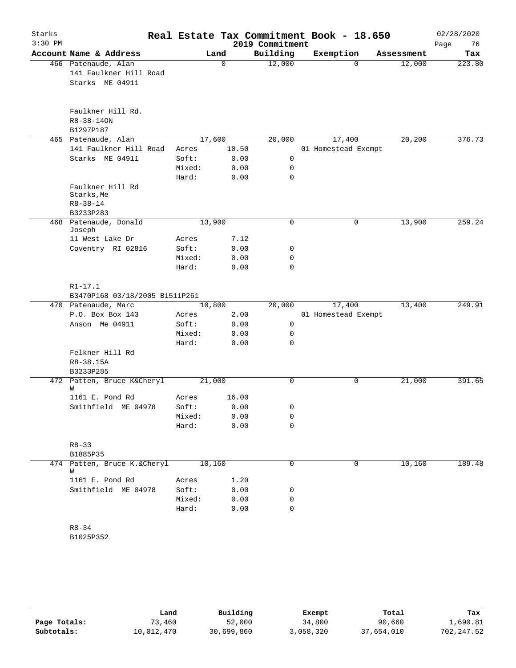| Starks<br>$3:30$ PM |                                                                  |                                   |                               | 2019 Commitment | Real Estate Tax Commitment Book - 18.650 |            | 02/28/2020<br>76<br>Page |
|---------------------|------------------------------------------------------------------|-----------------------------------|-------------------------------|-----------------|------------------------------------------|------------|--------------------------|
|                     | Account Name & Address                                           |                                   | Land                          | Building        | Exemption                                | Assessment | Tax                      |
|                     | 466 Patenaude, Alan<br>141 Faulkner Hill Road<br>Starks ME 04911 |                                   | $\mathbf 0$                   | 12,000          | $\Omega$                                 | 12,000     | 223.80                   |
|                     | Faulkner Hill Rd.<br>$R8 - 38 - 140N$<br>B1297P187               |                                   |                               |                 |                                          |            |                          |
|                     | 465 Patenaude, Alan                                              |                                   | 17,600                        | 20,000          | 17,400                                   | 20, 200    | 376.73                   |
|                     | 141 Faulkner Hill Road<br>Starks ME 04911                        | Acres<br>Soft:<br>Mixed:<br>Hard: | 10.50<br>0.00<br>0.00<br>0.00 | 0<br>0<br>0     | 01 Homestead Exempt                      |            |                          |
|                     | Faulkner Hill Rd<br>Starks, Me<br>$R8 - 38 - 14$                 |                                   |                               |                 |                                          |            |                          |
|                     | B3233P283<br>468 Patenaude, Donald<br>Joseph                     |                                   | 13,900                        | 0               | 0                                        | 13,900     | 259.24                   |
|                     | 11 West Lake Dr                                                  | Acres                             | 7.12                          |                 |                                          |            |                          |
|                     | Coventry RI 02816                                                | Soft:                             | 0.00                          | 0               |                                          |            |                          |
|                     |                                                                  | Mixed:<br>Hard:                   | 0.00<br>0.00                  | 0<br>0          |                                          |            |                          |
|                     | $R1 - 17.1$<br>B3470P168 03/18/2005 B1511P261                    |                                   |                               |                 |                                          |            |                          |
|                     | 470 Patenaude, Marc                                              |                                   | 10,800                        | 20,000          | 17,400                                   | 13,400     | 249.91                   |
|                     | P.O. Box Box 143                                                 | Acres                             | 2.00                          |                 | 01 Homestead Exempt                      |            |                          |
|                     | Anson Me 04911                                                   | Soft:                             | 0.00                          | 0               |                                          |            |                          |
|                     |                                                                  | Mixed:                            | 0.00                          | 0               |                                          |            |                          |
|                     | Felkner Hill Rd<br>R8-38.15A<br>B3233P285                        | Hard:                             | 0.00                          | 0               |                                          |            |                          |
|                     | 472 Patten, Bruce K&Cheryl<br>W                                  |                                   | 21,000                        | 0               | 0                                        | 21,000     | 391.65                   |
|                     | 1161 E. Pond Rd                                                  | Acres                             | 16.00                         |                 |                                          |            |                          |
|                     | Smithfield ME 04978                                              | Soft:                             | 0.00                          | 0               |                                          |            |                          |
|                     |                                                                  | Mixed:<br>Hard:                   | 0.00<br>0.00                  | 0<br>0          |                                          |            |                          |
|                     | $R8 - 33$<br>B1885P35                                            |                                   |                               |                 |                                          |            |                          |
|                     | 474 Patten, Bruce K.&Cheryl                                      |                                   | 10,160                        | 0               | 0                                        | 10,160     | 189.48                   |
|                     | W                                                                |                                   |                               |                 |                                          |            |                          |
|                     | 1161 E. Pond Rd                                                  | Acres                             | 1.20                          |                 |                                          |            |                          |
|                     | Smithfield ME 04978                                              | Soft:                             | 0.00                          | 0<br>0          |                                          |            |                          |
|                     |                                                                  | Mixed:<br>Hard:                   | 0.00<br>0.00                  | 0               |                                          |            |                          |
|                     | $R8 - 34$<br>B1025P352                                           |                                   |                               |                 |                                          |            |                          |

|              | Land       | Building   | Exempt    | Total      | Tax         |
|--------------|------------|------------|-----------|------------|-------------|
| Page Totals: | 73,460     | 52,000     | 34,800    | 90,660     | 1,690.81    |
| Subtotals:   | 10,012,470 | 30,699,860 | 3,058,320 | 37,654,010 | 702, 247.52 |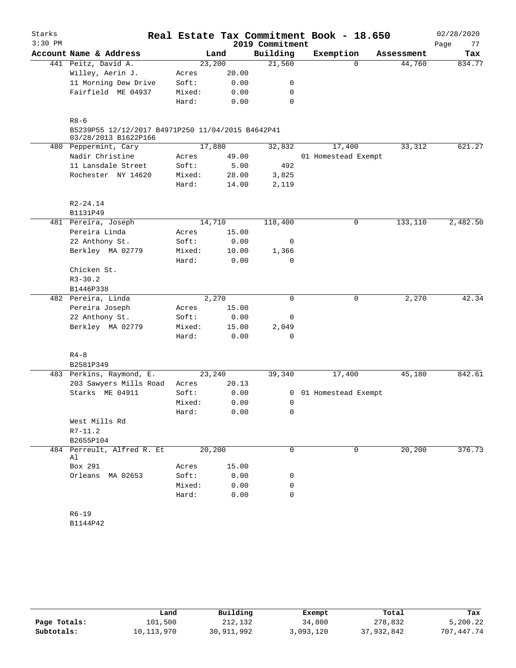| Starks    |                                                                           |        |        |                 | Real Estate Tax Commitment Book - 18.650 |            | 02/28/2020 |
|-----------|---------------------------------------------------------------------------|--------|--------|-----------------|------------------------------------------|------------|------------|
| $3:30$ PM |                                                                           |        |        | 2019 Commitment |                                          |            | Page<br>77 |
|           | Account Name & Address                                                    |        | Land   | Building        | Exemption                                | Assessment | Tax        |
|           | 441 Peitz, David A.                                                       |        | 23,200 | 21,560          | $\Omega$                                 | 44,760     | 834.77     |
|           | Willey, Aerin J.                                                          | Acres  | 20.00  |                 |                                          |            |            |
|           | 11 Morning Dew Drive                                                      | Soft:  | 0.00   | 0               |                                          |            |            |
|           | Fairfield ME 04937                                                        | Mixed: | 0.00   | 0               |                                          |            |            |
|           |                                                                           | Hard:  | 0.00   | 0               |                                          |            |            |
|           | $R8 - 6$                                                                  |        |        |                 |                                          |            |            |
|           | B5239P55 12/12/2017 B4971P250 11/04/2015 B4642P41<br>03/28/2013 B1622P166 |        |        |                 |                                          |            |            |
|           | 480 Peppermint, Cary                                                      |        | 17,880 | 32,832          | 17,400                                   | 33,312     | 621.27     |
|           | Nadir Christine                                                           | Acres  | 49.00  |                 | 01 Homestead Exempt                      |            |            |
|           | 11 Lansdale Street                                                        | Soft:  | 5.00   | 492             |                                          |            |            |
|           | Rochester NY 14620                                                        | Mixed: | 28.00  | 3,825           |                                          |            |            |
|           |                                                                           | Hard:  | 14.00  | 2,119           |                                          |            |            |
|           | $R2 - 24.14$                                                              |        |        |                 |                                          |            |            |
|           | B1131P49                                                                  |        |        |                 |                                          |            |            |
|           | 481 Pereira, Joseph                                                       |        | 14,710 | 118,400         | 0                                        | 133,110    | 2,482.50   |
|           | Pereira Linda                                                             | Acres  | 15.00  |                 |                                          |            |            |
|           | 22 Anthony St.                                                            | Soft:  | 0.00   | 0               |                                          |            |            |
|           | Berkley MA 02779                                                          | Mixed: | 10.00  | 1,366           |                                          |            |            |
|           |                                                                           | Hard:  | 0.00   | $\Omega$        |                                          |            |            |
|           | Chicken St.                                                               |        |        |                 |                                          |            |            |
|           | $R3 - 30.2$                                                               |        |        |                 |                                          |            |            |
|           | B1446P338                                                                 |        |        |                 |                                          |            |            |
|           | 482 Pereira, Linda                                                        |        | 2,270  | $\Omega$        | $\mathbf 0$                              | 2,270      | 42.34      |
|           | Pereira Joseph                                                            | Acres  | 15.00  |                 |                                          |            |            |
|           | 22 Anthony St.                                                            | Soft:  | 0.00   | 0               |                                          |            |            |
|           | Berkley MA 02779                                                          | Mixed: | 15.00  | 2,049           |                                          |            |            |
|           |                                                                           | Hard:  | 0.00   | 0               |                                          |            |            |
|           | $R4 - 8$                                                                  |        |        |                 |                                          |            |            |
|           | B2581P349                                                                 |        |        |                 |                                          |            |            |
|           | 483 Perkins, Raymond, E.                                                  |        | 23,240 | 39,340          | 17,400                                   | 45,180     | 842.61     |
|           | 203 Sawyers Mills Road                                                    | Acres  | 20.13  |                 |                                          |            |            |
|           | Starks ME 04911                                                           | Soft:  | 0.00   | 0               | 01 Homestead Exempt                      |            |            |
|           |                                                                           | Mixed: | 0.00   | 0               |                                          |            |            |
|           |                                                                           | Hard:  | 0.00   | 0               |                                          |            |            |
|           | West Mills Rd                                                             |        |        |                 |                                          |            |            |
|           | $R7 - 11.2$                                                               |        |        |                 |                                          |            |            |
|           | B2655P104                                                                 |        |        |                 |                                          |            |            |
|           | 484 Perreult, Alfred R. Et<br>Al                                          |        | 20,200 | 0               | 0                                        | 20,200     | 376.73     |
|           | Box 291                                                                   | Acres  | 15.00  |                 |                                          |            |            |
|           | Orleans<br>MA 02653                                                       | Soft:  | 0.00   | 0               |                                          |            |            |
|           |                                                                           | Mixed: | 0.00   | 0               |                                          |            |            |
|           |                                                                           | Hard:  | 0.00   | 0               |                                          |            |            |
|           |                                                                           |        |        |                 |                                          |            |            |
|           | $R6 - 19$                                                                 |        |        |                 |                                          |            |            |

B1144P42

|              | Land       | Building   | Exempt    | Total      | Tax        |
|--------------|------------|------------|-----------|------------|------------|
| Page Totals: | 101,500    | 212,132    | 34,800    | 278,832    | 5,200.22   |
| Subtotals:   | 10,113,970 | 30,911,992 | 3,093,120 | 37,932,842 | 707,447.74 |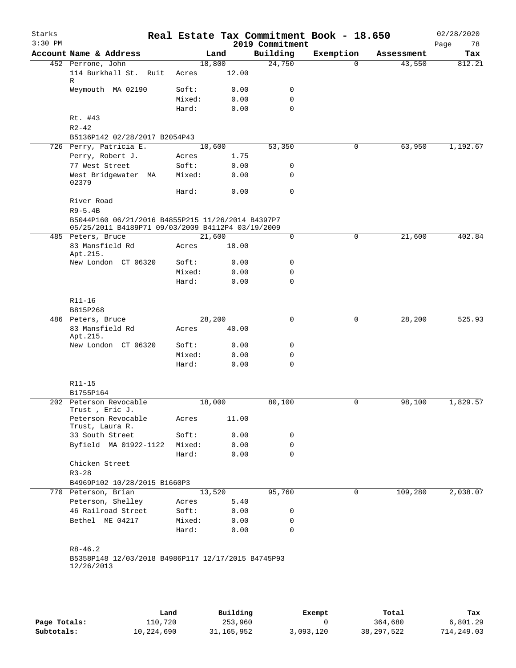| Starks<br>$3:30$ PM |                                                                                                        |        |        |      | Real Estate Tax Commitment Book - 18.650<br>2019 Commitment |           |            | 02/28/2020<br>78<br>Page |
|---------------------|--------------------------------------------------------------------------------------------------------|--------|--------|------|-------------------------------------------------------------|-----------|------------|--------------------------|
|                     | Account Name & Address                                                                                 |        | Land   |      | Building                                                    | Exemption | Assessment | Tax                      |
|                     | 452 Perrone, John                                                                                      |        | 18,800 |      | 24,750                                                      | $\Omega$  | 43,550     | 812.21                   |
|                     | 114 Burkhall St. Ruit<br>R                                                                             | Acres  | 12.00  |      |                                                             |           |            |                          |
|                     | Weymouth MA 02190                                                                                      | Soft:  |        | 0.00 | 0                                                           |           |            |                          |
|                     |                                                                                                        | Mixed: |        | 0.00 | $\mathbf 0$                                                 |           |            |                          |
|                     |                                                                                                        | Hard:  |        | 0.00 | $\mathbf 0$                                                 |           |            |                          |
|                     | Rt. #43                                                                                                |        |        |      |                                                             |           |            |                          |
|                     | $R2 - 42$                                                                                              |        |        |      |                                                             |           |            |                          |
|                     | B5136P142 02/28/2017 B2054P43                                                                          |        |        |      |                                                             |           |            |                          |
|                     | 726 Perry, Patricia E.                                                                                 |        | 10,600 |      | 53,350                                                      | 0         | 63,950     | 1,192.67                 |
|                     | Perry, Robert J.                                                                                       | Acres  |        | 1.75 |                                                             |           |            |                          |
|                     | 77 West Street                                                                                         | Soft:  |        | 0.00 | 0                                                           |           |            |                          |
|                     | West Bridgewater MA<br>02379                                                                           | Mixed: |        | 0.00 | 0                                                           |           |            |                          |
|                     |                                                                                                        | Hard:  |        | 0.00 | $\mathbf 0$                                                 |           |            |                          |
|                     | River Road<br>$R9 - 5.4B$                                                                              |        |        |      |                                                             |           |            |                          |
|                     | B5044P160 06/21/2016 B4855P215 11/26/2014 B4397P7<br>05/25/2011 B4189P71 09/03/2009 B4112P4 03/19/2009 |        |        |      |                                                             |           |            |                          |
|                     | 485 Peters, Bruce                                                                                      |        | 21,600 |      | 0                                                           | 0         | 21,600     | 402.84                   |
|                     | 83 Mansfield Rd<br>Apt.215.                                                                            | Acres  | 18.00  |      |                                                             |           |            |                          |
|                     | New London CT 06320                                                                                    | Soft:  |        | 0.00 | 0                                                           |           |            |                          |
|                     |                                                                                                        | Mixed: |        | 0.00 | 0                                                           |           |            |                          |
|                     |                                                                                                        | Hard:  |        | 0.00 | $\mathbf 0$                                                 |           |            |                          |
|                     | R11-16                                                                                                 |        |        |      |                                                             |           |            |                          |
|                     | B815P268                                                                                               |        |        |      |                                                             |           |            |                          |
|                     | 486 Peters, Bruce                                                                                      |        | 28,200 |      | $\mathbf 0$                                                 | 0         | 28,200     | 525.93                   |
|                     | 83 Mansfield Rd<br>Apt.215.                                                                            | Acres  | 40.00  |      |                                                             |           |            |                          |
|                     | New London CT 06320                                                                                    | Soft:  |        | 0.00 | 0                                                           |           |            |                          |
|                     |                                                                                                        | Mixed: |        | 0.00 | 0                                                           |           |            |                          |
|                     |                                                                                                        | Hard:  |        | 0.00 | $\mathbf 0$                                                 |           |            |                          |
|                     | R11-15                                                                                                 |        |        |      |                                                             |           |            |                          |
|                     | B1755P164                                                                                              |        |        |      |                                                             |           |            |                          |
|                     | 202 Peterson Revocable<br>Trust, Eric J.                                                               |        | 18,000 |      | 80,100                                                      | 0         | 98,100     | 1,829.57                 |
|                     | Peterson Revocable<br>Trust, Laura R.                                                                  | Acres  | 11.00  |      |                                                             |           |            |                          |
|                     | 33 South Street                                                                                        | Soft:  |        | 0.00 | 0                                                           |           |            |                          |
|                     | Byfield MA 01922-1122                                                                                  | Mixed: |        | 0.00 | 0                                                           |           |            |                          |
|                     |                                                                                                        | Hard:  |        | 0.00 | $\mathbf 0$                                                 |           |            |                          |
|                     | Chicken Street                                                                                         |        |        |      |                                                             |           |            |                          |
|                     | $R3 - 28$                                                                                              |        |        |      |                                                             |           |            |                          |
|                     | B4969P102 10/28/2015 B1660P3                                                                           |        |        |      |                                                             |           |            |                          |
|                     | 770 Peterson, Brian                                                                                    |        | 13,520 |      | 95,760                                                      | 0         | 109,280    | 2,038.07                 |
|                     | Peterson, Shelley                                                                                      | Acres  |        | 5.40 |                                                             |           |            |                          |
|                     | 46 Railroad Street                                                                                     | Soft:  |        | 0.00 | 0                                                           |           |            |                          |
|                     | Bethel ME 04217                                                                                        | Mixed: |        | 0.00 | 0                                                           |           |            |                          |
|                     |                                                                                                        | Hard:  |        | 0.00 | $\mathbf 0$                                                 |           |            |                          |
|                     | $R8 - 46.2$                                                                                            |        |        |      |                                                             |           |            |                          |
|                     | B5358P148 12/03/2018 B4986P117 12/17/2015 B4745P93<br>12/26/2013                                       |        |        |      |                                                             |           |            |                          |
|                     |                                                                                                        |        |        |      |                                                             |           |            |                          |
|                     |                                                                                                        |        |        |      |                                                             |           |            |                          |
|                     |                                                                                                        |        |        |      |                                                             |           |            |                          |

|              | Land       | Building     | Exempt    | Total        | Tax        |
|--------------|------------|--------------|-----------|--------------|------------|
| Page Totals: | 110,720    | 253,960      |           | 364,680      | 6,801.29   |
| Subtotals:   | 10,224,690 | 31, 165, 952 | 3,093,120 | 38, 297, 522 | 714,249.03 |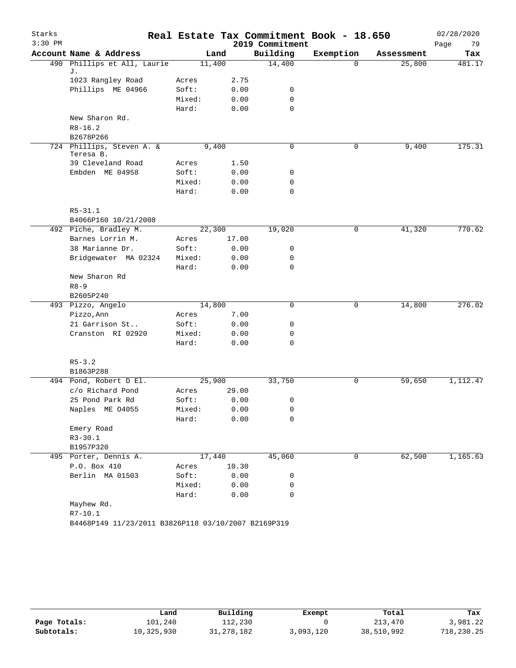| Starks    |                                                       |                |                 |                 | Real Estate Tax Commitment Book - 18.650 |            | 02/28/2020 |
|-----------|-------------------------------------------------------|----------------|-----------------|-----------------|------------------------------------------|------------|------------|
| $3:30$ PM |                                                       |                |                 | 2019 Commitment |                                          |            | Page<br>79 |
|           | Account Name & Address<br>490 Phillips et All, Laurie |                | Land            | Building        | Exemption<br>$\Omega$                    | Assessment | Tax        |
|           | J.                                                    | 11,400         |                 | 14,400          |                                          | 25,800     | 481.17     |
|           | 1023 Rangley Road                                     | Acres          | 2.75            |                 |                                          |            |            |
|           | Phillips ME 04966                                     | Soft:          | 0.00            | 0               |                                          |            |            |
|           |                                                       | Mixed:         | 0.00            | 0               |                                          |            |            |
|           |                                                       | Hard:          | 0.00            | $\mathbf 0$     |                                          |            |            |
|           | New Sharon Rd.                                        |                |                 |                 |                                          |            |            |
|           | $R8 - 16.2$                                           |                |                 |                 |                                          |            |            |
|           | B2678P266                                             |                |                 |                 |                                          |            |            |
|           | 724 Phillips, Steven A. &                             |                | 9,400           | 0               | 0                                        | 9,400      | 175.31     |
|           | Teresa B.<br>39 Cleveland Road                        |                |                 |                 |                                          |            |            |
|           | Embden ME 04958                                       | Acres<br>Soft: | 1.50<br>0.00    | 0               |                                          |            |            |
|           |                                                       | Mixed:         | 0.00            | 0               |                                          |            |            |
|           |                                                       | Hard:          | 0.00            | 0               |                                          |            |            |
|           |                                                       |                |                 |                 |                                          |            |            |
|           | $R5 - 31.1$                                           |                |                 |                 |                                          |            |            |
|           | B4066P160 10/21/2008                                  |                |                 |                 |                                          |            |            |
|           | 492 Piche, Bradley M.                                 | 22,300         |                 | 19,020          | 0                                        | 41,320     | 770.62     |
|           | Barnes Lorrin M.                                      | Acres          | 17.00           |                 |                                          |            |            |
|           | 38 Marianne Dr.                                       | Soft:          | 0.00            | 0               |                                          |            |            |
|           | Bridgewater MA 02324                                  | Mixed:         | 0.00            | 0               |                                          |            |            |
|           |                                                       | Hard:          | 0.00            | $\Omega$        |                                          |            |            |
|           | New Sharon Rd                                         |                |                 |                 |                                          |            |            |
|           | $R8 - 9$                                              |                |                 |                 |                                          |            |            |
|           | B2605P240                                             |                |                 |                 |                                          |            |            |
|           | 493 Pizzo, Angelo                                     | 14,800         |                 | 0               | 0                                        | 14,800     | 276.02     |
|           | Pizzo, Ann                                            | Acres          | 7.00            |                 |                                          |            |            |
|           | 21 Garrison St                                        | Soft:          | 0.00            | 0               |                                          |            |            |
|           | Cranston RI 02920                                     | Mixed:         | 0.00            | 0               |                                          |            |            |
|           |                                                       | Hard:          | 0.00            | $\mathbf 0$     |                                          |            |            |
|           |                                                       |                |                 |                 |                                          |            |            |
|           | $R5 - 3.2$                                            |                |                 |                 |                                          |            |            |
|           | B1863P288                                             |                |                 |                 |                                          |            |            |
|           | 494 Pond, Robert D El.                                | 25,900         |                 | 33,750          | 0                                        | 59,650     | 1,112.47   |
|           | c/o Richard Pond                                      | Acres          | 29.00           |                 |                                          |            |            |
|           | 25 Pond Park Rd                                       | Soft:          | 0.00            | 0               |                                          |            |            |
|           | Naples ME 04055                                       | Mixed:         | 0.00            | 0               |                                          |            |            |
|           |                                                       | Hard:          | 0.00            | 0               |                                          |            |            |
|           | Emery Road                                            |                |                 |                 |                                          |            |            |
|           | $R3 - 30.1$<br>B1957P320                              |                |                 |                 |                                          |            |            |
|           |                                                       |                |                 |                 | 0                                        | 62,500     |            |
|           | 495 Porter, Dennis A.<br>P.O. Box 410                 | Acres          | 17,440<br>10.30 | 45,060          |                                          |            | 1,165.63   |
|           | Berlin MA 01503                                       | Soft:          | 0.00            | 0               |                                          |            |            |
|           |                                                       | Mixed:         | 0.00            | 0               |                                          |            |            |
|           |                                                       | Hard:          | 0.00            | $\mathbf 0$     |                                          |            |            |
|           | Mayhew Rd.                                            |                |                 |                 |                                          |            |            |
|           | $R7 - 10.1$                                           |                |                 |                 |                                          |            |            |
|           | B4468P149 11/23/2011 B3826P118 03/10/2007 B2169P319   |                |                 |                 |                                          |            |            |

|              | Land       | Building     | Exempt    | Total      | Tax        |
|--------------|------------|--------------|-----------|------------|------------|
| Page Totals: | 101,240    | 112,230      |           | 213,470    | 3,981.22   |
| Subtotals:   | 10,325,930 | 31, 278, 182 | 3,093,120 | 38,510,992 | 718,230.25 |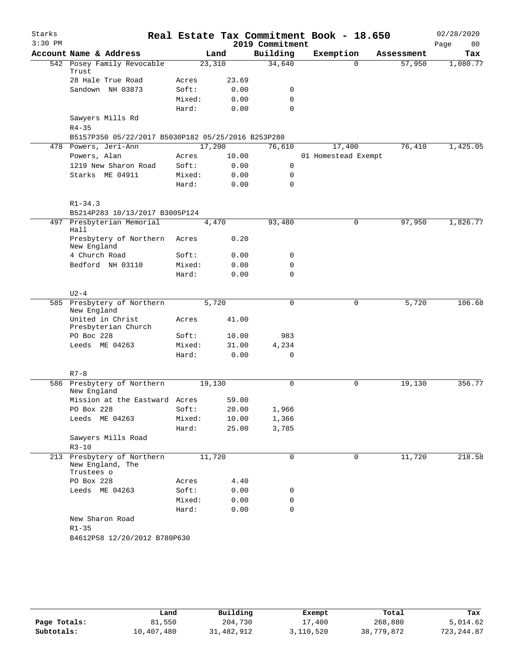| Starks    |                                                              |        |        |                 | Real Estate Tax Commitment Book - 18.650 |            | 02/28/2020 |
|-----------|--------------------------------------------------------------|--------|--------|-----------------|------------------------------------------|------------|------------|
| $3:30$ PM |                                                              |        |        | 2019 Commitment |                                          |            | 80<br>Page |
|           | Account Name & Address                                       |        | Land   | Building        | Exemption                                | Assessment | Tax        |
|           | 542 Posey Family Revocable<br>Trust                          |        | 23,310 | 34,640          | $\Omega$                                 | 57,950     | 1,080.77   |
|           | 28 Hale True Road                                            | Acres  | 23.69  |                 |                                          |            |            |
|           | Sandown NH 03873                                             | Soft:  | 0.00   | 0               |                                          |            |            |
|           |                                                              | Mixed: | 0.00   | $\mathbf 0$     |                                          |            |            |
|           |                                                              | Hard:  | 0.00   | $\Omega$        |                                          |            |            |
|           | Sawyers Mills Rd                                             |        |        |                 |                                          |            |            |
|           | $R4 - 35$                                                    |        |        |                 |                                          |            |            |
|           | B5157P350 05/22/2017 B5030P182 05/25/2016 B253P280           |        |        |                 |                                          |            |            |
|           | 478 Powers, Jeri-Ann                                         |        | 17,200 | 76,610          | 17,400                                   | 76,410     | 1,425.05   |
|           | Powers, Alan                                                 | Acres  | 10.00  |                 | 01 Homestead Exempt                      |            |            |
|           | 1219 New Sharon Road                                         | Soft:  | 0.00   | $\mathsf{O}$    |                                          |            |            |
|           | Starks ME 04911                                              | Mixed: | 0.00   | $\mathbf 0$     |                                          |            |            |
|           |                                                              | Hard:  | 0.00   | $\Omega$        |                                          |            |            |
|           | $R1 - 34.3$                                                  |        |        |                 |                                          |            |            |
|           | B5214P283 10/13/2017 B3005P124                               |        |        |                 |                                          |            |            |
|           | 497 Presbyterian Memorial<br>Hall                            |        | 4,470  | 93,480          | $\mathbf 0$                              | 97,950     | 1,826.77   |
|           | Presbytery of Northern<br>New England                        | Acres  | 0.20   |                 |                                          |            |            |
|           | 4 Church Road                                                | Soft:  | 0.00   | 0               |                                          |            |            |
|           | Bedford NH 03110                                             | Mixed: | 0.00   | 0               |                                          |            |            |
|           |                                                              | Hard:  | 0.00   | 0               |                                          |            |            |
|           | $U2-4$                                                       |        |        |                 |                                          |            |            |
|           | 585 Presbytery of Northern<br>New England                    |        | 5,720  | $\mathbf 0$     | 0                                        | 5,720      | 106.68     |
|           | United in Christ<br>Presbyterian Church                      | Acres  | 41.00  |                 |                                          |            |            |
|           | PO Boc 228                                                   | Soft:  | 10.00  | 983             |                                          |            |            |
|           | Leeds ME 04263                                               | Mixed: | 31.00  | 4,234           |                                          |            |            |
|           |                                                              | Hard:  | 0.00   | 0               |                                          |            |            |
|           | $R7 - 8$                                                     |        |        |                 |                                          |            |            |
|           | 586 Presbytery of Northern<br>New England                    |        | 19,130 | $\mathbf 0$     | 0                                        | 19,130     | 356.77     |
|           | Mission at the Eastward Acres                                |        | 59.00  |                 |                                          |            |            |
|           | PO Box 228                                                   | Soft:  | 20.00  | 1,966           |                                          |            |            |
|           | Leeds ME 04263                                               | Mixed: | 10.00  | 1,366           |                                          |            |            |
|           |                                                              | Hard:  | 25.00  | 3,785           |                                          |            |            |
|           | Sawyers Mills Road<br>$R3 - 10$                              |        |        |                 |                                          |            |            |
|           | 213 Presbytery of Northern<br>New England, The<br>Trustees o |        | 11,720 | $\mathbf 0$     | $\Omega$                                 | 11,720     | 218.58     |
|           | PO Box 228                                                   | Acres  | 4.40   |                 |                                          |            |            |
|           | Leeds ME 04263                                               | Soft:  | 0.00   | 0               |                                          |            |            |
|           |                                                              | Mixed: | 0.00   | 0               |                                          |            |            |
|           |                                                              | Hard:  | 0.00   | $\mathbf 0$     |                                          |            |            |
|           | New Sharon Road                                              |        |        |                 |                                          |            |            |
|           | $R1 - 35$                                                    |        |        |                 |                                          |            |            |
|           | B4612P58 12/20/2012 B780P630                                 |        |        |                 |                                          |            |            |
|           |                                                              |        |        |                 |                                          |            |            |

|              | Land       | Building   | Exempt    | Total      | Tax          |
|--------------|------------|------------|-----------|------------|--------------|
| Page Totals: | 81,550     | 204,730    | 17,400    | 268,880    | 5,014.62     |
| Subtotals:   | 10,407,480 | 31,482,912 | 3,110,520 | 38,779,872 | 723, 244, 87 |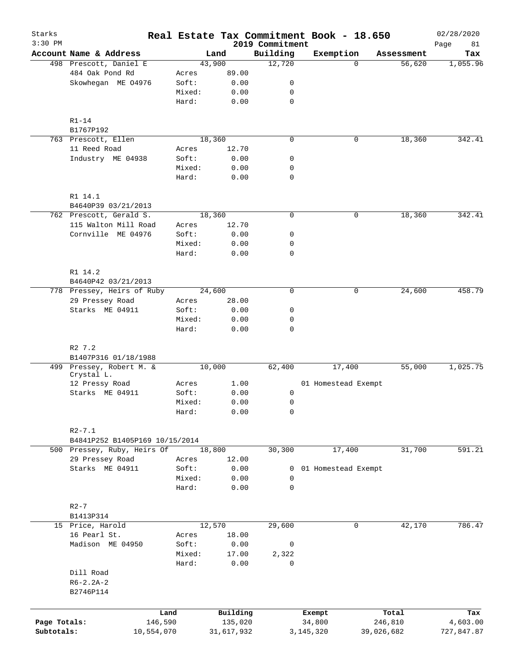| Starks<br>$3:30$ PM |                                                |                 |              | 2019 Commitment  | Real Estate Tax Commitment Book - 18.650 |             | 02/28/2020<br>81<br>Page |
|---------------------|------------------------------------------------|-----------------|--------------|------------------|------------------------------------------|-------------|--------------------------|
|                     | Account Name & Address                         |                 | Land         | Building         | Exemption                                | Assessment  | Tax                      |
|                     | 498 Prescott, Daniel E                         |                 | 43,900       | 12,720           |                                          | $\Omega$    | 1,055.96<br>56,620       |
|                     | 484 Oak Pond Rd                                | Acres           | 89.00        |                  |                                          |             |                          |
|                     | Skowhegan ME 04976                             | Soft:           | 0.00         | 0                |                                          |             |                          |
|                     |                                                | Mixed:          | 0.00         | 0                |                                          |             |                          |
|                     |                                                | Hard:           | 0.00         | $\mathbf 0$      |                                          |             |                          |
|                     | $R1-14$                                        |                 |              |                  |                                          |             |                          |
|                     | B1767P192                                      |                 |              |                  |                                          |             |                          |
|                     | 763 Prescott, Ellen                            |                 | 18,360       | $\mathbf 0$      |                                          | 0<br>18,360 | 342.41                   |
|                     | 11 Reed Road                                   | Acres           | 12.70        |                  |                                          |             |                          |
|                     | Industry ME 04938                              | Soft:           | 0.00         | $\mathsf{O}$     |                                          |             |                          |
|                     |                                                | Mixed:          | 0.00         | 0                |                                          |             |                          |
|                     |                                                | Hard:           | 0.00         | $\mathbf 0$      |                                          |             |                          |
|                     | R1 14.1<br>B4640P39 03/21/2013                 |                 |              |                  |                                          |             |                          |
|                     | 762 Prescott, Gerald S.                        |                 | 18,360       | $\mathbf 0$      |                                          | 0           | 342.41<br>18,360         |
|                     | 115 Walton Mill Road                           | Acres           | 12.70        |                  |                                          |             |                          |
|                     | Cornville ME 04976                             | Soft:           | 0.00         | $\mathsf{O}$     |                                          |             |                          |
|                     |                                                | Mixed:          | 0.00         | 0                |                                          |             |                          |
|                     |                                                | Hard:           | 0.00         | $\mathbf 0$      |                                          |             |                          |
|                     |                                                |                 |              |                  |                                          |             |                          |
|                     | R1 14.2<br>B4640P42 03/21/2013                 |                 |              |                  |                                          |             |                          |
|                     | 778 Pressey, Heirs of Ruby                     |                 | 24,600       | $\mathbf 0$      |                                          | 0           | 24,600<br>458.79         |
|                     | 29 Pressey Road                                | Acres           | 28.00        |                  |                                          |             |                          |
|                     | Starks ME 04911                                | Soft:           | 0.00         | 0                |                                          |             |                          |
|                     |                                                | Mixed:          | 0.00         | 0                |                                          |             |                          |
|                     |                                                | Hard:           | 0.00         | 0                |                                          |             |                          |
|                     | R2 7.2                                         |                 |              |                  |                                          |             |                          |
|                     | B1407P316 01/18/1988                           |                 |              |                  |                                          |             |                          |
|                     | 499 Pressey, Robert M. &<br>Crystal L.         |                 | 10,000       | 62,400           | 17,400                                   |             | 1,025.75<br>55,000       |
|                     | 12 Pressy Road                                 | Acres           | 1.00         |                  | 01 Homestead Exempt                      |             |                          |
|                     | Starks ME 04911                                | Soft:           | 0.00         | 0                |                                          |             |                          |
|                     |                                                | Mixed:          | 0.00         | $\mathsf{O}$     |                                          |             |                          |
|                     |                                                | Hard:           | 0.00         | $\mathsf{O}$     |                                          |             |                          |
|                     | $R2 - 7.1$                                     |                 |              |                  |                                          |             |                          |
|                     | B4841P252 B1405P169 10/15/2014                 |                 | 18,800       | 30,300           |                                          |             | 591.21                   |
|                     | 500 Pressey, Ruby, Heirs Of<br>29 Pressey Road |                 | 12.00        |                  | 17,400                                   |             | 31,700                   |
|                     | Starks ME 04911                                | Acres<br>Soft:  |              |                  |                                          |             |                          |
|                     |                                                |                 | 0.00<br>0.00 | 0<br>$\mathbf 0$ | 01 Homestead Exempt                      |             |                          |
|                     |                                                | Mixed:<br>Hard: | 0.00         | $\mathbf 0$      |                                          |             |                          |
|                     | $R2 - 7$                                       |                 |              |                  |                                          |             |                          |
|                     | B1413P314                                      |                 |              |                  |                                          |             |                          |
|                     | 15 Price, Harold                               |                 | 12,570       | 29,600           |                                          | 0           | 42,170<br>786.47         |
|                     | 16 Pearl St.                                   | Acres           | 18.00        |                  |                                          |             |                          |
|                     | Madison ME 04950                               | Soft:           | 0.00         | 0                |                                          |             |                          |
|                     |                                                | Mixed:          | 17.00        | 2,322            |                                          |             |                          |
|                     |                                                | Hard:           | 0.00         | $\mathbf 0$      |                                          |             |                          |
|                     | Dill Road                                      |                 |              |                  |                                          |             |                          |
|                     | $R6 - 2.2A - 2$<br>B2746P114                   |                 |              |                  |                                          |             |                          |
|                     |                                                |                 |              |                  |                                          |             |                          |
|                     |                                                | Land            | Building     |                  | Exempt                                   | Total       | Tax                      |
| Page Totals:        | 146,590                                        |                 | 135,020      |                  | 34,800                                   | 246,810     | 4,603.00                 |
| Subtotals:          | 10,554,070                                     |                 | 31,617,932   |                  | 3, 145, 320                              | 39,026,682  | 727,847.87               |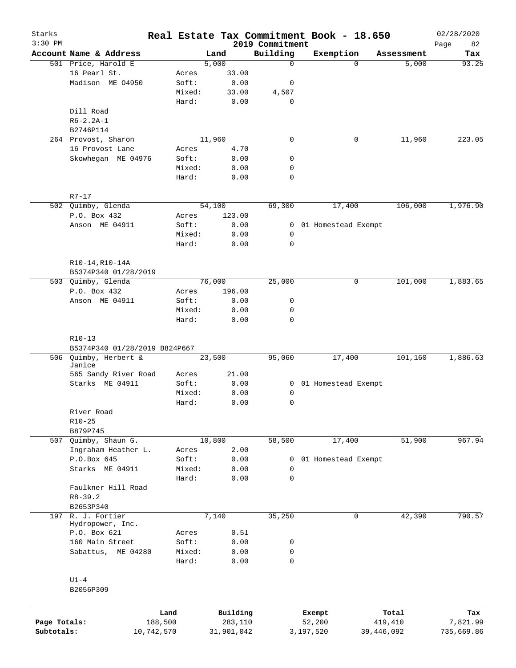| Starks<br>$3:30$ PM |                                 |                 |              | 2019 Commitment             | Real Estate Tax Commitment Book - 18.650 |                       | 02/28/2020<br>82<br>Page |
|---------------------|---------------------------------|-----------------|--------------|-----------------------------|------------------------------------------|-----------------------|--------------------------|
|                     | Account Name & Address          |                 | Land         | Building                    | Exemption                                | Assessment            | Tax                      |
|                     | 501 Price, Harold E             |                 | 5,000        | $\mathbf 0$                 |                                          | 5,000<br>$\Omega$     | 93.25                    |
|                     | 16 Pearl St.                    | Acres           | 33.00        |                             |                                          |                       |                          |
|                     | Madison ME 04950                | Soft:           | 0.00         | 0                           |                                          |                       |                          |
|                     |                                 | Mixed:          | 33.00        | 4,507                       |                                          |                       |                          |
|                     |                                 | Hard:           | 0.00         | 0                           |                                          |                       |                          |
|                     | Dill Road                       |                 |              |                             |                                          |                       |                          |
|                     | $R6 - 2.2A - 1$                 |                 |              |                             |                                          |                       |                          |
|                     | B2746P114                       |                 |              |                             |                                          |                       |                          |
|                     | 264 Provost, Sharon             |                 | 11,960       | $\mathbf 0$                 |                                          | 11,960<br>0           | 223.05                   |
|                     | 16 Provost Lane                 | Acres           | 4.70         |                             |                                          |                       |                          |
|                     | Skowhegan ME 04976              | Soft:           | 0.00         | 0                           |                                          |                       |                          |
|                     |                                 | Mixed:          | 0.00         | 0                           |                                          |                       |                          |
|                     |                                 | Hard:           | 0.00         | $\mathbf 0$                 |                                          |                       |                          |
|                     | $R7 - 17$                       |                 |              |                             |                                          |                       |                          |
|                     | 502 Quimby, Glenda              |                 | 54,100       | 69,300                      | 17,400                                   | 106,000               | 1,976.90                 |
|                     | P.O. Box 432                    | Acres           | 123.00       |                             |                                          |                       |                          |
|                     | Anson ME 04911                  | Soft:           | 0.00         |                             | 0 01 Homestead Exempt                    |                       |                          |
|                     |                                 | Mixed:          | 0.00         | 0                           |                                          |                       |                          |
|                     |                                 | Hard:           | 0.00         | $\mathbf 0$                 |                                          |                       |                          |
|                     | R10-14, R10-14A                 |                 |              |                             |                                          |                       |                          |
|                     | B5374P340 01/28/2019            |                 |              |                             |                                          |                       |                          |
|                     | 503 Quimby, Glenda              |                 | 76,000       | 25,000                      |                                          | 101,000<br>0          | 1,883.65                 |
|                     | P.O. Box 432                    | Acres           | 196.00       |                             |                                          |                       |                          |
|                     | Anson ME 04911                  | Soft:           | 0.00         | 0                           |                                          |                       |                          |
|                     |                                 | Mixed:          | 0.00         | 0                           |                                          |                       |                          |
|                     |                                 | Hard:           | 0.00         | $\mathbf 0$                 |                                          |                       |                          |
|                     | $R10-13$                        |                 |              |                             |                                          |                       |                          |
|                     | B5374P340 01/28/2019 B824P667   |                 |              |                             |                                          |                       |                          |
|                     | 506 Quimby, Herbert &<br>Janice |                 | 23,500       | 95,060                      | 17,400                                   | 101,160               | 1,886.63                 |
|                     | 565 Sandy River Road            | Acres           | 21.00        |                             |                                          |                       |                          |
|                     | Starks ME 04911                 | Soft:           | 0.00         |                             | 0 01 Homestead Exempt                    |                       |                          |
|                     |                                 | Mixed:          | 0.00         | 0                           |                                          |                       |                          |
|                     |                                 | Hard:           | 0.00         | 0                           |                                          |                       |                          |
|                     | River Road                      |                 |              |                             |                                          |                       |                          |
|                     | $R10-25$                        |                 |              |                             |                                          |                       |                          |
|                     | B879P745                        |                 |              |                             |                                          |                       |                          |
|                     | 507 Quimby, Shaun G.            |                 | 10,800       | 58,500                      | 17,400                                   | 51,900                | 967.94                   |
|                     | Ingraham Heather L.             | Acres           | 2.00         |                             |                                          |                       |                          |
|                     | P.O.Box 645                     | Soft:           | 0.00         | 0                           | 01 Homestead Exempt                      |                       |                          |
|                     | Starks ME 04911                 | Mixed:          | 0.00         | $\mathbf 0$                 |                                          |                       |                          |
|                     |                                 | Hard:           | 0.00         | $\mathbf 0$                 |                                          |                       |                          |
|                     | Faulkner Hill Road              |                 |              |                             |                                          |                       |                          |
|                     | $R8 - 39.2$                     |                 |              |                             |                                          |                       |                          |
|                     | B2653P340                       |                 |              |                             |                                          |                       |                          |
|                     | 197 R. J. Fortier               |                 | 7,140        | 35,250                      |                                          | $\mathbf 0$<br>42,390 | 790.57                   |
|                     | Hydropower, Inc.                |                 |              |                             |                                          |                       |                          |
|                     | P.O. Box 621                    | Acres           | 0.51         |                             |                                          |                       |                          |
|                     | 160 Main Street                 | Soft:           | 0.00         | 0                           |                                          |                       |                          |
|                     | Sabattus, ME 04280              | Mixed:<br>Hard: | 0.00<br>0.00 | $\mathsf{O}$<br>$\mathbf 0$ |                                          |                       |                          |
|                     |                                 |                 |              |                             |                                          |                       |                          |
|                     | $U1-4$                          |                 |              |                             |                                          |                       |                          |
|                     | B2056P309                       |                 |              |                             |                                          |                       |                          |
|                     |                                 | Land            | Building     |                             | Exempt                                   | Total                 | Tax                      |
| Page Totals:        | 188,500                         |                 | 283,110      |                             | 52,200                                   | 419,410               | 7,821.99                 |
| Subtotals:          | 10,742,570                      |                 | 31,901,042   |                             | 3,197,520                                | 39,446,092            | 735,669.86               |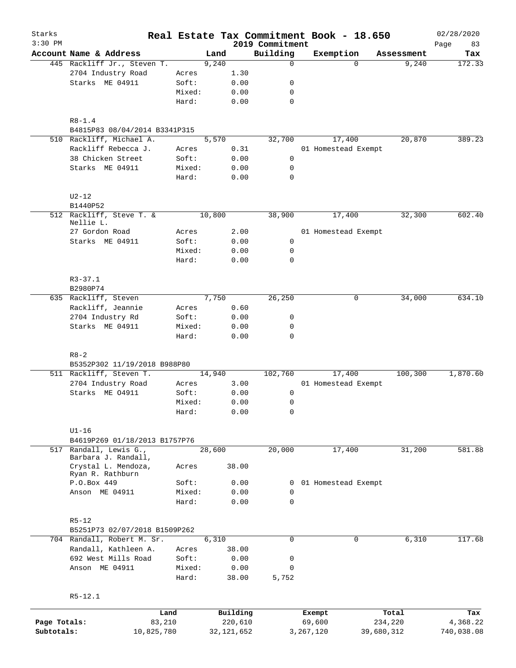| Starks<br>$3:30$ PM |                                               |            |        |        |              |                             | Real Estate Tax Commitment Book - 18.650 |            | 02/28/2020        |
|---------------------|-----------------------------------------------|------------|--------|--------|--------------|-----------------------------|------------------------------------------|------------|-------------------|
|                     | Account Name & Address                        |            |        | Land   |              | 2019 Commitment<br>Building | Exemption                                | Assessment | 83<br>Page<br>Tax |
|                     | 445 Rackliff Jr., Steven T.                   |            |        | 9,240  |              | $\Omega$                    | $\Omega$                                 | 9,240      | 172.33            |
|                     | 2704 Industry Road                            |            | Acres  |        | 1.30         |                             |                                          |            |                   |
|                     | Starks ME 04911                               |            | Soft:  |        | 0.00         | 0                           |                                          |            |                   |
|                     |                                               |            | Mixed: |        | 0.00         | 0                           |                                          |            |                   |
|                     |                                               |            | Hard:  |        | 0.00         | 0                           |                                          |            |                   |
|                     | $R8 - 1.4$                                    |            |        |        |              |                             |                                          |            |                   |
|                     | B4815P83 08/04/2014 B3341P315                 |            |        |        |              |                             |                                          |            |                   |
|                     | 510 Rackliff, Michael A.                      |            |        | 5,570  |              | 32,700                      | 17,400                                   | 20,870     | 389.23            |
|                     | Rackliff Rebecca J.                           |            | Acres  |        | 0.31         |                             | 01 Homestead Exempt                      |            |                   |
|                     | 38 Chicken Street                             |            | Soft:  |        | 0.00         | $\mathsf{O}$                |                                          |            |                   |
|                     | Starks ME 04911                               |            | Mixed: |        | 0.00         | 0                           |                                          |            |                   |
|                     |                                               |            | Hard:  |        | 0.00         | 0                           |                                          |            |                   |
|                     | $U2-12$                                       |            |        |        |              |                             |                                          |            |                   |
|                     | B1440P52                                      |            |        |        |              |                             |                                          |            |                   |
|                     | 512 Rackliff, Steve T. &<br>Nellie L.         |            |        | 10,800 |              | 38,900                      | 17,400                                   | 32,300     | 602.40            |
|                     | 27 Gordon Road                                |            | Acres  |        | 2.00         |                             | 01 Homestead Exempt                      |            |                   |
|                     |                                               |            | Soft:  |        |              | 0                           |                                          |            |                   |
|                     | Starks ME 04911                               |            | Mixed: |        | 0.00         | 0                           |                                          |            |                   |
|                     |                                               |            | Hard:  |        | 0.00<br>0.00 | $\mathbf 0$                 |                                          |            |                   |
|                     |                                               |            |        |        |              |                             |                                          |            |                   |
|                     | $R3 - 37.1$<br>B2980P74                       |            |        |        |              |                             |                                          |            |                   |
|                     | 635 Rackliff, Steven                          |            |        | 7,750  |              | 26,250                      | 0                                        | 34,000     | 634.10            |
|                     | Rackliff, Jeannie                             |            | Acres  |        | 0.60         |                             |                                          |            |                   |
|                     | 2704 Industry Rd                              |            | Soft:  |        | 0.00         | 0                           |                                          |            |                   |
|                     | Starks ME 04911                               |            | Mixed: |        | 0.00         | 0                           |                                          |            |                   |
|                     |                                               |            | Hard:  |        | 0.00         | 0                           |                                          |            |                   |
|                     | $R8 - 2$                                      |            |        |        |              |                             |                                          |            |                   |
|                     | B5352P302 11/19/2018 B988P80                  |            |        |        |              |                             |                                          |            |                   |
|                     | 511 Rackliff, Steven T.                       |            |        | 14,940 |              | 102,760                     | 17,400                                   | 100,300    | 1,870.60          |
|                     | 2704 Industry Road                            |            | Acres  |        | 3.00         |                             | 01 Homestead Exempt                      |            |                   |
|                     | Starks ME 04911                               |            | Soft:  |        | 0.00         | 0                           |                                          |            |                   |
|                     |                                               |            | Mixed: |        | 0.00         | 0                           |                                          |            |                   |
|                     |                                               |            | Hard:  |        | 0.00         | 0                           |                                          |            |                   |
|                     | $U1-16$                                       |            |        |        |              |                             |                                          |            |                   |
|                     | B4619P269 01/18/2013 B1757P76                 |            |        |        |              |                             |                                          |            |                   |
|                     | 517 Randall, Lewis G.,<br>Barbara J. Randall, |            |        | 28,600 |              | 20,000                      | 17,400                                   | 31,200     | 581.88            |
|                     | Crystal L. Mendoza,<br>Ryan R. Rathburn       |            | Acres  |        | 38.00        |                             |                                          |            |                   |
|                     | P.O.Box 449                                   |            | Soft:  |        | 0.00         | 0                           | 01 Homestead Exempt                      |            |                   |
|                     | Anson ME 04911                                |            | Mixed: |        | 0.00         | 0                           |                                          |            |                   |
|                     |                                               |            | Hard:  |        | 0.00         | 0                           |                                          |            |                   |
|                     | $R5 - 12$                                     |            |        |        |              |                             |                                          |            |                   |
|                     | B5251P73 02/07/2018 B1509P262                 |            |        |        |              |                             |                                          |            |                   |
|                     | 704 Randall, Robert M. Sr.                    |            |        | 6,310  |              | 0                           | 0                                        | 6,310      | 117.68            |
|                     | Randall, Kathleen A.                          |            | Acres  |        | 38.00        |                             |                                          |            |                   |
|                     | 692 West Mills Road                           |            | Soft:  |        | 0.00         | 0                           |                                          |            |                   |
|                     | Anson ME 04911                                |            | Mixed: |        | 0.00         | 0                           |                                          |            |                   |
|                     |                                               |            | Hard:  |        | 38.00        | 5,752                       |                                          |            |                   |
|                     | $R5 - 12.1$                                   |            |        |        |              |                             |                                          |            |                   |
|                     |                                               | Land       |        |        | Building     |                             | Exempt                                   | Total      | Tax               |
| Page Totals:        |                                               | 83,210     |        |        | 220,610      |                             | 69,600                                   | 234,220    | 4,368.22          |
| Subtotals:          |                                               | 10,825,780 |        |        | 32,121,652   |                             | 3,267,120                                | 39,680,312 | 740,038.08        |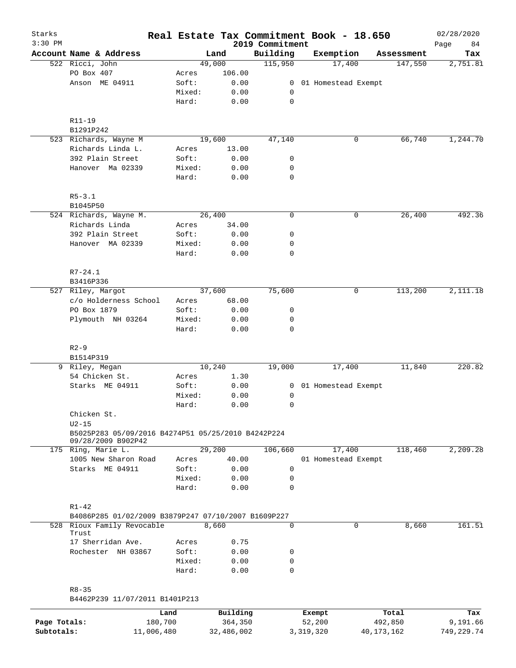| Starks       |                                                     |                 |              |                             | Real Estate Tax Commitment Book - 18.650 |            | 02/28/2020        |
|--------------|-----------------------------------------------------|-----------------|--------------|-----------------------------|------------------------------------------|------------|-------------------|
| $3:30$ PM    | Account Name & Address                              |                 | Land         | 2019 Commitment<br>Building | Exemption                                | Assessment | Page<br>84<br>Tax |
|              | 522 Ricci, John                                     |                 | 49,000       | 115,950                     | 17,400                                   | 147,550    | 2,751.81          |
|              | PO Box 407                                          | Acres           | 106.00       |                             |                                          |            |                   |
|              | Anson ME 04911                                      | Soft:           | 0.00         | 0                           | 01 Homestead Exempt                      |            |                   |
|              |                                                     | Mixed:          | 0.00         | 0                           |                                          |            |                   |
|              |                                                     | Hard:           | 0.00         | $\mathbf 0$                 |                                          |            |                   |
|              | R11-19                                              |                 |              |                             |                                          |            |                   |
|              | B1291P242                                           |                 |              |                             |                                          |            |                   |
|              | 523 Richards, Wayne M                               |                 | 19,600       | 47,140                      | 0                                        | 66,740     | 1,244.70          |
|              | Richards Linda L.                                   | Acres           | 13.00        |                             |                                          |            |                   |
|              | 392 Plain Street                                    | Soft:           | 0.00         | 0                           |                                          |            |                   |
|              | Hanover Ma 02339                                    | Mixed:          | 0.00         | 0                           |                                          |            |                   |
|              |                                                     | Hard:           | 0.00         | $\mathbf 0$                 |                                          |            |                   |
|              | $R5 - 3.1$                                          |                 |              |                             |                                          |            |                   |
|              | B1045P50                                            |                 |              |                             |                                          |            |                   |
|              | 524 Richards, Wayne M.                              |                 | 26,400       | $\mathbf 0$                 | 0                                        | 26,400     | 492.36            |
|              | Richards Linda                                      | Acres           | 34.00        |                             |                                          |            |                   |
|              | 392 Plain Street                                    | Soft:           | 0.00         | 0                           |                                          |            |                   |
|              | Hanover MA 02339                                    | Mixed:          | 0.00         | 0                           |                                          |            |                   |
|              |                                                     | Hard:           | 0.00         | $\mathbf 0$                 |                                          |            |                   |
|              | $R7 - 24.1$                                         |                 |              |                             |                                          |            |                   |
|              | B3416P336                                           |                 |              |                             |                                          |            |                   |
| 527          | Riley, Margot                                       |                 | 37,600       | 75,600                      | 0                                        | 113,200    | 2,111.18          |
|              | c/o Holderness School                               | Acres           | 68.00        |                             |                                          |            |                   |
|              | PO Box 1879                                         | Soft:           | 0.00         | 0                           |                                          |            |                   |
|              | Plymouth NH 03264                                   | Mixed:          | 0.00         | 0                           |                                          |            |                   |
|              |                                                     | Hard:           | 0.00         | $\mathbf 0$                 |                                          |            |                   |
|              | $R2-9$                                              |                 |              |                             |                                          |            |                   |
|              | B1514P319                                           |                 |              |                             |                                          |            |                   |
|              | 9 Riley, Megan                                      |                 | 10,240       | 19,000                      | 17,400                                   | 11,840     | 220.82            |
|              | 54 Chicken St.                                      | Acres           | 1.30         |                             |                                          |            |                   |
|              | Starks ME 04911                                     | Soft:           | 0.00         | 0                           | 01 Homestead Exempt                      |            |                   |
|              |                                                     | Mixed:          | 0.00         | 0                           |                                          |            |                   |
|              |                                                     | Hard:           | 0.00         | 0                           |                                          |            |                   |
|              | Chicken St.<br>$U2-15$                              |                 |              |                             |                                          |            |                   |
|              | B5025P283 05/09/2016 B4274P51 05/25/2010 B4242P224  |                 |              |                             |                                          |            |                   |
|              | 09/28/2009 B902P42<br>175 Ring, Marie L.            |                 | 29,200       | 106,660                     | 17,400                                   | 118,460    | 2,209.28          |
|              | 1005 New Sharon Road                                | Acres           | 40.00        |                             | 01 Homestead Exempt                      |            |                   |
|              | Starks ME 04911                                     | Soft:           | 0.00         | $\mathbf 0$                 |                                          |            |                   |
|              |                                                     |                 |              |                             |                                          |            |                   |
|              |                                                     | Mixed:<br>Hard: | 0.00<br>0.00 | 0<br>$\mathbf 0$            |                                          |            |                   |
|              | $R1 - 42$                                           |                 |              |                             |                                          |            |                   |
|              | B4086P285 01/02/2009 B3879P247 07/10/2007 B1609P227 |                 |              |                             |                                          |            |                   |
|              | 528 Rioux Family Revocable                          |                 | 8,660        | $\mathbf 0$                 | $\Omega$                                 | 8,660      | 161.51            |
|              | Trust                                               |                 |              |                             |                                          |            |                   |
|              | 17 Sherridan Ave.                                   | Acres           | 0.75         |                             |                                          |            |                   |
|              | Rochester NH 03867                                  | Soft:           | 0.00         | 0                           |                                          |            |                   |
|              |                                                     | Mixed:<br>Hard: | 0.00<br>0.00 | 0<br>$\Omega$               |                                          |            |                   |
|              | $R8 - 35$                                           |                 |              |                             |                                          |            |                   |
|              | B4462P239 11/07/2011 B1401P213                      |                 |              |                             |                                          |            |                   |
|              |                                                     | Land            | Building     |                             | Exempt                                   | Total      | Tax               |
| Page Totals: |                                                     | 180,700         | 364,350      |                             | 52,200                                   | 492,850    | 9,191.66          |
| Subtotals:   | 11,006,480                                          |                 | 32,486,002   |                             | 3,319,320                                | 40,173,162 | 749,229.74        |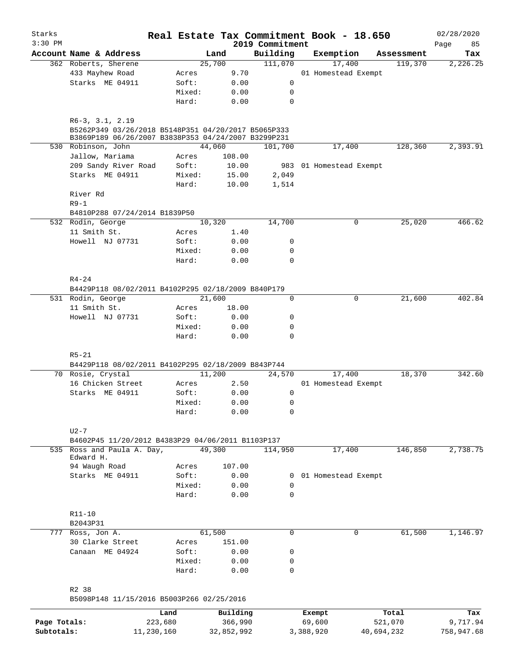| Starks       |                                                                                                                                 |        |                |                     | Real Estate Tax Commitment Book - 18.650 |                       | 02/28/2020      |
|--------------|---------------------------------------------------------------------------------------------------------------------------------|--------|----------------|---------------------|------------------------------------------|-----------------------|-----------------|
| $3:30$ PM    | Account Name & Address                                                                                                          |        |                | 2019 Commitment     |                                          |                       | Page<br>85      |
|              | 362 Roberts, Sherene                                                                                                            |        | Land<br>25,700 | Building<br>111,070 | Exemption<br>17,400                      | Assessment<br>119,370 | Tax<br>2,226.25 |
|              | 433 Mayhew Road                                                                                                                 | Acres  | 9.70           |                     | 01 Homestead Exempt                      |                       |                 |
|              | Starks ME 04911                                                                                                                 | Soft:  | 0.00           | 0                   |                                          |                       |                 |
|              |                                                                                                                                 | Mixed: | 0.00           | 0                   |                                          |                       |                 |
|              |                                                                                                                                 | Hard:  | 0.00           | $\mathbf 0$         |                                          |                       |                 |
|              |                                                                                                                                 |        |                |                     |                                          |                       |                 |
|              | $R6-3, 3.1, 2.19$<br>B5262P349 03/26/2018 B5148P351 04/20/2017 B5065P333<br>B3869P189 06/26/2007 B3838P353 04/24/2007 B3299P231 |        |                |                     |                                          |                       |                 |
|              | 530 Robinson, John                                                                                                              |        | 44,060         | 101,700             | 17,400                                   | 128,360               | 2,393.91        |
|              | Jallow, Mariama                                                                                                                 | Acres  | 108.00         |                     |                                          |                       |                 |
|              | 209 Sandy River Road                                                                                                            | Soft:  | 10.00          |                     | 983 01 Homestead Exempt                  |                       |                 |
|              | Starks ME 04911                                                                                                                 | Mixed: | 15.00          | 2,049               |                                          |                       |                 |
|              |                                                                                                                                 | Hard:  | 10.00          | 1,514               |                                          |                       |                 |
|              | River Rd                                                                                                                        |        |                |                     |                                          |                       |                 |
|              | $R9-1$                                                                                                                          |        |                |                     |                                          |                       |                 |
|              | B4810P288 07/24/2014 B1839P50                                                                                                   |        |                |                     |                                          |                       |                 |
|              | 532 Rodin, George                                                                                                               |        | 10,320         | 14,700              | 0                                        | 25,020                | 466.62          |
|              | 11 Smith St.                                                                                                                    | Acres  | 1.40           |                     |                                          |                       |                 |
|              | Howell NJ 07731                                                                                                                 | Soft:  | 0.00           | 0                   |                                          |                       |                 |
|              |                                                                                                                                 | Mixed: | 0.00           | 0                   |                                          |                       |                 |
|              |                                                                                                                                 | Hard:  | 0.00           | 0                   |                                          |                       |                 |
|              |                                                                                                                                 |        |                |                     |                                          |                       |                 |
|              | $R4 - 24$                                                                                                                       |        |                |                     |                                          |                       |                 |
|              | B4429P118 08/02/2011 B4102P295 02/18/2009 B840P179                                                                              |        |                |                     |                                          |                       |                 |
|              | 531 Rodin, George                                                                                                               |        | 21,600         | 0                   | 0                                        | 21,600                | 402.84          |
|              | 11 Smith St.                                                                                                                    | Acres  | 18.00          |                     |                                          |                       |                 |
|              | Howell NJ 07731                                                                                                                 | Soft:  | 0.00           | 0                   |                                          |                       |                 |
|              |                                                                                                                                 | Mixed: | 0.00           | 0                   |                                          |                       |                 |
|              |                                                                                                                                 | Hard:  | 0.00           | 0                   |                                          |                       |                 |
|              |                                                                                                                                 |        |                |                     |                                          |                       |                 |
|              | $R5 - 21$                                                                                                                       |        |                |                     |                                          |                       |                 |
|              | B4429P118 08/02/2011 B4102P295 02/18/2009 B843P744                                                                              |        |                |                     |                                          |                       |                 |
|              | 70 Rosie, Crystal                                                                                                               |        | 11,200         | 24,570              | 17,400                                   | 18,370                | 342.60          |
|              | 16 Chicken Street                                                                                                               | Acres  | 2.50           |                     | 01 Homestead Exempt                      |                       |                 |
|              | Starks ME 04911                                                                                                                 | Soft:  | 0.00           | 0                   |                                          |                       |                 |
|              |                                                                                                                                 | Mixed: | 0.00           | 0                   |                                          |                       |                 |
|              |                                                                                                                                 | Hard:  | 0.00           | 0                   |                                          |                       |                 |
|              |                                                                                                                                 |        |                |                     |                                          |                       |                 |
|              | $U2-7$                                                                                                                          |        |                |                     |                                          |                       |                 |
|              | B4602P45 11/20/2012 B4383P29 04/06/2011 B1103P137                                                                               |        |                |                     |                                          |                       |                 |
|              | 535 Ross and Paula A. Day,                                                                                                      |        | 49,300         | 114,950             | 17,400                                   | 146,850               | 2,738.75        |
|              | Edward H.                                                                                                                       |        |                |                     |                                          |                       |                 |
|              | 94 Waugh Road                                                                                                                   | Acres  | 107.00         |                     |                                          |                       |                 |
|              | Starks ME 04911                                                                                                                 | Soft:  | 0.00           | 0                   | 01 Homestead Exempt                      |                       |                 |
|              |                                                                                                                                 | Mixed: | 0.00           | 0                   |                                          |                       |                 |
|              |                                                                                                                                 | Hard:  | 0.00           | 0                   |                                          |                       |                 |
|              |                                                                                                                                 |        |                |                     |                                          |                       |                 |
|              | $R11 - 10$                                                                                                                      |        |                |                     |                                          |                       |                 |
|              | B2043P31                                                                                                                        |        |                |                     |                                          |                       |                 |
|              | 777 Ross, Jon A.                                                                                                                |        | 61,500         | 0                   | 0                                        | 61,500                | 1,146.97        |
|              | 30 Clarke Street                                                                                                                | Acres  | 151.00         |                     |                                          |                       |                 |
|              | Canaan ME 04924                                                                                                                 | Soft:  | 0.00           | 0                   |                                          |                       |                 |
|              |                                                                                                                                 | Mixed: | 0.00           | 0                   |                                          |                       |                 |
|              |                                                                                                                                 | Hard:  | 0.00           | 0                   |                                          |                       |                 |
|              |                                                                                                                                 |        |                |                     |                                          |                       |                 |
|              | R2 38                                                                                                                           |        |                |                     |                                          |                       |                 |
|              | B5098P148 11/15/2016 B5003P266 02/25/2016                                                                                       |        |                |                     |                                          |                       |                 |
|              |                                                                                                                                 | Land   | Building       |                     | Exempt                                   | Total                 | Tax             |
| Page Totals: | 223,680                                                                                                                         |        | 366,990        |                     | 69,600                                   | 521,070               | 9,717.94        |
| Subtotals:   | 11,230,160                                                                                                                      |        | 32,852,992     |                     | 3,388,920                                | 40,694,232            | 758,947.68      |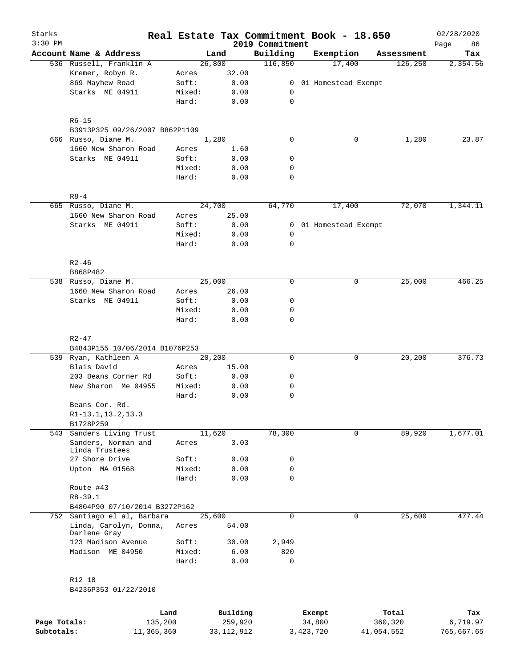| Starks       |                                        |                 | Real Estate Tax Commitment Book - 18.650 |                             |                  |                       |                  | 02/28/2020        |
|--------------|----------------------------------------|-----------------|------------------------------------------|-----------------------------|------------------|-----------------------|------------------|-------------------|
| $3:30$ PM    | Account Name & Address                 |                 | Land                                     | 2019 Commitment<br>Building | Exemption        |                       | Assessment       | 86<br>Page<br>Tax |
|              | 536 Russell, Franklin A                |                 | 26,800                                   | 116,850                     |                  | 17,400                | 126, 250         | 2,354.56          |
|              | Kremer, Robyn R.                       | Acres           | 32.00                                    |                             |                  |                       |                  |                   |
|              | 869 Mayhew Road                        | Soft:           | 0.00                                     |                             |                  | 0 01 Homestead Exempt |                  |                   |
|              | Starks ME 04911                        | Mixed:          | 0.00                                     | 0                           |                  |                       |                  |                   |
|              |                                        | Hard:           | 0.00                                     | $\mathbf 0$                 |                  |                       |                  |                   |
|              | $R6 - 15$                              |                 |                                          |                             |                  |                       |                  |                   |
|              | B3913P325 09/26/2007 B862P1109         |                 |                                          |                             |                  |                       |                  |                   |
|              | 666 Russo, Diane M.                    |                 | 1,280                                    | $\mathbf 0$                 |                  | 0                     | 1,280            | 23.87             |
|              | 1660 New Sharon Road                   | Acres           | 1.60                                     |                             |                  |                       |                  |                   |
|              | Starks ME 04911                        | Soft:           | 0.00                                     | 0                           |                  |                       |                  |                   |
|              |                                        | Mixed:          | 0.00                                     | 0                           |                  |                       |                  |                   |
|              |                                        | Hard:           | 0.00                                     | 0                           |                  |                       |                  |                   |
|              | $R8 - 4$                               |                 |                                          |                             |                  |                       |                  |                   |
|              | 665 Russo, Diane M.                    |                 | 24,700                                   | 64,770                      |                  | 17,400                | 72,070           | 1,344.11          |
|              | 1660 New Sharon Road                   | Acres           | 25.00                                    |                             |                  |                       |                  |                   |
|              | Starks ME 04911                        | Soft:           | 0.00                                     |                             |                  | 0 01 Homestead Exempt |                  |                   |
|              |                                        | Mixed:          | 0.00                                     | 0                           |                  |                       |                  |                   |
|              |                                        | Hard:           | 0.00                                     | 0                           |                  |                       |                  |                   |
|              | $R2 - 46$                              |                 |                                          |                             |                  |                       |                  |                   |
|              | B868P482                               |                 |                                          |                             |                  |                       |                  |                   |
|              | 538 Russo, Diane M.                    |                 | 25,000                                   | $\mathbf 0$                 |                  | 0                     | 25,000           | 466.25            |
|              | 1660 New Sharon Road                   | Acres           | 26.00                                    |                             |                  |                       |                  |                   |
|              | Starks ME 04911                        | Soft:           | 0.00                                     | 0                           |                  |                       |                  |                   |
|              |                                        | Mixed:          | 0.00                                     | 0                           |                  |                       |                  |                   |
|              |                                        | Hard:           | 0.00                                     | 0                           |                  |                       |                  |                   |
|              | $R2 - 47$                              |                 |                                          |                             |                  |                       |                  |                   |
|              | B4843P155 10/06/2014 B1076P253         |                 |                                          |                             |                  |                       |                  |                   |
|              | 539 Ryan, Kathleen A                   |                 | 20,200                                   | $\mathbf 0$                 |                  | 0                     | 20,200           | 376.73            |
|              | Blais David                            | Acres           | 15.00                                    |                             |                  |                       |                  |                   |
|              | 203 Beans Corner Rd                    | Soft:           | 0.00                                     | 0                           |                  |                       |                  |                   |
|              | New Sharon Me 04955                    | Mixed:          | 0.00                                     | 0                           |                  |                       |                  |                   |
|              |                                        | Hard:           | 0.00                                     | 0                           |                  |                       |                  |                   |
|              | Beans Cor. Rd.                         |                 |                                          |                             |                  |                       |                  |                   |
|              | R1-13.1, 13.2, 13.3                    |                 |                                          |                             |                  |                       |                  |                   |
|              | B1728P259                              |                 |                                          |                             |                  |                       |                  |                   |
|              | 543 Sanders Living Trust               |                 | 11,620                                   | 78,300                      |                  | 0                     | 89,920           | 1,677.01          |
|              | Sanders, Norman and<br>Linda Trustees  | Acres           | 3.03                                     |                             |                  |                       |                  |                   |
|              | 27 Shore Drive                         | Soft:           | 0.00                                     | 0                           |                  |                       |                  |                   |
|              | Upton MA 01568                         | Mixed:          | 0.00                                     | $\mathsf{O}$                |                  |                       |                  |                   |
|              |                                        | Hard:           | 0.00                                     | $\mathbf 0$                 |                  |                       |                  |                   |
|              | Route #43                              |                 |                                          |                             |                  |                       |                  |                   |
|              | $R8 - 39.1$                            |                 |                                          |                             |                  |                       |                  |                   |
|              | B4804P90 07/10/2014 B3272P162          |                 |                                          |                             |                  |                       |                  |                   |
|              | 752 Santiago el al, Barbara            |                 | 25,600                                   | $\Omega$                    |                  | $\mathbf 0$           | 25,600           | 477.44            |
|              | Linda, Carolyn, Donna,<br>Darlene Gray | Acres           | 54.00                                    |                             |                  |                       |                  |                   |
|              | 123 Madison Avenue                     | Soft:           | 30.00                                    | 2,949                       |                  |                       |                  |                   |
|              | Madison ME 04950                       | Mixed:          | 6.00                                     | 820                         |                  |                       |                  |                   |
|              |                                        | Hard:           | 0.00                                     | $\mathsf{O}$                |                  |                       |                  |                   |
|              | R12 18                                 |                 |                                          |                             |                  |                       |                  |                   |
|              | B4236P353 01/22/2010                   |                 |                                          |                             |                  |                       |                  |                   |
|              |                                        |                 |                                          |                             |                  |                       |                  |                   |
| Page Totals: |                                        | Land<br>135,200 | Building<br>259,920                      |                             | Exempt<br>34,800 |                       | Total<br>360,320 | Tax<br>6,719.97   |
| Subtotals:   | 11,365,360                             |                 | 33, 112, 912                             |                             | 3, 423, 720      |                       | 41,054,552       | 765,667.65        |
|              |                                        |                 |                                          |                             |                  |                       |                  |                   |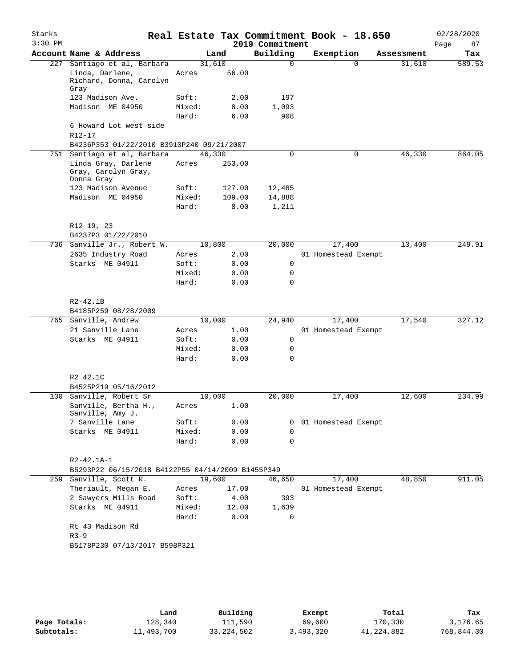| Starks<br>$3:30$ PM |                                                          |                 |               | 2019 Commitment | Real Estate Tax Commitment Book - 18.650 |            | 02/28/2020<br>Page<br>87 |
|---------------------|----------------------------------------------------------|-----------------|---------------|-----------------|------------------------------------------|------------|--------------------------|
|                     | Account Name & Address                                   |                 | Land          | Building        | Exemption                                | Assessment | Tax                      |
| 227                 | Santiago et al, Barbara                                  | 31,610          |               | $\Omega$        | $\Omega$                                 | 31,610     | 589.53                   |
|                     | Linda, Darlene,<br>Richard, Donna, Carolyn<br>Gray       | Acres           | 56.00         |                 |                                          |            |                          |
|                     | 123 Madison Ave.                                         | Soft:           | 2.00          | 197             |                                          |            |                          |
|                     | Madison ME 04950                                         | Mixed:          | 8.00          | 1,093           |                                          |            |                          |
|                     |                                                          | Hard:           | 6.00          | 908             |                                          |            |                          |
|                     | 6 Howard Lot west side                                   |                 |               |                 |                                          |            |                          |
|                     | $R12 - 17$                                               |                 |               |                 |                                          |            |                          |
|                     | B4236P353 01/22/2010 B3910P240 09/21/2007                |                 |               |                 |                                          |            |                          |
| 751                 | Santiago et al, Barbara                                  | 46,330          |               | $\mathbf 0$     | $\mathbf 0$                              | 46,330     | 864.05                   |
|                     | Linda Gray, Darlene<br>Gray, Carolyn Gray,<br>Donna Gray | Acres           | 253.00        |                 |                                          |            |                          |
|                     | 123 Madison Avenue                                       | Soft:           | 127.00        | 12,485          |                                          |            |                          |
|                     | Madison ME 04950                                         | Mixed:          | 109.00        | 14,888          |                                          |            |                          |
|                     |                                                          | Hard:           | 8.00          | 1,211           |                                          |            |                          |
|                     | R12 19, 23                                               |                 |               |                 |                                          |            |                          |
|                     | B4237P3 01/22/2010<br>736 Sanville Jr., Robert W.        |                 |               | 20,000          | 17,400                                   | 13,400     | 249.91                   |
|                     | 2635 Industry Road                                       | 10,800<br>Acres | 2.00          |                 | 01 Homestead Exempt                      |            |                          |
|                     | Starks ME 04911                                          | Soft:           | 0.00          | 0               |                                          |            |                          |
|                     |                                                          | Mixed:          | 0.00          | 0               |                                          |            |                          |
|                     |                                                          | Hard:           | 0.00          | 0               |                                          |            |                          |
|                     |                                                          |                 |               |                 |                                          |            |                          |
|                     | $R2 - 42.1B$                                             |                 |               |                 |                                          |            |                          |
|                     | B4185P259 08/28/2009                                     |                 |               |                 |                                          |            |                          |
|                     | 765 Sanville, Andrew                                     | 10,000          |               | 24,940          | 17,400                                   | 17,540     | 327.12                   |
|                     | 21 Sanville Lane                                         | Acres           | 1.00          |                 | 01 Homestead Exempt                      |            |                          |
|                     | Starks ME 04911                                          | Soft:           | 0.00          | 0               |                                          |            |                          |
|                     |                                                          | Mixed:          | 0.00          | 0               |                                          |            |                          |
|                     |                                                          | Hard:           | 0.00          | 0               |                                          |            |                          |
|                     | R2 42.1C<br>B4525P219 05/16/2012                         |                 |               |                 |                                          |            |                          |
| 130                 | Sanville, Robert Sr                                      | 10,000          |               | 20,000          | 17,400                                   | 12,600     | 234.99                   |
|                     | Sanville, Bertha H.,<br>Sanville, Amy J.                 | Acres           | 1.00          |                 |                                          |            |                          |
|                     | 7 Sanville Lane                                          | Soft:           | 0.00          | 0               | 01 Homestead Exempt                      |            |                          |
|                     | Starks ME 04911                                          | Mixed:          | 0.00          | 0               |                                          |            |                          |
|                     |                                                          | Hard:           | 0.00          | 0               |                                          |            |                          |
|                     | $R2 - 42.1A - 1$                                         |                 |               |                 |                                          |            |                          |
|                     | B5293P22 06/15/2018 B4122P55 04/14/2009 B1455P349        |                 |               |                 |                                          |            |                          |
|                     | 259 Sanville, Scott R.                                   | 19,600          |               | 46,650          | 17,400                                   | 48,850     | 911.05                   |
|                     | Theriault, Megan E.                                      | Acres           | 17.00         |                 | 01 Homestead Exempt                      |            |                          |
|                     | 2 Sawyers Mills Road<br>Starks ME 04911                  | Soft:<br>Mixed: | 4.00<br>12.00 | 393<br>1,639    |                                          |            |                          |
|                     |                                                          | Hard:           | 0.00          | 0               |                                          |            |                          |
|                     | Rt 43 Madison Rd                                         |                 |               |                 |                                          |            |                          |
|                     | $R3 - 9$                                                 |                 |               |                 |                                          |            |                          |
|                     | B5178P230 07/13/2017 B598P321                            |                 |               |                 |                                          |            |                          |
|                     |                                                          |                 |               |                 |                                          |            |                          |
|                     |                                                          |                 |               |                 |                                          |            |                          |
|                     |                                                          |                 |               |                 |                                          |            |                          |

|              | Land       | Building   | Exempt    | Total        | Tax        |
|--------------|------------|------------|-----------|--------------|------------|
| Page Totals: | 128,340    | 111,590    | 69,600    | 170,330      | 3,176.65   |
| Subtotals:   | 11,493,700 | 33,224,502 | 3,493,320 | 41, 224, 882 | 768,844.30 |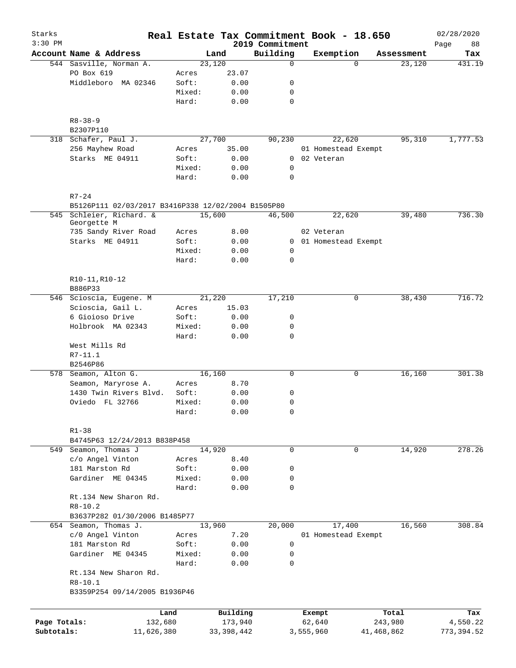| Starks                     |                                                                                |                 |                         |                             | Real Estate Tax Commitment Book - 18.650 |                       | 02/28/2020              |
|----------------------------|--------------------------------------------------------------------------------|-----------------|-------------------------|-----------------------------|------------------------------------------|-----------------------|-------------------------|
| $3:30$ PM                  | Account Name & Address                                                         |                 | Land                    | 2019 Commitment<br>Building | Exemption                                | Assessment            | Page<br>88<br>Tax       |
|                            | 544 Sasville, Norman A.                                                        |                 | 23,120                  | $\mathbf 0$                 | $\Omega$                                 | 23,120                | 431.19                  |
|                            | PO Box 619                                                                     | Acres           | 23.07                   |                             |                                          |                       |                         |
|                            | Middleboro MA 02346                                                            | Soft:           | 0.00                    | 0                           |                                          |                       |                         |
|                            |                                                                                | Mixed:          | 0.00                    | 0                           |                                          |                       |                         |
|                            |                                                                                | Hard:           | 0.00                    | $\mathbf 0$                 |                                          |                       |                         |
|                            | $R8 - 38 - 9$                                                                  |                 |                         |                             |                                          |                       |                         |
|                            | B2307P110                                                                      |                 | 27,700                  |                             |                                          | 95,310                | 1,777.53                |
|                            | 318 Schafer, Paul J.<br>256 Mayhew Road                                        | Acres           | 35.00                   | 90,230                      | 22,620<br>01 Homestead Exempt            |                       |                         |
|                            | Starks ME 04911                                                                | Soft:           | 0.00                    | 0                           | 02 Veteran                               |                       |                         |
|                            |                                                                                | Mixed:          | 0.00                    | 0                           |                                          |                       |                         |
|                            |                                                                                | Hard:           | 0.00                    | $\mathbf 0$                 |                                          |                       |                         |
|                            | $R7 - 24$                                                                      |                 |                         |                             |                                          |                       |                         |
|                            | B5126P111 02/03/2017 B3416P338 12/02/2004 B1505P80<br>545 Schleier, Richard. & |                 | 15,600                  | 46,500                      | 22,620                                   | 39,480                | 736.30                  |
|                            | Georgette M<br>735 Sandy River Road                                            | Acres           | 8.00                    |                             | 02 Veteran                               |                       |                         |
|                            | Starks ME 04911                                                                | Soft:           | 0.00                    |                             | 0 01 Homestead Exempt                    |                       |                         |
|                            |                                                                                | Mixed:          | 0.00                    | $\mathbf 0$                 |                                          |                       |                         |
|                            |                                                                                | Hard:           | 0.00                    | $\mathbf 0$                 |                                          |                       |                         |
|                            | R10-11, R10-12<br>B886P33                                                      |                 |                         |                             |                                          |                       |                         |
|                            | 546 Scioscia, Eugene. M                                                        |                 | 21,220                  | 17,210                      | 0                                        | 38,430                | 716.72                  |
|                            | Scioscia, Gail L.                                                              | Acres           | 15.03                   |                             |                                          |                       |                         |
|                            | 6 Gioioso Drive                                                                | Soft:           | 0.00                    | 0                           |                                          |                       |                         |
|                            | Holbrook MA 02343                                                              | Mixed:<br>Hard: | 0.00<br>0.00            | 0<br>$\mathbf 0$            |                                          |                       |                         |
|                            | West Mills Rd                                                                  |                 |                         |                             |                                          |                       |                         |
|                            | $R7-11.1$<br>B2546P86                                                          |                 |                         |                             |                                          |                       |                         |
|                            | 578 Seamon, Alton G.                                                           |                 | 16,160                  | $\mathsf{O}$                | 0                                        | 16,160                | 301.38                  |
|                            | Seamon, Maryrose A.                                                            | Acres           | 8.70                    |                             |                                          |                       |                         |
|                            | 1430 Twin Rivers Blvd.                                                         | Soft:           | 0.00                    | 0                           |                                          |                       |                         |
|                            | Oviedo FL 32766                                                                | Mixed:          | 0.00                    | $\mathbf 0$                 |                                          |                       |                         |
|                            |                                                                                | Hard:           | 0.00                    | 0                           |                                          |                       |                         |
|                            | $R1 - 38$                                                                      |                 |                         |                             |                                          |                       |                         |
|                            | B4745P63 12/24/2013 B838P458                                                   |                 |                         |                             |                                          |                       |                         |
|                            | 549 Seamon, Thomas J                                                           |                 | 14,920                  | $\mathbf 0$                 | $\mathbf 0$                              | 14,920                | 278.26                  |
|                            | c/o Angel Vinton                                                               | Acres           | 8.40                    |                             |                                          |                       |                         |
|                            | 181 Marston Rd                                                                 | Soft:           | 0.00                    | 0                           |                                          |                       |                         |
|                            | Gardiner ME 04345                                                              | Mixed:<br>Hard: | 0.00<br>0.00            | 0<br>$\mathbf 0$            |                                          |                       |                         |
|                            | Rt.134 New Sharon Rd.                                                          |                 |                         |                             |                                          |                       |                         |
|                            | $R8 - 10.2$                                                                    |                 |                         |                             |                                          |                       |                         |
|                            | B3637P282 01/30/2006 B1485P77                                                  |                 |                         |                             |                                          |                       |                         |
|                            | 654 Seamon, Thomas J.                                                          |                 | 13,960                  | 20,000                      | 17,400                                   | 16,560                | 308.84                  |
|                            | c/0 Angel Vinton                                                               | Acres           | 7.20                    |                             | 01 Homestead Exempt                      |                       |                         |
|                            | 181 Marston Rd                                                                 | Soft:           | 0.00                    | $\mathbf 0$                 |                                          |                       |                         |
|                            | Gardiner ME 04345                                                              | Mixed:<br>Hard: | 0.00<br>0.00            | 0<br>$\mathsf{O}$           |                                          |                       |                         |
|                            | Rt.134 New Sharon Rd.                                                          |                 |                         |                             |                                          |                       |                         |
|                            | $R8 - 10.1$<br>B3359P254 09/14/2005 B1936P46                                   |                 |                         |                             |                                          |                       |                         |
|                            |                                                                                |                 |                         |                             |                                          |                       |                         |
|                            |                                                                                | Land            | Building                |                             | Exempt                                   | Total                 | Tax                     |
| Page Totals:<br>Subtotals: | 132,680<br>11,626,380                                                          |                 | 173,940<br>33, 398, 442 |                             | 62,640<br>3,555,960                      | 243,980<br>41,468,862 | 4,550.22<br>773, 394.52 |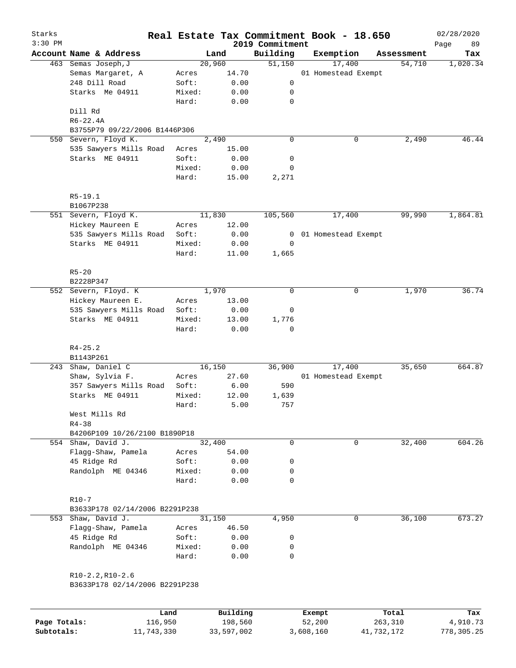| Starks    |                                |        |                   |                             | Real Estate Tax Commitment Book - 18.650 |            | 02/28/2020        |
|-----------|--------------------------------|--------|-------------------|-----------------------------|------------------------------------------|------------|-------------------|
| $3:30$ PM | Account Name & Address         |        | Land              | 2019 Commitment<br>Building | Exemption                                | Assessment | Page<br>89<br>Tax |
|           | 463 Semas Joseph, J            |        | 20,960            | 51,150                      | 17,400                                   | 54,710     | 1,020.34          |
|           | Semas Margaret, A              | Acres  | 14.70             |                             | 01 Homestead Exempt                      |            |                   |
|           | 248 Dill Road                  | Soft:  | 0.00              | 0                           |                                          |            |                   |
|           | Starks Me 04911                | Mixed: | 0.00              | 0                           |                                          |            |                   |
|           |                                | Hard:  | 0.00              | $\mathbf 0$                 |                                          |            |                   |
|           | Dill Rd                        |        |                   |                             |                                          |            |                   |
|           | $R6 - 22.4A$                   |        |                   |                             |                                          |            |                   |
|           | B3755P79 09/22/2006 B1446P306  |        |                   |                             |                                          |            |                   |
| 550       | Severn, Floyd K.               |        | $\frac{1}{2,490}$ | 0                           | 0                                        | 2,490      | 46.44             |
|           | 535 Sawyers Mills Road         | Acres  | 15.00             |                             |                                          |            |                   |
|           | Starks ME 04911                | Soft:  | 0.00              | 0                           |                                          |            |                   |
|           |                                | Mixed: | 0.00              | 0                           |                                          |            |                   |
|           |                                | Hard:  | 15.00             | 2,271                       |                                          |            |                   |
|           | $R5-19.1$                      |        |                   |                             |                                          |            |                   |
|           | B1067P238                      |        |                   |                             |                                          |            |                   |
|           | 551 Severn, Floyd K.           |        | 11,830            | 105,560                     | 17,400                                   | 99,990     | 1,864.81          |
|           | Hickey Maureen E               | Acres  | 12.00             |                             |                                          |            |                   |
|           | 535 Sawyers Mills Road         | Soft:  | 0.00              | 0                           | 01 Homestead Exempt                      |            |                   |
|           | Starks ME 04911                | Mixed: | 0.00              | 0                           |                                          |            |                   |
|           |                                | Hard:  | 11.00             | 1,665                       |                                          |            |                   |
|           | $R5 - 20$                      |        |                   |                             |                                          |            |                   |
|           | B2228P347                      |        |                   |                             |                                          |            |                   |
|           | 552 Severn, Floyd. K           |        | 1,970             | 0                           | 0                                        | 1,970      | 36.74             |
|           | Hickey Maureen E.              | Acres  | 13.00             |                             |                                          |            |                   |
|           | 535 Sawyers Mills Road         | Soft:  | 0.00              | 0                           |                                          |            |                   |
|           | Starks ME 04911                | Mixed: | 13.00             | 1,776                       |                                          |            |                   |
|           |                                | Hard:  | 0.00              | $\mathbf 0$                 |                                          |            |                   |
|           | $R4 - 25.2$                    |        |                   |                             |                                          |            |                   |
|           | B1143P261                      |        |                   |                             |                                          |            |                   |
| 243       | Shaw, Daniel C                 |        | 16,150            | 36,900                      | 17,400                                   | 35,650     | 664.87            |
|           | Shaw, Sylvia F.                | Acres  | 27.60             |                             | 01 Homestead Exempt                      |            |                   |
|           | 357 Sawyers Mills Road         | Soft:  | 6.00              | 590                         |                                          |            |                   |
|           | Starks ME 04911                | Mixed: | 12.00             | 1,639                       |                                          |            |                   |
|           |                                | Hard:  | 5.00              | 757                         |                                          |            |                   |
|           | West Mills Rd                  |        |                   |                             |                                          |            |                   |
|           | $R4 - 38$                      |        |                   |                             |                                          |            |                   |
|           | B4206P109 10/26/2100 B1890P18  |        |                   |                             |                                          |            |                   |
|           | 554 Shaw, David J.             |        | 32,400            | 0                           | 0                                        | 32,400     | 604.26            |
|           | Flagg-Shaw, Pamela             | Acres  | 54.00             |                             |                                          |            |                   |
|           | 45 Ridge Rd                    | Soft:  | 0.00              | 0                           |                                          |            |                   |
|           | Randolph ME 04346              | Mixed: | 0.00              | 0                           |                                          |            |                   |
|           |                                | Hard:  | 0.00              | 0                           |                                          |            |                   |
|           | $R10 - 7$                      |        |                   |                             |                                          |            |                   |
|           | B3633P178 02/14/2006 B2291P238 |        |                   |                             |                                          |            |                   |
|           | 553 Shaw, David J.             |        | 31,150            | 4,950                       | 0                                        | 36,100     | 673.27            |
|           | Flagg-Shaw, Pamela             | Acres  | 46.50             |                             |                                          |            |                   |
|           | 45 Ridge Rd                    | Soft:  | 0.00              | 0                           |                                          |            |                   |
|           | Randolph ME 04346              | Mixed: | 0.00              | 0                           |                                          |            |                   |
|           |                                | Hard:  | 0.00              | 0                           |                                          |            |                   |
|           | $R10-2.2, R10-2.6$             |        |                   |                             |                                          |            |                   |
|           | B3633P178 02/14/2006 B2291P238 |        |                   |                             |                                          |            |                   |
|           |                                | Land   | Building          |                             | Exempt                                   | Total      | Tax               |
|           |                                |        |                   |                             |                                          |            |                   |

**Page Totals:** 116,950 198,560 52,200 263,310 4,910.73 **Subtotals:** 11,743,330 33,597,002 3,608,160 41,732,172 778,305.25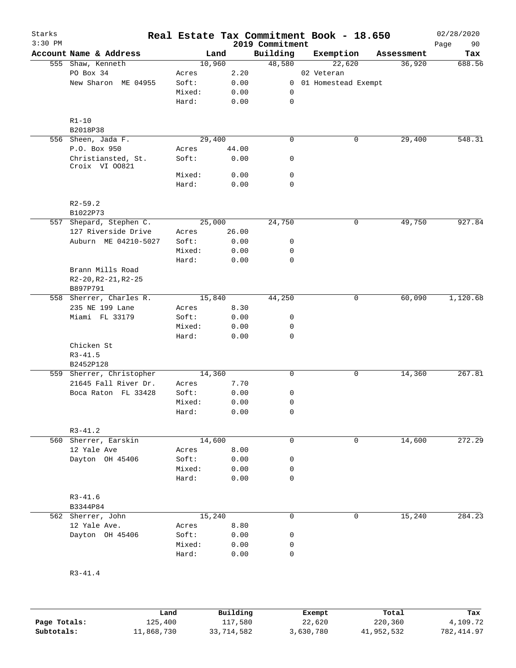| Starks<br>$3:30$ PM |                         |                                      |        |        |       | 2019 Commitment | Real Estate Tax Commitment Book - 18.650 |            | 02/28/2020<br>90<br>Page |
|---------------------|-------------------------|--------------------------------------|--------|--------|-------|-----------------|------------------------------------------|------------|--------------------------|
|                     |                         | Account Name & Address               |        | Land   |       | Building        | Exemption                                | Assessment | Tax                      |
|                     |                         | 555 Shaw, Kenneth                    |        | 10,960 |       | 48,580          | 22,620                                   | 36,920     | 688.56                   |
|                     | PO Box 34               |                                      | Acres  |        | 2.20  |                 | 02 Veteran                               |            |                          |
|                     |                         | New Sharon ME 04955                  | Soft:  |        | 0.00  |                 | 0 01 Homestead Exempt                    |            |                          |
|                     |                         |                                      | Mixed: |        | 0.00  | 0               |                                          |            |                          |
|                     |                         |                                      | Hard:  |        | 0.00  | $\mathsf{O}$    |                                          |            |                          |
|                     |                         |                                      |        |        |       |                 |                                          |            |                          |
|                     | $R1 - 10$               |                                      |        |        |       |                 |                                          |            |                          |
|                     | B2018P38                |                                      |        |        |       |                 |                                          |            | 548.31                   |
|                     |                         | 556 Sheen, Jada F.                   |        | 29,400 |       | $\mathbf 0$     | 0                                        | 29,400     |                          |
|                     |                         | P.O. Box 950                         | Acres  |        | 44.00 |                 |                                          |            |                          |
|                     |                         | Christiansted, St.<br>Croix VI 00821 | Soft:  |        | 0.00  | 0               |                                          |            |                          |
|                     |                         |                                      | Mixed: |        | 0.00  | 0               |                                          |            |                          |
|                     |                         |                                      | Hard:  |        | 0.00  | $\mathbf 0$     |                                          |            |                          |
|                     | $R2 - 59.2$             |                                      |        |        |       |                 |                                          |            |                          |
|                     | B1022P73                |                                      |        |        |       |                 |                                          |            |                          |
|                     |                         | 557 Shepard, Stephen C.              |        | 25,000 |       | 24,750          | 0                                        | 49,750     | 927.84                   |
|                     |                         | 127 Riverside Drive                  | Acres  |        | 26.00 |                 |                                          |            |                          |
|                     |                         | Auburn ME 04210-5027                 | Soft:  |        | 0.00  | 0               |                                          |            |                          |
|                     |                         |                                      | Mixed: |        | 0.00  | 0               |                                          |            |                          |
|                     |                         |                                      | Hard:  |        | 0.00  | $\mathbf 0$     |                                          |            |                          |
|                     |                         | Brann Mills Road                     |        |        |       |                 |                                          |            |                          |
|                     |                         | $R2-20, R2-21, R2-25$                |        |        |       |                 |                                          |            |                          |
|                     | B897P791                |                                      |        |        |       |                 |                                          |            |                          |
|                     |                         | 558 Sherrer, Charles R.              |        | 15,840 |       | 44,250          | 0                                        | 60,090     | 1,120.68                 |
|                     |                         | 235 NE 199 Lane                      | Acres  |        | 8.30  |                 |                                          |            |                          |
|                     |                         | Miami FL 33179                       | Soft:  |        | 0.00  | 0               |                                          |            |                          |
|                     |                         |                                      | Mixed: |        | 0.00  | 0               |                                          |            |                          |
|                     |                         |                                      | Hard:  |        | 0.00  | $\mathbf 0$     |                                          |            |                          |
|                     | Chicken St              |                                      |        |        |       |                 |                                          |            |                          |
|                     | $R3 - 41.5$             |                                      |        |        |       |                 |                                          |            |                          |
|                     | B2452P128               |                                      |        |        |       |                 |                                          |            |                          |
|                     |                         | 559 Sherrer, Christopher             |        | 14,360 |       | $\mathbf 0$     | 0                                        | 14,360     | 267.81                   |
|                     |                         | 21645 Fall River Dr.                 | Acres  |        | 7.70  |                 |                                          |            |                          |
|                     |                         | Boca Raton FL 33428                  | Soft:  |        | 0.00  | 0               |                                          |            |                          |
|                     |                         |                                      | Mixed: |        | 0.00  | 0               |                                          |            |                          |
|                     |                         |                                      | Hard:  |        | 0.00  | 0               |                                          |            |                          |
|                     | $R3 - 41.2$             |                                      |        |        |       |                 |                                          |            |                          |
|                     |                         | 560 Sherrer, Earskin                 |        | 14,600 |       | 0               | 0                                        | 14,600     | 272.29                   |
|                     |                         | 12 Yale Ave                          | Acres  |        | 8.00  |                 |                                          |            |                          |
|                     |                         | Dayton OH 45406                      | Soft:  |        | 0.00  | 0               |                                          |            |                          |
|                     |                         |                                      | Mixed: |        | 0.00  | 0               |                                          |            |                          |
|                     |                         |                                      | Hard:  |        | 0.00  | $\mathbf 0$     |                                          |            |                          |
|                     |                         |                                      |        |        |       |                 |                                          |            |                          |
|                     | $R3 - 41.6$<br>B3344P84 |                                      |        |        |       |                 |                                          |            |                          |
|                     |                         | 562 Sherrer, John                    |        | 15,240 |       | $\mathbf 0$     | 0                                        | 15,240     | 284.23                   |
|                     |                         | 12 Yale Ave.                         | Acres  |        | 8.80  |                 |                                          |            |                          |
|                     |                         | Dayton OH 45406                      | Soft:  |        | 0.00  | 0               |                                          |            |                          |
|                     |                         |                                      | Mixed: |        | 0.00  | 0               |                                          |            |                          |
|                     |                         |                                      | Hard:  |        | 0.00  | 0               |                                          |            |                          |
|                     | $R3 - 41.4$             |                                      |        |        |       |                 |                                          |            |                          |
|                     |                         |                                      |        |        |       |                 |                                          |            |                          |

|              | Land       | Building   | Exempt    | Total      | Tax         |
|--------------|------------|------------|-----------|------------|-------------|
| Page Totals: | 125,400    | 117,580    | 22,620    | 220,360    | 4,109.72    |
| Subtotals:   | 11,868,730 | 33,714,582 | 3,630,780 | 41,952,532 | 782, 414.97 |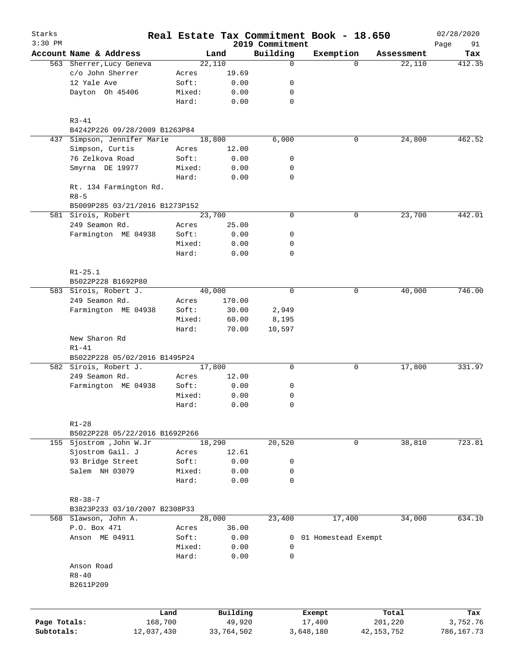| Starks<br>$3:30$ PM |                                      |        |            | 2019 Commitment | Real Estate Tax Commitment Book - 18.650 |              | 02/28/2020<br>Page<br>91 |
|---------------------|--------------------------------------|--------|------------|-----------------|------------------------------------------|--------------|--------------------------|
|                     | Account Name & Address               |        | Land       | Building        | Exemption                                | Assessment   | Tax                      |
|                     | 563 Sherrer, Lucy Geneva             |        | 22,110     | $\mathbf 0$     | $\Omega$                                 | 22,110       | 412.35                   |
|                     | c/o John Sherrer                     | Acres  | 19.69      |                 |                                          |              |                          |
|                     | 12 Yale Ave                          | Soft:  | 0.00       | 0               |                                          |              |                          |
|                     | Dayton Oh 45406                      | Mixed: | 0.00       | 0               |                                          |              |                          |
|                     |                                      | Hard:  | 0.00       | $\mathbf 0$     |                                          |              |                          |
|                     | $R3 - 41$                            |        |            |                 |                                          |              |                          |
|                     | B4242P226 09/28/2009 B1263P84        |        |            |                 |                                          |              |                          |
| 437                 | Simpson, Jennifer Marie              |        | 18,800     | 6,000           | 0                                        | 24,800       | 462.52                   |
|                     | Simpson, Curtis                      | Acres  | 12.00      |                 |                                          |              |                          |
|                     | 76 Zelkova Road                      | Soft:  | 0.00       | 0               |                                          |              |                          |
|                     | Smyrna DE 19977                      | Mixed: | 0.00       | 0               |                                          |              |                          |
|                     |                                      | Hard:  | 0.00       | $\mathbf 0$     |                                          |              |                          |
|                     | Rt. 134 Farmington Rd.<br>$R8 - 5$   |        |            |                 |                                          |              |                          |
|                     | B5009P285 03/21/2016 B1273P152       |        |            |                 |                                          |              |                          |
|                     |                                      |        | 23,700     | $\mathbf 0$     | 0                                        | 23,700       | 442.01                   |
|                     | 581 Sirois, Robert<br>249 Seamon Rd. |        |            |                 |                                          |              |                          |
|                     |                                      | Acres  | 25.00      |                 |                                          |              |                          |
|                     | Farmington ME 04938                  | Soft:  | 0.00       | 0               |                                          |              |                          |
|                     |                                      | Mixed: | 0.00       | 0               |                                          |              |                          |
|                     |                                      | Hard:  | 0.00       | $\mathbf 0$     |                                          |              |                          |
|                     | $R1 - 25.1$                          |        |            |                 |                                          |              |                          |
|                     | B5022P228 B1692P80                   |        |            |                 |                                          |              |                          |
|                     | 583 Sirois, Robert J.                |        | 40,000     | $\mathbf 0$     | 0                                        | 40,000       | 746.00                   |
|                     | 249 Seamon Rd.                       | Acres  | 170.00     |                 |                                          |              |                          |
|                     | Farmington ME 04938                  | Soft:  | 30.00      | 2,949           |                                          |              |                          |
|                     |                                      | Mixed: | 60.00      | 8,195           |                                          |              |                          |
|                     |                                      | Hard:  | 70.00      | 10,597          |                                          |              |                          |
|                     | New Sharon Rd<br>$R1 - 41$           |        |            |                 |                                          |              |                          |
|                     | B5022P228 05/02/2016 B1495P24        |        |            |                 |                                          |              |                          |
|                     | 582 Sirois, Robert J.                |        | 17,800     | 0               | 0                                        | 17,800       | 331.97                   |
|                     | 249 Seamon Rd.                       | Acres  | 12.00      |                 |                                          |              |                          |
|                     | Farmington ME 04938                  | Soft:  | 0.00       | 0               |                                          |              |                          |
|                     |                                      | Mixed: | 0.00       | 0               |                                          |              |                          |
|                     |                                      | Hard:  | 0.00       | $\mathbf 0$     |                                          |              |                          |
|                     | $R1 - 28$                            |        |            |                 |                                          |              |                          |
|                     | B5022P228 05/22/2016 B1692P266       |        |            |                 |                                          |              |                          |
|                     | 155 Sjostrom , John W.Jr             |        | 18,290     | 20,520          | 0                                        | 38,810       | 723.81                   |
|                     | Sjostrom Gail. J                     | Acres  | 12.61      |                 |                                          |              |                          |
|                     | 93 Bridge Street                     | Soft:  | 0.00       | 0               |                                          |              |                          |
|                     | Salem NH 03079                       | Mixed: | 0.00       | 0               |                                          |              |                          |
|                     |                                      | Hard:  | 0.00       | $\mathbf 0$     |                                          |              |                          |
|                     | $R8 - 38 - 7$                        |        |            |                 |                                          |              |                          |
|                     | B3823P233 03/10/2007 B2308P33        |        |            |                 |                                          |              |                          |
|                     | 568 Slawson, John A.                 |        | 28,000     | 23,400          | 17,400                                   | 34,000       | 634.10                   |
|                     | P.O. Box 471                         | Acres  | 36.00      |                 |                                          |              |                          |
|                     | Anson ME 04911                       | Soft:  | 0.00       | 0               | 01 Homestead Exempt                      |              |                          |
|                     |                                      | Mixed: | 0.00       | 0               |                                          |              |                          |
|                     |                                      | Hard:  | 0.00       | 0               |                                          |              |                          |
|                     | Anson Road                           |        |            |                 |                                          |              |                          |
|                     | $R8 - 40$                            |        |            |                 |                                          |              |                          |
|                     | B2611P209                            |        |            |                 |                                          |              |                          |
|                     |                                      |        |            |                 |                                          |              |                          |
|                     |                                      | Land   | Building   |                 | Exempt                                   | Total        | Tax                      |
| Page Totals:        | 168,700                              |        | 49,920     |                 | 17,400                                   | 201,220      | 3,752.76                 |
| Subtotals:          | 12,037,430                           |        | 33,764,502 |                 | 3,648,180                                | 42, 153, 752 | 786,167.73               |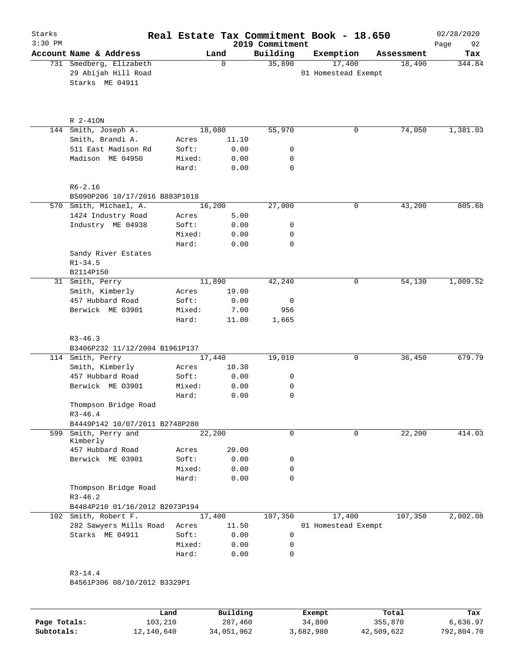| Starks<br>$3:30$ PM |                                                                   |                 |        |              | Real Estate Tax Commitment Book - 18.650<br>2019 Commitment |                               |              |            | 02/28/2020<br>Page<br>92 |
|---------------------|-------------------------------------------------------------------|-----------------|--------|--------------|-------------------------------------------------------------|-------------------------------|--------------|------------|--------------------------|
|                     | Account Name & Address                                            |                 | Land   |              | Building                                                    | Exemption                     |              | Assessment | Tax                      |
|                     | 731 Smedberg, Elizabeth<br>29 Abijah Hill Road<br>Starks ME 04911 |                 |        | $\mathbf 0$  | 35,890                                                      | 17,400<br>01 Homestead Exempt |              | 18,490     | 344.84                   |
|                     | R 2-410N                                                          |                 |        |              |                                                             |                               |              |            |                          |
|                     | 144 Smith, Joseph A.                                              |                 | 18,080 |              | 55,970                                                      |                               | 0            | 74,050     | 1,381.03                 |
|                     | Smith, Brandi A.                                                  | Acres           |        | 11.10        |                                                             |                               |              |            |                          |
|                     | 511 East Madison Rd                                               | Soft:           |        | 0.00         | 0                                                           |                               |              |            |                          |
|                     | Madison ME 04950                                                  | Mixed:<br>Hard: |        | 0.00<br>0.00 | 0<br>0                                                      |                               |              |            |                          |
|                     | $R6 - 2.16$                                                       |                 |        |              |                                                             |                               |              |            |                          |
|                     | B5090P206 10/17/2016 B883P1018                                    |                 |        |              |                                                             |                               |              |            |                          |
|                     | 570 Smith, Michael, A.                                            |                 | 16,200 |              | 27,000                                                      |                               | 0            | 43,200     | 805.68                   |
|                     | 1424 Industry Road                                                | Acres           |        | 5.00         |                                                             |                               |              |            |                          |
|                     | Industry ME 04938                                                 | Soft:           |        | 0.00         | 0                                                           |                               |              |            |                          |
|                     |                                                                   | Mixed:          |        | 0.00         | 0                                                           |                               |              |            |                          |
|                     |                                                                   | Hard:           |        | 0.00         | 0                                                           |                               |              |            |                          |
|                     | Sandy River Estates                                               |                 |        |              |                                                             |                               |              |            |                          |
|                     | $R1 - 34.5$                                                       |                 |        |              |                                                             |                               |              |            |                          |
|                     | B2114P150                                                         |                 |        |              |                                                             |                               |              |            |                          |
|                     | 31 Smith, Perry<br>Smith, Kimberly                                |                 | 11,890 | 19.00        | 42,240                                                      |                               | $\mathsf{O}$ | 54,130     | 1,009.52                 |
|                     | 457 Hubbard Road                                                  | Acres<br>Soft:  |        | 0.00         | 0                                                           |                               |              |            |                          |
|                     | Berwick ME 03901                                                  | Mixed:          |        | 7.00         | 956                                                         |                               |              |            |                          |
|                     |                                                                   | Hard:           |        | 11.00        | 1,665                                                       |                               |              |            |                          |
|                     | $R3 - 46.3$<br>B3406P232 11/12/2004 B1961P137                     |                 |        |              |                                                             |                               |              |            |                          |
|                     | 114 Smith, Perry                                                  |                 | 17,440 |              | 19,010                                                      |                               | 0            | 36,450     | 679.79                   |
|                     | Smith, Kimberly                                                   | Acres           |        | 10.30        |                                                             |                               |              |            |                          |
|                     | 457 Hubbard Road                                                  | Soft:           |        | 0.00         | 0                                                           |                               |              |            |                          |
|                     | Berwick ME 03901                                                  | Mixed:          |        | 0.00         | 0                                                           |                               |              |            |                          |
|                     |                                                                   | Hard:           |        | 0.00         | 0                                                           |                               |              |            |                          |
|                     | Thompson Bridge Road<br>$R3 - 46.4$                               |                 |        |              |                                                             |                               |              |            |                          |
|                     | B4449P142 10/07/2011 B2748P280                                    |                 |        |              |                                                             |                               |              |            |                          |
| 599                 | Smith, Perry and<br>Kimberly                                      |                 | 22,200 |              | $\mathbf 0$                                                 |                               | $\mathbf 0$  | 22,200     | 414.03                   |
|                     | 457 Hubbard Road                                                  | Acres           |        | 20.00        |                                                             |                               |              |            |                          |
|                     | Berwick ME 03901                                                  | Soft:           |        | 0.00         | 0                                                           |                               |              |            |                          |
|                     |                                                                   | Mixed:          |        | 0.00         | 0                                                           |                               |              |            |                          |
|                     | Thompson Bridge Road<br>$R3 - 46.2$                               | Hard:           |        | 0.00         | 0                                                           |                               |              |            |                          |
|                     | B4484P210 01/16/2012 B2073P194                                    |                 |        |              |                                                             |                               |              |            |                          |
|                     | 102 Smith, Robert F.                                              |                 | 17,400 |              | 107,350                                                     | 17,400                        |              | 107,350    | 2,002.08                 |
|                     | 282 Sawyers Mills Road                                            | Acres           |        | 11.50        |                                                             | 01 Homestead Exempt           |              |            |                          |
|                     | Starks ME 04911                                                   | Soft:           |        | 0.00         | 0                                                           |                               |              |            |                          |
|                     |                                                                   | Mixed:          |        | 0.00         | 0                                                           |                               |              |            |                          |
|                     |                                                                   | Hard:           |        | 0.00         | $\mathbf 0$                                                 |                               |              |            |                          |
|                     | $R3 - 14.4$                                                       |                 |        |              |                                                             |                               |              |            |                          |
|                     | B4561P306 08/10/2012 B3329P1                                      |                 |        |              |                                                             |                               |              |            |                          |
|                     |                                                                   |                 |        |              |                                                             |                               |              |            |                          |

|              | Land       | Building   | Exempt    | Total      | Tax        |
|--------------|------------|------------|-----------|------------|------------|
| Page Totals: | 103,210    | 287,460    | 34,800    | 355,870    | 6,636.97   |
| Subtotals:   | 12,140,640 | 34,051,962 | 3,682,980 | 42,509,622 | 792,804.70 |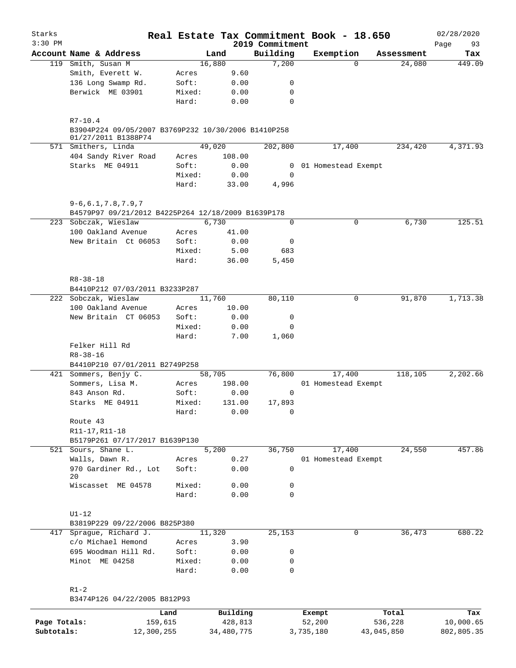| Starks       |                                                                                           |        |                |                 | Real Estate Tax Commitment Book - 18.650 |          |            | 02/28/2020 |
|--------------|-------------------------------------------------------------------------------------------|--------|----------------|-----------------|------------------------------------------|----------|------------|------------|
| $3:30$ PM    |                                                                                           |        |                | 2019 Commitment |                                          |          |            | Page<br>93 |
|              | Account Name & Address                                                                    |        | Land           | Building        | Exemption                                |          | Assessment | Tax        |
|              | 119 Smith, Susan M<br>Smith, Everett W.                                                   | Acres  | 16,880<br>9.60 | 7,200           |                                          | $\Omega$ | 24,080     | 449.09     |
|              | 136 Long Swamp Rd.                                                                        | Soft:  | 0.00           | 0               |                                          |          |            |            |
|              | Berwick ME 03901                                                                          | Mixed: | 0.00           | 0               |                                          |          |            |            |
|              |                                                                                           | Hard:  | 0.00           | 0               |                                          |          |            |            |
|              |                                                                                           |        |                |                 |                                          |          |            |            |
|              | $R7 - 10.4$<br>B3904P224 09/05/2007 B3769P232 10/30/2006 B1410P258<br>01/27/2011 B1388P74 |        |                |                 |                                          |          |            |            |
|              | 571 Smithers, Linda                                                                       |        | 49,020         | 202,800         | 17,400                                   |          | 234,420    | 4,371.93   |
|              | 404 Sandy River Road                                                                      | Acres  | 108.00         |                 |                                          |          |            |            |
|              | Starks ME 04911                                                                           | Soft:  | 0.00           | $\overline{0}$  | 01 Homestead Exempt                      |          |            |            |
|              |                                                                                           | Mixed: | 0.00           | 0               |                                          |          |            |            |
|              |                                                                                           | Hard:  | 33.00          | 4,996           |                                          |          |            |            |
|              | $9 - 6, 6.1, 7.8, 7.9, 7$                                                                 |        |                |                 |                                          |          |            |            |
|              | B4579P97 09/21/2012 B4225P264 12/18/2009 B1639P178                                        |        |                |                 |                                          |          |            |            |
|              | 223 Sobczak, Wieslaw                                                                      |        | 6,730          | 0               |                                          | 0        | 6,730      | 125.51     |
|              | 100 Oakland Avenue                                                                        | Acres  | 41.00          |                 |                                          |          |            |            |
|              | New Britain Ct 06053                                                                      | Soft:  | 0.00           | 0               |                                          |          |            |            |
|              |                                                                                           | Mixed: | 5.00           | 683             |                                          |          |            |            |
|              |                                                                                           | Hard:  | 36.00          | 5,450           |                                          |          |            |            |
|              | $R8 - 38 - 18$                                                                            |        |                |                 |                                          |          |            |            |
|              | B4410P212 07/03/2011 B3233P287                                                            |        |                |                 |                                          |          |            |            |
|              | 222 Sobczak, Wieslaw                                                                      |        | 11,760         | 80,110          |                                          | 0        | 91,870     | 1,713.38   |
|              | 100 Oakland Avenue                                                                        | Acres  | 10.00          |                 |                                          |          |            |            |
|              | New Britain CT 06053                                                                      | Soft:  | 0.00           | $\mathsf{O}$    |                                          |          |            |            |
|              |                                                                                           | Mixed: | 0.00           | 0               |                                          |          |            |            |
|              |                                                                                           | Hard:  | 7.00           | 1,060           |                                          |          |            |            |
|              | Felker Hill Rd                                                                            |        |                |                 |                                          |          |            |            |
|              | $R8 - 38 - 16$                                                                            |        |                |                 |                                          |          |            |            |
|              | B4410P210 07/01/2011 B2749P258                                                            |        |                |                 |                                          |          |            |            |
|              | 421 Sommers, Benjy C.                                                                     |        | 58,705         | 76,800          | 17,400                                   |          | 118,105    | 2,202.66   |
|              | Sommers, Lisa M.                                                                          | Acres  | 198.00         |                 | 01 Homestead Exempt                      |          |            |            |
|              | 843 Anson Rd.                                                                             | Soft:  | 0.00           | 0               |                                          |          |            |            |
|              | Starks ME 04911                                                                           | Mixed: | 131.00         | 17,893          |                                          |          |            |            |
|              |                                                                                           | Hard:  | 0.00           | 0               |                                          |          |            |            |
|              | Route 43                                                                                  |        |                |                 |                                          |          |            |            |
|              | R11-17, R11-18<br>B5179P261 07/17/2017 B1639P130                                          |        |                |                 |                                          |          |            |            |
|              | 521 Sours, Shane L.                                                                       |        | 5,200          | 36,750          | 17,400                                   |          | 24,550     | 457.86     |
|              | Walls, Dawn R.                                                                            | Acres  | 0.27           |                 | 01 Homestead Exempt                      |          |            |            |
|              | 970 Gardiner Rd., Lot                                                                     | Soft:  | 0.00           | $\mathbf 0$     |                                          |          |            |            |
|              | 20                                                                                        |        |                |                 |                                          |          |            |            |
|              | Wiscasset ME 04578                                                                        | Mixed: | 0.00           | 0               |                                          |          |            |            |
|              |                                                                                           | Hard:  | 0.00           | 0               |                                          |          |            |            |
|              | $UI-12$                                                                                   |        |                |                 |                                          |          |            |            |
|              | B3819P229 09/22/2006 B825P380                                                             |        |                |                 |                                          |          |            |            |
|              | 417 Sprague, Richard J.                                                                   |        | 11,320         | 25,153          |                                          | 0        | 36,473     | 680.22     |
|              | c/o Michael Hemond                                                                        | Acres  | 3.90           |                 |                                          |          |            |            |
|              | 695 Woodman Hill Rd.                                                                      | Soft:  | 0.00           | 0               |                                          |          |            |            |
|              | Minot ME 04258                                                                            | Mixed: | 0.00           | 0               |                                          |          |            |            |
|              |                                                                                           | Hard:  | 0.00           | 0               |                                          |          |            |            |
|              | $R1-2$                                                                                    |        |                |                 |                                          |          |            |            |
|              | B3474P126 04/22/2005 B812P93                                                              |        |                |                 |                                          |          |            |            |
|              |                                                                                           | Land   | Building       |                 | Exempt                                   |          | Total      | Tax        |
| Page Totals: | 159,615                                                                                   |        | 428,813        |                 | 52,200                                   |          | 536,228    | 10,000.65  |

**Subtotals:** 12,300,255 34,480,775 3,735,180 43,045,850 802,805.35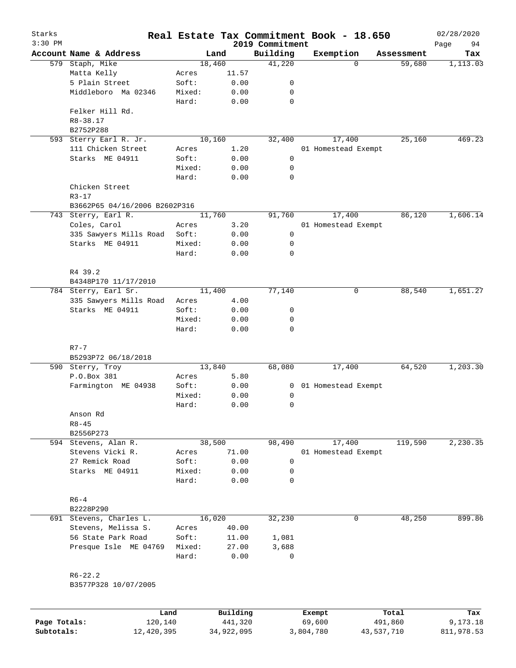| Starks<br>$3:30$ PM |                               |        |          | 2019 Commitment | Real Estate Tax Commitment Book - 18.650 |          |            | 02/28/2020        |
|---------------------|-------------------------------|--------|----------|-----------------|------------------------------------------|----------|------------|-------------------|
|                     | Account Name & Address        | Land   |          | Building        | Exemption                                |          | Assessment | 94<br>Page<br>Tax |
| 579                 | Staph, Mike                   | 18,460 |          | 41,220          |                                          | $\Omega$ | 59,680     | 1,113.03          |
|                     | Matta Kelly                   | Acres  | 11.57    |                 |                                          |          |            |                   |
|                     | 5 Plain Street                | Soft:  | 0.00     | 0               |                                          |          |            |                   |
|                     | Middleboro Ma 02346           | Mixed: | 0.00     | 0               |                                          |          |            |                   |
|                     |                               | Hard:  | 0.00     | $\mathbf 0$     |                                          |          |            |                   |
|                     | Felker Hill Rd.               |        |          |                 |                                          |          |            |                   |
|                     | R8-38.17                      |        |          |                 |                                          |          |            |                   |
|                     | B2752P288                     |        |          |                 |                                          |          |            |                   |
| 593                 | Sterry Earl R. Jr.            | 10,160 |          | 32,400          | 17,400                                   |          | 25,160     | 469.23            |
|                     | 111 Chicken Street            | Acres  | 1.20     |                 | 01 Homestead Exempt                      |          |            |                   |
|                     | Starks ME 04911               | Soft:  | 0.00     | 0               |                                          |          |            |                   |
|                     |                               | Mixed: | 0.00     | 0               |                                          |          |            |                   |
|                     |                               | Hard:  | 0.00     | $\mathbf 0$     |                                          |          |            |                   |
|                     | Chicken Street                |        |          |                 |                                          |          |            |                   |
|                     | $R3 - 17$                     |        |          |                 |                                          |          |            |                   |
|                     | B3662P65 04/16/2006 B2602P316 |        |          |                 |                                          |          |            |                   |
|                     | 743 Sterry, Earl R.           | 11,760 |          | 91,760          | 17,400                                   |          | 86,120     | 1,606.14          |
|                     | Coles, Carol                  | Acres  | 3.20     |                 | 01 Homestead Exempt                      |          |            |                   |
|                     | 335 Sawyers Mills Road        | Soft:  | 0.00     | 0               |                                          |          |            |                   |
|                     | Starks ME 04911               | Mixed: | 0.00     | 0               |                                          |          |            |                   |
|                     |                               | Hard:  | 0.00     | $\mathbf 0$     |                                          |          |            |                   |
|                     |                               |        |          |                 |                                          |          |            |                   |
|                     | R4 39.2                       |        |          |                 |                                          |          |            |                   |
|                     | B4348P170 11/17/2010          |        |          |                 |                                          |          |            |                   |
|                     | 784 Sterry, Earl Sr.          | 11,400 |          | 77,140          |                                          | 0        | 88,540     | 1,651.27          |
|                     | 335 Sawyers Mills Road        | Acres  | 4.00     |                 |                                          |          |            |                   |
|                     | Starks ME 04911               | Soft:  | 0.00     | 0               |                                          |          |            |                   |
|                     |                               | Mixed: | 0.00     | 0               |                                          |          |            |                   |
|                     |                               | Hard:  | 0.00     | $\mathbf 0$     |                                          |          |            |                   |
|                     |                               |        |          |                 |                                          |          |            |                   |
|                     | $R7 - 7$                      |        |          |                 |                                          |          |            |                   |
|                     | B5293P72 06/18/2018           |        |          |                 |                                          |          |            |                   |
|                     | 590 Sterry, Troy              | 13,840 |          | 68,080          | 17,400                                   |          | 64,520     | 1,203.30          |
|                     | P.O.Box 381                   | Acres  | 5.80     |                 |                                          |          |            |                   |
|                     | Farmington ME 04938           | Soft:  | 0.00     | 0               | 01 Homestead Exempt                      |          |            |                   |
|                     |                               | Mixed: | 0.00     | 0               |                                          |          |            |                   |
|                     |                               | Hard:  | 0.00     | $\mathbf 0$     |                                          |          |            |                   |
|                     |                               |        |          |                 |                                          |          |            |                   |
|                     | Anson Rd                      |        |          |                 |                                          |          |            |                   |
|                     | $R8 - 45$                     |        |          |                 |                                          |          |            |                   |
|                     | B2556P273                     |        |          |                 |                                          |          |            |                   |
|                     | 594 Stevens, Alan R.          | 38,500 |          | 98,490          | 17,400                                   |          | 119,590    | 2, 230.35         |
|                     | Stevens Vicki R.              | Acres  | 71.00    |                 | 01 Homestead Exempt                      |          |            |                   |
|                     | 27 Remick Road                | Soft:  | 0.00     | 0               |                                          |          |            |                   |
|                     | Starks ME 04911               | Mixed: | 0.00     | 0               |                                          |          |            |                   |
|                     |                               | Hard:  | 0.00     | $\mathbf 0$     |                                          |          |            |                   |
|                     |                               |        |          |                 |                                          |          |            |                   |
|                     | $R6 - 4$                      |        |          |                 |                                          |          |            |                   |
|                     | B2228P290                     |        |          |                 |                                          |          |            |                   |
| 691                 | Stevens, Charles L.           | 16,020 |          | 32,230          |                                          | 0        | 48,250     | 899.86            |
|                     | Stevens, Melissa S.           | Acres  | 40.00    |                 |                                          |          |            |                   |
|                     | 56 State Park Road            | Soft:  | 11.00    | 1,081           |                                          |          |            |                   |
|                     | Presque Isle ME 04769         | Mixed: | 27.00    | 3,688           |                                          |          |            |                   |
|                     |                               | Hard:  | 0.00     | $\mathbf 0$     |                                          |          |            |                   |
|                     |                               |        |          |                 |                                          |          |            |                   |
|                     | $R6 - 22.2$                   |        |          |                 |                                          |          |            |                   |
|                     | B3577P328 10/07/2005          |        |          |                 |                                          |          |            |                   |
|                     |                               |        |          |                 |                                          |          |            |                   |
|                     |                               |        |          |                 |                                          |          |            |                   |
|                     | Land                          |        | Building |                 | Exempt                                   |          | Total      | Tax               |
| Page Totals:        | 120,140                       |        | 441,320  |                 | 69,600                                   |          | 491,860    | 9,173.18          |

**Subtotals:** 12,420,395 34,922,095 3,804,780 43,537,710 811,978.53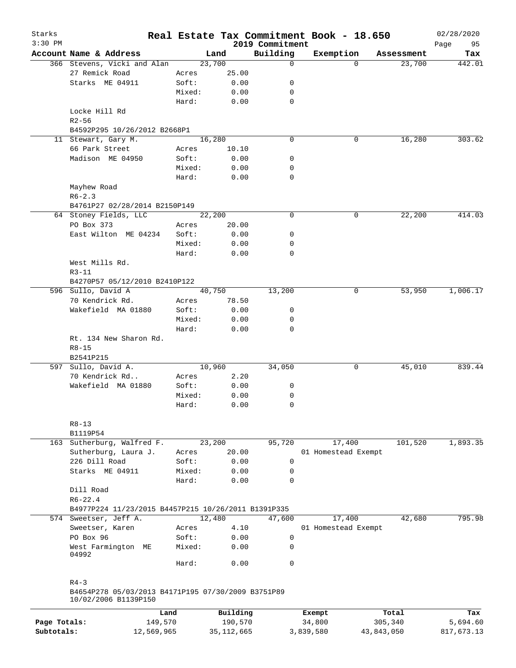| Starks       |                                                                            |        |              |                             | Real Estate Tax Commitment Book - 18.650 |            |                      | 02/28/2020        |
|--------------|----------------------------------------------------------------------------|--------|--------------|-----------------------------|------------------------------------------|------------|----------------------|-------------------|
| $3:30$ PM    | Account Name & Address                                                     |        | Land         | 2019 Commitment<br>Building | Exemption                                |            |                      | Page<br>95<br>Tax |
|              | 366 Stevens, Vicki and Alan                                                |        | 23,700       | 0                           |                                          | $\Omega$   | Assessment<br>23,700 | 442.01            |
|              | 27 Remick Road                                                             | Acres  | 25.00        |                             |                                          |            |                      |                   |
|              | Starks ME 04911                                                            | Soft:  | 0.00         | 0                           |                                          |            |                      |                   |
|              |                                                                            |        |              |                             |                                          |            |                      |                   |
|              |                                                                            | Mixed: | 0.00         | 0                           |                                          |            |                      |                   |
|              |                                                                            | Hard:  | 0.00         | $\mathbf 0$                 |                                          |            |                      |                   |
|              | Locke Hill Rd                                                              |        |              |                             |                                          |            |                      |                   |
|              | $R2 - 56$                                                                  |        |              |                             |                                          |            |                      |                   |
|              | B4592P295 10/26/2012 B2668P1                                               |        |              |                             |                                          |            |                      |                   |
|              | 11 Stewart, Gary M.                                                        |        | 16,280       | 0                           | 0                                        |            | 16,280               | 303.62            |
|              | 66 Park Street                                                             | Acres  | 10.10        |                             |                                          |            |                      |                   |
|              | Madison ME 04950                                                           | Soft:  | 0.00         | 0                           |                                          |            |                      |                   |
|              |                                                                            | Mixed: | 0.00         | 0                           |                                          |            |                      |                   |
|              |                                                                            | Hard:  | 0.00         | 0                           |                                          |            |                      |                   |
|              | Mayhew Road                                                                |        |              |                             |                                          |            |                      |                   |
|              | $R6 - 2.3$                                                                 |        |              |                             |                                          |            |                      |                   |
|              | B4761P27 02/28/2014 B2150P149                                              |        |              |                             |                                          |            |                      |                   |
|              | 64 Stoney Fields, LLC                                                      |        | 22,200       | 0                           | 0                                        |            | 22,200               | 414.03            |
|              | PO Box 373                                                                 | Acres  | 20.00        |                             |                                          |            |                      |                   |
|              | East Wilton ME 04234                                                       | Soft:  | 0.00         | 0                           |                                          |            |                      |                   |
|              |                                                                            | Mixed: | 0.00         | 0                           |                                          |            |                      |                   |
|              |                                                                            | Hard:  | 0.00         | 0                           |                                          |            |                      |                   |
|              | West Mills Rd.                                                             |        |              |                             |                                          |            |                      |                   |
|              | $R3 - 11$                                                                  |        |              |                             |                                          |            |                      |                   |
|              | B4270P57 05/12/2010 B2410P122                                              |        |              |                             |                                          |            |                      |                   |
|              | 596 Sullo, David A                                                         |        | 40,750       | 13,200                      | 0                                        |            | 53,950               | 1,006.17          |
|              |                                                                            |        |              |                             |                                          |            |                      |                   |
|              | 70 Kendrick Rd.                                                            | Acres  | 78.50        |                             |                                          |            |                      |                   |
|              | Wakefield MA 01880                                                         | Soft:  | 0.00         | 0                           |                                          |            |                      |                   |
|              |                                                                            | Mixed: | 0.00         | 0                           |                                          |            |                      |                   |
|              |                                                                            | Hard:  | 0.00         | $\Omega$                    |                                          |            |                      |                   |
|              | Rt. 134 New Sharon Rd.                                                     |        |              |                             |                                          |            |                      |                   |
|              | $R8 - 15$                                                                  |        |              |                             |                                          |            |                      |                   |
|              | B2541P215                                                                  |        |              |                             |                                          |            |                      |                   |
| 597          | Sullo, David A.                                                            |        | 10,960       | 34,050                      | 0                                        |            | 45,010               | 839.44            |
|              | 70 Kendrick Rd                                                             | Acres  | 2.20         |                             |                                          |            |                      |                   |
|              | Wakefield MA 01880                                                         | Soft:  | 0.00         | 0                           |                                          |            |                      |                   |
|              |                                                                            | Mixed: | 0.00         | 0                           |                                          |            |                      |                   |
|              |                                                                            | Hard:  | 0.00         | 0                           |                                          |            |                      |                   |
|              |                                                                            |        |              |                             |                                          |            |                      |                   |
|              | $R8 - 13$                                                                  |        |              |                             |                                          |            |                      |                   |
|              | B1119P54                                                                   |        |              |                             |                                          |            |                      |                   |
| 163          | Sutherburg, Walfred F.                                                     |        | 23,200       | 95,720                      | 17,400                                   |            | 101,520              | 1,893.35          |
|              | Sutherburg, Laura J.                                                       | Acres  | 20.00        |                             | 01 Homestead Exempt                      |            |                      |                   |
|              | 226 Dill Road                                                              | Soft:  | 0.00         | 0                           |                                          |            |                      |                   |
|              | Starks ME 04911                                                            | Mixed: | 0.00         | 0                           |                                          |            |                      |                   |
|              |                                                                            | Hard:  | 0.00         | $\Omega$                    |                                          |            |                      |                   |
|              | Dill Road                                                                  |        |              |                             |                                          |            |                      |                   |
|              | $R6 - 22.4$                                                                |        |              |                             |                                          |            |                      |                   |
|              |                                                                            |        |              |                             |                                          |            |                      |                   |
|              | B4977P224 11/23/2015 B4457P215 10/26/2011 B1391P335                        |        |              |                             |                                          |            |                      |                   |
|              | 574 Sweetser, Jeff A.                                                      |        | 12,480       | 47,600                      | 17,400                                   |            | 42,680               | 795.98            |
|              | Sweetser, Karen                                                            | Acres  | 4.10         |                             | 01 Homestead Exempt                      |            |                      |                   |
|              | PO Box 96                                                                  | Soft:  | 0.00         | 0                           |                                          |            |                      |                   |
|              | West Farmington ME                                                         | Mixed: | 0.00         | 0                           |                                          |            |                      |                   |
|              | 04992                                                                      | Hard:  | 0.00         | 0                           |                                          |            |                      |                   |
|              | $R4 - 3$                                                                   |        |              |                             |                                          |            |                      |                   |
|              | B4654P278 05/03/2013 B4171P195 07/30/2009 B3751P89<br>10/02/2006 B1139P150 |        |              |                             |                                          |            |                      |                   |
|              | Land                                                                       |        | Building     |                             | Exempt                                   |            | Total                | Tax               |
| Page Totals: | 149,570                                                                    |        | 190,570      |                             | 34,800                                   |            | 305,340              | 5,694.60          |
| Subtotals:   | 12,569,965                                                                 |        | 35, 112, 665 |                             | 3,839,580                                | 43,843,050 |                      | 817,673.13        |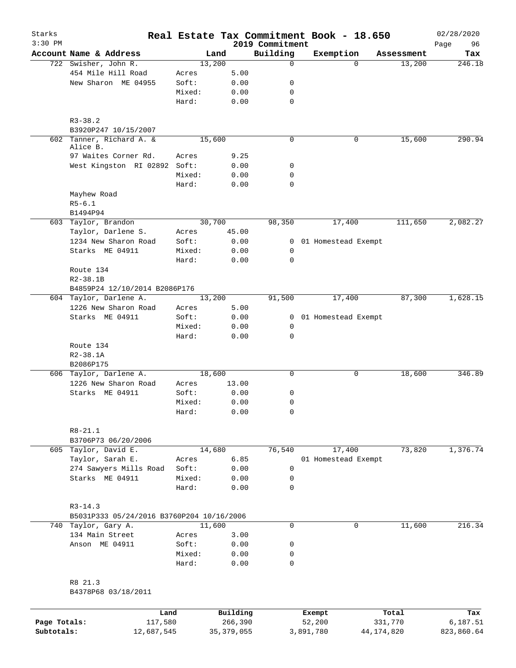| Starks<br>$3:30$ PM |                                           |        |          | 2019 Commitment | Real Estate Tax Commitment Book - 18.650 |            | 02/28/2020        |
|---------------------|-------------------------------------------|--------|----------|-----------------|------------------------------------------|------------|-------------------|
|                     | Account Name & Address                    |        | Land     | Building        | Exemption                                | Assessment | 96<br>Page<br>Tax |
|                     | 722 Swisher, John R.                      | 13,200 |          | $\mathbf 0$     | $\Omega$                                 | 13,200     | 246.18            |
|                     | 454 Mile Hill Road                        | Acres  | 5.00     |                 |                                          |            |                   |
|                     | New Sharon ME 04955                       | Soft:  | 0.00     | 0               |                                          |            |                   |
|                     |                                           | Mixed: | 0.00     | 0               |                                          |            |                   |
|                     |                                           | Hard:  | 0.00     | $\mathbf 0$     |                                          |            |                   |
|                     | $R3 - 38.2$                               |        |          |                 |                                          |            |                   |
|                     | B3920P247 10/15/2007                      |        |          |                 |                                          |            |                   |
|                     | 602 Tanner, Richard A. &<br>Alice B.      | 15,600 |          | $\mathbf 0$     | 0                                        | 15,600     | 290.94            |
|                     | 97 Waites Corner Rd.                      | Acres  | 9.25     |                 |                                          |            |                   |
|                     | West Kingston RI 02892 Soft:              |        | 0.00     | 0               |                                          |            |                   |
|                     |                                           | Mixed: | 0.00     | $\mathbf 0$     |                                          |            |                   |
|                     |                                           | Hard:  | 0.00     | $\mathbf 0$     |                                          |            |                   |
|                     | Mayhew Road                               |        |          |                 |                                          |            |                   |
|                     | $R5 - 6.1$                                |        |          |                 |                                          |            |                   |
|                     | B1494P94                                  |        |          |                 |                                          |            |                   |
|                     | 603 Taylor, Brandon                       | 30,700 |          | 98,350          | 17,400                                   | 111,650    | 2,082.27          |
|                     | Taylor, Darlene S.                        | Acres  | 45.00    |                 |                                          |            |                   |
|                     | 1234 New Sharon Road                      | Soft:  | 0.00     |                 | 0 01 Homestead Exempt                    |            |                   |
|                     | Starks ME 04911                           | Mixed: | 0.00     | 0               |                                          |            |                   |
|                     |                                           | Hard:  | 0.00     | $\mathbf 0$     |                                          |            |                   |
|                     | Route 134                                 |        |          |                 |                                          |            |                   |
|                     | $R2 - 38.1B$                              |        |          |                 |                                          |            |                   |
|                     | B4859P24 12/10/2014 B2086P176             |        |          |                 |                                          |            |                   |
|                     | 604 Taylor, Darlene A.                    | 13,200 |          | 91,500          | 17,400                                   | 87,300     | 1,628.15          |
|                     | 1226 New Sharon Road                      | Acres  | 5.00     |                 |                                          |            |                   |
|                     | Starks ME 04911                           | Soft:  | 0.00     | 0               | 01 Homestead Exempt                      |            |                   |
|                     |                                           | Mixed: | 0.00     | $\mathbf 0$     |                                          |            |                   |
|                     |                                           | Hard:  | 0.00     | 0               |                                          |            |                   |
|                     | Route 134                                 |        |          |                 |                                          |            |                   |
|                     | $R2 - 38.1A$                              |        |          |                 |                                          |            |                   |
|                     | B2086P175                                 |        |          |                 |                                          |            |                   |
|                     | 606 Taylor, Darlene A.                    | 18,600 |          | $\mathbf 0$     | 0                                        | 18,600     | 346.89            |
|                     | 1226 New Sharon Road                      | Acres  | 13.00    |                 |                                          |            |                   |
|                     | Starks ME 04911                           | Soft:  | 0.00     | 0               |                                          |            |                   |
|                     |                                           | Mixed: | 0.00     | 0               |                                          |            |                   |
|                     |                                           | Hard:  | 0.00     | 0               |                                          |            |                   |
|                     |                                           |        |          |                 |                                          |            |                   |
|                     | $R8 - 21.1$<br>B3706P73 06/20/2006        |        |          |                 |                                          |            |                   |
|                     | 605 Taylor, David E.                      | 14,680 |          | 76,540          | 17,400                                   | 73,820     | 1,376.74          |
|                     | Taylor, Sarah E.                          | Acres  | 6.85     |                 | 01 Homestead Exempt                      |            |                   |
|                     | 274 Sawyers Mills Road                    | Soft:  | 0.00     | 0               |                                          |            |                   |
|                     | Starks ME 04911                           | Mixed: | 0.00     | 0               |                                          |            |                   |
|                     |                                           | Hard:  | 0.00     | 0               |                                          |            |                   |
|                     | $R3 - 14.3$                               |        |          |                 |                                          |            |                   |
|                     | B5031P333 05/24/2016 B3760P204 10/16/2006 |        |          |                 |                                          |            |                   |
|                     | 740 Taylor, Gary A.                       | 11,600 |          | 0               | 0                                        | 11,600     | 216.34            |
|                     | 134 Main Street                           | Acres  | 3.00     |                 |                                          |            |                   |
|                     | Anson ME 04911                            | Soft:  | 0.00     | 0               |                                          |            |                   |
|                     |                                           | Mixed: | 0.00     | 0               |                                          |            |                   |
|                     |                                           | Hard:  | 0.00     | 0               |                                          |            |                   |
|                     | R8 21.3                                   |        |          |                 |                                          |            |                   |
|                     | B4378P68 03/18/2011                       |        |          |                 |                                          |            |                   |
|                     |                                           |        |          |                 |                                          |            |                   |
|                     | T.and                                     |        | Building |                 | <b>Exempt</b>                            | Total      | Tax               |

|              | Land       | Building     | Exempt    | Total      | Tax        |
|--------------|------------|--------------|-----------|------------|------------|
| Page Totals: | 117,580    | 266,390      | 52,200    | 331,770    | 6,187.51   |
| Subtotals:   | 12,687,545 | 35, 379, 055 | 3,891,780 | 44,174,820 | 823,860.64 |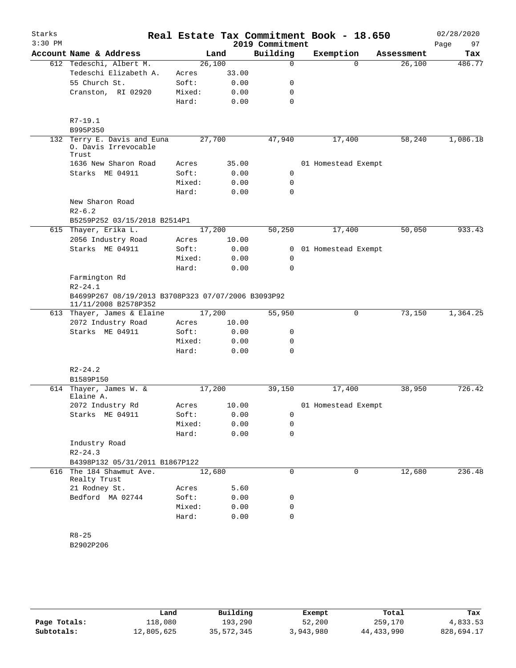| Starks<br>$3:30$ PM |                                                                            |        |       | 2019 Commitment | Real Estate Tax Commitment Book - 18.650 |            | 02/28/2020<br>97<br>Page |
|---------------------|----------------------------------------------------------------------------|--------|-------|-----------------|------------------------------------------|------------|--------------------------|
|                     | Account Name & Address                                                     |        | Land  | Building        | Exemption                                | Assessment | Tax                      |
|                     | 612 Tedeschi, Albert M.                                                    | 26,100 |       | 0               | $\Omega$                                 | 26,100     | 486.77                   |
|                     | Tedeschi Elizabeth A.                                                      | Acres  | 33.00 |                 |                                          |            |                          |
|                     | 55 Church St.                                                              | Soft:  | 0.00  | 0               |                                          |            |                          |
|                     | Cranston, RI 02920                                                         | Mixed: | 0.00  | 0               |                                          |            |                          |
|                     |                                                                            | Hard:  | 0.00  | $\mathbf 0$     |                                          |            |                          |
|                     | $R7-19.1$                                                                  |        |       |                 |                                          |            |                          |
|                     | B995P350                                                                   |        |       |                 |                                          |            |                          |
| 132                 | Terry E. Davis and Euna<br>0. Davis Irrevocable<br>Trust                   | 27,700 |       | 47,940          | 17,400                                   | 58,240     | 1,086.18                 |
|                     | 1636 New Sharon Road                                                       | Acres  | 35.00 |                 | 01 Homestead Exempt                      |            |                          |
|                     | Starks ME 04911                                                            | Soft:  | 0.00  | 0               |                                          |            |                          |
|                     |                                                                            | Mixed: | 0.00  | 0               |                                          |            |                          |
|                     |                                                                            | Hard:  | 0.00  | $\mathbf 0$     |                                          |            |                          |
|                     | New Sharon Road                                                            |        |       |                 |                                          |            |                          |
|                     | $R2 - 6.2$                                                                 |        |       |                 |                                          |            |                          |
|                     | B5259P252 03/15/2018 B2514P1                                               |        |       |                 |                                          |            |                          |
| 615                 | Thayer, Erika L.                                                           | 17,200 |       | 50,250          | 17,400                                   | 50,050     | 933.43                   |
|                     | 2056 Industry Road                                                         | Acres  | 10.00 |                 |                                          |            |                          |
|                     | Starks ME 04911                                                            | Soft:  | 0.00  | $\mathbf{0}$    | 01 Homestead Exempt                      |            |                          |
|                     |                                                                            | Mixed: | 0.00  | 0               |                                          |            |                          |
|                     |                                                                            | Hard:  | 0.00  | 0               |                                          |            |                          |
|                     | Farmington Rd<br>$R2 - 24.1$                                               |        |       |                 |                                          |            |                          |
|                     | B4699P267 08/19/2013 B3708P323 07/07/2006 B3093P92<br>11/11/2008 B2578P352 |        |       |                 |                                          |            |                          |
|                     | 613 Thayer, James & Elaine                                                 | 17,200 |       | 55,950          | $\mathsf{O}$                             | 73,150     | 1,364.25                 |
|                     | 2072 Industry Road                                                         | Acres  | 10.00 |                 |                                          |            |                          |
|                     | Starks ME 04911                                                            | Soft:  | 0.00  | 0               |                                          |            |                          |
|                     |                                                                            | Mixed: | 0.00  | 0<br>$\Omega$   |                                          |            |                          |
|                     |                                                                            | Hard:  | 0.00  |                 |                                          |            |                          |
|                     | $R2 - 24.2$                                                                |        |       |                 |                                          |            |                          |
|                     | B1589P150                                                                  |        |       |                 |                                          |            |                          |
|                     | 614 Thayer, James W. &<br>Elaine A.                                        | 17,200 |       | 39,150          | 17,400                                   | 38,950     | 726.42                   |
|                     | 2072 Industry Rd                                                           | Acres  | 10.00 |                 | 01 Homestead Exempt                      |            |                          |
|                     | Starks ME 04911                                                            | Soft:  | 0.00  | 0               |                                          |            |                          |
|                     |                                                                            | Mixed: | 0.00  | 0               |                                          |            |                          |
|                     |                                                                            | Hard:  | 0.00  | $\mathbf 0$     |                                          |            |                          |
|                     | Industry Road                                                              |        |       |                 |                                          |            |                          |
|                     | $R2 - 24.3$                                                                |        |       |                 |                                          |            |                          |
|                     | B4398P132 05/31/2011 B1867P122<br>616 The 184 Shawmut Ave.                 |        |       | 0               |                                          |            | 236.48                   |
|                     | Realty Trust                                                               | 12,680 |       |                 | 0                                        | 12,680     |                          |
|                     | 21 Rodney St.                                                              | Acres  | 5.60  |                 |                                          |            |                          |
|                     | Bedford MA 02744                                                           | Soft:  | 0.00  | 0               |                                          |            |                          |
|                     |                                                                            | Mixed: | 0.00  | 0               |                                          |            |                          |
|                     |                                                                            | Hard:  | 0.00  | $\mathbf 0$     |                                          |            |                          |
|                     | $R8 - 25$                                                                  |        |       |                 |                                          |            |                          |
|                     | B2902P206                                                                  |        |       |                 |                                          |            |                          |
|                     |                                                                            |        |       |                 |                                          |            |                          |

|              | Land       | Building   | Exempt    | Total      | Tax        |
|--------------|------------|------------|-----------|------------|------------|
| Page Totals: | 118,080    | 193,290    | 52,200    | 259,170    | 4,833.53   |
| Subtotals:   | 12,805,625 | 35,572,345 | 3,943,980 | 44,433,990 | 828,694.17 |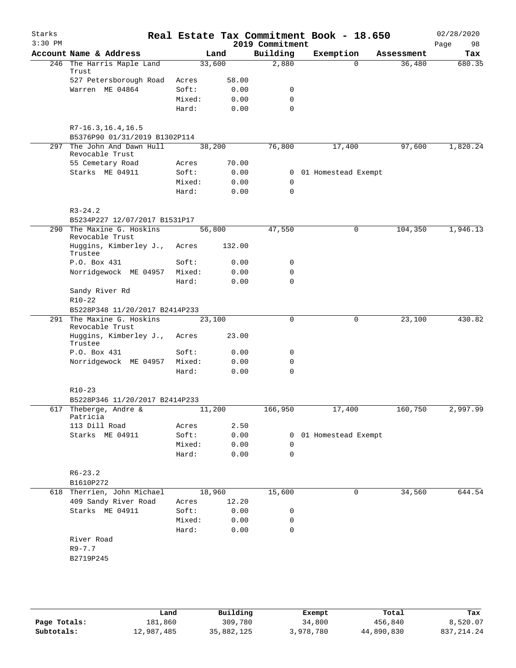| Starks<br>$3:30$ PM |                                                          |        |        |      | 2019 Commitment | Real Estate Tax Commitment Book - 18.650 |            | 02/28/2020<br>Page<br>98 |
|---------------------|----------------------------------------------------------|--------|--------|------|-----------------|------------------------------------------|------------|--------------------------|
|                     | Account Name & Address                                   |        | Land   |      | Building        | Exemption                                | Assessment | Tax                      |
|                     | 246 The Harris Maple Land                                |        | 33,600 |      | 2,880           | $\Omega$                                 | 36,480     | 680.35                   |
|                     | Trust<br>527 Petersborough Road                          | Acres  | 58.00  |      |                 |                                          |            |                          |
|                     | Warren ME 04864                                          | Soft:  |        | 0.00 | 0               |                                          |            |                          |
|                     |                                                          | Mixed: |        | 0.00 | 0               |                                          |            |                          |
|                     |                                                          | Hard:  |        | 0.00 | $\Omega$        |                                          |            |                          |
|                     |                                                          |        |        |      |                 |                                          |            |                          |
|                     | $R7 - 16.3, 16.4, 16.5$<br>B5376P90 01/31/2019 B1302P114 |        |        |      |                 |                                          |            |                          |
|                     | 297 The John And Dawn Hull                               |        | 38,200 |      | 76,800          | 17,400                                   | 97,600     | 1,820.24                 |
|                     | Revocable Trust                                          |        |        |      |                 |                                          |            |                          |
|                     | 55 Cemetary Road                                         | Acres  | 70.00  |      |                 |                                          |            |                          |
|                     | Starks ME 04911                                          | Soft:  |        | 0.00 | $\mathbf{0}$    | 01 Homestead Exempt                      |            |                          |
|                     |                                                          | Mixed: |        | 0.00 | 0               |                                          |            |                          |
|                     |                                                          | Hard:  |        | 0.00 | 0               |                                          |            |                          |
|                     | $R3 - 24.2$                                              |        |        |      |                 |                                          |            |                          |
|                     | B5234P227 12/07/2017 B1531P17                            |        |        |      |                 |                                          |            |                          |
| 290                 | The Maxine G. Hoskins<br>Revocable Trust                 |        | 56,800 |      | 47,550          | 0                                        | 104,350    | 1,946.13                 |
|                     | Huggins, Kimberley J.,<br>Trustee                        | Acres  | 132.00 |      |                 |                                          |            |                          |
|                     | P.O. Box 431                                             | Soft:  |        | 0.00 | 0               |                                          |            |                          |
|                     | Norridgewock ME 04957                                    | Mixed: |        | 0.00 | $\mathbf 0$     |                                          |            |                          |
|                     |                                                          | Hard:  |        | 0.00 | $\mathbf 0$     |                                          |            |                          |
|                     | Sandy River Rd                                           |        |        |      |                 |                                          |            |                          |
|                     | $R10-22$                                                 |        |        |      |                 |                                          |            |                          |
|                     | B5228P348 11/20/2017 B2414P233                           |        |        |      |                 |                                          |            |                          |
|                     | 291 The Maxine G. Hoskins<br>Revocable Trust             |        | 23,100 |      | 0               | 0                                        | 23,100     | 430.82                   |
|                     | Huggins, Kimberley J.,<br>Trustee                        | Acres  | 23.00  |      |                 |                                          |            |                          |
|                     | P.O. Box 431                                             | Soft:  |        | 0.00 | 0               |                                          |            |                          |
|                     | Norridgewock ME 04957                                    | Mixed: |        | 0.00 | $\mathbf 0$     |                                          |            |                          |
|                     |                                                          | Hard:  |        | 0.00 | $\mathbf 0$     |                                          |            |                          |
|                     | $R10-23$                                                 |        |        |      |                 |                                          |            |                          |
|                     | B5228P346 11/20/2017 B2414P233                           |        |        |      |                 |                                          |            |                          |
|                     | 617 Theberge, Andre &<br>Patricia                        |        | 11,200 |      | 166,950         | 17,400                                   | 160,750    | 2,997.99                 |
|                     | 113 Dill Road                                            | Acres  |        | 2.50 |                 |                                          |            |                          |
|                     | Starks ME 04911                                          | Soft:  |        | 0.00 | 0               | 01 Homestead Exempt                      |            |                          |
|                     |                                                          | Mixed: |        | 0.00 | 0               |                                          |            |                          |
|                     |                                                          | Hard:  |        | 0.00 | 0               |                                          |            |                          |
|                     | $R6 - 23.2$                                              |        |        |      |                 |                                          |            |                          |
|                     | B1610P272                                                |        |        |      |                 |                                          |            |                          |
|                     | 618 Therrien, John Michael                               |        | 18,960 |      | 15,600          | 0                                        | 34,560     | 644.54                   |
|                     | 409 Sandy River Road                                     | Acres  | 12.20  |      |                 |                                          |            |                          |
|                     | Starks ME 04911                                          | Soft:  |        | 0.00 | 0               |                                          |            |                          |
|                     |                                                          | Mixed: |        | 0.00 | 0               |                                          |            |                          |
|                     |                                                          | Hard:  |        | 0.00 | 0               |                                          |            |                          |
|                     | River Road                                               |        |        |      |                 |                                          |            |                          |
|                     | $R9 - 7.7$                                               |        |        |      |                 |                                          |            |                          |
|                     | B2719P245                                                |        |        |      |                 |                                          |            |                          |
|                     |                                                          |        |        |      |                 |                                          |            |                          |
|                     |                                                          |        |        |      |                 |                                          |            |                          |
|                     |                                                          |        |        |      |                 |                                          |            |                          |
|                     |                                                          |        |        |      |                 |                                          |            |                          |
|                     |                                                          |        |        |      |                 |                                          |            |                          |

|              | Land       | Building   | Exempt    | Total      | Tax          |
|--------------|------------|------------|-----------|------------|--------------|
| Page Totals: | 181,860    | 309,780    | 34,800    | 456,840    | 8,520.07     |
| Subtotals:   | 12,987,485 | 35,882,125 | 3,978,780 | 44,890,830 | 837, 214, 24 |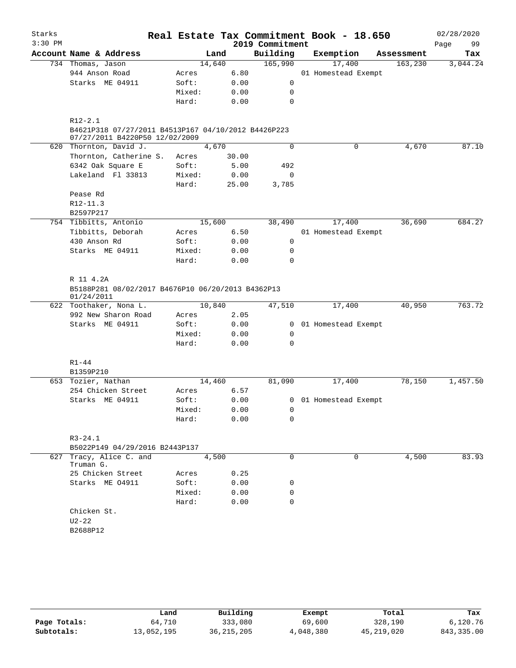| Starks    |                                                                                                        |        |        |      |                 | Real Estate Tax Commitment Book - 18.650 |            | 02/28/2020 |          |
|-----------|--------------------------------------------------------------------------------------------------------|--------|--------|------|-----------------|------------------------------------------|------------|------------|----------|
| $3:30$ PM |                                                                                                        |        |        |      | 2019 Commitment |                                          |            | Page       | 99       |
|           | Account Name & Address                                                                                 |        | Land   |      | Building        | Exemption                                | Assessment |            | Tax      |
|           | 734 Thomas, Jason                                                                                      |        | 14,640 |      | 165,990         | 17,400                                   | 163,230    |            | 3,044.24 |
|           | 944 Anson Road                                                                                         | Acres  | 6.80   |      |                 | 01 Homestead Exempt                      |            |            |          |
|           | Starks ME 04911                                                                                        | Soft:  |        | 0.00 | 0               |                                          |            |            |          |
|           |                                                                                                        | Mixed: |        | 0.00 | 0               |                                          |            |            |          |
|           |                                                                                                        | Hard:  | 0.00   |      | $\mathbf 0$     |                                          |            |            |          |
|           | $R12 - 2.1$<br>B4621P318 07/27/2011 B4513P167 04/10/2012 B4426P223<br>07/27/2011 B4220P50 12/02/2009   |        |        |      |                 |                                          |            |            |          |
|           | 620 Thornton, David J.                                                                                 |        | 4,670  |      | $\Omega$        | 0                                        | 4,670      |            | 87.10    |
|           | Thornton, Catherine S.                                                                                 | Acres  | 30.00  |      |                 |                                          |            |            |          |
|           | 6342 Oak Square E                                                                                      | Soft:  |        | 5.00 | 492             |                                          |            |            |          |
|           | Lakeland Fl 33813                                                                                      | Mixed: | 0.00   |      | $\mathsf{O}$    |                                          |            |            |          |
|           |                                                                                                        | Hard:  | 25.00  |      | 3,785           |                                          |            |            |          |
|           | Pease Rd                                                                                               |        |        |      |                 |                                          |            |            |          |
|           | R12-11.3                                                                                               |        |        |      |                 |                                          |            |            |          |
|           | B2597P217                                                                                              |        |        |      |                 |                                          |            |            |          |
|           | 754 Tibbitts, Antonio                                                                                  |        | 15,600 |      | 38,490          | 17,400                                   | 36,690     |            | 684.27   |
|           | Tibbitts, Deborah                                                                                      | Acres  | 6.50   |      |                 | 01 Homestead Exempt                      |            |            |          |
|           | 430 Anson Rd                                                                                           | Soft:  | 0.00   |      | 0               |                                          |            |            |          |
|           | Starks ME 04911                                                                                        | Mixed: | 0.00   |      | 0               |                                          |            |            |          |
|           |                                                                                                        | Hard:  | 0.00   |      | 0               |                                          |            |            |          |
|           | R 11 4.2A<br>B5188P281 08/02/2017 B4676P10 06/20/2013 B4362P13<br>01/24/2011<br>622 Toothaker, Nona L. |        | 10,840 |      | 47,510          | 17,400                                   | 40,950     |            | 763.72   |
|           | 992 New Sharon Road                                                                                    | Acres  | 2.05   |      |                 |                                          |            |            |          |
|           | Starks ME 04911                                                                                        | Soft:  |        | 0.00 |                 | 0 01 Homestead Exempt                    |            |            |          |
|           |                                                                                                        | Mixed: | 0.00   |      | 0               |                                          |            |            |          |
|           |                                                                                                        | Hard:  | 0.00   |      | 0               |                                          |            |            |          |
|           | $R1 - 44$<br>B1359P210                                                                                 |        |        |      |                 |                                          |            |            |          |
|           | 653 Tozier, Nathan                                                                                     |        | 14,460 |      | 81,090          | 17,400                                   | 78,150     |            | 1,457.50 |
|           | 254 Chicken Street                                                                                     | Acres  |        | 6.57 |                 |                                          |            |            |          |
|           | Starks ME 04911                                                                                        | Soft:  |        | 0.00 |                 | 0 01 Homestead Exempt                    |            |            |          |
|           |                                                                                                        | Mixed: | 0.00   |      | 0               |                                          |            |            |          |
|           |                                                                                                        | Hard:  |        | 0.00 | 0               |                                          |            |            |          |
|           | $R3 - 24.1$<br>B5022P149 04/29/2016 B2443P137                                                          |        |        |      |                 |                                          |            |            |          |
| 627       | Tracy, Alice C. and<br>Truman G.                                                                       |        | 4,500  |      | $\mathbf 0$     | 0                                        | 4,500      |            | 83.93    |
|           | 25 Chicken Street                                                                                      | Acres  |        | 0.25 |                 |                                          |            |            |          |
|           | Starks ME 04911                                                                                        | Soft:  |        | 0.00 | 0               |                                          |            |            |          |
|           |                                                                                                        | Mixed: |        | 0.00 | $\mathbf 0$     |                                          |            |            |          |
|           |                                                                                                        | Hard:  |        | 0.00 | $\mathbf 0$     |                                          |            |            |          |
|           | Chicken St.                                                                                            |        |        |      |                 |                                          |            |            |          |
|           | $U2 - 22$                                                                                              |        |        |      |                 |                                          |            |            |          |
|           | B2688P12                                                                                               |        |        |      |                 |                                          |            |            |          |
|           |                                                                                                        |        |        |      |                 |                                          |            |            |          |

|              | Land       | Building     | Exempt    | Total      | Tax         |
|--------------|------------|--------------|-----------|------------|-------------|
| Page Totals: | 64,710     | 333,080      | 69,600    | 328,190    | 6,120.76    |
| Subtotals:   | 13,052,195 | 36, 215, 205 | 4,048,380 | 45,219,020 | 843, 335.00 |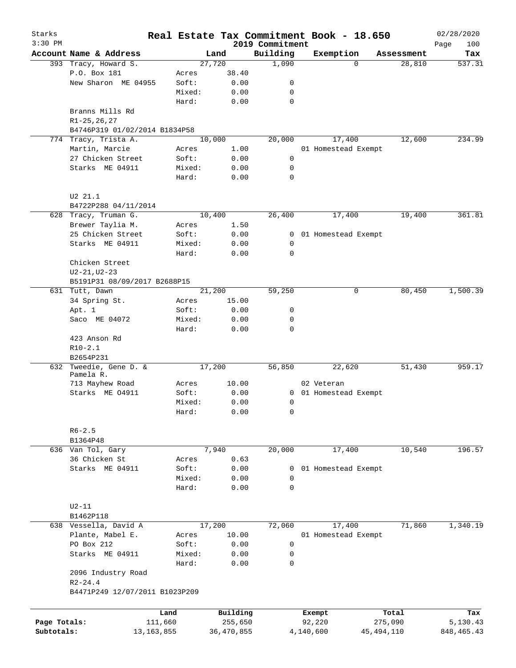| Starks<br>$3:30$ PM |                                |              |            |          | 2019 Commitment | Real Estate Tax Commitment Book - 18.650 |            | 02/28/2020         |
|---------------------|--------------------------------|--------------|------------|----------|-----------------|------------------------------------------|------------|--------------------|
|                     | Account Name & Address         |              | Land       |          | Building        | Exemption                                | Assessment | 100<br>Page<br>Tax |
|                     | 393 Tracy, Howard S.           |              | 27,720     |          | 1,090           | $\Omega$                                 | 28,810     | 537.31             |
|                     | P.O. Box 181                   | Acres        |            | 38.40    |                 |                                          |            |                    |
|                     | New Sharon ME 04955            | Soft:        |            | 0.00     | 0               |                                          |            |                    |
|                     |                                | Mixed:       |            | 0.00     | 0               |                                          |            |                    |
|                     |                                | Hard:        |            | 0.00     | $\mathbf 0$     |                                          |            |                    |
|                     | Branns Mills Rd                |              |            |          |                 |                                          |            |                    |
|                     | $R1 - 25, 26, 27$              |              |            |          |                 |                                          |            |                    |
|                     | B4746P319 01/02/2014 B1834P58  |              |            |          |                 |                                          |            |                    |
|                     | 774 Tracy, Trista A.           |              | 10,000     |          | 20,000          | 17,400                                   | 12,600     | 234.99             |
|                     | Martin, Marcie                 | Acres        |            | 1.00     |                 | 01 Homestead Exempt                      |            |                    |
|                     | 27 Chicken Street              | Soft:        |            | 0.00     | $\mathsf{O}$    |                                          |            |                    |
|                     | Starks ME 04911                | Mixed:       |            | 0.00     | 0               |                                          |            |                    |
|                     |                                | Hard:        |            | 0.00     | $\mathbf 0$     |                                          |            |                    |
|                     | U2 21.1                        |              |            |          |                 |                                          |            |                    |
|                     | B4722P288 04/11/2014           |              |            |          |                 |                                          |            |                    |
|                     | 628 Tracy, Truman G.           |              | 10,400     |          | 26,400          | 17,400                                   | 19,400     | 361.81             |
|                     | Brewer Taylia M.               | Acres        |            | 1.50     |                 |                                          |            |                    |
|                     | 25 Chicken Street              | Soft:        |            | 0.00     |                 | 0 01 Homestead Exempt                    |            |                    |
|                     | Starks ME 04911                | Mixed:       |            | 0.00     | 0               |                                          |            |                    |
|                     |                                | Hard:        |            | 0.00     | $\mathbf 0$     |                                          |            |                    |
|                     | Chicken Street                 |              |            |          |                 |                                          |            |                    |
|                     | $U2 - 21, U2 - 23$             |              |            |          |                 |                                          |            |                    |
|                     | B5191P31 08/09/2017 B2688P15   |              |            |          |                 |                                          |            |                    |
|                     | 631 Tutt, Dawn                 |              | 21,200     |          | 59,250          | 0                                        | 80,450     | 1,500.39           |
|                     | 34 Spring St.                  | Acres        |            | 15.00    |                 |                                          |            |                    |
|                     | Apt. 1                         | Soft:        |            | 0.00     | 0               |                                          |            |                    |
|                     | Saco ME 04072                  | Mixed:       |            | 0.00     | 0               |                                          |            |                    |
|                     |                                | Hard:        |            | 0.00     | $\mathbf 0$     |                                          |            |                    |
|                     | 423 Anson Rd                   |              |            |          |                 |                                          |            |                    |
|                     | $R10-2.1$                      |              |            |          |                 |                                          |            |                    |
|                     | B2654P231                      |              |            |          |                 |                                          |            |                    |
| 632                 | Tweedie, Gene D. &             |              | 17,200     |          | 56,850          | 22,620                                   | 51,430     | 959.17             |
|                     | Pamela R.                      |              |            |          |                 |                                          |            |                    |
|                     | 713 Mayhew Road                | Acres        |            | 10.00    |                 | 02 Veteran                               |            |                    |
|                     | Starks ME 04911                | Soft:        |            | 0.00     |                 | 0 01 Homestead Exempt                    |            |                    |
|                     |                                | Mixed:       |            | 0.00     | 0               |                                          |            |                    |
|                     |                                | Hard:        |            | 0.00     | $\mathsf{O}$    |                                          |            |                    |
|                     | $R6 - 2.5$                     |              |            |          |                 |                                          |            |                    |
|                     | B1364P48                       |              |            |          |                 |                                          |            |                    |
|                     | 636 Van Tol, Gary              |              | 7,940      |          | 20,000          | 17,400                                   | 10,540     | 196.57             |
|                     | 36 Chicken St                  | Acres        |            | 0.63     |                 |                                          |            |                    |
|                     | Starks ME 04911                | Soft:        |            | 0.00     | 0               | 01 Homestead Exempt                      |            |                    |
|                     |                                | Mixed:       |            | 0.00     | $\mathbf 0$     |                                          |            |                    |
|                     |                                | Hard:        |            | 0.00     | $\mathbf 0$     |                                          |            |                    |
|                     | $U2-11$                        |              |            |          |                 |                                          |            |                    |
|                     | B1462P118                      |              |            |          |                 |                                          |            |                    |
|                     | 638 Vessella, David A          |              | 17,200     |          | 72,060          | 17,400                                   | 71,860     | 1,340.19           |
|                     | Plante, Mabel E.               | Acres        |            | 10.00    |                 | 01 Homestead Exempt                      |            |                    |
|                     | PO Box 212                     | Soft:        |            | 0.00     | $\mathbf 0$     |                                          |            |                    |
|                     | Starks ME 04911                | Mixed:       |            | 0.00     | 0               |                                          |            |                    |
|                     |                                | Hard:        |            | 0.00     | $\mathbf 0$     |                                          |            |                    |
|                     | 2096 Industry Road             |              |            |          |                 |                                          |            |                    |
|                     | $R2 - 24.4$                    |              |            |          |                 |                                          |            |                    |
|                     | B4471P249 12/07/2011 B1023P209 |              |            |          |                 |                                          |            |                    |
|                     |                                |              |            |          |                 |                                          |            |                    |
|                     |                                | Land         |            | Building |                 | Exempt                                   | Total      | Tax                |
| Page Totals:        |                                | 111,660      |            | 255,650  |                 | 92,220                                   | 275,090    | 5,130.43           |
| Subtotals:          |                                | 13, 163, 855 | 36,470,855 |          |                 | 4,140,600                                | 45,494,110 | 848, 465. 43       |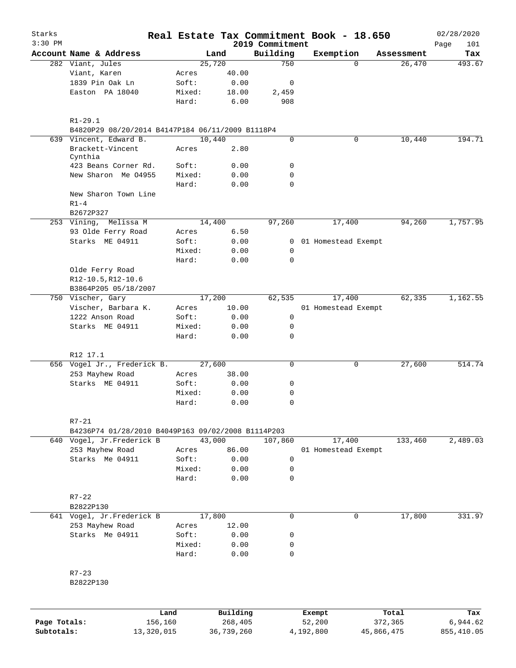| Starks       |                                                    |                 |                |                 | Real Estate Tax Commitment Book - 18.650 |                                  | 02/28/2020    |
|--------------|----------------------------------------------------|-----------------|----------------|-----------------|------------------------------------------|----------------------------------|---------------|
| $3:30$ PM    |                                                    |                 |                | 2019 Commitment |                                          |                                  | Page<br>101   |
|              | Account Name & Address<br>282 Viant, Jules         |                 | Land<br>25,720 | Building<br>750 | Exemption                                | Assessment<br>26,470<br>$\Omega$ | Tax<br>493.67 |
|              | Viant, Karen                                       | Acres           | 40.00          |                 |                                          |                                  |               |
|              | 1839 Pin Oak Ln                                    | Soft:           | 0.00           | 0               |                                          |                                  |               |
|              | Easton PA 18040                                    | Mixed:          | 18.00          | 2,459           |                                          |                                  |               |
|              |                                                    | Hard:           | 6.00           | 908             |                                          |                                  |               |
|              |                                                    |                 |                |                 |                                          |                                  |               |
|              | $R1 - 29.1$                                        |                 |                |                 |                                          |                                  |               |
|              | B4820P29 08/20/2014 B4147P184 06/11/2009 B1118P4   |                 |                |                 |                                          |                                  |               |
|              | 639 Vincent, Edward B.                             |                 | 10,440         | $\mathbf 0$     |                                          | 0<br>10,440                      | 194.71        |
|              | Brackett-Vincent<br>Cynthia                        | Acres           | 2.80           |                 |                                          |                                  |               |
|              | 423 Beans Corner Rd.                               | Soft:           | 0.00           | 0               |                                          |                                  |               |
|              | New Sharon Me 04955                                | Mixed:          | 0.00           | $\mathbf 0$     |                                          |                                  |               |
|              |                                                    | Hard:           | 0.00           | $\mathbf 0$     |                                          |                                  |               |
|              | New Sharon Town Line<br>$R1-4$                     |                 |                |                 |                                          |                                  |               |
|              | B2672P327                                          |                 |                |                 |                                          |                                  |               |
|              | 253 Vining, Melissa M                              |                 | 14,400         | 97,260          | 17,400                                   | 94,260                           | 1,757.95      |
|              | 93 Olde Ferry Road                                 | Acres           | 6.50           |                 |                                          |                                  |               |
|              | Starks ME 04911                                    | Soft:           | 0.00           | $\overline{0}$  | 01 Homestead Exempt                      |                                  |               |
|              |                                                    | Mixed:          | 0.00           | $\mathbf 0$     |                                          |                                  |               |
|              |                                                    | Hard:           | 0.00           | $\mathbf 0$     |                                          |                                  |               |
|              | Olde Ferry Road                                    |                 |                |                 |                                          |                                  |               |
|              | R12-10.5, R12-10.6                                 |                 |                |                 |                                          |                                  |               |
|              | B3864P205 05/18/2007                               |                 |                |                 |                                          |                                  |               |
|              | 750 Vischer, Gary                                  |                 | 17,200         | 62,535          | 17,400                                   | 62,335                           | 1,162.55      |
|              | Vischer, Barbara K.                                | Acres           | 10.00          |                 | 01 Homestead Exempt                      |                                  |               |
|              | 1222 Anson Road                                    | Soft:           | 0.00           | $\mathbf 0$     |                                          |                                  |               |
|              | Starks ME 04911                                    | Mixed:          | 0.00           | 0               |                                          |                                  |               |
|              |                                                    | Hard:           | 0.00           | 0               |                                          |                                  |               |
|              |                                                    |                 |                |                 |                                          |                                  |               |
|              | R12 17.1<br>656 Vogel Jr., Frederick B.            |                 | 27,600         | $\mathbf 0$     |                                          | 0<br>27,600                      | 514.74        |
|              | 253 Mayhew Road                                    | Acres           | 38.00          |                 |                                          |                                  |               |
|              | Starks ME 04911                                    | Soft:           | 0.00           | 0               |                                          |                                  |               |
|              |                                                    | Mixed:          | 0.00           | 0               |                                          |                                  |               |
|              |                                                    | Hard:           | 0.00           | $\mathbf 0$     |                                          |                                  |               |
|              |                                                    |                 |                |                 |                                          |                                  |               |
|              | $R7 - 21$                                          |                 |                |                 |                                          |                                  |               |
|              | B4236P74 01/28/2010 B4049P163 09/02/2008 B1114P203 |                 |                |                 |                                          |                                  |               |
|              | 640 Vogel, Jr.Frederick B                          |                 | 43,000         | 107,860         | 17,400                                   | 133,460                          | 2,489.03      |
|              | 253 Mayhew Road                                    | Acres           | 86.00          |                 | 01 Homestead Exempt                      |                                  |               |
|              | Starks Me 04911                                    | Soft:           | 0.00           | 0               |                                          |                                  |               |
|              |                                                    | Mixed:          | 0.00           | 0               |                                          |                                  |               |
|              |                                                    | Hard:           | 0.00           | 0               |                                          |                                  |               |
|              |                                                    |                 |                |                 |                                          |                                  |               |
|              | $R7 - 22$                                          |                 |                |                 |                                          |                                  |               |
|              | B2822P130                                          |                 |                |                 |                                          |                                  |               |
|              | 641 Vogel, Jr.Frederick B                          |                 | 17,800         | $\mathbf 0$     |                                          | 17,800<br>0                      | 331.97        |
|              | 253 Mayhew Road                                    | Acres           | 12.00          |                 |                                          |                                  |               |
|              | Starks Me 04911                                    | Soft:           | 0.00           | 0               |                                          |                                  |               |
|              |                                                    | Mixed:<br>Hard: | 0.00<br>0.00   | 0<br>0          |                                          |                                  |               |
|              |                                                    |                 |                |                 |                                          |                                  |               |
|              | $R7 - 23$                                          |                 |                |                 |                                          |                                  |               |
|              | B2822P130                                          |                 |                |                 |                                          |                                  |               |
|              |                                                    |                 |                |                 |                                          |                                  |               |
|              | Land                                               |                 | Building       |                 | Exempt                                   | Total                            | Tax           |
| Page Totals: | 156,160                                            |                 | 268,405        |                 | 52,200                                   | 372,365                          | 6,944.62      |

**Subtotals:** 13,320,015 36,739,260 4,192,800 45,866,475 855,410.05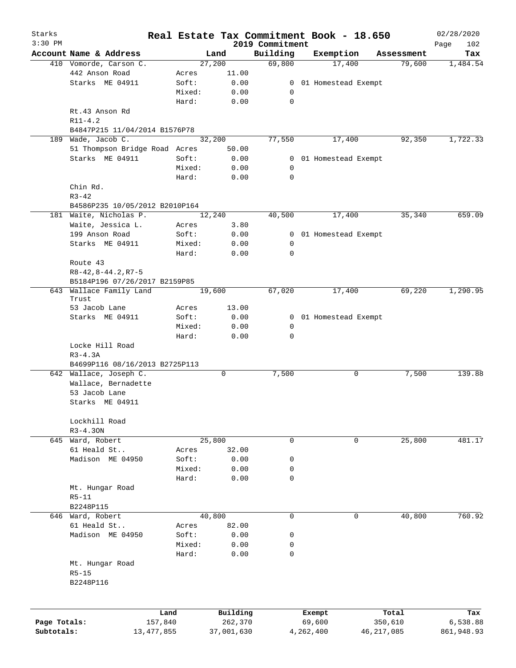| Starks       |                                |        |            |                             | Real Estate Tax Commitment Book - 18.650 |            | 02/28/2020         |
|--------------|--------------------------------|--------|------------|-----------------------------|------------------------------------------|------------|--------------------|
| $3:30$ PM    | Account Name & Address         |        | Land       | 2019 Commitment<br>Building | Exemption                                | Assessment | 102<br>Page<br>Tax |
|              | 410 Vomorde, Carson C.         |        | 27,200     | 69,800                      | 17,400                                   | 79,600     | 1,484.54           |
|              | 442 Anson Road                 | Acres  | 11.00      |                             |                                          |            |                    |
|              | Starks ME 04911                | Soft:  | 0.00       |                             | 0 01 Homestead Exempt                    |            |                    |
|              |                                | Mixed: | 0.00       | 0                           |                                          |            |                    |
|              |                                | Hard:  | 0.00       | 0                           |                                          |            |                    |
|              | Rt.43 Anson Rd                 |        |            |                             |                                          |            |                    |
|              | $R11 - 4.2$                    |        |            |                             |                                          |            |                    |
|              | B4847P215 11/04/2014 B1576P78  |        |            |                             |                                          |            |                    |
| 189          | Wade, Jacob C.                 |        | 32,200     | 77,550                      | 17,400                                   | 92,350     | 1,722.33           |
|              | 51 Thompson Bridge Road Acres  |        | 50.00      |                             |                                          |            |                    |
|              | Starks ME 04911                | Soft:  | 0.00       |                             | 0 01 Homestead Exempt                    |            |                    |
|              |                                | Mixed: | 0.00       | 0                           |                                          |            |                    |
|              |                                | Hard:  | 0.00       | 0                           |                                          |            |                    |
|              | Chin Rd.                       |        |            |                             |                                          |            |                    |
|              |                                |        |            |                             |                                          |            |                    |
|              | $R3 - 42$                      |        |            |                             |                                          |            |                    |
|              | B4586P235 10/05/2012 B2010P164 |        |            |                             |                                          |            |                    |
|              | 181 Waite, Nicholas P.         |        | 12,240     | 40,500                      | 17,400                                   | 35,340     | 659.09             |
|              | Waite, Jessica L.              | Acres  | 3.80       |                             |                                          |            |                    |
|              | 199 Anson Road                 | Soft:  | 0.00       |                             | 0 01 Homestead Exempt                    |            |                    |
|              | Starks ME 04911                | Mixed: | 0.00       | 0                           |                                          |            |                    |
|              |                                | Hard:  | 0.00       | 0                           |                                          |            |                    |
|              | Route 43                       |        |            |                             |                                          |            |                    |
|              | $R8 - 42, 8 - 44.2, R7 - 5$    |        |            |                             |                                          |            |                    |
|              | B5184P196 07/26/2017 B2159P85  |        |            |                             |                                          |            |                    |
| 643          | Wallace Family Land            |        | 19,600     | 67,020                      | 17,400                                   | 69,220     | 1,290.95           |
|              | Trust                          |        |            |                             |                                          |            |                    |
|              | 53 Jacob Lane                  | Acres  | 13.00      |                             |                                          |            |                    |
|              | Starks ME 04911                | Soft:  | 0.00       |                             | 0 01 Homestead Exempt                    |            |                    |
|              |                                | Mixed: | 0.00       | $\mathbf 0$                 |                                          |            |                    |
|              |                                | Hard:  | 0.00       | $\mathbf 0$                 |                                          |            |                    |
|              | Locke Hill Road                |        |            |                             |                                          |            |                    |
|              | $R3 - 4.3A$                    |        |            |                             |                                          |            |                    |
|              | B4699P116 08/16/2013 B2725P113 |        |            |                             |                                          |            |                    |
|              | 642 Wallace, Joseph C.         |        | 0          | 7,500                       | 0                                        | 7,500      | 139.88             |
|              | Wallace, Bernadette            |        |            |                             |                                          |            |                    |
|              | 53 Jacob Lane                  |        |            |                             |                                          |            |                    |
|              | Starks ME 04911                |        |            |                             |                                          |            |                    |
|              |                                |        |            |                             |                                          |            |                    |
|              | Lockhill Road                  |        |            |                             |                                          |            |                    |
|              | $R3 - 4.30N$                   |        |            |                             |                                          |            |                    |
|              | 645 Ward, Robert               |        | 25,800     | 0                           | 0                                        | 25,800     | 481.17             |
|              | 61 Heald St                    | Acres  | 32.00      |                             |                                          |            |                    |
|              | Madison ME 04950               | Soft:  | 0.00       | 0                           |                                          |            |                    |
|              |                                | Mixed: | 0.00       | $\mathbf 0$                 |                                          |            |                    |
|              |                                | Hard:  | 0.00       | $\mathbf 0$                 |                                          |            |                    |
|              | Mt. Hungar Road                |        |            |                             |                                          |            |                    |
|              | $R5 - 11$                      |        |            |                             |                                          |            |                    |
|              | B2248P115                      |        |            |                             |                                          |            |                    |
|              | 646 Ward, Robert               |        | 40,800     | $\mathbf 0$                 | $\mathbf 0$                              | 40,800     | 760.92             |
|              | 61 Heald St                    | Acres  | 82.00      |                             |                                          |            |                    |
|              | Madison ME 04950               | Soft:  | 0.00       | 0                           |                                          |            |                    |
|              |                                | Mixed: | 0.00       | 0                           |                                          |            |                    |
|              |                                |        |            | 0                           |                                          |            |                    |
|              |                                | Hard:  | 0.00       |                             |                                          |            |                    |
|              | Mt. Hungar Road                |        |            |                             |                                          |            |                    |
|              | $R5 - 15$                      |        |            |                             |                                          |            |                    |
|              | B2248P116                      |        |            |                             |                                          |            |                    |
|              |                                |        |            |                             |                                          |            |                    |
|              |                                |        |            |                             |                                          |            |                    |
|              | Land                           |        | Building   |                             | Exempt                                   | Total      | Tax                |
| Page Totals: | 157,840                        |        | 262,370    |                             | 69,600                                   | 350,610    | 6,538.88           |
| Subtotals:   | 13, 477, 855                   |        | 37,001,630 |                             | 46, 217, 085<br>4,262,400                |            | 861,948.93         |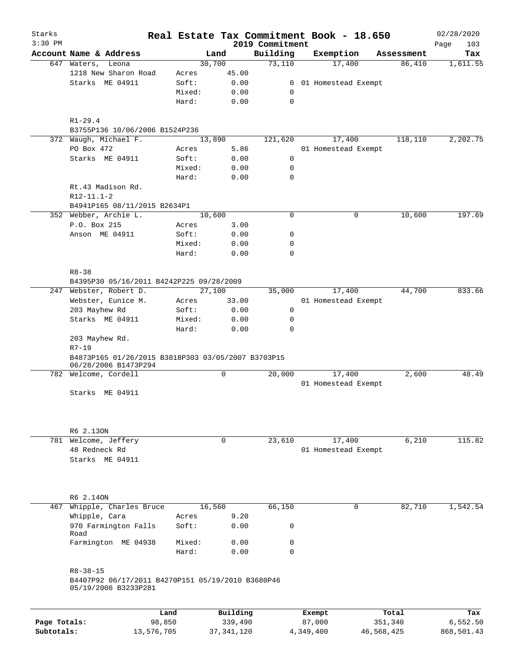| Starks<br>$3:30$ PM |                                                                                             |        |              | 2019 Commitment | Real Estate Tax Commitment Book - 18.650 |            | 02/28/2020<br>Page<br>103 |
|---------------------|---------------------------------------------------------------------------------------------|--------|--------------|-----------------|------------------------------------------|------------|---------------------------|
|                     | Account Name & Address                                                                      |        | Land         | Building        | Exemption                                | Assessment | Tax                       |
|                     | 647 Waters,<br>Leona                                                                        |        | 30,700       | 73,110          | 17,400                                   | 86,410     | 1,611.55                  |
|                     | 1218 New Sharon Road                                                                        | Acres  | 45.00        |                 |                                          |            |                           |
|                     | Starks ME 04911                                                                             | Soft:  | 0.00         |                 | 0 01 Homestead Exempt                    |            |                           |
|                     |                                                                                             | Mixed: | 0.00         | 0               |                                          |            |                           |
|                     |                                                                                             | Hard:  | 0.00         | 0               |                                          |            |                           |
|                     | $R1 - 29.4$                                                                                 |        |              |                 |                                          |            |                           |
|                     | B3755P136 10/06/2006 B1524P236                                                              |        |              |                 |                                          |            |                           |
|                     | 372 Waugh, Michael F.                                                                       |        | 13,890       | 121,620         | 17,400                                   | 118,110    | 2,202.75                  |
|                     | PO Box 472                                                                                  | Acres  | 5.86         |                 | 01 Homestead Exempt                      |            |                           |
|                     | Starks ME 04911                                                                             | Soft:  | 0.00         | 0               |                                          |            |                           |
|                     |                                                                                             | Mixed: | 0.00         | 0               |                                          |            |                           |
|                     |                                                                                             | Hard:  | 0.00         | $\mathbf 0$     |                                          |            |                           |
|                     | Rt.43 Madison Rd.                                                                           |        |              |                 |                                          |            |                           |
|                     | $R12 - 11.1 - 2$                                                                            |        |              |                 |                                          |            |                           |
|                     | B4941P165 08/11/2015 B2634P1                                                                |        |              |                 |                                          |            |                           |
|                     | 352 Webber, Archie L.                                                                       |        | 10,600       | $\mathbf 0$     | 0                                        | 10,600     | 197.69                    |
|                     | P.O. Box 215                                                                                | Acres  | 3.00         |                 |                                          |            |                           |
|                     | Anson ME 04911                                                                              | Soft:  | 0.00         | 0               |                                          |            |                           |
|                     |                                                                                             | Mixed: | 0.00         | 0               |                                          |            |                           |
|                     |                                                                                             | Hard:  | 0.00         | $\mathbf 0$     |                                          |            |                           |
|                     | $R8 - 38$                                                                                   |        |              |                 |                                          |            |                           |
|                     | B4395P30 05/16/2011 B4242P225 09/28/2009                                                    |        |              |                 |                                          |            |                           |
| 247                 | Webster, Robert D.                                                                          |        | 27,100       | 35,000          | 17,400                                   | 44,700     | 833.66                    |
|                     | Webster, Eunice M.                                                                          | Acres  | 33.00        |                 | 01 Homestead Exempt                      |            |                           |
|                     | 203 Mayhew Rd                                                                               | Soft:  | 0.00         | 0               |                                          |            |                           |
|                     | Starks ME 04911                                                                             | Mixed: | 0.00         | 0               |                                          |            |                           |
|                     |                                                                                             | Hard:  | 0.00         | $\mathbf 0$     |                                          |            |                           |
|                     | 203 Mayhew Rd.<br>$R7 - 19$                                                                 |        |              |                 |                                          |            |                           |
|                     | B4873P165 01/26/2015 B3818P303 03/05/2007 B3703P15<br>06/28/2006 B1473P294                  |        |              |                 |                                          |            |                           |
|                     | 782 Welcome, Cordell                                                                        |        | 0            | 20,000          | 17,400                                   | 2,600      | 48.49                     |
|                     |                                                                                             |        |              |                 | 01 Homestead Exempt                      |            |                           |
|                     | Starks ME 04911                                                                             |        |              |                 |                                          |            |                           |
|                     |                                                                                             |        |              |                 |                                          |            |                           |
|                     | R6 2.130N                                                                                   |        |              |                 |                                          |            |                           |
|                     | 781 Welcome, Jeffery                                                                        |        | 0            | 23,610          | 17,400                                   | 6,210      | 115.82                    |
|                     | 48 Redneck Rd                                                                               |        |              |                 | 01 Homestead Exempt                      |            |                           |
|                     | Starks ME 04911                                                                             |        |              |                 |                                          |            |                           |
|                     |                                                                                             |        |              |                 |                                          |            |                           |
|                     |                                                                                             |        |              |                 |                                          |            |                           |
|                     | R6 2.140N                                                                                   |        |              |                 |                                          |            |                           |
| 467                 | Whipple, Charles Bruce                                                                      |        | 16,560       | 66,150          | 0                                        | 82,710     | 1,542.54                  |
|                     | Whipple, Cara                                                                               | Acres  | 9.20         |                 |                                          |            |                           |
|                     | 970 Farmington Falls<br>Road                                                                | Soft:  | 0.00         | 0               |                                          |            |                           |
|                     | Farmington ME 04938                                                                         | Mixed: | 0.00         | 0               |                                          |            |                           |
|                     |                                                                                             | Hard:  | 0.00         | 0               |                                          |            |                           |
|                     |                                                                                             |        |              |                 |                                          |            |                           |
|                     | $R8 - 38 - 15$<br>B4407P92 06/17/2011 B4270P151 05/19/2010 B3680P46<br>05/19/2006 B3233P281 |        |              |                 |                                          |            |                           |
|                     |                                                                                             |        |              |                 |                                          |            |                           |
|                     |                                                                                             | Land   | Building     |                 | Exempt                                   | Total      | Tax                       |
| Page Totals:        | 98,850                                                                                      |        | 339,490      |                 | 87,000                                   | 351,340    | 6, 552.50                 |
| Subtotals:          | 13,576,705                                                                                  |        | 37, 341, 120 |                 | 46,568,425<br>4,349,400                  |            | 868,501.43                |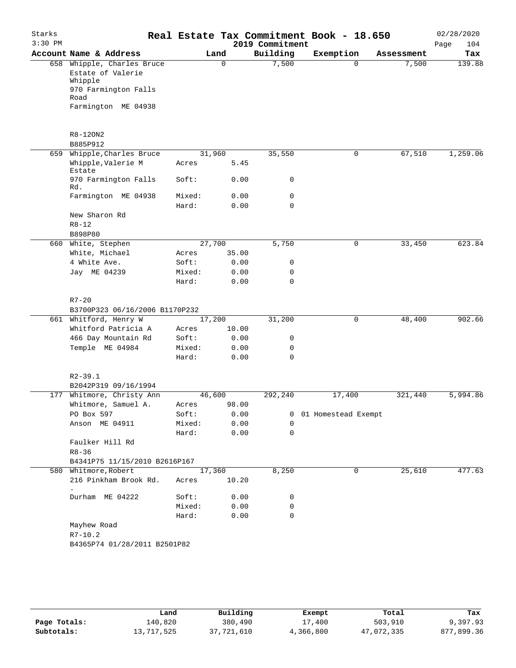| Starks<br>$3:30$ PM |                                                                                                                   |                 |          | 2019 Commitment | Real Estate Tax Commitment Book - 18.650 |            | 02/28/2020<br>Page<br>104 |
|---------------------|-------------------------------------------------------------------------------------------------------------------|-----------------|----------|-----------------|------------------------------------------|------------|---------------------------|
|                     | Account Name & Address                                                                                            |                 | Land     | Building        | Exemption                                | Assessment | Tax                       |
|                     | 658 Whipple, Charles Bruce<br>Estate of Valerie<br>Whipple<br>970 Farmington Falls<br>Road<br>Farmington ME 04938 |                 | $\Omega$ | 7,500           | $\Omega$                                 | 7,500      | 139.88                    |
|                     | R8-120N2<br>B885P912                                                                                              |                 |          |                 |                                          |            |                           |
|                     | 659 Whipple, Charles Bruce                                                                                        | 31,960          |          | 35,550          | $\mathbf 0$                              | 67,510     | 1,259.06                  |
|                     | Whipple, Valerie M<br>Estate                                                                                      | Acres           | 5.45     |                 |                                          |            |                           |
|                     | 970 Farmington Falls<br>Rd.                                                                                       | Soft:           | 0.00     | 0               |                                          |            |                           |
|                     | Farmington ME 04938                                                                                               | Mixed:          | 0.00     | 0               |                                          |            |                           |
|                     | New Sharon Rd<br>$R8 - 12$                                                                                        | Hard:           | 0.00     | $\mathbf 0$     |                                          |            |                           |
|                     | B898P80                                                                                                           | 27,700          |          |                 |                                          |            | 623.84                    |
|                     | 660 White, Stephen<br>White, Michael                                                                              | Acres           | 35.00    | 5,750           | 0                                        | 33,450     |                           |
|                     | 4 White Ave.                                                                                                      | Soft:           | 0.00     | 0               |                                          |            |                           |
|                     | Jay ME 04239                                                                                                      | Mixed:          | 0.00     | 0               |                                          |            |                           |
|                     |                                                                                                                   | Hard:           | 0.00     | $\mathbf 0$     |                                          |            |                           |
|                     | $R7 - 20$<br>B3700P323 06/16/2006 B1170P232                                                                       |                 |          |                 |                                          |            |                           |
|                     | 661 Whitford, Henry W                                                                                             | 17,200          |          | 31,200          | 0                                        | 48,400     | 902.66                    |
|                     | Whitford Patricia A                                                                                               | Acres           | 10.00    |                 |                                          |            |                           |
|                     | 466 Day Mountain Rd                                                                                               | Soft:           | 0.00     | 0               |                                          |            |                           |
|                     | Temple ME 04984                                                                                                   | Mixed:          | 0.00     | 0               |                                          |            |                           |
|                     |                                                                                                                   | Hard:           | 0.00     | $\mathbf 0$     |                                          |            |                           |
|                     | $R2 - 39.1$<br>B2042P319 09/16/1994                                                                               |                 |          |                 |                                          |            |                           |
| 177                 | Whitmore, Christy Ann                                                                                             | 46,600          |          | 292,240         | 17,400                                   | 321,440    | 5,994.86                  |
|                     | Whitmore, Samuel A.                                                                                               | Acres           | 98.00    |                 |                                          |            |                           |
|                     | PO Box 597                                                                                                        | Soft:           | 0.00     | 0               | 01 Homestead Exempt                      |            |                           |
|                     | Anson ME 04911                                                                                                    | Mixed:          | 0.00     | 0               |                                          |            |                           |
|                     |                                                                                                                   | Hard:           | 0.00     | 0               |                                          |            |                           |
|                     | Faulker Hill Rd<br>$R8 - 36$                                                                                      |                 |          |                 |                                          |            |                           |
|                     | B4341P75 11/15/2010 B2616P167                                                                                     |                 |          |                 |                                          |            |                           |
|                     | 580 Whitmore, Robert<br>216 Pinkham Brook Rd.                                                                     | 17,360<br>Acres | 10.20    | 8,250           | 0                                        | 25,610     | 477.63                    |
|                     | $\bullet$<br>Durham ME 04222                                                                                      | Soft:           | 0.00     | 0               |                                          |            |                           |
|                     |                                                                                                                   | Mixed:          | 0.00     | 0               |                                          |            |                           |
|                     |                                                                                                                   | Hard:           | 0.00     | 0               |                                          |            |                           |
|                     | Mayhew Road<br>$R7 - 10.2$                                                                                        |                 |          |                 |                                          |            |                           |
|                     | B4365P74 01/28/2011 B2501P82                                                                                      |                 |          |                 |                                          |            |                           |
|                     |                                                                                                                   |                 |          |                 |                                          |            |                           |

|              | Land       | Building   | Exempt    | Total      | Tax        |
|--------------|------------|------------|-----------|------------|------------|
| Page Totals: | 140,820    | 380,490    | 17,400    | 503,910    | 9,397.93   |
| Subtotals:   | 13,717,525 | 37,721,610 | 4,366,800 | 47,072,335 | 877,899.36 |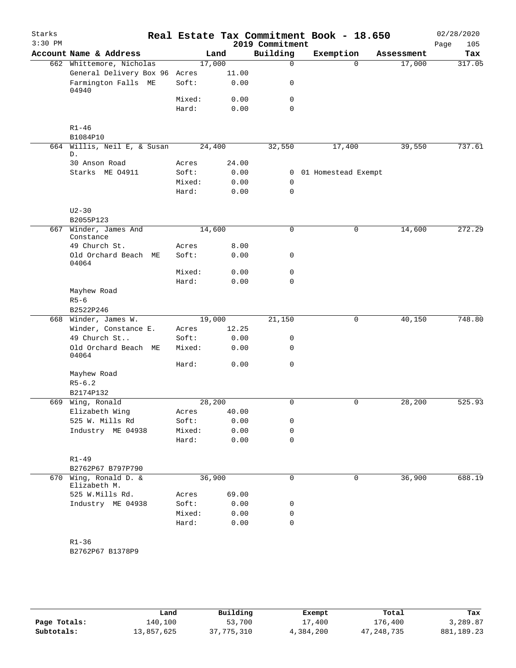| Starks<br>$3:30$ PM |                                   |                 |              | 2019 Commitment  | Real Estate Tax Commitment Book - 18.650 |            | 02/28/2020<br>Page<br>105 |
|---------------------|-----------------------------------|-----------------|--------------|------------------|------------------------------------------|------------|---------------------------|
|                     | Account Name & Address            |                 | Land         | Building         | Exemption                                | Assessment | Tax                       |
|                     | 662 Whittemore, Nicholas          | 17,000          |              | 0                | $\Omega$                                 | 17,000     | 317.05                    |
|                     | General Delivery Box 96           | Acres           | 11.00        |                  |                                          |            |                           |
|                     | Farmington Falls ME<br>04940      | Soft:           | 0.00         | 0                |                                          |            |                           |
|                     |                                   | Mixed:          | 0.00         | 0                |                                          |            |                           |
|                     |                                   | Hard:           | 0.00         | $\mathbf 0$      |                                          |            |                           |
|                     | $R1 - 46$                         |                 |              |                  |                                          |            |                           |
| 664                 | B1084P10                          | 24,400          |              |                  |                                          |            | 737.61                    |
|                     | Willis, Neil E, & Susan<br>D.     |                 |              | 32,550           | 17,400                                   | 39,550     |                           |
|                     | 30 Anson Road                     | Acres           | 24.00        |                  |                                          |            |                           |
|                     | Starks ME 04911                   | Soft:           | 0.00         | 0                | 01 Homestead Exempt                      |            |                           |
|                     |                                   | Mixed:<br>Hard: | 0.00<br>0.00 | 0<br>$\mathbf 0$ |                                          |            |                           |
|                     | $U2 - 30$                         |                 |              |                  |                                          |            |                           |
|                     | B2055P123                         |                 |              |                  |                                          |            |                           |
| 667                 | Winder, James And<br>Constance    | 14,600          |              | 0                | $\mathsf{O}$                             | 14,600     | 272.29                    |
|                     | 49 Church St.                     | Acres           | 8.00         |                  |                                          |            |                           |
|                     | Old Orchard Beach ME<br>04064     | Soft:           | 0.00         | 0                |                                          |            |                           |
|                     |                                   | Mixed:          | 0.00         | 0                |                                          |            |                           |
|                     |                                   | Hard:           | 0.00         | $\mathbf 0$      |                                          |            |                           |
|                     | Mayhew Road                       |                 |              |                  |                                          |            |                           |
|                     | $R5 - 6$                          |                 |              |                  |                                          |            |                           |
| 668                 | B2522P246<br>Winder, James W.     | 19,000          |              | 21,150           | 0                                        | 40,150     | 748.80                    |
|                     | Winder, Constance E.              | Acres           | 12.25        |                  |                                          |            |                           |
|                     | 49 Church St                      | Soft:           | 0.00         | 0                |                                          |            |                           |
|                     | Old Orchard Beach ME<br>04064     | Mixed:          | 0.00         | $\mathbf 0$      |                                          |            |                           |
|                     |                                   | Hard:           | 0.00         | 0                |                                          |            |                           |
|                     | Mayhew Road                       |                 |              |                  |                                          |            |                           |
|                     | $R5 - 6.2$                        |                 |              |                  |                                          |            |                           |
|                     | B2174P132                         |                 |              |                  |                                          |            |                           |
| 669                 | Wing, Ronald                      | 28, 200         |              | 0                | $\mathbf 0$                              | 28,200     | 525.93                    |
|                     | Elizabeth Wing                    | Acres           | 40.00        |                  |                                          |            |                           |
|                     | 525 W. Mills Rd                   | Soft:           | 0.00         | 0                |                                          |            |                           |
|                     | Industry ME 04938                 | Mixed:          | 0.00         | 0                |                                          |            |                           |
|                     |                                   | Hard:           | 0.00         | $\mathbf 0$      |                                          |            |                           |
|                     | $R1 - 49$                         |                 |              |                  |                                          |            |                           |
|                     | B2762P67 B797P790                 |                 |              |                  |                                          |            |                           |
| 670                 | Wing, Ronald D. &<br>Elizabeth M. | 36,900          |              | $\mathbf 0$      | $\mathbf 0$                              | 36,900     | 688.19                    |
|                     | 525 W.Mills Rd.                   | Acres           | 69.00        |                  |                                          |            |                           |
|                     | Industry ME 04938                 | Soft:           | 0.00         | 0                |                                          |            |                           |
|                     |                                   | Mixed:          | 0.00         | 0                |                                          |            |                           |
|                     |                                   | Hard:           | 0.00         | $\mathbf 0$      |                                          |            |                           |
|                     | $R1 - 36$                         |                 |              |                  |                                          |            |                           |
|                     | B2762P67 B1378P9                  |                 |              |                  |                                          |            |                           |
|                     |                                   |                 |              |                  |                                          |            |                           |

|              | Land       | Building   | Exempt    | Total      | Tax          |
|--------------|------------|------------|-----------|------------|--------------|
| Page Totals: | 140,100    | 53,700     | 17,400    | 176,400    | 3,289.87     |
| Subtotals:   | 13,857,625 | 37,775,310 | 4,384,200 | 47,248,735 | 881, 189. 23 |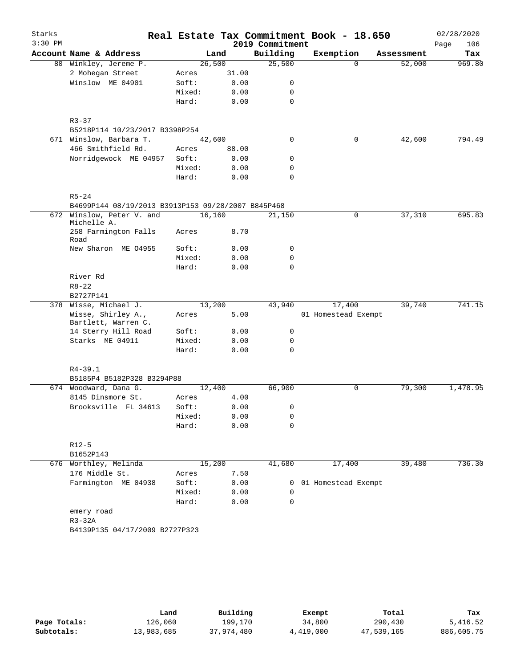| Starks    |                                                    |                 |              |                 | Real Estate Tax Commitment Book - 18.650 |            | 02/28/2020  |
|-----------|----------------------------------------------------|-----------------|--------------|-----------------|------------------------------------------|------------|-------------|
| $3:30$ PM |                                                    |                 |              | 2019 Commitment |                                          |            | Page<br>106 |
|           | Account Name & Address                             |                 | Land         | Building        | Exemption                                | Assessment | Tax         |
|           | 80 Winkley, Jereme P.                              | 26,500          |              | 25,500          | $\Omega$                                 | 52,000     | 969.80      |
|           | 2 Mohegan Street                                   | Acres           | 31.00        |                 |                                          |            |             |
|           | Winslow ME 04901                                   | Soft:           | 0.00         | 0               |                                          |            |             |
|           |                                                    | Mixed:          | 0.00         | 0               |                                          |            |             |
|           |                                                    | Hard:           | 0.00         | 0               |                                          |            |             |
|           | $R3 - 37$                                          |                 |              |                 |                                          |            |             |
|           | B5218P114 10/23/2017 B3398P254                     |                 |              |                 |                                          |            |             |
|           | 671 Winslow, Barbara T.<br>42,600                  |                 |              | 0               | 0                                        | 42,600     | 794.49      |
|           | 466 Smithfield Rd.                                 | Acres           | 88.00        |                 |                                          |            |             |
|           | Norridgewock ME 04957                              | Soft:           | 0.00         | 0               |                                          |            |             |
|           |                                                    | Mixed:          | 0.00         | 0               |                                          |            |             |
|           |                                                    | Hard:           | 0.00         | 0               |                                          |            |             |
|           | $R5 - 24$                                          |                 |              |                 |                                          |            |             |
|           | B4699P144 08/19/2013 B3913P153 09/28/2007 B845P468 |                 |              |                 |                                          |            |             |
|           | 672 Winslow, Peter V. and                          | 16,160          |              | 21,150          | 0                                        | 37,310     | 695.83      |
|           | Michelle A.<br>258 Farmington Falls                | Acres           | 8.70         |                 |                                          |            |             |
|           | Road                                               |                 |              |                 |                                          |            |             |
|           | New Sharon ME 04955                                | Soft:           | 0.00         | 0               |                                          |            |             |
|           |                                                    | Mixed:          | 0.00         | 0               |                                          |            |             |
|           |                                                    | Hard:           | 0.00         | $\mathbf 0$     |                                          |            |             |
|           | River Rd                                           |                 |              |                 |                                          |            |             |
|           | $R8 - 22$                                          |                 |              |                 |                                          |            |             |
|           | B2727P141<br>378 Wisse, Michael J.                 | 13,200          |              | 43,940          | 17,400                                   | 39,740     | 741.15      |
|           | Wisse, Shirley A.,                                 | Acres           | 5.00         |                 | 01 Homestead Exempt                      |            |             |
|           | Bartlett, Warren C.                                |                 |              |                 |                                          |            |             |
|           | 14 Sterry Hill Road<br>Starks ME 04911             | Soft:<br>Mixed: | 0.00         | 0<br>0          |                                          |            |             |
|           |                                                    | Hard:           | 0.00<br>0.00 | $\mathbf 0$     |                                          |            |             |
|           |                                                    |                 |              |                 |                                          |            |             |
|           | $R4 - 39.1$                                        |                 |              |                 |                                          |            |             |
|           | B5185P4 B5182P328 B3294P88                         |                 |              |                 |                                          |            |             |
|           | 674 Woodward, Dana G.                              | 12,400          |              | 66,900          | $\mathbf 0$                              | 79,300     | 1,478.95    |
|           | 8145 Dinsmore St.                                  | Acres           | 4.00         |                 |                                          |            |             |
|           | Brooksville FL 34613                               | Soft:           | 0.00         | $\Omega$        |                                          |            |             |
|           |                                                    | Mixed:          | 0.00         | 0               |                                          |            |             |
|           |                                                    | Hard:           | 0.00         | $\Omega$        |                                          |            |             |
|           | $R12-5$                                            |                 |              |                 |                                          |            |             |
|           | B1652P143                                          |                 |              |                 |                                          |            |             |
|           | 676 Worthley, Melinda                              | 15,200          |              | 41,680          | 17,400                                   | 39,480     | 736.30      |
|           | 176 Middle St.                                     | Acres           | 7.50         |                 |                                          |            |             |
|           | Farmington ME 04938                                | Soft:           | 0.00         | 0               | 01 Homestead Exempt                      |            |             |
|           |                                                    | Mixed:          | 0.00         | 0               |                                          |            |             |
|           |                                                    | Hard:           | 0.00         | 0               |                                          |            |             |
|           | emery road                                         |                 |              |                 |                                          |            |             |
|           | $R3-32A$                                           |                 |              |                 |                                          |            |             |
|           | B4139P135 04/17/2009 B2727P323                     |                 |              |                 |                                          |            |             |
|           |                                                    |                 |              |                 |                                          |            |             |

|              | Land       | Building   | Exempt    | Total      | Tax        |
|--------------|------------|------------|-----------|------------|------------|
| Page Totals: | 126,060    | 199,170    | 34,800    | 290,430    | 5,416.52   |
| Subtotals:   | 13,983,685 | 37,974,480 | 4,419,000 | 47,539,165 | 886,605.75 |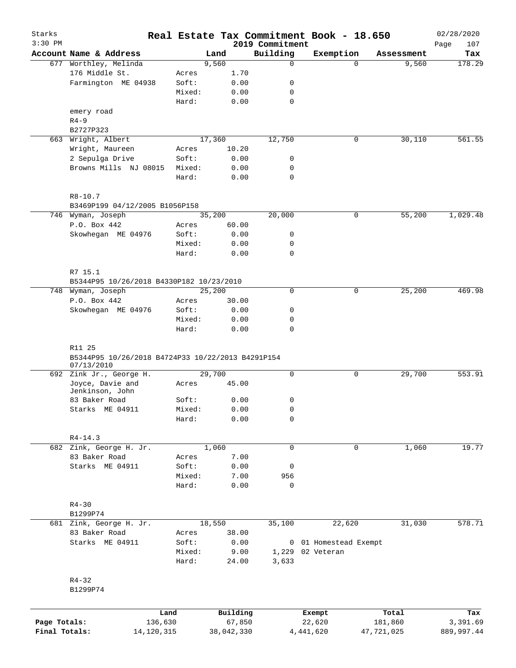| Starks<br>$3:30$ PM |                                                             |        |        |                                 | 2019 Commitment | Real Estate Tax Commitment Book - 18.650 |            |            | 02/28/2020<br>107<br>Page |
|---------------------|-------------------------------------------------------------|--------|--------|---------------------------------|-----------------|------------------------------------------|------------|------------|---------------------------|
|                     | Account Name & Address                                      |        | Land   |                                 | Building        | Exemption                                |            | Assessment | Tax                       |
| 677                 | Worthley, Melinda                                           |        | 9,560  |                                 | $\mathbf 0$     |                                          | $\Omega$   | 9,560      | 178.29                    |
|                     | 176 Middle St.                                              | Acres  |        | 1.70                            |                 |                                          |            |            |                           |
|                     | Farmington ME 04938                                         | Soft:  |        | 0.00                            | 0               |                                          |            |            |                           |
|                     |                                                             | Mixed: |        | 0.00                            | 0               |                                          |            |            |                           |
|                     |                                                             | Hard:  |        | 0.00                            | $\mathbf 0$     |                                          |            |            |                           |
|                     | emery road                                                  |        |        |                                 |                 |                                          |            |            |                           |
|                     | $R4 - 9$                                                    |        |        |                                 |                 |                                          |            |            |                           |
|                     | B2727P323                                                   |        |        |                                 |                 |                                          |            |            |                           |
| 663                 | Wright, Albert                                              |        | 17,360 |                                 | 12,750          |                                          | 0          | 30,110     | 561.55                    |
|                     | Wright, Maureen                                             | Acres  |        | 10.20                           |                 |                                          |            |            |                           |
|                     | 2 Sepulga Drive                                             | Soft:  |        | 0.00                            | 0               |                                          |            |            |                           |
|                     | Browns Mills NJ 08015                                       | Mixed: |        | 0.00                            | 0               |                                          |            |            |                           |
|                     |                                                             | Hard:  |        | 0.00                            | $\mathbf 0$     |                                          |            |            |                           |
|                     | $R8 - 10.7$                                                 |        |        |                                 |                 |                                          |            |            |                           |
|                     | B3469P199 04/12/2005 B1056P158                              |        |        |                                 |                 |                                          |            |            |                           |
|                     | 746 Wyman, Joseph                                           |        | 35,200 |                                 | 20,000          |                                          | 0          | 55,200     | 1,029.48                  |
|                     | P.O. Box 442                                                | Acres  |        | 60.00                           |                 |                                          |            |            |                           |
|                     | Skowhegan ME 04976                                          | Soft:  |        | 0.00                            | 0               |                                          |            |            |                           |
|                     |                                                             | Mixed: |        | 0.00                            | 0               |                                          |            |            |                           |
|                     |                                                             | Hard:  |        | 0.00                            | $\mathbf 0$     |                                          |            |            |                           |
|                     | R7 15.1                                                     |        |        |                                 |                 |                                          |            |            |                           |
|                     | B5344P95 10/26/2018 B4330P182 10/23/2010                    |        |        |                                 |                 |                                          |            |            |                           |
| 748                 | Wyman, Joseph                                               |        | 25,200 |                                 | $\mathbf 0$     |                                          | 0          | 25,200     | 469.98                    |
|                     | P.O. Box 442                                                | Acres  |        | 30.00                           |                 |                                          |            |            |                           |
|                     | Skowhegan ME 04976                                          | Soft:  |        | 0.00                            | 0               |                                          |            |            |                           |
|                     |                                                             | Mixed: |        | 0.00                            | 0               |                                          |            |            |                           |
|                     |                                                             | Hard:  |        | 0.00                            | $\mathbf 0$     |                                          |            |            |                           |
|                     | R11 25<br>B5344P95 10/26/2018 B4724P33 10/22/2013 B4291P154 |        |        |                                 |                 |                                          |            |            |                           |
|                     | 07/13/2010                                                  |        |        |                                 |                 |                                          |            |            |                           |
|                     | 692 Zink Jr., George H.                                     |        | 29,700 |                                 | 0               |                                          | 0          | 29,700     | 553.91                    |
|                     | Joyce, Davie and<br>Jenkinson, John                         | Acres  |        | 45.00                           |                 |                                          |            |            |                           |
|                     | 83 Baker Road                                               | Soft:  |        | 0.00                            | 0               |                                          |            |            |                           |
|                     | Starks ME 04911                                             | Mixed: |        | ${\bf 0}$ . ${\bf 0}$ ${\bf 0}$ | 0               |                                          |            |            |                           |
|                     |                                                             | Hard:  |        | 0.00                            | 0               |                                          |            |            |                           |
|                     | $R4 - 14.3$                                                 |        |        |                                 |                 |                                          |            |            |                           |
|                     | 682 Zink, George H. Jr.                                     |        | 1,060  |                                 | $\mathbf 0$     |                                          | 0          | 1,060      | 19.77                     |
|                     | 83 Baker Road                                               | Acres  |        | 7.00                            |                 |                                          |            |            |                           |
|                     | Starks ME 04911                                             | Soft:  |        | 0.00                            | 0               |                                          |            |            |                           |
|                     |                                                             | Mixed: |        | 7.00                            | 956             |                                          |            |            |                           |
|                     |                                                             | Hard:  |        | 0.00                            | $\mathbf 0$     |                                          |            |            |                           |
|                     | $R4 - 30$                                                   |        |        |                                 |                 |                                          |            |            |                           |
|                     | B1299P74                                                    |        |        |                                 |                 |                                          |            |            |                           |
|                     | 681 Zink, George H. Jr.                                     |        | 18,550 |                                 | 35,100          | 22,620                                   |            | 31,030     | 578.71                    |
|                     | 83 Baker Road                                               | Acres  |        | 38.00                           |                 |                                          |            |            |                           |
|                     | Starks ME 04911                                             | Soft:  |        | 0.00                            |                 | 0 01 Homestead Exempt                    |            |            |                           |
|                     |                                                             | Mixed: |        | 9.00                            | 1,229           | 02 Veteran                               |            |            |                           |
|                     |                                                             | Hard:  |        | 24.00                           | 3,633           |                                          |            |            |                           |
|                     | $R4 - 32$                                                   |        |        |                                 |                 |                                          |            |            |                           |
|                     | B1299P74                                                    |        |        |                                 |                 |                                          |            |            |                           |
|                     |                                                             | Land   |        | Building                        |                 | Exempt                                   |            | Total      | Tax                       |
| Page Totals:        | 136,630                                                     |        |        | 67,850                          |                 | 22,620                                   | 181,860    |            | 3,391.69                  |
| Final Totals:       | 14, 120, 315                                                |        |        | 38,042,330                      |                 | 4, 441, 620                              | 47,721,025 |            | 889,997.44                |